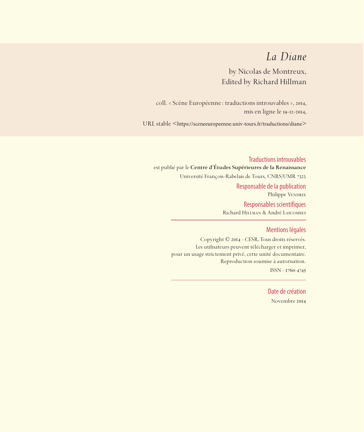## *La Diane*

by Nicolas de Montreux, Edited by Richard Hillman

coll. « Scène Européenne: traductions introuvables », 2014, mis en ligne le 19-12-2014,

URL stable <https://sceneeuropeenne.univ-tours.fr/traductions/diane>

Traductions introuvables est publié par le **Centre d'Études Supérieures de la Renaissance**  Université François-Rabelais de Tours, CNRS/UMR 7323 Responsable de la publication Philippe VENDRIX Responsables scientifiques Richard Hillman & André Lascombes

#### Mentions légales

Copyright © 2014 - CESR. Tous droits réservés. Les utilisateurs peuvent télécharger et imprimer, pour un usage strictement privé, cette unité documentaire. Reproduction soumise à autorisation. ISSN - 1760-4745

> Date de création Novembre 2014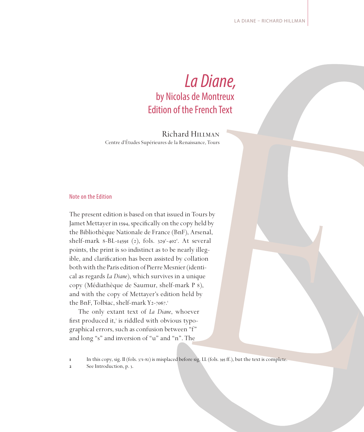# *La Diane,*  by Nicolas de Montreux Edition of the French Text

Richard Hillman Centre d'Études Supérieures de la Renaissance, Tours

#### Note on the Edition

The present edition is based on that issued in Tours by Jamet Mettayer in 1594, specifically on the copy held by the Bibliothèque Nationale de France (BnF), Arsenal, shelf-mark 8-BL-14591 (2), fols. 329<sup>r</sup>-402<sup>r</sup>. At several points, the print is so indistinct as to be nearly illegible, and clarification has been assisted by collation both with the Paris edition of Pierre Mesnier (identical as regards *La Diane*), which survives in a unique copy (Médiathèque de Saumur, shelf-mark P 8), and with the copy of Mettayer's edition held by the BnF, Tolbiac, shelf-mark Y2-7067.

The only extant text of *La Diane*, whoever first produced it,<sup>2</sup> is riddled with obvious typographical errors, such as confusion between "f" and long "s" and inversion of "u" and "n". The

**In this copy, sig. II (fols. 371-82) is misplaced before sig. LL (fols. 395 ff.), but the text is complete.** 

**2** See Introduction, p. 3.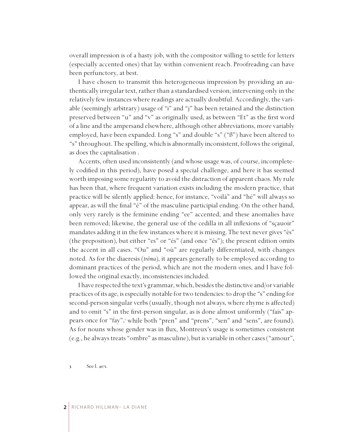overall impression is of a hasty job, with the compositor willing to settle for letters (especially accented ones) that lay within convenient reach. Proofreading can have been perfunctory, at best.

I have chosen to transmit this heterogeneous impression by providing an authentically irregular text, rather than a standardised version, intervening only in the relatively few instances where readings are actually doubtful. Accordingly, the variable (seemingly arbitrary) usage of "i" and "j" has been retained and the distinction preserved between "u" and "v" as originally used, as between "Et" as the first word of a line and the ampersand elsewhere, although other abbreviations, more variably employed, have been expanded. Long "s" and double "s" ("ß") have been altered to "s" throughout. The spelling, which is abnormally inconsistent, follows the original, as does the capitalisation .

Accents, often used inconsistently (and whose usage was, of course, incompletely codified in this period), have posed a special challenge, and here it has seemed worth imposing some regularity to avoid the distraction of apparent chaos. My rule has been that, where frequent variation exists including the modern practice, that practice will be silently applied: hence, for instance, "voilà" and "hé" will always so appear, as will the final "é" of the masculine participial ending. On the other hand, only very rarely is the feminine ending "ee" accented, and these anomalies have been removed; likewise, the general use of the cedilla in all inflexions of "sçauoir" mandates adding it in the few instances where it is missing. The text never gives "ès" (the preposition), but either "es" or "és" (and once "ês"); the present edition omits the accent in all cases. "Ou" and "où" are regularly differentiated, with changes noted. As for the diaeresis (*tréma*), it appears generally to be employed according to dominant practices of the period, which are not the modern ones, and I have followed the original exactly, inconsistencies included.

I have respected the text's grammar, which, besides the distinctive and/or variable practices of its age, is especially notable for two tendencies: to drop the "s" ending for second-person singular verbs (usually, though not always, where rhyme is affected) and to omit "s" in the first-person singular, as is done almost uniformly ("fais" appears once for "fay", while both "pren" and "prens", "sen" and "sens", are found). As for nouns whose gender was in flux, Montreux's usage is sometimes consistent (e.g., he always treats "ombre" as masculine), but is variable in other cases ("amour",

 See l. 4071.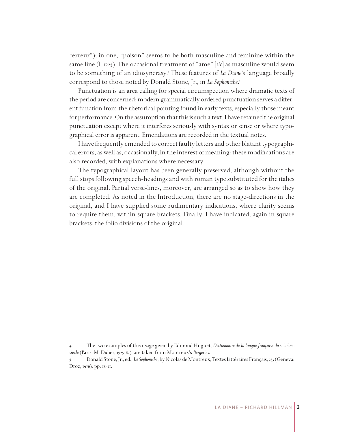"erreur"); in one, "poison" seems to be both masculine and feminine within the same line (l. 1225). The occasional treatment of "ame" [*sic*] as masculine would seem to be something of an idiosyncrasy. These features of *La Diane*'s language broadly correspond to those noted by Donald Stone, Jr., in *La Sophonisbe*.

Punctuation is an area calling for special circumspection where dramatic texts of the period are concerned: modern grammatically ordered punctuation serves a different function from the rhetorical pointing found in early texts, especially those meant for performance. On the assumption that this is such a text, I have retained the original punctuation except where it interferes seriously with syntax or sense or where typographical error is apparent. Emendations are recorded in the textual notes.

I have frequently emended to correct faulty letters and other blatant typographical errors, as well as, occasionally, in the interest of meaning: these modifications are also recorded, with explanations where necessary.

The typographical layout has been generally preserved, although without the full stops following speech-headings and with roman type substituted for the italics of the original. Partial verse-lines, moreover, are arranged so as to show how they are completed. As noted in the Introduction, there are no stage-directions in the original, and I have supplied some rudimentary indications, where clarity seems to require them, within square brackets. Finally, I have indicated, again in square brackets, the folio divisions of the original.

 The two examples of this usage given by Edmond Huguet, *Dictionnaire de la langue française du seizième siècle* (Paris: M. Didier, 1925-67), are taken from Montreux's *Bergeries*.

 Donald Stone, Jr., ed., *La Sophonisbe*, by Nicolas de Montreux, Textes Littéraires Français, 233 (Geneva: Droz, 1976), pp. 18-21.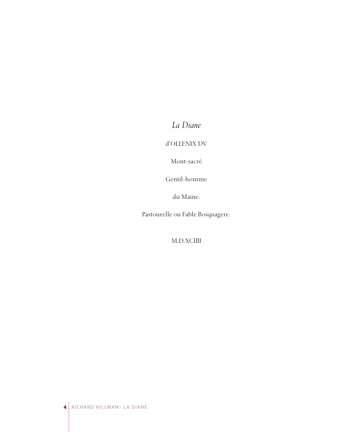*La Diane*

d'OLLENIX DV

Mont-sacré

Gentil-homme

du Maine.

Pastourelle ou Fable Bosquagere.

M.D.XCIIII

**4** RICHARD HILLMAN– LA DIANE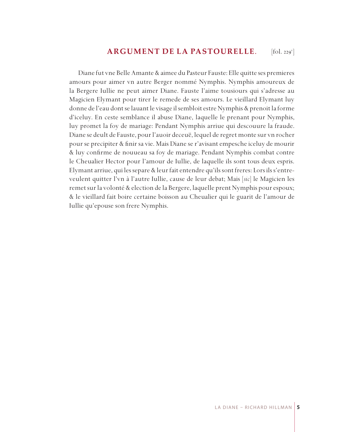#### **ARGUMENT DE LA PASTOURELLE***.*  $[$ fol. 229 $^{\mathrm{v}}$

Diane fut vne Belle Amante & aimee du Pasteur Fauste: Elle quitte ses premieres amours pour aimer vn autre Berger nommé Nymphis. Nymphis amoureux de la Bergere Iullie ne peut aimer Diane. Fauste l'aime tousiours qui s'adresse au Magicien Elymant pour tirer le remede de ses amours. Le vieillard Elymant luy donne de l'eau dont se lauant le visage il sembloit estre Nymphis & prenoit la forme d'iceluy. En ceste semblance il abuse Diane, laquelle le prenant pour Nymphis, luy promet la foy de mariage: Pendant Nymphis arriue qui descouure la fraude. Diane se deult de Fauste, pour l'auoir deceuë, lequel de regret monte sur vn rocher pour se precipiter & finir sa vie. Mais Diane se r'avisant empesche iceluy de mourir & luy confirme de nouueau sa foy de mariage. Pendant Nymphis combat contre le Cheualier Hector pour l'amour de Iullie, de laquelle ils sont tous deux espris. Elymant arriue, qui les separe & leur fait entendre qu'ils sont freres: Lors ils s'entreveulent quitter l'vn à l'autre Iullie, cause de leur debat; Mais [*sic*] le Magicien les remet sur la volonté & election de la Bergere, laquelle prent Nymphis pour espoux; & le vieillard fait boire certaine boisson au Cheualier qui le guarit de l'amour de Iullie qu'epouse son frere Nymphis.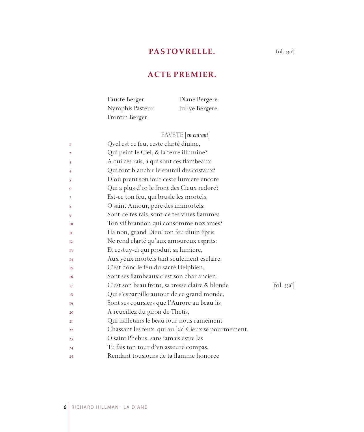## **PASTOVRELLE.**

### **ACTE PREMIER.**

| Fauste Berger.   | Diane Bergere.  |
|------------------|-----------------|
| Nymphis Pasteur. | Iullye Bergere. |
| Frontin Berger.  |                 |

FAVSTE [*en entrant*]

| 1              | Qvel est ce feu, ceste clarté diuine,                 |                                           |
|----------------|-------------------------------------------------------|-------------------------------------------|
| $\overline{2}$ | Qui peint le Ciel, & la terre illumine?               |                                           |
| 3              | A qui ces rais, à qui sont ces flambeaux              |                                           |
| 4              | Qui font blanchir le sourcil des costaux?             |                                           |
| 5              | D'où prent son iour ceste lumiere encore              |                                           |
| 6              | Qui a plus d'or le front des Cieux redore?            |                                           |
| 7              | Est-ce ton feu, qui brusle les mortels,               |                                           |
| 8              | O saint Amour, pere des immortels:                    |                                           |
| 9              | Sont-ce tes rais, sont-ce tes viues flammes           |                                           |
| <b>I0</b>      | Ton vif brandon qui consomme noz ames?                |                                           |
| п              | Ha non, grand Dieu! ton feu diuin épris               |                                           |
| I <sub>2</sub> | Ne rend clarté qu'aux amoureux esprits:               |                                           |
| 13             | Et cestuy-ci qui produit sa lumiere,                  |                                           |
| I4             | Aux yeux mortels tant seulement esclaire.             |                                           |
| 15             | C'est donc le feu du sacré Delphien,                  |                                           |
| 16             | Sont ses flambeaux c'est son char ancien,             |                                           |
| 17             | C'est son beau front, sa tresse claire & blonde       | $\left[ \text{fol. } 330^{\circ} \right]$ |
| 18             | Qui s'esparpille autour de ce grand monde,            |                                           |
| 19             | Sont ses coursiers que l'Aurore au beau lis           |                                           |
| 20             | A reueillez du giron de Thetis,                       |                                           |
| 2I             | Qui halletans le beau iour nous rameinent             |                                           |
| 22             | Chassant les feux, qui au [sic] Cieux se pourmeinent. |                                           |
| 23             | O saint Phebus, sans iamais estre las                 |                                           |
| 24             | Tu fais ton tour d'vn asseuré compas,                 |                                           |
| 25             | Rendant tousiours de ta flamme honoree                |                                           |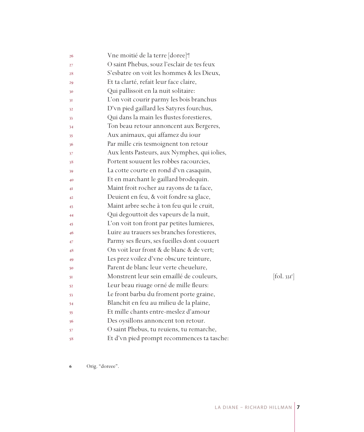| 26 | Vne moitié de la terre [doree] <sup>6</sup> ! |                          |
|----|-----------------------------------------------|--------------------------|
| 27 | O saint Phebus, souz l'esclair de tes feux    |                          |
| 28 | S'esbatre on voit les hommes & les Dieux,     |                          |
| 29 | Et ta clarté, refait leur face claire,        |                          |
| 30 | Qui pallissoit en la nuit solitaire:          |                          |
| 31 | L'on voit courir parmy les bois branchus      |                          |
| 32 | D'vn pied gaillard les Satyres fourchus,      |                          |
| 33 | Qui dans la main les flustes forestieres,     |                          |
| 34 | Ton beau retour annoncent aux Bergeres,       |                          |
| 35 | Aux animaux, qui affamez du iour              |                          |
| 36 | Par mille cris tesmoignent ton retour         |                          |
| 37 | Aux lents Pasteurs, aux Nymphes, qui iolies,  |                          |
| 38 | Portent souuent les robbes racourcies,        |                          |
| 39 | La cotte courte en rond d'vn casaquin,        |                          |
| 40 | Et en marchant le gaillard brodequin.         |                          |
| 41 | Maint froit rocher au rayons de ta face,      |                          |
| 42 | Deuient en feu, & voit fondre sa glace,       |                          |
| 43 | Maint arbre seche à ton feu qui le cruit,     |                          |
| 44 | Qui degouttoit des vapeurs de la nuit,        |                          |
| 45 | L'on voit ton front par petites lumieres,     |                          |
| 46 | Luire au trauers ses branches forestieres,    |                          |
| 47 | Parmy ses fleurs, ses fueilles dont couuert   |                          |
| 48 | On voit leur front & de blanc & de vert;      |                          |
| 49 | Les prez voilez d'vne obscure teinture,       |                          |
| 50 | Parent de blanc leur verte cheuelure,         |                          |
| 51 | Monstrent leur sein emaillé de couleurs,      | [fol. 33I <sup>r</sup> ] |
| 52 | Leur beau riuage orné de mille fleurs:        |                          |
| 53 | Le front barbu du froment porte graine,       |                          |
| 54 | Blanchit en feu au milieu de la plaine,       |                          |
| 55 | Et mille chants entre-meslez d'amour          |                          |
| 56 | Des oysillons annoncent ton retour.           |                          |
| 57 | O saint Phebus, tu reuiens, tu remarche,      |                          |
| 58 | Et d'vn pied prompt recommences ta tasche:    |                          |

Orig. "doreee".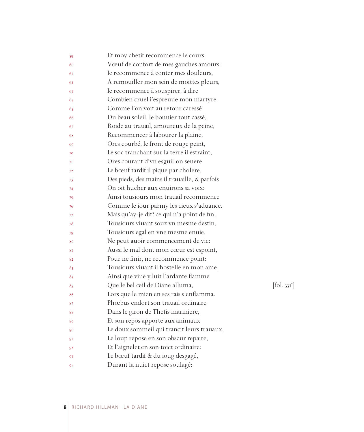| 59 | Et moy chetif recommence le cours,           |                        |
|----|----------------------------------------------|------------------------|
| 60 | Vœuf de confort de mes gauches amours:       |                        |
| 61 | Ie recommence à conter mes douleurs,         |                        |
| 62 | A remouiller mon sein de moittes pleurs,     |                        |
| 63 | Ie recommence à souspirer, à dire            |                        |
| 64 | Combien cruel i'espreuue mon martyre.        |                        |
| 65 | Comme l'on voit au retour caressé            |                        |
| 66 | Du beau soleil, le bouuier tout cassé,       |                        |
| 67 | Roide au trauail, amoureux de la peine,      |                        |
| 68 | Recommencer à labourer la plaine,            |                        |
| 69 | Ores courbé, le front de rouge peint,        |                        |
| 70 | Le soc tranchant sur la terre il estraint,   |                        |
| 71 | Ores courant d'vn esguillon seuere           |                        |
| 72 | Le bœuf tardif il pique par cholere,         |                        |
| 73 | Des pieds, des mains il trauaille, & parfois |                        |
| 74 | On oit hucher aux enuirons sa voix:          |                        |
| 75 | Ainsi tousiours mon trauail recommence       |                        |
| 76 | Comme le iour parmy les cieux s'aduance.     |                        |
| 77 | Mais qu'ay-je dit? ce qui n'a point de fin,  |                        |
| 78 | Tousiours viuant souz vn mesme destin,       |                        |
| 79 | Tousiours egal en vne mesme enuie,           |                        |
| 80 | Ne peut auoir commencement de vie:           |                        |
| 81 | Aussi le mal dont mon cœur est espoint,      |                        |
| 82 | Pour ne finir, ne recommence point:          |                        |
| 83 | Tousiours viuant il hostelle en mon ame,     |                        |
| 84 | Ainsi que viue y luit l'ardante flamme       |                        |
| 85 | Que le bel œil de Diane alluma,              | $[\text{fol. } 33I^v]$ |
| 86 | Lors que le mien en ses rais s'enflamma.     |                        |
| 87 | Phœbus endort son trauail ordinaire          |                        |
| 88 | Dans le giron de Thetis mariniere,           |                        |
| 89 | Et son repos apporte aux animaux             |                        |
| 90 | Le doux sommeil qui trancit leurs trauaux,   |                        |
| 91 | Le loup repose en son obscur repaire,        |                        |
| 92 | Et l'aignelet en son toict ordinaire:        |                        |
| 93 | Le bœuf tardif & du ioug desgagé,            |                        |
| 94 | Durant la nuict repose soulagé:              |                        |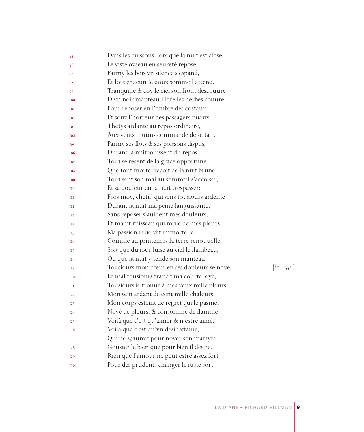| 95              | Dans les buissons, lors que la nuit est close, |                        |
|-----------------|------------------------------------------------|------------------------|
| 96              | Le viste oyseau en seureté repose,             |                        |
| 97              | Parmy les bois vn silence s'espand,            |                        |
| 98              | Et lors chacun le doux sommeil attend.         |                        |
| 99              | Tranquille & coy le ciel son front descouure   |                        |
| <b>I00</b>      | D'vn noir manteau Flore les herbes couure,     |                        |
| IOI             | Pour reposer en l'ombre des costaux,           |                        |
| <b>I02</b>      | Et souz l'horreur des passagers nuaux.         |                        |
| <b>I03</b>      | Thetys ardante au repos ordinaire,             |                        |
| <b>I04</b>      | Aux vents mutins commande de se taire          |                        |
| <b>I05</b>      | Parmy ses flots & ses poissons dispos,         |                        |
| <b>106</b>      | Durant la nuit iouissent du repos.             |                        |
| <b>TO7</b>      | Tout se resent de la grace opportune           |                        |
| 108             | Que tout mortel reçoit de la nuit brune,       |                        |
| <b>109</b>      | Tout sent son mal au sommeil s'accoiser,       |                        |
| II <sub>0</sub> | Et sa douleur en la nuit trespasser:           |                        |
| Ш               | Fors moy, chetif, qui sens tousiours ardente   |                        |
| II2             | Durant la nuit ma peine languissante,          |                        |
| <b>II3</b>      | Sans reposer s'auiuent mes douleurs,           |                        |
| H <sub>4</sub>  | Et maint ruisseau qui roule de mes pleurs:     |                        |
| $_{\rm II5}$    | Ma passion reuerdit immortelle,                |                        |
| <b>TI6</b>      | Comme au printemps la terre renouuelle.        |                        |
| H 7             | Soit que du iour luise au ciel le flambeau,    |                        |
| <b>H8</b>       | Ou que la nuit y tende son manteau,            |                        |
| <b>II9</b>      | Tousiours mon cœur en ses douleurs se noye,    | $[\text{fol. } 332^r]$ |
| <b>I20</b>      | Le mal tousiours trancit ma courte ioye,       |                        |
| T2T             | Tousiours ie trouue à mes yeux mille pleurs,   |                        |
| I22             | Mon sein ardant de cent mille chaleurs,        |                        |
| I23             | Mon corps esteint de regret qui le pasme,      |                        |
| I24             | Noyé de pleurs, & consomme de flamme.          |                        |
| 125             | Voilà que c'est qu'aimer & n'estre aimé,       |                        |
| I <sub>26</sub> | Voilà que c'est qu'vn desir affamé,            |                        |
| <b>I27</b>      | Qui ne sçauroit pour noyer son martyre         |                        |
| 128             | Gouster le bien que pour bien il desire.       |                        |
| <b>I29</b>      | Rien que l'amour ne peut estre assez fort      |                        |
| <b>I30</b>      | Pour des prudents changer le iuste sort.       |                        |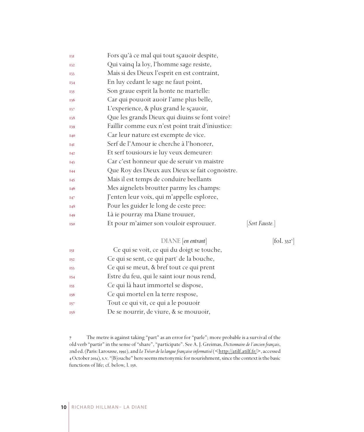| <b>131</b>      | Fors qu'à ce mal qui tout sçauoir despite,       |                          |
|-----------------|--------------------------------------------------|--------------------------|
| <b>I32</b>      | Qui vainq la loy, l'homme sage resiste,          |                          |
| 133             | Mais si des Dieux l'esprit en est contraint,     |                          |
| 134             | En luy cedant le sage ne faut point,             |                          |
| 135             | Son graue esprit la honte ne martelle:           |                          |
| <b>I36</b>      | Car qui pouuoit auoir l'ame plus belle,          |                          |
| 137             | L'experience, & plus grand le sçauoir,           |                          |
| 138             | Que les grands Dieux qui diuins se font voire?   |                          |
| 139             | Faillir comme eux n'est point trait d'iniustice: |                          |
| <b>I40</b>      | Car leur nature est exempte de vice.             |                          |
| 14I             | Serf de l'Amour ie cherche à l'honorer,          |                          |
| I42             | Et serf tousiours ie luy veux demeurer:          |                          |
| 143             | Car c'est honneur que de seruir vn maistre       |                          |
| I44             | Que Roy des Dieux aux Dieux se fait cognoistre.  |                          |
| I45             | Mais il est temps de conduire beellants          |                          |
| I <sub>46</sub> | Mes aignelets broutter parmy les champs:         |                          |
| <b>147</b>      | J'enten leur voix, qui m'appelle esploree,       |                          |
| 148             | Pour les guider le long de ceste pree:           |                          |
| <b>I49</b>      | Là ie pourray ma Diane trouuer,                  |                          |
| <b>I50</b>      | Et pour m'aimer son vouloir esprouuer.           | [Sort Fauste.]           |
|                 | DIANE [en entrant]                               | [fol. 332 <sup>v</sup> ] |
| <b>15I</b>      | Ce qui se voit, ce qui du doigt se touche,       |                          |
| <b>I52</b>      | Ce qui se sent, ce qui part' de la bouche,       |                          |
| 153             | Ce qui se meut, & bref tout ce qui prent         |                          |
| 154             | Estre du feu, qui le saint iour nous rend,       |                          |
| 155             | Ce qui là haut immortel se dispose,              |                          |

- Ce qui mortel en la terre respose,
- Tout ce qui vit, ce qui a le pouuoir
- De se nourrir, de viure, & se mouuoir,

 The metre is against taking "part" as an error for "parle"; more probable is a survival of the old verb "partir" in the sense of "share", "participate". See A. J. Greimas, *Dictionnaire de l'ancien français*, 2nd ed. (Paris: Larousse, 1992), and *Le Trésor de la langue française informatisé* (<http://atilf.atilf.fr/>, accessed October 2014), s.v. "[B]ouche" here seems metonymic for nourishment, since the context is the basic functions of life; cf. below, l. 158.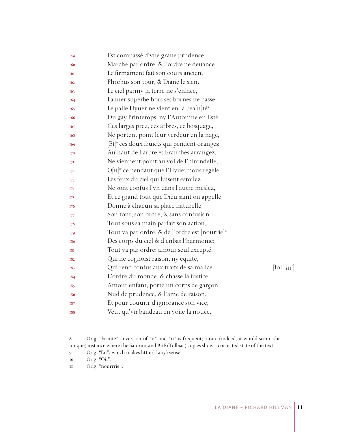| 159              | Est compassé d'vne graue prudence,                         |                      |
|------------------|------------------------------------------------------------|----------------------|
| <b>160</b>       | Marche par ordre, & l'ordre ne deuance.                    |                      |
| <b>161</b>       | Le firmament fait son cours ancien,                        |                      |
| 162              | Phœbus son tour, & Diane le sien.                          |                      |
| I <sub>6</sub> 3 | Le ciel parmy la terre ne s'enlace,                        |                      |
| 164              | La mer superbe hors ses bornes ne passe,                   |                      |
| I <sub>65</sub>  | Le palle Hyuer ne vient en la bea[u]té <sup>s</sup>        |                      |
| I <sub>66</sub>  | Du gay Printemps, ny l'Automne en Esté:                    |                      |
| 167              | Ces larges prez, ces arbres, ce bosquage,                  |                      |
| 168              | Ne portent point leur verdeur en la nage,                  |                      |
| 169              | Et <sup>®</sup> ces doux fruicts qui pendent orangez       |                      |
| 170              | Au haut de l'arbre es branches arrangez,                   |                      |
| 17I              | Ne viennent point au vol de l'hirondelle,                  |                      |
| <b>I72</b>       | O[u] <sup>10</sup> ce pendant que l'Hyuer nous regele:     |                      |
| 173              | Les feux du ciel qui luisent estoilez                      |                      |
| 174              | Ne sont confus l'vn dans l'autre meslez,                   |                      |
| 175              | Et ce grand tout que Dieu saint on appelle,                |                      |
| 176              | Donne à chacun sa place naturelle,                         |                      |
| 177              | Son tour, son ordre, & sans confusion                      |                      |
| 178              | Tout sous sa main parfait son action,                      |                      |
| 179              | Tout va par ordre, & de l'ordre est [nourrie] <sup>"</sup> |                      |
| 180              | Des corps du ciel & d'enbas l'harmonie:                    |                      |
| <b>181</b>       | Tout va par ordre: amour seul excepté,                     |                      |
| 182              | Qui ne cognoist raison, ny equité,                         |                      |
| 183              | Qui rend confus aux traits de sa malice                    | $[\text{fol. } 333]$ |
| 184              | L'ordre du monde, & chasse la iustice.                     |                      |
| 185              | Amour enfant, porte un corps de garçon                     |                      |
| 186              | Nud de prudence, & l'ame de raison,                        |                      |
| 187              | Et pour couurir d'ignorance son vice,                      |                      |
| 188              | Veut qu'vn bandeau en voile la notice,                     |                      |

 Orig. "beanté": inversion of "n" and "u" is frequent; a rare (indeed, it would seem, the unique) instance where the Saumur and BnF (Tolbiac) copies show a corrected state of the text.

Orig. "En", which makes little (if any) sense.

Orig. "nourrrie".

Orig. "Où".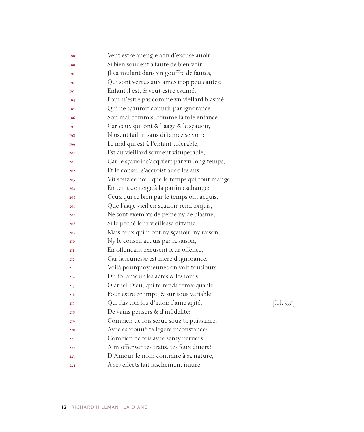| 189             | Veut estre aueugle afin d'excuse auoir         |            |
|-----------------|------------------------------------------------|------------|
| 190             | Si bien souuent à faute de bien voir           |            |
| <b>191</b>      | Jl va roulant dans vn gouffre de fautes,       |            |
| 192             | Qui sont vertus aux ames trop peu cautes:      |            |
| 193             | Enfant il est, & veut estre estimé,            |            |
| 194             | Pour n'estre pas comme vn viellard blasmé,     |            |
| 195             | Qui ne sçauroit couurir par ignorance          |            |
| 196             | Son mal commis, comme la fole enfance.         |            |
| 197             | Car ceux qui ont & l'aage & le sçauoir,        |            |
| 198             | N'osent faillir, sans diffamez se voir:        |            |
| 199             | Le mal qui est à l'enfant tolerable,           |            |
| 200             | Est au vieillard souuent vituperable,          |            |
| 201             | Car le sçauoir s'acquiert par vn long temps,   |            |
| 202             | Et le conseil s'accroist auec les ans,         |            |
| 203             | Vit souz ce poil, que le temps qui tout mange, |            |
| 204             | En teint de neige à la parfin eschange:        |            |
| 205             | Ceux qui ce bien par le temps ont acquis,      |            |
| 206             | Que l'aage vieil en sçauoir rend exquis,       |            |
| 207             | Ne sont exempts de peine ny de blasme,         |            |
| 208             | Si le peché leur vieillesse diffame:           |            |
| 209             | Mais ceux qui n'ont ny sçauoir, ny raison,     |            |
| 210             | Ny le conseil acquis par la saison,            |            |
| 2II             | En offençant excusent leur offence,            |            |
| 212             | Car la ieunesse est mere d'ignorance.          |            |
| 213             | Voilà pourquoy ieunes on voit tousiours        |            |
| 2I <sub>4</sub> | Du fol amour les actes & les iours.            |            |
| 215             | O cruel Dieu, qui te rends remarquable         |            |
| 216             | Pour estre prompt, & sur tous variable,        |            |
| 217             | Qui fais ton loz d'auoir l'ame agité,          | [fol. 333] |
| 218             | De vains pensers & d'infidelité:               |            |
| 219             | Combien de fois serue souz ta puissance,       |            |
| 220             | Ay ie esprouué ta legere inconstance?          |            |
| 221             | Combien de fois ay ie senty peruers            |            |
| 222             | A m'offenser tes traits, tes feux diuers?      |            |
| 223             | D'Amour le nom contraire à sa nature,          |            |
| 224             | A ses effects fait laschement iniure,          |            |

 $[\text{fol. } 333^{\circ}]$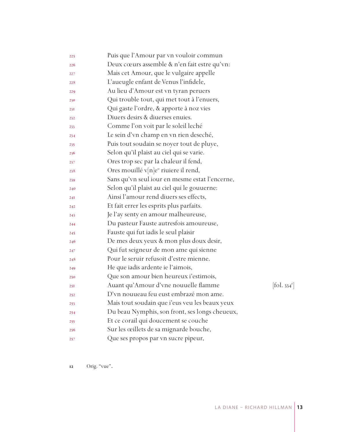| 225 | Puis que l'Amour par vn vouloir commun                         |  |
|-----|----------------------------------------------------------------|--|
| 226 | Deux cœurs assemble & n'en fait estre qu'vn:                   |  |
| 227 | Mais cet Amour, que le vulgaire appelle                        |  |
| 228 | L'aueugle enfant de Venus l'infidele,                          |  |
| 229 | Au lieu d'Amour est vn tyran peruers                           |  |
| 230 | Qui trouble tout, qui met tout à l'enuers,                     |  |
| 23I | Qui gaste l'ordre, & apporte à noz vies                        |  |
| 232 | Diuers desirs & diuerses enuies.                               |  |
| 233 | Comme l'on voit par le soleil leché                            |  |
| 234 | Le sein d'vn champ en vn rien deseché,                         |  |
| 235 | Puis tout soudain se noyer tout de pluye,                      |  |
| 236 | Selon qu'il plaist au ciel qui se varie.                       |  |
| 237 | Ores trop sec par la chaleur il fend,                          |  |
| 238 | Ores mouillé v $[n]e^n$ riuiere il rend,                       |  |
| 239 | Sans qu'vn seul iour en mesme estat l'encerne,                 |  |
| 240 | Selon qu'il plaist au ciel qui le gouuerne:                    |  |
| 24I | Ainsi l'amour rend diuers ses effects,                         |  |
| 242 | Et fait errer les esprits plus parfaits.                       |  |
| 243 | Je l'ay senty en amour malheureuse,                            |  |
| 244 | Du pasteur Fauste autresfois amoureuse,                        |  |
| 245 | Fauste qui fut iadis le seul plaisir                           |  |
| 246 | De mes deux yeux & mon plus doux desir,                        |  |
| 247 | Qui fut seigneur de mon ame qui sienne                         |  |
| 248 | Pour le seruir refusoit d'estre mienne.                        |  |
| 249 | He que iadis ardente ie l'aimois,                              |  |
| 250 | Que son amour bien heureux i'estimois,                         |  |
| 25I | Auant qu'Amour d'vne nouuelle flamme<br>$[\text{fol. } 334^r]$ |  |
| 252 | D'vn nouueau feu eust embrazé mon ame.                         |  |
| 253 | Mais tout soudain que i'eus veu les beaux yeux                 |  |
| 254 | Du beau Nymphis, son front, ses longs cheueux,                 |  |
| 255 | Et ce corail qui doucement se couche                           |  |
| 256 | Sur les œillets de sa mignarde bouche,                         |  |
| 257 | Que ses propos par vn sucre pipeur,                            |  |

Orig. "vue"**.**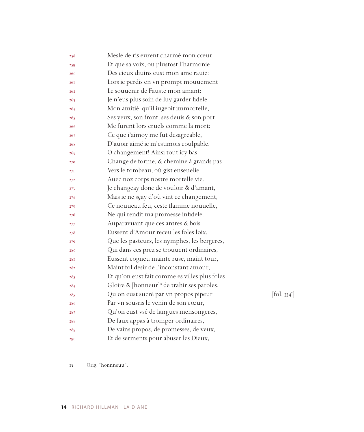| 258 | Mesle de ris eurent charmé mon cœur,                   |                                           |
|-----|--------------------------------------------------------|-------------------------------------------|
| 259 | Et que sa voix, ou plustost l'harmonie                 |                                           |
| 260 | Des cieux diuins eust mon ame rauie:                   |                                           |
| 26I | Lors ie perdis en vn prompt mouuement                  |                                           |
| 262 | Le souuenir de Fauste mon amant:                       |                                           |
| 263 | Je n'eus plus soin de luy garder fidele                |                                           |
| 264 | Mon amitié, qu'il iugeoit immortelle,                  |                                           |
| 265 | Ses yeux, son front, ses deuis & son port              |                                           |
| 266 | Me furent lors cruels comme la mort:                   |                                           |
| 267 | Ce que i'aimoy me fut desagreable,                     |                                           |
| 268 | D'auoir aimé ie m'estimois coulpable.                  |                                           |
| 269 | O changement! Ainsi tout icy bas                       |                                           |
| 270 | Change de forme, & chemine à grands pas                |                                           |
| 27I | Vers le tombeau, où gist enseuelie                     |                                           |
| 272 | Auec noz corps nostre mortelle vie.                    |                                           |
| 273 | Je changeay donc de vouloir & d'amant,                 |                                           |
| 274 | Mais ie ne sçay d'où vint ce changement,               |                                           |
| 275 | Ce nouueau feu, ceste flamme nouuelle,                 |                                           |
| 276 | Ne qui rendit ma promesse infidele.                    |                                           |
| 277 | Auparavuant que ces antres & bois                      |                                           |
| 278 | Eussent d'Amour receu les foles loix,                  |                                           |
| 279 | Que les pasteurs, les nymphes, les bergeres,           |                                           |
| 280 | Qui dans ces prez se trouuent ordinaires,              |                                           |
| 28I | Eussent cogneu mainte ruse, maint tour,                |                                           |
| 282 | Maint fol desir de l'inconstant amour,                 |                                           |
| 283 | Et qu'on eust fait comme es villes plus foles          |                                           |
| 284 | Gloire & $[{\text{honneur}}]^n$ de trahir ses paroles, |                                           |
| 285 | Qu'on eust sucré par vn propos pipeur                  | $\left[ \text{fol. } 334^{\circ} \right]$ |
| 286 | Par vn sousris le venin de son cœur,                   |                                           |
| 287 | Qu'on eust vsé de langues mensongeres,                 |                                           |
| 288 | De faux appas à tromper ordinaires,                    |                                           |
| 289 | De vains propos, de promesses, de veux,                |                                           |
| 290 | Et de serments pour abuser les Dieux,                  |                                           |

Orig. "honnneuu".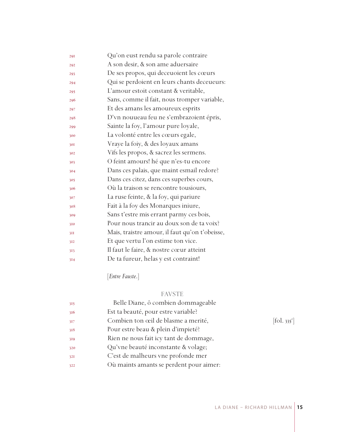| 29I | Qu'on eust rendu sa parole contraire           |
|-----|------------------------------------------------|
| 292 | A son desir, & son ame aduersaire              |
| 293 | De ses propos, qui deceuoient les cœurs        |
| 294 | Qui se perdoient en leurs chants deceueurs:    |
| 295 | L'amour estoit constant & veritable,           |
| 296 | Sans, comme il fait, nous tromper variable,    |
| 297 | Et des amans les amoureux esprits              |
| 298 | D'vn nouueau feu ne s'embrazoient épris,       |
| 299 | Sainte la foy, l'amour pure loyale,            |
| 300 | La volonté entre les cœurs egale,              |
| 301 | Vraye la foiy, & des loyaux amans              |
| 302 | Vifs les propos, & sacrez les sermens.         |
| 303 | O feint amours! hé que n'es-tu encore          |
| 304 | Dans ces palais, que maint esmail redore?      |
| 305 | Dans ces citez, dans ces superbes cours,       |
| 306 | Où la traison se rencontre tousiours,          |
| 307 | La ruse feinte, & la foy, qui pariure          |
| 308 | Fait à la foy des Monarques iniure,            |
| 309 | Sans t'estre mis errant parmy ces bois,        |
| 310 | Pour nous trancir au doux son de ta voix?      |
| 3II | Mais, traistre amour, il faut qu'on t'obeisse, |
| 312 | Et que vertu l'on estime ton vice.             |
| 313 | Il faut le faire, & nostre cœur atteint        |
| 314 | De ta fureur, helas y est contraint!           |

[*Entre Fauste*.]

#### FAVSTE

| 315 | Belle Diane, ô combien dommageable      |                                   |
|-----|-----------------------------------------|-----------------------------------|
| 316 | Est ta beauté, pour estre variable?     |                                   |
| 317 | Combien ton œil de blasme a merité,     | $\left[ \text{fol. } 335 \right]$ |
| 318 | Pour estre beau & plein d'impieté?      |                                   |
| 319 | Rien ne nous fait icy tant de dommage,  |                                   |
| 320 | Qu'vne beauté inconstante & volage;     |                                   |
| 32I | C'est de malheurs vne profonde mer      |                                   |
| 322 | Où maints amants se perdent pour aimer: |                                   |
|     |                                         |                                   |

 $[$ fol. 335 $^{\mathrm{r}}$ ]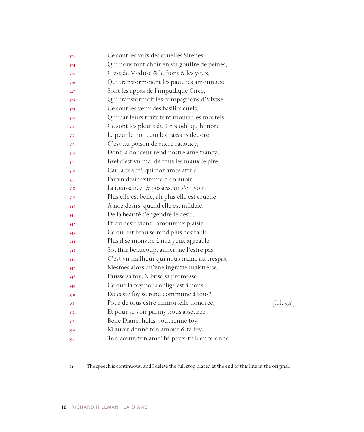| 323 | Ce sont les voix des cruelles Sirenes,                                    |  |
|-----|---------------------------------------------------------------------------|--|
| 324 | Qui nous font choir en vn gouffre de peines;                              |  |
| 325 | C'est de Meduse & le front & les yeux,                                    |  |
| 326 | Qui transformoient les pauures amoureux:                                  |  |
| 327 | Sont les appas de l'impudique Circe,                                      |  |
| 328 | Qui transformoit les compagnons d'Vlysse:                                 |  |
| 329 | Ce sont les yeux des basilics cuels,                                      |  |
| 330 | Qui par leurs traits font mourir les mortels,                             |  |
| 33I | Ce sont les pleurs du Crocodil qu'honore                                  |  |
| 332 | Le peuple noir, qui les passans deuore:                                   |  |
| 333 | C'est du poison de sucre radoucy,                                         |  |
| 334 | Dont la douceur rend nostre ame trancy,                                   |  |
| 335 | Bref c'est vn mal de tous les maux le pire:                               |  |
| 336 | Car la beauté qui noz ames attire                                         |  |
| 337 | Par vn desir extreme d'en auoir                                           |  |
| 338 | La iouissance, & possesseur s'en voir,                                    |  |
| 339 | Plus elle est belle, ah plus elle est cruelle                             |  |
| 340 | A noz desirs, quand elle est infidele.                                    |  |
| 34I | De la beauté s'engendre le desir,                                         |  |
| 342 | Et du desir vient l'amoureux plaisir.                                     |  |
| 343 | Ce qui est beau se rend plus desirable                                    |  |
| 344 | Plus il se monstre à noz yeux agreable:                                   |  |
| 345 | Souffrir beaucoup, aimer, ne l'estre pas,                                 |  |
| 346 | C'est vn malheur qui nous traine au trespas,                              |  |
| 347 | Mesmes alors qu'vne ingratte maistresse,                                  |  |
| 348 | Fausse sa foy, & brise sa promesse.                                       |  |
| 349 | Ce que la foy nous oblige est à nous,                                     |  |
| 350 | Est ceste foy se rend commune à tous <sup>14</sup>                        |  |
| 35I | Pour de tous estre immortelle honoree,<br>$[\text{fol. } 335^{\text{v}}]$ |  |
| 352 | Et pour se voir parmy nous asseuree.                                      |  |
| 353 | Belle Diane, helas! souuienne toy                                         |  |
| 354 | M'auoir donné ton amour & ta foy,                                         |  |
| 355 | Ton cœur, ton ame! hé peux-tu bien felonne                                |  |

The speech is continuous, and I delete the full stop placed at the end of this line in the original.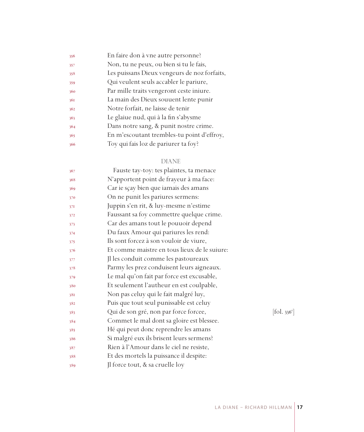| Non, tu ne peux, ou bien si tu le fais,<br>357<br>Les puissans Dieux vengeurs de noz forfaits,<br>358<br>Qui veulent seuls accabler le pariure,<br>359<br>Par mille traits vengeront ceste iniure.<br>360<br>La main des Dieux souuent lente punir<br>36I<br>Notre forfait, ne laisse de tenir<br>362<br>Le glaiue nud, qui à la fin s'abysme<br>363<br>Dans notre sang, & punit nostre crime.<br>364<br>En m'escoutant trembles-tu point d'effroy,<br>365<br>Toy qui fais loz de pariurer ta foy?<br>366 | 356 | En faire don à vne autre personne? |
|-----------------------------------------------------------------------------------------------------------------------------------------------------------------------------------------------------------------------------------------------------------------------------------------------------------------------------------------------------------------------------------------------------------------------------------------------------------------------------------------------------------|-----|------------------------------------|
|                                                                                                                                                                                                                                                                                                                                                                                                                                                                                                           |     |                                    |
|                                                                                                                                                                                                                                                                                                                                                                                                                                                                                                           |     |                                    |
|                                                                                                                                                                                                                                                                                                                                                                                                                                                                                                           |     |                                    |
|                                                                                                                                                                                                                                                                                                                                                                                                                                                                                                           |     |                                    |
|                                                                                                                                                                                                                                                                                                                                                                                                                                                                                                           |     |                                    |
|                                                                                                                                                                                                                                                                                                                                                                                                                                                                                                           |     |                                    |
|                                                                                                                                                                                                                                                                                                                                                                                                                                                                                                           |     |                                    |
|                                                                                                                                                                                                                                                                                                                                                                                                                                                                                                           |     |                                    |
|                                                                                                                                                                                                                                                                                                                                                                                                                                                                                                           |     |                                    |
|                                                                                                                                                                                                                                                                                                                                                                                                                                                                                                           |     |                                    |

#### DIANE

| 367 | Fauste tay-toy: tes plaintes, ta menace      |           |
|-----|----------------------------------------------|-----------|
| 368 | N'apportent point de frayeur à ma face:      |           |
| 369 | Car ie sçay bien que iamais des amans        |           |
| 370 | On ne punit les pariures sermens:            |           |
| 37I | Juppin s'en rit, & luy-mesme n'estime        |           |
| 372 | Faussant sa foy commettre quelque crime.     |           |
| 373 | Car des amans tout le pouuoir depend         |           |
| 374 | Du faux Amour qui pariures les rend:         |           |
| 375 | Ils sont forcez à son vouloir de viure,      |           |
| 376 | Et comme maistre en tous lieux de le suiure: |           |
| 377 | Jl les conduit comme les pastoureaux         |           |
| 378 | Parmy les prez conduisent leurs aigneaux.    |           |
| 379 | Le mal qu'on fait par force est excusable,   |           |
| 380 | Et seulement l'autheur en est coulpable,     |           |
| 381 | Non pas celuy qui le fait malgré luy,        |           |
| 382 | Puis que tout seul punissable est celuy      |           |
| 383 | Qui de son gré, non par force forcee,        | [fol. 336 |
| 384 | Commet le mal dont sa gloire est blessee.    |           |
| 385 | Hé qui peut donc reprendre les amans         |           |
| 386 | Si malgré eux ils brisent leurs sermens?     |           |
| 387 | Rien à l'Amour dans le ciel ne resiste,      |           |
| 388 | Et des mortels la puissance il despite:      |           |
| 389 | Jl force tout, & sa cruelle loy              |           |
|     |                                              |           |

r ]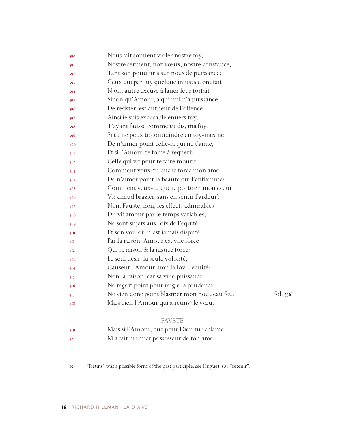| 390             | Nous fait souuent violer nostre foy,                                                     |
|-----------------|------------------------------------------------------------------------------------------|
| 391             | Nostre serment, noz vœux, nostre constance,                                              |
| 392             | Tant son pouuoir a sur nous de puissance:                                                |
| 393             | Ceux qui par luy quelque iniustice ont fait                                              |
| 394             | N'ont autre excuse à lauer leur forfait                                                  |
| 395             | Sinon qu'Amour, à qui nul n'a puissance                                                  |
| 396             | De resister, est autheur de l'offence.                                                   |
| 397             | Ainsi ie suis excusable enuers toy,                                                      |
| 398             | T'ayant faussé comme tu dis, ma foy.                                                     |
| 399             | Si tu ne peux te contraindre en toy-mesme                                                |
| 400             | De n'aimer point celle-là qui ne t'aime,                                                 |
| 40I             | Et si l'Amour te force à requerir                                                        |
| 402             | Celle qui vit pour te faire mourir,                                                      |
| 403             | Comment veux-tu que ie force mon ame                                                     |
| 404             | De n'aimer point la beauté qui l'enflamme?                                               |
| 405             | Comment veux-tu que ie porte en mon cœur                                                 |
| 406             | Vn chaud brazier, sans en sentir l'ardeur?                                               |
| 407             | Non, Fauste, non, les effects admirables                                                 |
| 408             | Du vif amour par le temps variables,                                                     |
| 409             | Ne sont sujets aux loix de l'equité,                                                     |
| 410             | Et son vouloir n'est iamais disputé                                                      |
| 4H              | Par la raison: Amour est vne force                                                       |
| 4I <sub>2</sub> | Qui la raison & la iustice force:                                                        |
| 4I3             | Le seul desir, la seule volonté,                                                         |
| 414             | Causent l'Amour, non la loy, l'equité:                                                   |
| 415             | Non la raison: car sa viue puissance                                                     |
| 416             | Ne reçoit point pour reigle la prudence.                                                 |
| 4I7             | Ne vien donc point blasmer mon nouueau feu,<br>$\left[ \text{fol. } 336^{\circ} \right]$ |
| 418             | Mais bien l'Amour qui a retins <sup>15</sup> le vœu.                                     |
|                 |                                                                                          |

#### FAVSTE

- Mais si l'Amour, que pour Dieu tu reclame,
- M'a fait premier possesseur de ton ame,
- "Retins" was a possible form of the past participle; see Huguet, s.v. "retenir".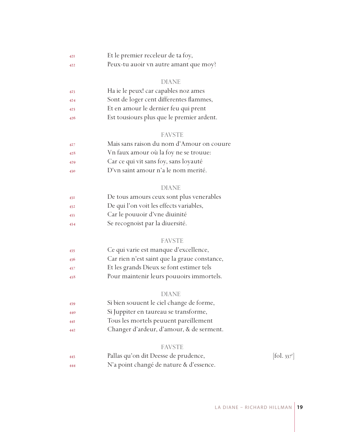| 42I | Et le premier receleur de ta foy,     |
|-----|---------------------------------------|
| 422 | Peux-tu auoir vn autre amant que moy? |

#### DIANE

| 423 | Ha ie le peux! car capables noz ames      |
|-----|-------------------------------------------|
| 424 | Sont de loger cent differentes flammes,   |
| 425 | Et en amour le dernier feu qui prent      |
| 426 | Est tousiours plus que le premier ardent. |

#### FAVSTE

| 427 | Mais sans raison du nom d'Amour on couure |
|-----|-------------------------------------------|
| 428 | Vn faux amour où la foy ne se trouue:     |
| 429 | Car ce qui vit sans foy, sans loyauté     |
| 430 | D'vn saint amour n'a le nom merité.       |

#### DIANE

| De tous amours ceux sont plus venerables<br>431 |  |
|-------------------------------------------------|--|
|-------------------------------------------------|--|

- De qui l'on voit les effects variables,
- Car le pouuoir d'vne diuinité
- Se recognoist par la diuersité.

#### FAVSTE

- Ce qui varie est manque d'excellence, Car rien n'est saint que la graue constance, Et les grands Dieux se font estimer tels
- Pour maintenir leurs pouuoirs immortels.

#### DIANE

| 439 | Si bien souuent le ciel change de forme, |
|-----|------------------------------------------|
| 440 | Si Juppiter en taureau se transforme,    |
| 44I | Tous les mortels peuuent pareillement    |
| 442 | Changer d'ardeur, d'amour, & de serment. |

#### FAVSTE

| 443 | Pallas qu'on dit Deesse de prudence,    | $\left[ \text{fol. } 337^{\circ} \right]$ |
|-----|-----------------------------------------|-------------------------------------------|
| 444 | N'a point changé de nature & d'essence. |                                           |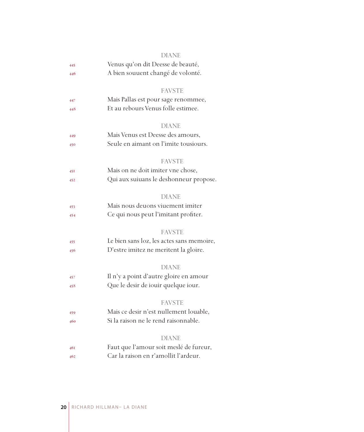|     | DIANE                                     |  |
|-----|-------------------------------------------|--|
| 445 | Venus qu'on dit Deesse de beauté,         |  |
| 446 | A bien souuent changé de volonté.         |  |
|     | <b>FAVSTE</b>                             |  |
| 447 | Mais Pallas est pour sage renommee,       |  |
| 448 | Et au rebours Venus folle estimee.        |  |
|     | <b>DIANE</b>                              |  |
| 449 | Mais Venus est Deesse des amours,         |  |
| 450 | Seule en aimant on l'imite tousiours.     |  |
|     | <b>FAVSTE</b>                             |  |
| 45I | Mais on ne doit imiter vne chose,         |  |
| 452 | Qui aux suiuans le deshonneur propose.    |  |
|     | <b>DIANE</b>                              |  |
| 453 | Mais nous deuons viuement imiter          |  |
| 454 | Ce qui nous peut l'imitant profiter.      |  |
|     | <b>FAVSTE</b>                             |  |
| 455 | Le bien sans loz, les actes sans memoire, |  |
| 456 | D'estre imitez ne meritent la gloire.     |  |
|     | DIANE                                     |  |
| 457 | Il n'y a point d'autre gloire en amour    |  |
| 458 | Que le desir de iouir quelque iour.       |  |
|     | <b>FAVSTE</b>                             |  |
| 459 | Mais ce desir n'est nullement louable,    |  |
| 460 | Si la raison ne le rend raisonnable.      |  |
|     | <b>DIANE</b>                              |  |
| 461 | Faut que l'amour soit meslé de fureur,    |  |
| 462 | Car la raison en r'amollit l'ardeur.      |  |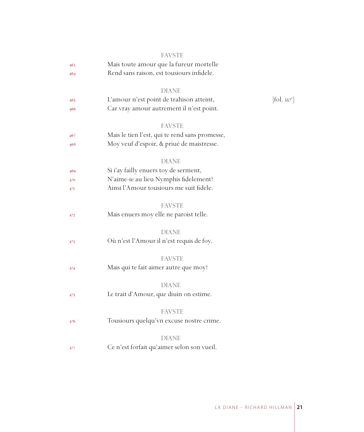|     | <b>FAVSTE</b>                                  |                              |
|-----|------------------------------------------------|------------------------------|
| 463 | Mais toute amour que la fureur mortelle        |                              |
| 464 | Rend sans raison, est tousiours infidele.      |                              |
|     | <b>DIANE</b>                                   |                              |
| 465 | L'amour n'est point de trahison atteint,       | $[\text{fol. } 337^{\circ}]$ |
| 466 | Car vray amour autrement il n'est point.       |                              |
|     | <b>FAVSTE</b>                                  |                              |
| 467 | Mais le tien l'est, qui te rend sans promesse, |                              |
| 468 | Moy veuf d'espoir, & priué de maistresse.      |                              |
|     | DIANE                                          |                              |
| 469 | Si i'ay failly enuers toy de serment,          |                              |
| 470 | N'aime-ie au lieu Nymphis fidelement?          |                              |
| 47I | Ainsi l'Amour tousiours me suit fidele.        |                              |
|     | <b>FAVSTE</b>                                  |                              |
| 472 | Mais enuers moy elle ne paroist telle.         |                              |
|     | <b>DIANE</b>                                   |                              |
| 473 | Où n'est l'Amour il n'est requis de foy.       |                              |
|     | <b>FAVSTE</b>                                  |                              |
| 474 | Mais qui te fait aimer autre que moy?          |                              |
|     | <b>DIANE</b>                                   |                              |
| 475 | Le trait d'Amour, que diuin on estime.         |                              |
|     | <b>FAVSTE</b>                                  |                              |
| 476 | Tousiours quelqu'vn excuse nostre crime.       |                              |
|     | <b>DIANE</b>                                   |                              |
| 477 | Ce n'est forfait qu'aimer selon son vueil.     |                              |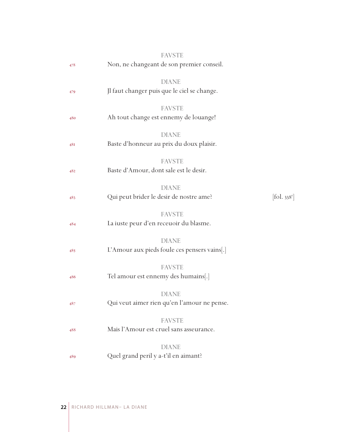|     | <b>FAVSTE</b>                                                |                        |
|-----|--------------------------------------------------------------|------------------------|
| 478 | Non, ne changeant de son premier conseil.                    |                        |
| 479 | <b>DIANE</b><br>Jl faut changer puis que le ciel se change.  |                        |
| 480 | <b>FAVSTE</b><br>Ah tout change est ennemy de louange!       |                        |
| 48I | <b>DIANE</b><br>Baste d'honneur au prix du doux plaisir.     |                        |
| 482 | <b>FAVSTE</b><br>Baste d'Amour, dont sale est le desir.      |                        |
| 483 | <b>DIANE</b><br>Qui peut brider le desir de nostre ame?      | $[$ fol. $338^{\circ}$ |
| 484 | <b>FAVSTE</b><br>La iuste peur d'en receuoir du blasme.      |                        |
| 485 | <b>DIANE</b><br>L'Amour aux pieds foule ces pensers vains[.] |                        |
| 486 | <b>FAVSTE</b><br>Tel amour est ennemy des humains[.]         |                        |
| 487 | <b>DIANE</b><br>Qui veut aimer rien qu'en l'amour ne pense.  |                        |
| 488 | <b>FAVSTE</b><br>Mais l'Amour est cruel sans asseurance.     |                        |
| 489 | <b>DIANE</b><br>Quel grand peril y a-t'il en aimant?         |                        |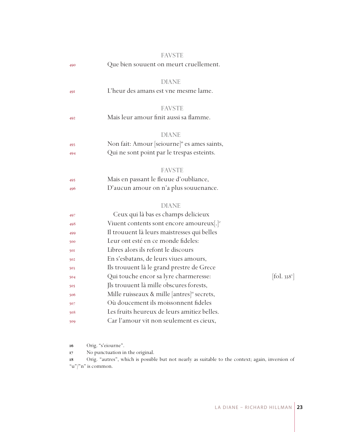|            | <b>FAVSTE</b>                                            |            |
|------------|----------------------------------------------------------|------------|
| 490        | Que bien souuent on meurt cruellement.                   |            |
|            | <b>DIANE</b>                                             |            |
| 491        | L'heur des amans est vne mesme lame.                     |            |
|            | <b>FAVSTE</b>                                            |            |
| 492        | Mais leur amour finit aussi sa flamme.                   |            |
|            | <b>DIANE</b>                                             |            |
| 493        | Non fait: Amour [seiourne] <sup>16</sup> es ames saints, |            |
| 494        | Qui ne sont point par le trespas esteints.               |            |
|            | <b>FAVSTE</b>                                            |            |
| 495        | Mais en passant le fleuue d'oubliance,                   |            |
| 496        | D'aucun amour on n'a plus souuenance.                    |            |
|            | <b>DIANE</b>                                             |            |
| 497        | Ceux qui là bas es champs delicieux                      |            |
| 498        | Viuent contents sont encore amoureux[.] <sup>v</sup>     |            |
| 499        | Il trouuent là leurs maistresses qui belles              |            |
| 500        | Leur ont esté en ce monde fideles:                       |            |
| <b>50I</b> | Libres alors ils refont le discours                      |            |
| 502        | En s'esbatans, de leurs viues amours,                    |            |
| 503        | Ils trouuent là le grand prestre de Grece                |            |
| 504        | Qui touche encor sa lyre charmeresse:                    | [fol. 338] |
| 505        | Jls trouuent là mille obscures forests,                  |            |
| 506        | Mille ruisseaux & mille [antres] <sup>18</sup> secrets,  |            |
| 507        | Où doucement ils moissonnent fideles                     |            |
| 508        | Les fruits heureux de leurs amitiez belles.              |            |
| 509        | Car l'amour vit non seulement es cieux,                  |            |
|            |                                                          |            |

Orig. "s'eiourne".

No punctuation in the original.

 Orig. "autres", which is possible but not nearly as suitable to the context; again, inversion of "u"/"n" is common.

 $[$ fol. 338 $^{\mathrm{v}}$ ]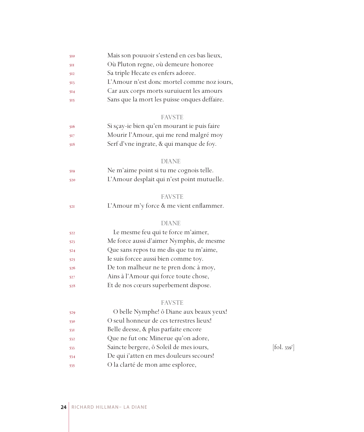| 510 | Mais son pouuoir s'estend en ces bas lieux,  |            |
|-----|----------------------------------------------|------------|
| 511 | Où Pluton regne, où demeure honoree          |            |
| 512 | Sa triple Hecate es enfers adoree.           |            |
| 513 | L'Amour n'est donc mortel comme noz iours,   |            |
| 514 | Car aux corps morts suruiuent les amours     |            |
| 515 | Sans que la mort les puisse onques deffaire. |            |
|     | <b>FAVSTE</b>                                |            |
| 516 | Si sçay-ie bien qu'en mourant ie puis faire  |            |
| 517 | Mourir l'Amour, qui me rend malgré moy       |            |
| 518 | Serf d'vne ingrate, & qui manque de foy.     |            |
|     | <b>DIANE</b>                                 |            |
| 519 | Ne m'aime point si tu me cognois telle.      |            |
| 520 | L'Amour desplait qui n'est point mutuelle.   |            |
|     | <b>FAVSTE</b>                                |            |
| 521 | L'Amour m'y force & me vient enflammer.      |            |
|     | <b>DIANE</b>                                 |            |
| 522 | Le mesme feu qui te force m'aimer,           |            |
| 523 | Me force aussi d'aimer Nymphis, de mesme     |            |
| 524 | Que sans repos tu me dis que tu m'aime,      |            |
| 525 | Ie suis forcee aussi bien comme toy.         |            |
| 526 | De ton malheur ne te pren donc à moy,        |            |
| 527 | Ains à l'Amour qui force toute chose,        |            |
| 528 | Et de nos cœurs superbement dispose.         |            |
|     | <b>FAVSTE</b>                                |            |
| 529 | O belle Nymphe! ô Diane aux beaux yeux!      |            |
| 530 | O seul honneur de ces terrestres lieux!      |            |
| 53I | Belle deesse, & plus parfaite encore         |            |
| 532 | Que ne fut onc Minerue qu'on adore,          |            |
| 533 | Saincte bergere, ô Soleil de mes iours,      | [fol. 339] |
| 534 | De qui i'atten en mes douleurs secours!      |            |
| 535 | O la clarté de mon ame esploree,             |            |

 $[$ fol. 339<sup>r</sup> $]$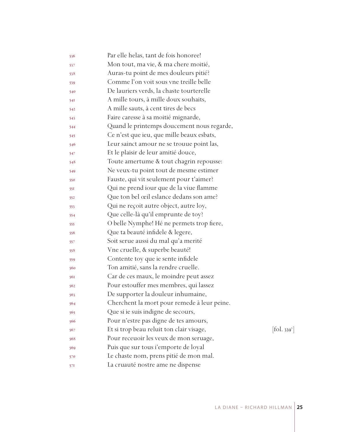| 536 | Par elle helas, tant de fois honoree!       |                              |
|-----|---------------------------------------------|------------------------------|
| 537 | Mon tout, ma vie, & ma chere moitié,        |                              |
| 538 | Auras-tu point de mes douleurs pitié?       |                              |
| 539 | Comme l'on voit sous vne treille belle      |                              |
| 540 | De lauriers verds, la chaste tourterelle    |                              |
| 541 | A mille tours, à mille doux souhaits,       |                              |
| 542 | A mille sauts, à cent tires de becs         |                              |
| 543 | Faire caresse à sa moitié mignarde,         |                              |
| 544 | Quand le printemps doucement nous regarde,  |                              |
| 545 | Ce n'est que ieu, que mille beaux esbats,   |                              |
| 546 | Leur sainct amour ne se trouue point las,   |                              |
| 547 | Et le plaisir de leur amitié douce,         |                              |
| 548 | Toute amertume & tout chagrin repousse:     |                              |
| 549 | Ne veux-tu point tout de mesme estimer      |                              |
| 550 | Fauste, qui vit seulement pour t'aimer?     |                              |
| 551 | Qui ne prend iour que de la viue flamme     |                              |
| 552 | Que ton bel œil eslance dedans son ame?     |                              |
| 553 | Qui ne reçoit autre object, autre loy,      |                              |
| 554 | Que celle-là qu'il emprunte de toy?         |                              |
| 555 | O belle Nymphe! Hé ne permets trop fiere,   |                              |
| 556 | Que ta beauté infidele & legere,            |                              |
| 557 | Soit serue aussi du mal qu'a merité         |                              |
| 558 | Vne cruelle, & superbe beauté!              |                              |
| 559 | Contente toy que ie sente infidele          |                              |
| 560 | Ton amitié, sans la rendre cruelle.         |                              |
| 561 | Car de ces maux, le moindre peut assez      |                              |
| 562 | Pour estouffer mes membres, qui lassez      |                              |
| 563 | De supporter la douleur inhumaine,          |                              |
| 564 | Cherchent la mort pour remede à leur peine. |                              |
| 565 | Que si ie suis indigne de secours,          |                              |
| 566 | Pour n'estre pas digne de tes amours,       |                              |
| 567 | Et si trop beau reluit ton clair visage,    | $[\text{fol. } 339^{\circ}]$ |
| 568 | Pour receuoir les veux de mon seruage,      |                              |
| 569 | Puis que sur tous i'emporte de loyal        |                              |
| 570 | Le chaste nom, prens pitié de mon mal.      |                              |
| 571 | La cruauté nostre ame ne dispense           |                              |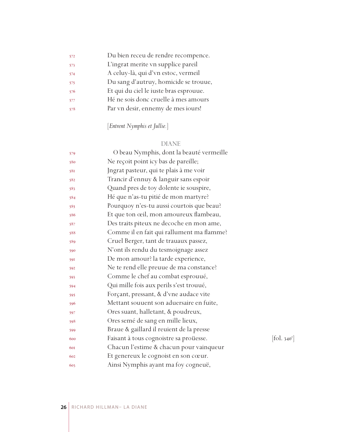| 572 | Du bien receu de rendre recompence.    |
|-----|----------------------------------------|
| 573 | L'ingrat merite vn supplice pareil     |
| 574 | A celuy-là, qui d'vn estoc, vermeil    |
| 575 | Du sang d'autruy, homicide se trouue,  |
| 576 | Et qui du ciel le iuste bras esprouue. |
| 577 | Hé ne sois donc cruelle à mes amours   |
| 578 | Par vn desir, ennemy de mes iours!     |
|     |                                        |

### [*Entrent Nymphis et Jullie.*]

### DIANE

| 579 | O beau Nymphis, dont la beauté vermeille  |            |
|-----|-------------------------------------------|------------|
| 580 | Ne reçoit point icy bas de pareille;      |            |
| 581 | Jngrat pasteur, qui te plais à me voir    |            |
| 582 | Trancir d'ennuy & languir sans espoir     |            |
| 583 | Quand pres de toy dolente ie souspire,    |            |
| 584 | Hé que n'as-tu pitié de mon martyre?      |            |
| 585 | Pourquoy n'es-tu aussi courtois que beau? |            |
| 586 | Et que ton œil, mon amoureux flambeau,    |            |
| 587 | Des traits piteux ne decoche en mon ame,  |            |
| 588 | Comme il en fait qui rallument ma flamme? |            |
| 589 | Cruel Berger, tant de trauaux passez,     |            |
| 590 | N'ont ils rendu du tesmoignage assez      |            |
| 591 | De mon amour? la tarde experience,        |            |
| 592 | Ne te rend elle preuue de ma constance?   |            |
| 593 | Comme le chef au combat esprouué,         |            |
| 594 | Qui mille fois aux perils s'est trouué,   |            |
| 595 | Forçant, pressant, & d'vne audace vite    |            |
| 596 | Mettant souuent son aduersaire en fuite,  |            |
| 597 | Ores suant, halletant, & poudreux,        |            |
| 598 | Ores semé de sang en mille lieux,         |            |
| 599 | Braue & gaillard il reuient de la presse  |            |
| 600 | Faisant à tous cognoistre sa proüesse.    | [fol. 340] |
| 601 | Chacun l'estime & chacun pour vainqueur   |            |
| 602 | Et genereux le cognoist en son cœur.      |            |
| 603 | Ainsi Nymphis ayant ma foy cogneuë,       |            |

 $[fol. 340<sup>r</sup>]$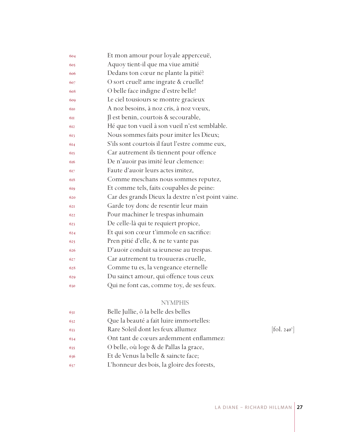| 604 | Et mon amour pour loyale apperceuë,               |
|-----|---------------------------------------------------|
| 605 | Aquoy tient-il que ma viue amitié                 |
| 606 | Dedans ton cœur ne plante la pitié?               |
| 607 | O sort cruel! ame ingrate & cruelle!              |
| 608 | O belle face indigne d'estre belle!               |
| 609 | Le ciel tousiours se montre gracieux              |
| 610 | A noz besoins, à noz cris, à noz vœux,            |
| 6II | Il est benin, courtois & secourable,              |
| 612 | Hé que ton vueil à son vueil n'est semblable.     |
| 613 | Nous sommes faits pour imiter les Dieux;          |
| 614 | S'ils sont courtois il faut l'estre comme eux,    |
| 615 | Car autrement ils tiennent pour offence           |
| 616 | De n'auoir pas imité leur clemence:               |
| 617 | Faute d'auoir leurs actes imitez,                 |
| 618 | Comme meschans nous sommes reputez,               |
| 619 | Et comme tels, faits coupables de peine:          |
| 620 | Car des grands Dieux la dextre n'est point vaine. |
| 621 | Garde toy donc de resentir leur main              |
| 622 | Pour machiner le trespas inhumain                 |
| 623 | De celle-là qui te requiert propice,              |
| 624 | Et qui son cœur t'immole en sacrifice:            |
| 625 | Pren pitié d'elle, & ne te vante pas              |
| 626 | D'auoir conduit sa ieunesse au trespas.           |
| 627 | Car autrement tu trouueras cruelle,               |
| 628 | Comme tu es, la vengeance eternelle               |
| 629 | Du sainct amour, qui offence tous ceux            |
| 630 | Qui ne font cas, comme toy, de ses feux.          |
|     |                                                   |

### NYMPHIS

| Belle Jullie, ô la belle des belles<br>631        |                          |
|---------------------------------------------------|--------------------------|
| Que la beauté a fait luire immortelles:<br>632    |                          |
| Rare Soleil dont les feux allumez<br>633          | [fol. 240 <sup>v</sup> ] |
| Ont tant de cœurs ardemment enflammez:<br>634     |                          |
| O belle, où loge & de Pallas la grace,<br>635     |                          |
| Et de Venus la belle & saincte face;<br>636       |                          |
| L'honneur des bois, la gloire des forests,<br>637 |                          |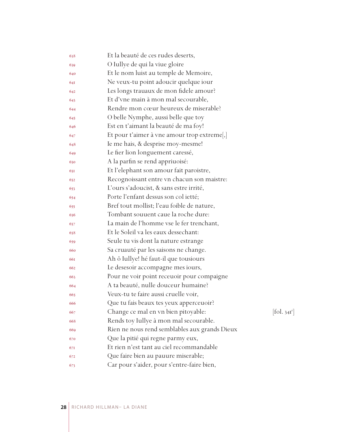| 638 | Et la beauté de ces rudes deserts,            |                          |
|-----|-----------------------------------------------|--------------------------|
| 639 | O Iullye de qui la viue gloire                |                          |
| 640 | Et le nom luist au temple de Memoire,         |                          |
| 641 | Ne veux-tu point adoucir quelque iour         |                          |
| 642 | Les longs trauaux de mon fidele amour?        |                          |
| 643 | Et d'vne main à mon mal secourable,           |                          |
| 644 | Rendre mon cœur heureux de miserable?         |                          |
| 645 | O belle Nymphe, aussi belle que toy           |                          |
| 646 | Est en t'aimant la beauté de ma foy!          |                          |
| 647 | Et pour t'aimer à vne amour trop extreme,     |                          |
| 648 | Ie me hais, & desprise moy-mesme!             |                          |
| 649 | Le fier lion longuement caressé,              |                          |
| 650 | A la parfin se rend appriuoisé:               |                          |
| 651 | Et l'elephant son amour fait paroistre,       |                          |
| 652 | Recognoissant entre vn chacun son maistre:    |                          |
| 653 | L'ours s'adoucist, & sans estre irrité,       |                          |
| 654 | Porte l'enfant dessus son col ietté;          |                          |
| 655 | Bref tout mollist; l'eau foible de nature,    |                          |
| 656 | Tombant souuent caue la roche dure:           |                          |
| 657 | La main de l'homme vse le fer trenchant,      |                          |
| 658 | Et le Soleil va les eaux dessechant:          |                          |
| 659 | Seule tu vis dont la nature estrange          |                          |
| 660 | Sa cruauté par les saisons ne change.         |                          |
| 661 | Ah ô Iullye! hé faut-il que tousiours         |                          |
| 662 | Le desesoir accompagne mes iours,             |                          |
| 663 | Pour ne voir point receuoir pour compaigne    |                          |
| 664 | A ta beauté, nulle douceur humaine?           |                          |
| 665 | Veux-tu te faire aussi cruelle voir,          |                          |
| 666 | Que tu fais beaux tes yeux apperceuoir?       |                          |
| 667 | Change ce mal en vn bien pitoyable:           | [fol. 34I <sup>r</sup> ] |
| 668 | Rends toy Iullye à mon mal secourable.        |                          |
| 669 | Rien ne nous rend semblables aux grands Dieux |                          |
| 670 | Que la pitié qui regne parmy eux,             |                          |
| 671 | Et rien n'est tant au ciel recommandable      |                          |
| 672 | Que faire bien au pauure miserable;           |                          |
| 673 | Car pour s'aider, pour s'entre-faire bien,    |                          |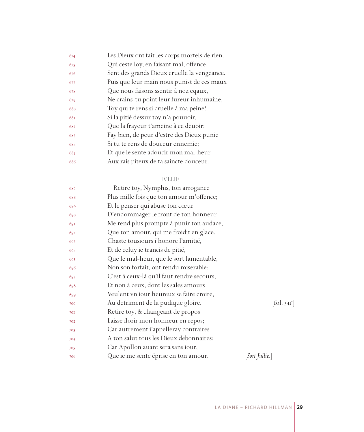| 674 | Les Dieux ont fait les corps mortels de rien. |
|-----|-----------------------------------------------|
| 675 | Qui ceste loy, en faisant mal, offence,       |
| 676 | Sent des grands Dieux cruelle la vengeance.   |
| 677 | Puis que leur main nous punist de ces maux    |
| 678 | Que nous faisons ssentir à noz eqaux,         |
| 679 | Ne crains-tu point leur fureur inhumaine,     |
| 680 | Toy qui te rens si cruelle à ma peine?        |
| 681 | Si la pitié dessur toy n'a pouuoir,           |
| 682 | Que la frayeur t'ameine à ce deuoir:          |
| 683 | Fay bien, de peur d'estre des Dieux punie     |
| 684 | Si tu te rens de douceur ennemie;             |
| 685 | Et que ie sente adoucir mon mal-heur          |
| 686 | Aux rais piteux de ta saincte douceur.        |
|     |                                               |

#### IVLLIE

| 687 | Retire toy, Nymphis, ton arrogance         |                        |
|-----|--------------------------------------------|------------------------|
| 688 | Plus mille fois que ton amour m'offence;   |                        |
| 689 | Et le penser qui abuse ton cœur            |                        |
| 690 | D'endommager le front de ton honneur       |                        |
| 691 | Me rend plus prompte à punir ton audace,   |                        |
| 692 | Que ton amour, qui me froidit en glace.    |                        |
| 693 | Chaste tousiours i'honore l'amitié,        |                        |
| 694 | Et de celuy ie trancis de pitié,           |                        |
| 695 | Que le mal-heur, que le sort lamentable,   |                        |
| 696 | Non son forfait, ont rendu miserable:      |                        |
| 697 | C'est à ceux-là qu'il faut rendre secours, |                        |
| 698 | Et non à ceux, dont les sales amours       |                        |
| 699 | Veulent vn iour heureux se faire croire,   |                        |
| 700 | Au detriment de la pudique gloire.         | $[\text{fol. } 34I^v]$ |
| 701 | Retire toy, & changeant de propos          |                        |
| 702 | Laisse florir mon honneur en repos;        |                        |
| 703 | Car autrement i'appelleray contraires      |                        |
| 704 | A ton salut tous les Dieux debonnaires:    |                        |
| 705 | Car Apollon auant sera sans iour,          |                        |
| 706 | Que ie me sente éprise en ton amour.       | [Sort Jullie.]         |
|     |                                            |                        |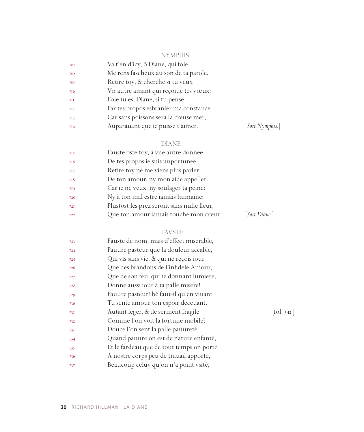#### NYMPHIS

| 707 | Va t'en d'icy, ô Diane, qui fole       |
|-----|----------------------------------------|
| 708 | Me rens fascheux au son de ta parole.  |
| 709 | Retire toy, & cherche si tu veux       |
| 710 | Vn autre amant qui reçoiue tes vœux:   |
| 7II | Fole tu es, Diane, si tu pense         |
| 712 | Par tes propos esbranler ma constance. |
| 713 | Car sans poissons sera la creuse mer,  |
| 7I4 | Auparauant que ie puisse t'aimer.      |

### $[Sort \ Nymphis.]$

### DIANE

| 715 | Fauste oste toy, à vne autre donnee        |               |
|-----|--------------------------------------------|---------------|
| 716 | De tes propos ie suis importunee:          |               |
| 717 | Retire toy ne me viens plus parler         |               |
| 718 | De ton amour, ny mon aide appeller:        |               |
| 719 | Car ie ne veux, ny soulager ta peine:      |               |
| 720 | Ny à ton mal estre iamais humaine:         |               |
| 72I | Plustost les prez seront sans nulle fleur, |               |
| 722 | Que ton amour iamais touche mon cœur.      | [Sort Diane.] |
|     |                                            |               |

### FAVSTE

| 723 | Fauste de nom, mais d'effect miserable,  |                       |
|-----|------------------------------------------|-----------------------|
| 724 | Pauure pasteur que la douleur accable,   |                       |
| 725 | Qui vis sans vie, & qui ne reçois iour   |                       |
| 726 | Que des brandons de l'infidele Amour,    |                       |
| 727 | Que de son feu, qui te donnant lumiere,  |                       |
| 728 | Donne aussi iour à ta palle misere!      |                       |
| 729 | Pauure pasteur! hé faut-il qu'en viuant  |                       |
| 730 | Tu sente amour ton espoir deceuant,      |                       |
| 73I | Autant leger, & de serment fragile       | fol. 342 <sup>r</sup> |
| 732 | Comme l'on voit la fortune mobile?       |                       |
| 733 | Douce l'on sent la palle pauureté        |                       |
| 734 | Quand pauure on est de nature enfanté,   |                       |
| 735 | Et le fardeau que de tout temps on porte |                       |
| 736 | A nostre corps peu de trauail apporte,   |                       |
| 737 | Beaucoup celuy qu'on n'a point vsité,    |                       |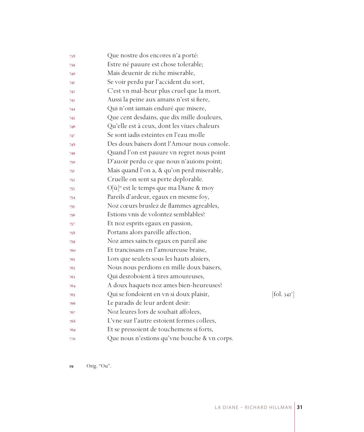| 738 | Que nostre dos encores n'a porté:                  |                              |
|-----|----------------------------------------------------|------------------------------|
| 739 | Estre né pauure est chose tolerable;               |                              |
| 740 | Mais deuenir de riche miserable,                   |                              |
| 74I | Se voir perdu par l'accident du sort,              |                              |
| 742 | C'est vn mal-heur plus cruel que la mort.          |                              |
| 743 | Aussi la peine aux amans n'est si fiere,           |                              |
| 744 | Qui n'ont iamais enduré que misere,                |                              |
| 745 | Que cent desdains, que dix mille douleurs,         |                              |
| 746 | Qu'elle est à ceux, dont les viues chaleurs        |                              |
| 747 | Se sont jadis esteintes en l'eau molle             |                              |
| 748 | Des doux baisers dont l'Amour nous console.        |                              |
| 749 | Quand l'on est pauure vn regret nous point         |                              |
| 750 | D'auoir perdu ce que nous n'auions point;          |                              |
| 751 | Mais quand l'on a, & qu'on perd miserable,         |                              |
| 752 | Cruelle on sent sa perte deplorable.               |                              |
| 753 | O[ù] <sup>19</sup> est le temps que ma Diane & moy |                              |
| 754 | Pareils d'ardeur, egaux en mesme foy,              |                              |
| 755 | Noz cœurs bruslez de flammes agreables,            |                              |
| 756 | Estions vnis de volontez semblables?               |                              |
| 757 | Et noz esprits egaux en passion,                   |                              |
| 758 | Portans alors pareille affection,                  |                              |
| 759 | Noz ames saincts egaux en pareil aise              |                              |
| 760 | Et trancissans en l'amoureuse braise,              |                              |
| 761 | Lors que seulets sous les hauts alisiers,          |                              |
| 762 | Nous nous perdions en mille doux baisers,          |                              |
| 763 | Qui desroboient à tires amoureuses,                |                              |
| 764 | A doux haquets noz ames bien-heureuses?            |                              |
| 765 | Qui se fondoient en vn si doux plaisir,            | $[\text{fol. } 342^{\circ}]$ |
| 766 | Le paradis de leur ardent desir:                   |                              |
| 767 | Noz leures lors de souhait affolees,               |                              |
| 768 | L'vne sur l'autre estoient fermes collees,         |                              |
| 769 | Et se pressoient de touchemens si forts,           |                              |
| 770 | Que nous n'estions qu'vne bouche & vn corps.       |                              |

Orig. "Ou".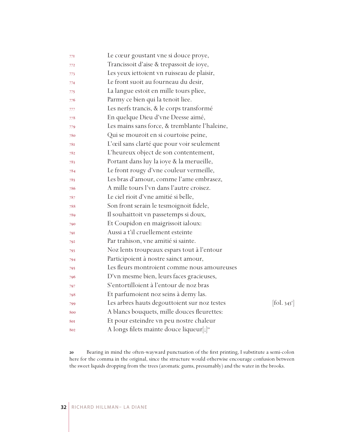| 77I | Le cœur goustant vne si douce proye,                 |                                 |
|-----|------------------------------------------------------|---------------------------------|
| 772 | Trancissoit d'aise & trepassoit de ioye,             |                                 |
| 773 | Les yeux iettoient vn ruisseau de plaisir,           |                                 |
| 774 | Le front suoit au fourneau du desir,                 |                                 |
| 775 | La langue estoit en mille tours pliee,               |                                 |
| 776 | Parmy ce bien qui la tenoit liee.                    |                                 |
| 777 | Les nerfs trancis, & le corps transformé             |                                 |
| 778 | En quelque Dieu d'vne Deesse aimé,                   |                                 |
| 779 | Les mains sans force, & tremblante l'haleine,        |                                 |
| 780 | Qui se mouroit en si courtoise peine,                |                                 |
| 78I | L'œil sans clarté que pour voir seulement            |                                 |
| 782 | L'heureux object de son contentement,                |                                 |
| 783 | Portant dans luy la ioye & la merueille,             |                                 |
| 784 | Le front rougy d'vne couleur vermeille,              |                                 |
| 785 | Les bras d'amour, comme l'ame embrasez,              |                                 |
| 786 | A mille tours l'vn dans l'autre croisez.             |                                 |
| 787 | Le ciel rioit d'vne amitié si belle,                 |                                 |
| 788 | Son front serain le tesmoignoit fidele,              |                                 |
| 789 | Il souhaittoit vn passetemps si doux,                |                                 |
| 790 | Et Coupidon en maigrissoit ialoux:                   |                                 |
| 791 | Aussi a t'il cruellement esteinte                    |                                 |
| 792 | Par trahison, vne amitié si sainte.                  |                                 |
| 793 | Noz lents troupeaux espars tout à l'entour           |                                 |
| 794 | Participoient à nostre sainct amour,                 |                                 |
| 795 | Les fleurs montroient comme nous amoureuses          |                                 |
| 796 | D'vn mesme bien, leurs faces gracieuses,             |                                 |
| 797 | S'entortilloient à l'entour de noz bras              |                                 |
| 798 | Et parfumoient noz seins à demy las.                 |                                 |
| 799 | Les arbres hauts degouttoient sur noz testes         | $[\text{fol. } 343^{\text{r}}]$ |
| 800 | A blancs bouquets, mille douces fleurettes:          |                                 |
| 801 | Et pour esteindre vn peu nostre chaleur              |                                 |
| 802 | A longs filets mainte douce liqueur[;] <sup>20</sup> |                                 |

 Bearing in mind the often-wayward punctuation of the first printing, I substitute a semi-colon here for the comma in the original, since the structure would otherwise encourage confusion between the sweet liquids dropping from the trees (aromatic gums, presumably) and the water in the brooks.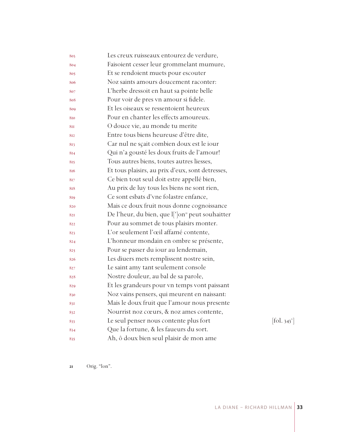| 803 | Les creux ruisseaux entourez de verdure,                           |                              |
|-----|--------------------------------------------------------------------|------------------------------|
| 804 | Faisoient cesser leur grommelant mumure,                           |                              |
| 805 | Et se rendoient muets pour escouter                                |                              |
| 806 | Noz saints amours doucement raconter:                              |                              |
| 807 | L'herbe dressoit en haut sa pointe belle                           |                              |
| 808 | Pour voir de pres vn amour si fidele.                              |                              |
| 809 | Et les oiseaux se ressentoient heureux                             |                              |
| 810 | Pour en chanter les effects amoureux.                              |                              |
| 811 | O douce vie, au monde tu merite                                    |                              |
| 812 | Entre tous biens heureuse d'être dite,                             |                              |
| 813 | Car nul ne sçait combien doux est le iour                          |                              |
| 814 | Qui n'a gousté les doux fruits de l'amour!                         |                              |
| 815 | Tous autres biens, toutes autres liesses,                          |                              |
| 816 | Et tous plaisirs, au prix d'eux, sont detresses,                   |                              |
| 817 | Ce bien tout seul doit estre appellé bien,                         |                              |
| 818 | Au prix de luy tous les biens ne sont rien,                        |                              |
| 819 | Ce sont esbats d'vne folastre enfance,                             |                              |
| 820 | Mais ce doux fruit nous donne cognoissance                         |                              |
| 821 | De l'heur, du bien, que l[']on <sup><i>n</i></sup> peut souhaitter |                              |
| 822 | Pour au sommet de tous plaisirs monter.                            |                              |
| 823 | L'or seulement l'œil affamé contente,                              |                              |
| 824 | L'honneur mondain en ombre se présente,                            |                              |
| 825 | Pour se passer du iour au lendemain,                               |                              |
| 826 | Les diuers mets remplissent nostre sein,                           |                              |
| 827 | Le saint amy tant seulement console                                |                              |
| 828 | Nostre douleur, au bal de sa parole,                               |                              |
| 829 | Et les grandeurs pour vn temps vont paissant                       |                              |
| 830 | Noz vains pensers, qui meurent en naissant:                        |                              |
| 831 | Mais le doux fruit que l'amour nous presente                       |                              |
| 832 | Nourrist noz cœurs, & noz ames contente,                           |                              |
| 833 | Le seul penser nous contente plus fort                             | $[\text{fol. } 343^{\circ}]$ |
| 834 | Que la fortune, & les faueurs du sort.                             |                              |
| 835 | Ah, ô doux bien seul plaisir de mon ame                            |                              |

Orig. "lon".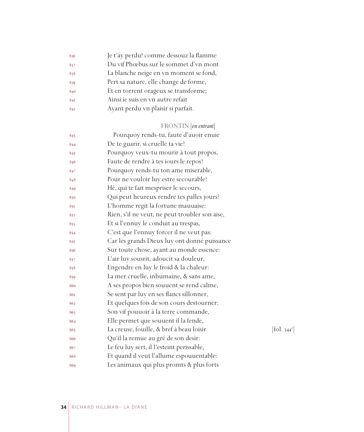| 836 | Je t'ay perdu! comme dessouz la flamme |
|-----|----------------------------------------|
| 837 | Du vif Phœbus sur le sommet d'vn mont  |
| 838 | La blanche neige en vn moment se fond, |
| 839 | Pert sa nature, elle change de forme,  |
| 840 | Et en torrent orageux se transforme;   |
| 841 | Ainsi ie suis en vn autre refait       |
| 842 | Ayant perdu vn plaisir si parfait.     |
|     |                                        |

### FRONTIN [*en entrant*]

| 843 | Pourquoy rends-tu, faute d'auoir enuie         |                          |
|-----|------------------------------------------------|--------------------------|
| 844 | De te guarir, si cruelle ta vie?               |                          |
| 845 | Pourquoy veux-tu mourir à tout propos,         |                          |
| 846 | Faute de rendre à tes iours le repos?          |                          |
| 847 | Pourquoy rends-tu ton ame miserable,           |                          |
| 848 | Pour ne vouloir luy estre secourable?          |                          |
| 849 | Hé, qui te fait mespriser le secours,          |                          |
| 850 | Qui peut heureux rendre tes palles jours?      |                          |
| 851 | L'homme regit la fortune mauuaise:             |                          |
| 852 | Rien, s'il ne veut, ne peut troubler son aise, |                          |
| 853 | Et si l'ennuy le conduit au trespas,           |                          |
| 854 | C'est que l'ennuy forcer il ne veut pas:       |                          |
| 855 | Car les grands Dieux luy ont donné puissance   |                          |
| 856 | Sur toute chose, ayant au monde essence:       |                          |
| 857 | L'air luy sousrit, adoucit sa douleur,         |                          |
| 858 | Engendre en luy le froid & la chaleur:         |                          |
| 859 | La mer cruelle, inhumaine, & sans ame,         |                          |
| 860 | A ses propos bien souuent se rend calme,       |                          |
| 861 | Se sent par luy en ses flancs sillonner,       |                          |
| 862 | Et quelques fois de son cours destourner:      |                          |
| 863 | Son vif pouuoir à la terre commande,           |                          |
| 864 | Elle permet que souuent il la fende,           |                          |
| 865 | La creuse, fouille, & bref à beau loisir       | [fol. 344 <sup>r</sup> ] |
| 866 | Qu'il la remue au gré de son desir:            |                          |
| 867 | Le feu luy sert, il l'esteint perissable,      |                          |
| 868 | Et quand il veut l'allume espouuentable:       |                          |
| 869 | Les animaux qui plus promts & plus forts       |                          |
|     |                                                |                          |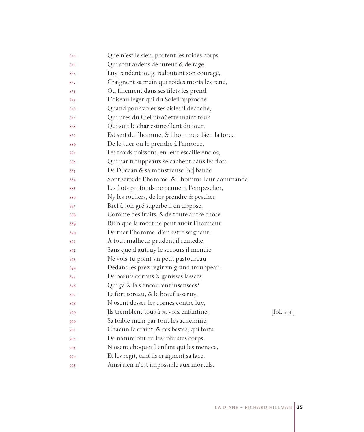| 870 | Que n'est le sien, portent les roides corps,    |                          |
|-----|-------------------------------------------------|--------------------------|
| 871 | Qui sont ardens de fureur & de rage,            |                          |
| 872 | Luy rendent ioug, redoutent son courage,        |                          |
| 873 | Craignent sa main qui roides morts les rend,    |                          |
| 874 | Ou finement dans ses filets les prend.          |                          |
| 875 | L'oiseau leger qui du Soleil approche           |                          |
| 876 | Quand pour voler ses aisles il decoche,         |                          |
| 877 | Qui pres du Ciel piroüette maint tour           |                          |
| 878 | Qui suit le char estincellant du iour,          |                          |
| 879 | Est serf de l'homme, & l'homme a bien la force  |                          |
| 880 | De le tuer ou le prendre à l'amorce.            |                          |
| 881 | Les froids poissons, en leur escaille enclos,   |                          |
| 882 | Qui par trouppeaux se cachent dans les flots    |                          |
| 883 | De l'Ocean & sa monstreuse [sic] bande          |                          |
| 884 | Sont serfs de l'homme, & l'homme leur commande: |                          |
| 885 | Les flots profonds ne peuuent l'empescher,      |                          |
| 886 | Ny les rochers, de les prendre & pescher,       |                          |
| 887 | Bref à son gré superbe il en dispose,           |                          |
| 888 | Comme des fruits, & de toute autre chose.       |                          |
| 889 | Rien que la mort ne peut auoir l'honneur        |                          |
| 890 | De tuer l'homme, d'en estre seigneur:           |                          |
| 891 | A tout malheur prudent il remedie,              |                          |
| 892 | Sans que d'autruy le secours il mendie.         |                          |
| 893 | Ne vois-tu point vn petit pastoureau            |                          |
| 894 | Dedans les prez regir vn grand trouppeau        |                          |
| 895 | De bœufs cornus & genisses lassees,             |                          |
| 896 | Qui çà & là s'encourent insensees?              |                          |
| 897 | Le fort toreau, & le bœuf asseruy,              |                          |
| 898 | N'osent desser les cornes contre luy,           |                          |
| 899 | Jls tremblent tous à sa voix enfantine,         | [fol. 344 <sup>v</sup> ] |
| 900 | Sa foible main par tout les achemine,           |                          |
| 901 | Chacun le craint, & ces bestes, qui forts       |                          |
| 902 | De nature ont eu les robustes corps,            |                          |
| 903 | N'osent choquer l'enfant qui les menace,        |                          |
| 904 | Et les regit, tant ils craignent sa face.       |                          |
| 905 | Ainsi rien n'est impossible aux mortels,        |                          |
|     |                                                 |                          |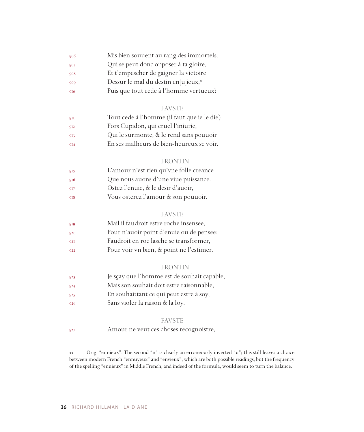| 906 | Mis bien souuent au rang des immortels.          |
|-----|--------------------------------------------------|
| 907 | Qui se peut donc opposer à ta gloire,            |
| 908 | Et t'empescher de gaigner la victoire            |
| 909 | Dessur le mal du destin en[u]ieux, <sup>22</sup> |
| 910 | Puis que tout cede à l'homme vertueux?           |

### FAVSTE

| 9II | Tout cede à l'homme (il faut que ie le die) |
|-----|---------------------------------------------|
| 912 | Fors Cupidon, qui cruel l'iniurie,          |
| 913 | Qui le surmonte, & le rend sans pouuoir     |
| 914 | En ses malheurs de bien-heureux se voir.    |

### FRONTIN

| 915 | L'amour n'est rien qu'vne folle creance |
|-----|-----------------------------------------|
| 916 | Que nous auons d'une viue puissance.    |
| 917 | Ostez l'enuie, & le desir d'auoir,      |
| 918 | Vous osterez l'amour & son pouuoir.     |

### FAVSTE

| 919 | Mail il faudroit estre roche insensee,   |
|-----|------------------------------------------|
| 920 | Pour n'auoir point d'enuie ou de pensee: |
| 921 | Faudroit en roc lasche se transformer,   |
| 922 | Pour voir vn bien, & point ne l'estimer. |

### FRONTIN

- Je sçay que l'homme est de souhait capable,
- Mais son souhait doit estre raisonnable,
- En souhaittant ce qui peut estre à soy,
- Sans violer la raison & la loy.

### FAVSTE

Amour ne veut ces choses recognoistre,

 Orig. "ennieux". The second "n" is clearly an erroneously inverted "u"; this still leaves a choice between modern French "ennuyeux" and "envieux", which are both possible readings, but the frequency of the spelling "enuieux" in Middle French, and indeed of the formula, would seem to turn the balance.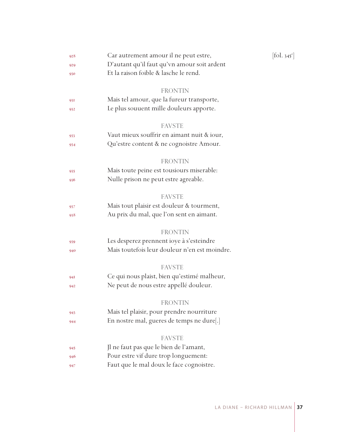| 928 | Car autrement amour il ne peut estre,         | $[\text{fol. } 345^{\text{r}}]$ |
|-----|-----------------------------------------------|---------------------------------|
| 929 | D'autant qu'il faut qu'vn amour soit ardent   |                                 |
| 930 | Et la raison foible & lasche le rend.         |                                 |
|     | FRONTIN                                       |                                 |
| 931 | Mais tel amour, que la fureur transporte,     |                                 |
| 932 | Le plus souuent mille douleurs apporte.       |                                 |
|     |                                               |                                 |
|     | <b>FAVSTE</b>                                 |                                 |
| 933 | Vaut mieux souffrir en aimant nuit & iour,    |                                 |
| 934 | Qu'estre content & ne cognoistre Amour.       |                                 |
|     | <b>FRONTIN</b>                                |                                 |
| 935 | Mais toute peine est tousiours miserable:     |                                 |
| 936 | Nulle prison ne peut estre agreable.          |                                 |
|     |                                               |                                 |
|     | FAVSTE                                        |                                 |
| 937 | Mais tout plaisir est douleur & tourment,     |                                 |
| 938 | Au prix du mal, que l'on sent en aimant.      |                                 |
|     | <b>FRONTIN</b>                                |                                 |
| 939 | Les desperez prennent ioye à s'esteindre      |                                 |
| 940 | Mais toutefois leur douleur n'en est moindre. |                                 |
|     |                                               |                                 |
|     | <b>FAVSTE</b>                                 |                                 |
| 94I | Ce qui nous plaist, bien qu'estimé malheur,   |                                 |
| 942 | Ne peut de nous estre appellé douleur.        |                                 |
|     | FRONTIN                                       |                                 |
| 943 | Mais tel plaisir, pour prendre nourriture     |                                 |
| 944 | En nostre mal, gueres de temps ne dure[.]     |                                 |
|     |                                               |                                 |
|     | FAVSTE                                        |                                 |
| 945 | Jl ne faut pas que le bien de l'amant,        |                                 |
| 946 | Pour estre vif dure trop longuement:          |                                 |
| 947 | Faut que le mal doux le face cognoistre.      |                                 |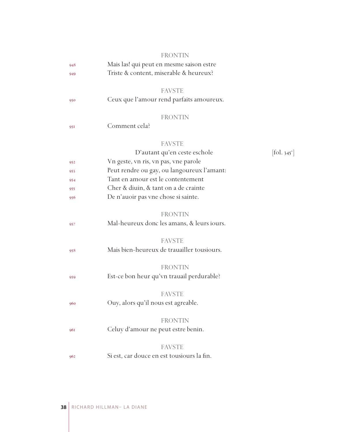|     | <b>FRONTIN</b>                             |                            |
|-----|--------------------------------------------|----------------------------|
| 948 | Mais las! qui peut en mesme saison estre   |                            |
| 949 | Triste & content, miserable & heureux?     |                            |
|     |                                            |                            |
|     | <b>FAVSTE</b>                              |                            |
| 950 | Ceux que l'amour rend parfaits amoureux.   |                            |
|     | <b>FRONTIN</b>                             |                            |
| 951 | Comment cela?                              |                            |
|     |                                            |                            |
|     | <b>FAVSTE</b>                              |                            |
|     | D'autant qu'en ceste eschole               | $[\text{fol. } 345^\circ]$ |
| 952 | Vn geste, vn ris, vn pas, vne parole       |                            |
| 953 | Peut rendre ou gay, ou langoureux l'amant: |                            |
| 954 | Tant en amour est le contentement          |                            |
| 955 | Cher & diuin, & tant on a de crainte       |                            |
| 956 | De n'auoir pas vne chose si sainte.        |                            |
|     |                                            |                            |
|     | <b>FRONTIN</b>                             |                            |
| 957 | Mal-heureux donc les amans, & leurs iours. |                            |
|     |                                            |                            |
|     | <b>FAVSTE</b>                              |                            |
| 958 | Mais bien-heureux de trauailler tousiours. |                            |
|     | <b>FRONTIN</b>                             |                            |
|     | Est-ce bon heur qu'vn trauail perdurable?  |                            |
| 959 |                                            |                            |
|     | <b>FAVSTE</b>                              |                            |
| 960 | Ouy, alors qu'il nous est agreable.        |                            |
|     |                                            |                            |
|     | FRONTIN                                    |                            |
| 961 | Celuy d'amour ne peut estre benin.         |                            |
|     | <b>FAVSTE</b>                              |                            |
|     |                                            |                            |
| 962 | Si est, car douce en est tousiours la fin. |                            |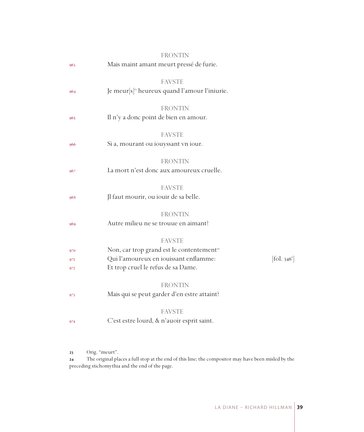|                   | <b>FRONTIN</b>                                                                                                                                        |                          |
|-------------------|-------------------------------------------------------------------------------------------------------------------------------------------------------|--------------------------|
| 963               | Mais maint amant meurt pressé de furie.                                                                                                               |                          |
| 964               | <b>FAVSTE</b><br>Je meur $[s]$ <sup>33</sup> heureux quand l'amour l'iniurie.                                                                         |                          |
| 965               | <b>FRONTIN</b><br>Il n'y a donc point de bien en amour.                                                                                               |                          |
| 966               | <b>FAVSTE</b><br>Si a, mourant ou iouyssant vn iour.                                                                                                  |                          |
| 967               | <b>FRONTIN</b><br>La mort n'est donc aux amoureux cruelle.                                                                                            |                          |
| 968               | <b>FAVSTE</b><br>Jl faut mourir, ou iouir de sa belle.                                                                                                |                          |
| 969               | <b>FRONTIN</b><br>Autre milieu ne se trouue en aimant?                                                                                                |                          |
| 970<br>971<br>972 | <b>FAVSTE</b><br>Non, car trop grand est le contentement <sup>24</sup><br>Qui l'amoureux en iouissant enflamme:<br>Et trop cruel le refus de sa Dame. | [fol. 346 <sup>r</sup> ] |
| 973               | <b>FRONTIN</b><br>Mais qui se peut garder d'en estre attaint?                                                                                         |                          |
| 974               | <b>FAVSTE</b><br>C'est estre lourd, & n'auoir esprit saint.                                                                                           |                          |
|                   |                                                                                                                                                       |                          |

23 Orig. "meurt".

 The original places a full stop at the end of this line; the compositor may have been misled by the preceding stichomythia and the end of the page.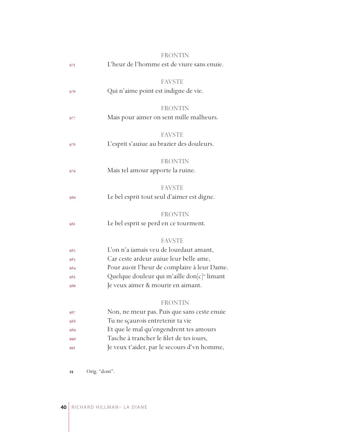|     | <b>FRONTIN</b>                                          |
|-----|---------------------------------------------------------|
| 975 | L'heur de l'homme est de viure sans enuie.              |
|     | <b>FAVSTE</b>                                           |
| 976 | Qui n'aime point est indigne de vie.                    |
|     | <b>FRONTIN</b>                                          |
| 977 | Mais pour aimer on sent mille malheurs.                 |
|     | <b>FAVSTE</b>                                           |
| 978 | L'esprit s'auiue au brazier des douleurs.               |
|     | <b>FRONTIN</b>                                          |
| 979 | Mais tel amour apporte la ruine.                        |
|     | <b>FAVSTE</b>                                           |
| 980 | Le bel esprit tout seul d'aimer est digne.              |
|     | <b>FRONTIN</b>                                          |
| 981 | Le bel esprit se perd en ce tourment.                   |
|     | <b>FAVSTE</b>                                           |
| 982 | L'on n'a iamais veu de lourdaut amant,                  |
| 983 | Car ceste ardeur auiue leur belle ame,                  |
| 984 | Pour auoir l'heur de complaire à leur Dame.             |
| 985 | Quelque douleur qui m'aille don[c] <sup>25</sup> limant |
| 986 | Je veux aimer & mourir en aimant.                       |
|     | <b>FRONTIN</b>                                          |
| 987 | Non, ne meur pas. Puis que sans ceste enuie             |
| 988 | Tu ne sçaurois entretenir ta vie                        |
| 989 | Et que le mal qu'engendrent tes amours                  |
| 990 | Tasche à trancher le filet de tes iours,                |
| 991 | Je veux t'aider, par le secours d'vn homme,             |
|     |                                                         |

Orig. "dont".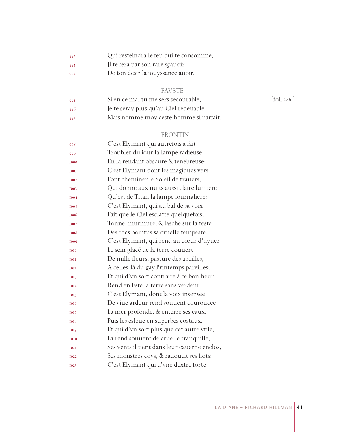| 992 | Qui resteindra le feu qui te consomme, |
|-----|----------------------------------------|
| 993 | Il te fera par son rare sçauoir        |

De ton desir la iouyssance auoir.

# FAVSTE

| -995  | Si en ce mal tu me sers secourable,    | $[$ fol. 346 $^{\mathrm{v}}$ |
|-------|----------------------------------------|------------------------------|
| -996  | Je te seray plus qu'au Ciel redeuable. |                              |
| - 997 | Mais nomme moy ceste homme si parfait. |                              |

# FRONTIN

| 998         | C'est Elymant qui autrefois a fait           |
|-------------|----------------------------------------------|
| 999         | Troubler du iour la lampe radieuse           |
| 1000        | En la rendant obscure & tenebreuse:          |
| <b>IOOI</b> | C'est Elymant dont les magiques vers         |
| 1002        | Font cheminer le Soleil de trauers;          |
| 1003        | Qui donne aux nuits aussi claire lumiere     |
| 1004        | Qu'est de Titan la lampe iournaliere:        |
| 1005        | C'est Elymant, qui au bal de sa voix         |
| 1006        | Fait que le Ciel esclatte quelquefois,       |
| 1007        | Tonne, murmure, & lasche sur la teste        |
| 1008        | Des rocs pointus sa cruelle tempeste:        |
| 1009        | C'est Elymant, qui rend au cœur d'hyuer      |
| 1010        | Le sein glacé de la terre couuert            |
| <b>IOII</b> | De mille fleurs, pasture des abeilles,       |
| <b>IOI2</b> | A celles-là du gay Printemps pareilles;      |
| 1013        | Et qui d'vn sort contraire à ce bon heur     |
| 1014        | Rend en Esté la terre sans verdeur:          |
| 1015        | C'est Elymant, dont la voix insensee         |
| 1016        | De viue ardeur rend souuent couroucee        |
| 1017        | La mer profonde, & enterre ses eaux,         |
| 1018        | Puis les esleue en superbes costaux,         |
| 1019        | Et qui d'vn sort plus que cet autre vtile,   |
| 1020        | La rend souuent de cruelle tranquille,       |
| <b>I02I</b> | Ses vents il tient dans leur cauerne enclos, |
| 1022        | Ses monstres coys, & radoucit ses flots:     |
| 1023        | C'est Elymant qui d'vne dextre forte         |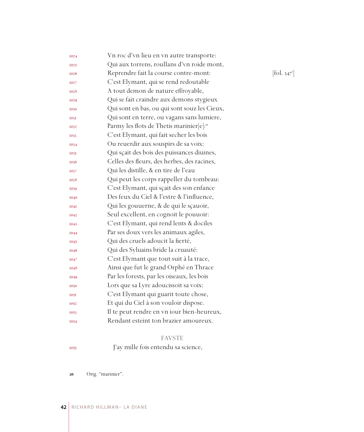| 1024        | Vn roc d'vn lieu en vn autre transporte:             |            |
|-------------|------------------------------------------------------|------------|
| <b>I025</b> | Qui aux torrens, roullans d'vn roide mont,           |            |
| 1026        | Reprendre fait la course contre-mont:                | [fol. 347] |
| 1027        | C'est Elymant, qui se rend redoutable                |            |
| 1028        | A tout demon de nature effroyable,                   |            |
| 1029        | Qui se fait craindre aux demons stygieux             |            |
| 1030        | Qui sont en bas, ou qui sont souz les Cieux,         |            |
| 1031        | Qui sont en terre, ou vagans sans lumiere,           |            |
| 1032        | Parmy les flots de Thetis marinier[e]: <sup>26</sup> |            |
| 1033        | C'est Elymant, qui fait secher les bois              |            |
| 1034        | Ou reuerdir aux souspirs de sa voix:                 |            |
| 1035        | Qui sçait des bois des puissances diuines,           |            |
| 1036        | Celles des fleurs, des herbes, des racines,          |            |
| 1037        | Qui les distille, & en tire de l'eau                 |            |
| 1038        | Qui peut les corps rappeller du tombeau:             |            |
| 1039        | C'est Elymant, qui sçait des son enfance             |            |
| 1040        | Des feux du Ciel & l'estre & l'influence,            |            |
| <b>1041</b> | Qui les gouuerne, & de qui le sçauoir,               |            |
| 1042        | Seul excellent, en cognoit le pouuoir:               |            |
| 1043        | C'est Elymant, qui rend lents & dociles              |            |
| 1044        | Par ses doux vers les animaux agiles,                |            |
| 1045        | Qui des cruels adoucit la fierté,                    |            |
| 1046        | Qui des Syluains bride la cruauté:                   |            |
| 1047        | C'est Elymant que tout suit à la trace,              |            |
| 1048        | Ainsi que fut le grand Orphé en Thrace               |            |
| 1049        | Par les forests, par les oiseaux, les bois           |            |
| 1050        | Lors que sa Lyre adoucissoit sa voix:                |            |
| 1051        | C'est Elymant qui guarit toute chose,                |            |
| 1052        | Et qui du Ciel à son vouloir dispose.                |            |
| 1053        | Il te peut rendre en vn iour bien-heureux,           |            |
| 1054        | Rendant esteint ton brazier amoureux.                |            |
|             |                                                      |            |

# FAVSTE

J'ay mille fois entendu sa science,

Orig. "marinier".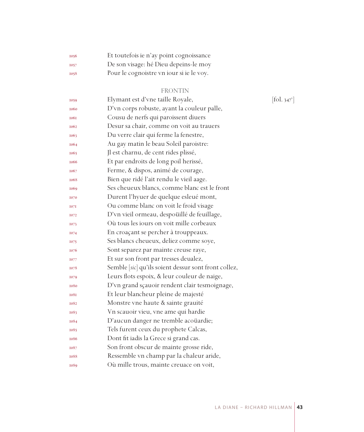| 1056        | Et toutefois ie n'ay point cognoissance  |
|-------------|------------------------------------------|
| <b>I057</b> | De son visage: hé Dieu depeins-le moy    |
| 1058        | Pour le cognoistre vn iour si je le voy. |

# FRONTIN

| 1059        | Elymant est d'vne taille Royale,                     | $\left[ \text{fol. } 347^{\circ} \right]$ |
|-------------|------------------------------------------------------|-------------------------------------------|
| 1060        | D'vn corps robuste, ayant la couleur palle,          |                                           |
| <b>1061</b> | Cousu de nerfs qui paroissent diuers                 |                                           |
| 1062        | Desur sa chair, comme on voit au trauers             |                                           |
| 1063        | Du verre clair qui ferme la fenestre,                |                                           |
| 1064        | Au gay matin le beau Soleil paroistre:               |                                           |
| 1065        | Jl est charnu, de cent rides plissé,                 |                                           |
| <b>1066</b> | Et par endroits de long poil herissé,                |                                           |
| 1067        | Ferme, & dispos, animé de courage,                   |                                           |
| 1068        | Bien que ridé l'ait rendu le vieil aage.             |                                           |
| 1069        | Ses cheueux blancs, comme blanc est le front         |                                           |
| 1070        | Durent l'hyuer de quelque esleué mont,               |                                           |
| 1071        | Ou comme blanc on voit le froid visage               |                                           |
| 1072        | D'vn vieil ormeau, despoüillé de feuillage,          |                                           |
| 1073        | Où tous les jours on voit mille corbeaux             |                                           |
| 1074        | En croaçant se percher à trouppeaux.                 |                                           |
| 1075        | Ses blancs cheueux, deliez comme soye,               |                                           |
| 1076        | Sont separez par mainte creuse raye,                 |                                           |
| 1077        | Et sur son front par tresses deualez,                |                                           |
| 1078        | Semble [sic] qu'ils soient dessur sont front collez, |                                           |
| 1079        | Leurs flots espoix, & leur couleur de naige,         |                                           |
| 1080        | D'vn grand sçauoir rendent clair tesmoignage,        |                                           |
| <b>1081</b> | Et leur blancheur pleine de majesté                  |                                           |
| 1082        | Monstre vne haute & sainte grauité                   |                                           |
| 1083        | Vn scauoir vieu, vne ame qui hardie                  |                                           |
| 1084        | D'aucun danger ne tremble acoüardie;                 |                                           |
| 1085        | Tels furent ceux du prophete Calcas,                 |                                           |
| 1086        | Dont fit iadis la Grece si grand cas.                |                                           |
| 1087        | Son front obscur de mainte grosse ride,              |                                           |
| 1088        | Ressemble vn champ par la chaleur aride,             |                                           |
| 1089        | Où mille trous, mainte creuace on voit,              |                                           |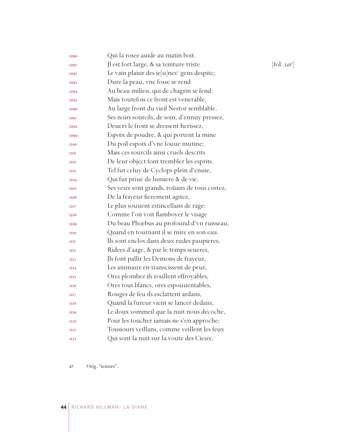| 1090             | Qui la rosee auide au matin boit.                        |                          |
|------------------|----------------------------------------------------------|--------------------------|
| <b>1091</b>      | Jl est fort large, & sa teinture triste                  | [fol. 348 <sup>r</sup> ] |
| 1092             | Le vain plaisir des ie[u]nes <sup>27</sup> gens despite; |                          |
| 1093             | Dure la peau, vne fosse se rend                          |                          |
| 1094             | Au beau milieu, qui de chagrin se fend;                  |                          |
| 1095             | Mais toutefois ce front est venerable,                   |                          |
| 1096             | Au large front du vieil Nestor semblable.                |                          |
| 1097             | Ses noirs sourcils, de soin, d'ennuy pressez,            |                          |
| 1098             | Deuers le front se dressent herissez,                    |                          |
| 1099             | Espoix de poudre, & qui portent la mine                  |                          |
| <b>H00</b>       | Du poil espoix d'vne louue mutine;                       |                          |
| <b>HOI</b>       | Mais ces sourcils ainsi cruels descrits                  |                          |
| <b>H02</b>       | De leur object font trembler les esprits.                |                          |
| <b>H03</b>       | Tel fut celuy de Cyclops plein d'enuie,                  |                          |
| <b>H04</b>       | Qui fut priué de lumiere & de vie.                       |                          |
| <b>H05</b>       | Ses yeux sont grands, roüans de tous costez,             |                          |
| <b>H06</b>       | De la frayeur fierement agitez,                          |                          |
| <b>H07</b>       | Le plus souuent estincellans de rage:                    |                          |
| <b>H08</b>       | Comme l'on voit flamboyer le visage                      |                          |
| <b>H09</b>       | Du beau Phœbus au profound d'vn ruisseau,                |                          |
| <b>HIO</b>       | Quand en tournant il se mire en son eau.                 |                          |
| Ш                | Ils sont enclos dans deux rudes paupieres,               |                          |
| III <sub>2</sub> | Ridees d'aage, & par le temps seueres,                   |                          |
| III3             | Jls font pallir les Demons de frayeur,                   |                          |
| III4             | Les animaux en transcissent de peur,                     |                          |
| III5             | Ores plombez ils roullent effroyables,                   |                          |
| <b>III6</b>      | Ores tous blancs, ores espouuentables,                   |                          |
| III7             | Rouges de feu ils esclattent ardans,                     |                          |
| III8             | Quand la fureur vient se lancer dedans,                  |                          |
| III <sub>9</sub> | Le doux sommeil que la nuit nous decoche,                |                          |
| <b>II20</b>      | Pour les toucher iamais ne s'en approche;                |                          |
| II2I             | Tousiours veillans, comme veillent les feux              |                          |
| <b>II22</b>      | Qui sont la nuit sur la voute des Cieux;                 |                          |
|                  |                                                          |                          |

Orig. "iennes".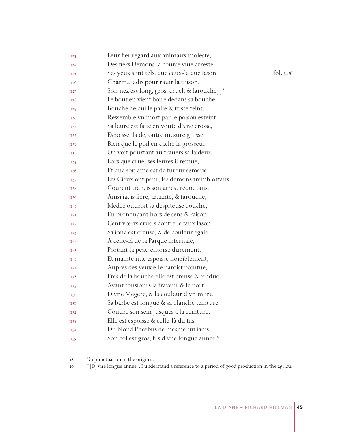| <b>II23</b> | Leur fier regard aux animaux moleste,                      |                                          |
|-------------|------------------------------------------------------------|------------------------------------------|
| II24        | Des fiers Demons la course viue arreste,                   |                                          |
| II25        | Ses yeux sont tels, que ceux-là que Iason                  | $\left[$ fol. 348 $^{\mathrm{v}}\right]$ |
| II26        | Charma iadis pour rauir la toison.                         |                                          |
| II27        | Son nez est long, gros, cruel, & farouche[,] <sup>28</sup> |                                          |
| <b>II28</b> | Le bout en vient boire dedans sa bouche,                   |                                          |
| II29        | Bouche de qui le palle & triste teint,                     |                                          |
| <b>II30</b> | Ressemble vn mort par le poison esteint.                   |                                          |
| 1131        | Sa leure est faite en voute d'vne crosse,                  |                                          |
| II32        | Espoisse, laide, outre mesure grosse:                      |                                          |
| II33        | Bien que le poil en cache la grosseur,                     |                                          |
| II34        | On voit pourtant au trauers sa laideur.                    |                                          |
| II35        | Lors que cruel ses leures il remue,                        |                                          |
| <b>II36</b> | Et que son ame est de fureur esmeue,                       |                                          |
| II37        | Les Cieux ont peur, les demons tremblottans                |                                          |
| <b>1138</b> | Courent trancis son arrest redoutans.                      |                                          |
| II39        | Ainsi iadis fiere, ardante, & farouche,                    |                                          |
| <b>II40</b> | Medee ouuroit sa despiteuse bouche,                        |                                          |
| II4I        | En prononçant hors de sens & raison                        |                                          |
| II42        | Cent vœux cruels contre le faux Iason.                     |                                          |
| II43        | Sa ioue est creuse, & de couleur egale                     |                                          |
| II44        | A celle-là de la Parque infernale,                         |                                          |
| II45        | Portant la peau entorse durement,                          |                                          |
| II46        | Et mainte ride espoisse horriblement,                      |                                          |
| II47        | Aupres des yeux elle paroist pointue,                      |                                          |
| II48        | Pres de la bouche elle est creuse & fendue,                |                                          |
| II49        | Ayant tousiours la frayeur & le port                       |                                          |
| II50        | D'vne Megere, & la couleur d'vn mort.                      |                                          |
| <b>II5I</b> | Sa barbe est longue & sa blanche teinture                  |                                          |
| II52        | Couure son sein jusques à la ceinture,                     |                                          |
| II53        | Elle est espoisse & celle-là du fils                       |                                          |
| II54        | Du blond Phœbus de mesme fut iadis.                        |                                          |
| <b>II55</b> | Son col est gros, fils d'vne longue annee, <sup>29</sup>   |                                          |
|             |                                                            |                                          |

No punctuation in the original.

" [D]'vne longue annee": I understand a reference to a period of good production in the agricul-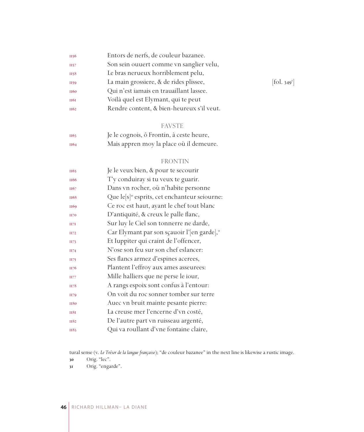| II56             | Entors de nerfs, de couleur bazanee.      |                                    |
|------------------|-------------------------------------------|------------------------------------|
| II57             | Son sein ouuert comme vn sanglier velu,   |                                    |
| II58             | Le bras nerueux horriblement pelu,        |                                    |
| II59             | La main grossiere, & de rides plissee,    | $\lbrack \text{fol. } 349 \rbrack$ |
| <b>II60</b>      | Qui n'est iamais en trauaillant lassee.   |                                    |
| <b>II6I</b>      | Voilà quel est Elymant, qui te peut       |                                    |
| II <sub>62</sub> | Rendre content, & bien-heureux s'il veut. |                                    |
|                  |                                           |                                    |

### FAVSTE

| II63 | Je le cognois, ô Frontin, à ceste heure, |
|------|------------------------------------------|
| II64 | Mais appren moy la place où il demeure.  |

### FRONTIN

| II65             | Je le veux bien, & pour te secourir                       |
|------------------|-----------------------------------------------------------|
| II <sub>66</sub> | T'y conduiray si tu veux te guarir.                       |
| II67             | Dans vn rocher, où n'habite personne                      |
| <b>II68</b>      | Que le[s] <sup>30</sup> esprits, cet enchanteur seiourne: |
| II69             | Ce roc est haut, ayant le chef tout blanc                 |
| <b>H70</b>       | D'antiquité, & creux le palle flanc,                      |
| II7I             | Sur luy le Ciel son tonnerre ne darde,                    |
| II72             | Car Elymant par son sçauoir l'[en garde],"                |
| II73             | Et Iuppiter qui craint de l'offencer,                     |
| II74             | N'ose son feu sur son chef eslancer:                      |
| II75             | Ses flancs armez d'espines acerees,                       |
| II76             | Plantent l'effroy aux ames asseurees:                     |
| II77             | Mille halliers que ne perse le iour,                      |
| II78             | A rangs espoix sont confus à l'entour:                    |
| II79             | On voit du roc sonner tomber sur terre                    |
| <b>II80</b>      | Auec vn bruit mainte pesante pierre:                      |
| <b>II8I</b>      | La creuse mer l'encerne d'vn costé,                       |
| <b>II82</b>      | De l'autre part vn ruisseau argenté,                      |
| II83             | Qui va roullant d'vne fontaine claire,                    |
|                  |                                                           |

tural sense (v. *Le Trésor de la langue française*); "de couleur bazanee" in the next line is likewise a rustic image.

Orig. "lec".

Orig. "engarde".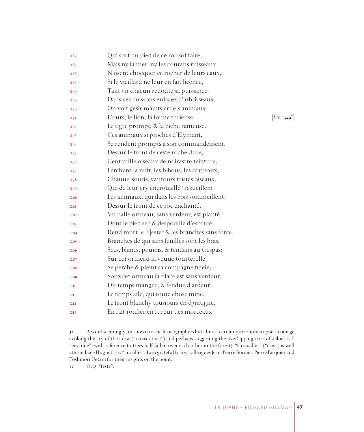| II84                          | Qui sort du pied de ce roc solitaire;                         |                            |
|-------------------------------|---------------------------------------------------------------|----------------------------|
| II85                          | Mais ny la mer, ny les courans ruisseaux,                     |                            |
| II86                          | N'osent chocquer ce rocher de leurs eaux,                     |                            |
| II87                          | Si le vieillard ne leur en fait licence,                      |                            |
| <b>II88</b>                   | Tant vn chacun redoute sa puissance.                          |                            |
| II89                          | Dans ces buissons enlacez d'arbrisseaux,                      |                            |
| <b>II90</b>                   | On voit gesir maints cruels animaux,                          |                            |
| <b>H9I</b>                    | L'ours, le lion, la louue furieuse,                           | $[\text{fol. } 349^\circ]$ |
| II92                          | Le tigre prompt, & la biche rameuse.                          |                            |
| <b>II93</b>                   | Ces animaux si proches d'Elymant,                             |                            |
| <b>II94</b>                   | Se rendent prompts à son commandement.                        |                            |
| II95                          | Dessur le front de ceste roche dure,                          |                            |
| II96                          | Cent mille oiseaux de noirastre teinture,                     |                            |
| II97                          | Perchent la nuit, les hibous, les corbeaux,                   |                            |
| <b>H98</b>                    | Chauue-souris, vautours tristes oiseaux,                      |                            |
| II99                          | Qui de leur cry encroüaillé <sup>32</sup> resueillent         |                            |
| <b>I200</b>                   | Les animaux, qui dans les bois sommeillent.                   |                            |
| <b>I20I</b>                   | Dessur le front de ce roc enchanté,                           |                            |
| I <sub>2</sub> 0 <sub>2</sub> | Vn palle ormeau, sans verdeur, est planté,                    |                            |
| <b>I203</b>                   | Dont le pied sec & despouillé d'escorce,                      |                            |
| <b>I204</b>                   | Rend mort le [r]este <sup>33</sup> & les branches sans force, |                            |
| <b>I205</b>                   | Branches de qui sans feuilles sont les bras,                  |                            |
| <b>I206</b>                   | Secs, blancs, pourris, & tendans au trespas:                  |                            |
| 1207                          | Sur cet ormeau la veuue tourterelle                           |                            |
| <b>I208</b>                   | Se perche & pleint sa compagne fidele;                        |                            |
| <b>I209</b>                   | Souz cet ormeau la place est sans verdeur,                    |                            |
| <b>I2I0</b>                   | Du temps mangee, & fendue d'ardeur:                           |                            |
| <b>I2II</b>                   | Le temps ailé, qui toute chose mine,                          |                            |
| <b>I2I2</b>                   | Le front blanchy tousiours en égratigne,                      |                            |
| <b>I2I3</b>                   | En fait rouller en fureur des morceaux                        |                            |
|                               |                                                               |                            |

 A word seemingly unknown to the lexicographers but almost certainly an onomatopoeic coinage evoking the cry of the crow ("croââ-croââ") and perhaps suggesting the overlapping cries of a flock (cf. "encroué", with reference to trees half-fallen over each other in the forest). "Crouailler" ("caw") is well attested; see Huguet, s.v. "croailler". I am grateful to my colleagues Jean-Pierre Bordier, Pierre Pasquier and Toshinori Uetani for their insights on the point.

33 Orig. "feste".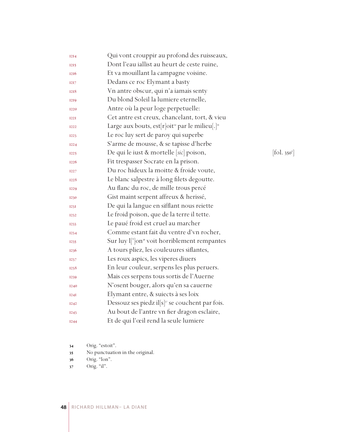| <b>I2I4</b> | Qui vont crouppir au profond des ruisseaux,                             |                          |
|-------------|-------------------------------------------------------------------------|--------------------------|
| <b>I2I5</b> | Dont l'eau iallist au heurt de ceste ruine,                             |                          |
| <b>I216</b> | Et va mouillant la campagne voisine.                                    |                          |
| <b>I2I7</b> | Dedans ce roc Elymant a basty                                           |                          |
| 1218        | Vn antre obscur, qui n'a iamais senty                                   |                          |
| <b>I2I9</b> | Du blond Soleil la lumiere eternelle,                                   |                          |
| <b>I220</b> | Antre où la peur loge perpetuelle:                                      |                          |
| <b>I22I</b> | Cet antre est creux, chancelant, tort, & vieu                           |                          |
| <b>I222</b> | Large aux bouts, est[r]oit <sup>34</sup> par le milieu[.] <sup>35</sup> |                          |
| <b>I223</b> | Le roc luy sert de paroy qui superbe                                    |                          |
| <b>I224</b> | S'arme de mousse, & se tapisse d'herbe                                  |                          |
| <b>I225</b> | De qui le iust & mortelle [sic] poison,                                 | [fol. 350 <sup>r</sup> ] |
| <b>I226</b> | Fit trespasser Socrate en la prison.                                    |                          |
| <b>I227</b> | Du roc hideux la moitte & froide voute,                                 |                          |
| <b>I228</b> | Le blanc salpestre à long filets degoutte.                              |                          |
| 1229        | Au flanc du roc, de mille trous percé                                   |                          |
| 1230        | Gist maint serpent affreux & herissé,                                   |                          |
| I23I        | De qui la langue en sifflant nous reiette                               |                          |
| 1232        | Le froid poison, que de la terre il tette.                              |                          |
| 1233        | Le paué froid est cruel au marcher                                      |                          |
| 1234        | Comme estant fait du ventre d'vn rocher,                                |                          |
| <b>I235</b> | Sur luy l <sup>'</sup> ]on <sup>36</sup> voit horriblement rempantes    |                          |
| 1236        | A tours pliez, les couleuures siflantes,                                |                          |
| 1237        | Les roux aspics, les viperes diuers                                     |                          |
| 1238        | En leur couleur, serpens les plus peruers.                              |                          |
| 1239        | Mais ces serpens tous sortis de l'Auerne                                |                          |
| <b>I240</b> | N'osent bouger, alors qu'en sa cauerne                                  |                          |
| I24I        | Elymant entre, & suiects à ses loix                                     |                          |
| <b>I242</b> | Dessouz ses piedz il $[s]$ <sup>37</sup> se couchent par fois.          |                          |
| <b>I243</b> | Au bout de l'antre vn fier dragon esclaire,                             |                          |
| <b>I244</b> | Et de qui l'œil rend la seule lumiere                                   |                          |

- Orig. "estoit".
- No punctuation in the original.
- Orig. "lon".
- 37 Orig. "il".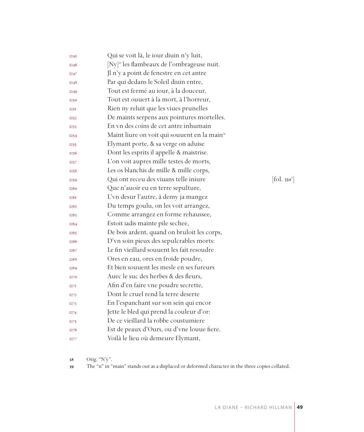| I <sub>245</sub>  | Qui se voit là, le iour diuin n'y luit,                  |                          |
|-------------------|----------------------------------------------------------|--------------------------|
| <b>I246</b>       | [Ny] <sup>38</sup> les flambeaux de l'ombrageuse nuit.   |                          |
| <b>I247</b>       | Jl n'y a point de fenestre en cet antre                  |                          |
| <b>I248</b>       | Par qui dedans le Soleil diuin entre,                    |                          |
| I <sub>249</sub>  | Tout est fermé au iour, à la douceur,                    |                          |
| 1250              | Tout est ouuert à la mort, à l'horreur,                  |                          |
| 125I              | Rien ny reluit que les viues prunelles                   |                          |
| 1252              | De maints serpens aux pointures mortelles.               |                          |
| 1253              | En vn des coins de cet antre inhumain                    |                          |
| I <sub>254</sub>  | Maint liure on voit qui souuent en la main <sup>39</sup> |                          |
| 1255              | Elymant porte, & sa verge on aduise                      |                          |
| <b>I256</b>       | Dont les esprits il appelle & maistrise.                 |                          |
| 1257              | L'on voit aupres mille testes de morts,                  |                          |
| 1258              | Les os blanchis de mille & mille corps,                  |                          |
| I <sub>259</sub>  | Qui ont receu des viuans telle iniure                    | [fol. 350 <sup>v</sup> ] |
| <b>I260</b>       | Que n'auoir eu en terre sepulture,                       |                          |
| <b>I26I</b>       | L'vn desur l'autre, à demy ja mangez                     |                          |
| <b>I262</b>       | Du temps goulu, on les voit arrangez,                    |                          |
| I <sub>2</sub> 63 | Comme arrangez en forme rehaussee,                       |                          |
| 1264              | Estoit iadis mainte pile sechee,                         |                          |
| <b>I265</b>       | De bois ardent, quand on bruloit les corps,              |                          |
| <b>I266</b>       | D'vn soin pieux des sepulcrables morts:                  |                          |
| I <sub>267</sub>  | Le fin vieillard souuent les fait resoudre               |                          |
| <b>I268</b>       | Ores en eau, ores en froide poudre,                      |                          |
| <b>I269</b>       | Et bien souuent les mesle en ses fureurs                 |                          |
| 1270              | Auec le suc des herbes & des fleurs,                     |                          |
| 127I              | Afin d'en faire vne poudre secrette,                     |                          |
| I <sub>272</sub>  | Dont le cruel rend la terre deserte                      |                          |
| I <sub>27</sub> 3 | En l'espanchant sur son sein qui encor                   |                          |
| I <sub>274</sub>  | Jette le bled qui prend la couleur d'or:                 |                          |
| I <sub>275</sub>  | De ce vieillard la robbe coustumiere                     |                          |
| 1276              | Est de peaux d'Ours, ou d'vne louue fiere.               |                          |
| <b>I277</b>       | Voilà le lieu où demeure Elymant,                        |                          |

Orig. "N'y".

The "n" in "main" stands out as a displaced or deformed character in the three copies collated.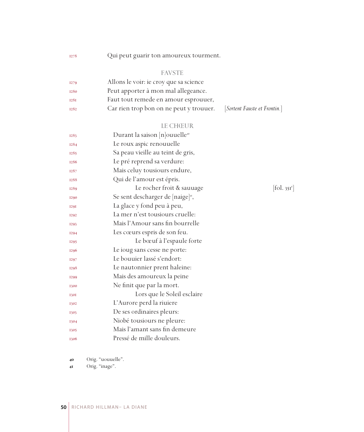Qui peut guarir ton amoureux tourment.

### FAVSTE

| <b>I279</b> | Allons le voir: ie croy que sa science  |                              |
|-------------|-----------------------------------------|------------------------------|
| 1280        | Peut apporter à mon mal allegeance.     |                              |
| <b>I28I</b> | Faut tout remede en amour esprouuer,    |                              |
| <b>I282</b> | Car rien trop bon on ne peut y trouuer. | [Sortent Fauste et Frontin.] |

# LE CHŒUR

| 1283        | Durant la saison $[n]$ ouuelle <sup>40</sup>  |                       |
|-------------|-----------------------------------------------|-----------------------|
| <b>I284</b> | Le roux aspic renouuelle                      |                       |
| 1285        | Sa peau vieille au teint de gris,             |                       |
| 1286        | Le pré reprend sa verdure:                    |                       |
| 1287        | Mais celuy tousiours endure,                  |                       |
| 1288        | Qui de l'amour est épris.                     |                       |
| 1289        | Le rocher froit & sauuage                     | fol. 35I <sup>r</sup> |
| <b>I290</b> | Se sent descharger de [naige] <sup>41</sup> , |                       |
| <b>I29I</b> | La glace y fond peu à peu,                    |                       |
| <b>I292</b> | La mer n'est tousiours cruelle:               |                       |
| <b>I293</b> | Mais l'Amour sans fin bourrelle               |                       |
| I294        | Les cœurs espris de son feu.                  |                       |
| <b>I295</b> | Le bœuf à l'espaule forte                     |                       |
| <b>I296</b> | Le ioug sans cesse ne porte:                  |                       |
| <b>I297</b> | Le bouuier lassé s'endort:                    |                       |
| 1298        | Le nautonnier prent haleine:                  |                       |
| <b>I299</b> | Mais des amoureux la peine                    |                       |
| 1300        | Ne finit que par la mort.                     |                       |
| <b>1301</b> | Lors que le Soleil esclaire                   |                       |
| 1302        | L'Aurore perd la riuiere                      |                       |
| 1303        | De ses ordinaires pleurs:                     |                       |
| 1304        | Niobé tousiours ne pleure:                    |                       |
| 1305        | Mais l'amant sans fin demeure                 |                       |
| 1306        | Pressé de mille douleurs.                     |                       |

Orig. "uouuelle".

Orig. "inage".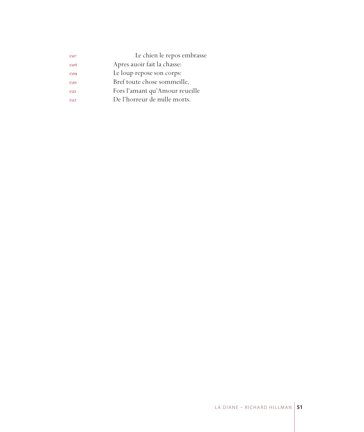| 1307 | Le chien le repos embrasse     |
|------|--------------------------------|
| 1308 | Apres auoir fait la chasse:    |
| 1309 | Le loup repose son corps:      |
| 1310 | Bref toute chose sommeille,    |
| 13II | Fors l'amant qu'Amour reueille |
| 1312 | De l'horreur de mille morts.   |
|      |                                |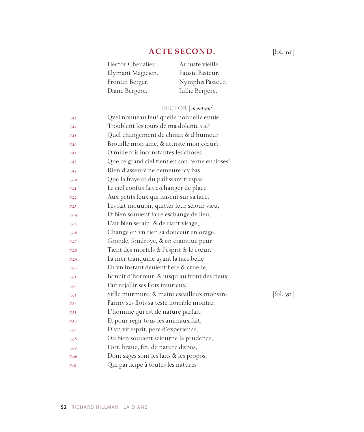# **ACTE SECOND.**

| Hector Cheualier. | Arbuste vieille. |
|-------------------|------------------|
| Elymant Magicien. | Fauste Pasteur.  |
| Frontin Berger.   | Nymphis Pasteur. |
| Diane Bergere.    | Iullie Bergere.  |

# HECTOR [*en entrant*]

| 1313 | Qvel nouueau feu? quelle nouuelle enuie        |                        |
|------|------------------------------------------------|------------------------|
| 1314 | Troublent les iours de ma dolente vie?         |                        |
| 1315 | Quel changement de climat & d'humeur           |                        |
| 1316 | Brouille mon ame, & attriste mon cœur?         |                        |
| 1317 | O mille fois inconstantes les choses           |                        |
| 1318 | Que ce grand ciel tient en son cerne encloses! |                        |
| 1319 | Rien d'asseuré ne demeure icy bas              |                        |
| 1320 | Que la frayeur du pallissant trespas.          |                        |
| 1321 | Le ciel confus fait eschanger de place         |                        |
| 1322 | Aux petits feux qui luisent sur sa face,       |                        |
| 1323 | Les fait mouuoir, quitter leur seiour vieu,    |                        |
| 1324 | Et bien souuent faire eschange de lieu,        |                        |
| 1325 | L'air bien serain, & de riant visage,          |                        |
| 1326 | Change en vn rien sa douceur en orage,         |                        |
| 1327 | Gronde, foudroye, & en craintiue peur          |                        |
| 1328 | Tient des mortels & l'esprit & le cœur.        |                        |
| 1329 | La mer tranquille ayant la face belle          |                        |
| 1330 | En vn instant deuient fiere & cruelle,         |                        |
| 1331 | Bondit d'horreur, & iusqu'au front des cieux   |                        |
| 1332 | Fait rejallir ses flots iniurieux,             |                        |
| 1333 | Siffle murmure, & maint escailleux monstre     | $[\text{fol. } 352^r]$ |
| 1334 | Parmy ses flots sa teste horrible montre.      |                        |
| 1335 | L'homme qui est de nature parfait,             |                        |
| 1336 | Et pour regir tous les animaux fait,           |                        |
| 1337 | D'vn vif esprit, pere d'experience,            |                        |
| 1338 | Où bien souuent seiourne la prudence,          |                        |
| 1339 | Fort, braue, fin, de nature dispos,            |                        |
| 1340 | Dont sages sont les faits & les propos,        |                        |
| I34I | Qui participe à toutes les natures             |                        |

 $[\text{fol. }351^\circ]$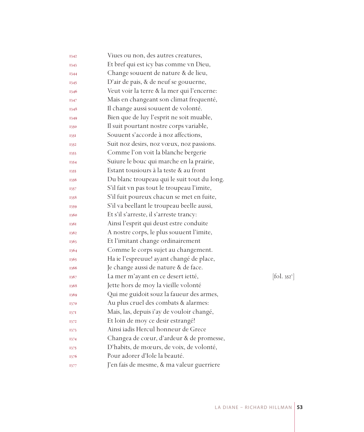| 1342 | Viues ou non, des autres creatures,         |                              |
|------|---------------------------------------------|------------------------------|
| 1343 | Et bref qui est icy bas comme vn Dieu,      |                              |
| 1344 | Change souuent de nature & de lieu,         |                              |
| 1345 | D'air de pais, & de neuf se gouuerne,       |                              |
| 1346 | Veut voir la terre & la mer qui l'encerne:  |                              |
| 1347 | Mais en changeant son climat frequenté,     |                              |
| 1348 | Il change aussi souuent de volonté.         |                              |
| 1349 | Bien que de luy l'esprit ne soit muable,    |                              |
| 1350 | Il suit pourtant nostre corps variable,     |                              |
| 1351 | Souuent s'accorde à noz affections,         |                              |
| 1352 | Suit noz desirs, noz vœux, noz passions.    |                              |
| 1353 | Comme l'on voit la blanche bergerie         |                              |
| 1354 | Suiure le bouc qui marche en la prairie,    |                              |
| 1355 | Estant tousiours à la teste & au front      |                              |
| 1356 | Du blanc troupeau qui le suit tout du long. |                              |
| 1357 | S'il fait vn pas tout le troupeau l'imite,  |                              |
| 1358 | S'il fuit poureux chacun se met en fuite,   |                              |
| 1359 | S'il va beellant le troupeau beelle aussi,  |                              |
| 1360 | Et s'il s'arreste, il s'arreste trancy:     |                              |
| 1361 | Ainsi l'esprit qui deust estre conduite     |                              |
| 1362 | A nostre corps, le plus souuent l'imite,    |                              |
| 1363 | Et l'imitant change ordinairement           |                              |
| 1364 | Comme le corps sujet au changement.         |                              |
| 1365 | Ha ie l'espreuue! ayant changé de place,    |                              |
| 1366 | Je change aussi de nature & de face.        |                              |
| 1367 | La mer m'ayant en ce desert ietté,          | $[\text{fol. } 352^{\circ}]$ |
| 1368 | Jette hors de moy la vieille volonté        |                              |
| 1369 | Qui me guidoit souz la faueur des armes,    |                              |
| 1370 | Au plus cruel des combats & alarmes:        |                              |
| 1371 | Mais, las, depuis i'ay de vouloir changé,   |                              |
| 1372 | Et loin de moy ce desir estrangé!           |                              |
| 1373 | Ainsi iadis Hercul honneur de Grece         |                              |
| 1374 | Changea de cœur, d'ardeur & de promesse,    |                              |
| 1375 | D'habits, de mœurs, de voix, de volonté,    |                              |
| 1376 | Pour adorer d'Iole la beauté.               |                              |
| 1377 | J'en fais de mesme, & ma valeur guerriere   |                              |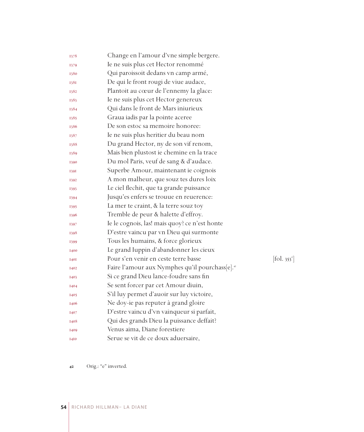| 1378        | Change en l'amour d'vne simple bergere.                     |                          |
|-------------|-------------------------------------------------------------|--------------------------|
| 1379        | Ie ne suis plus cet Hector renommé                          |                          |
| 1380        | Qui paroissoit dedans vn camp armé,                         |                          |
| 1381        | De qui le front rougi de viue audace,                       |                          |
| 1382        | Plantoit au cœur de l'ennemy la glace:                      |                          |
| 1383        | Ie ne suis plus cet Hector genereux                         |                          |
| 1384        | Qui dans le front de Mars iniurieux                         |                          |
| 1385        | Graua iadis par la pointe aceree                            |                          |
| 1386        | De son estoc sa memoire honoree:                            |                          |
| 1387        | Ie ne suis plus heritier du beau nom                        |                          |
| 1388        | Du grand Hector, ny de son vif renom,                       |                          |
| 1389        | Mais bien plustost ie chemine en la trace                   |                          |
| 1390        | Du mol Paris, veuf de sang & d'audace.                      |                          |
| 1391        | Superbe Amour, maintenant ie coignois                       |                          |
| 1392        | A mon malheur, que souz tes dures loix                      |                          |
| 1393        | Le ciel flechit, que ta grande puissance                    |                          |
| 1394        | Jusqu'es enfers se trouue en reuerence:                     |                          |
| 1395        | La mer te craint, & la terre souz toy                       |                          |
| 1396        | Tremble de peur & halette d'effroy.                         |                          |
| 1397        | Ie le cognois, las! mais quoy? ce n'est honte               |                          |
| 1398        | D'estre vaincu par vn Dieu qui surmonte                     |                          |
| 1399        | Tous les humains, & force glorieux                          |                          |
| 1400        | Le grand Iuppin d'abandonner les cieux                      |                          |
| <b>I40I</b> | Pour s'en venir en ceste terre basse                        | [fol. 353 <sup>r</sup> ] |
| 1402        | Faire l'amour aux Nymphes qu'il pourchass[e]. <sup>42</sup> |                          |
| 1403        | Si ce grand Dieu lance-foudre sans fin                      |                          |
| 1404        | Se sent forcer par cet Amour diuin,                         |                          |
| 1405        | S'il luy permet d'auoir sur luy victoire,                   |                          |
| 1406        | Ne doy-ie pas reputer à grand gloire                        |                          |
| 1407        | D'estre vaincu d'vn vainqueur si parfait,                   |                          |
| 1408        | Qui des grands Dieu la puissance deffait?                   |                          |
| 1409        | Venus aima, Diane forestiere                                |                          |
| <b>I4I0</b> | Serue se vit de ce doux aduersaire,                         |                          |

Orig.: "e" inverted.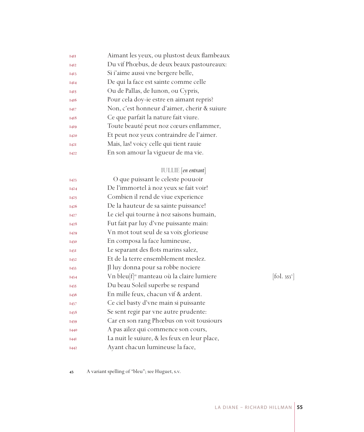| I4II        | Aimant les yeux, ou plustost deux flambeaux |
|-------------|---------------------------------------------|
| <b>I4I2</b> | Du vif Phœbus, de deux beaux pastoureaux:   |
| 1413        | Si i'aime aussi vne bergere belle,          |
| <b>I4I4</b> | De qui la face est sainte comme celle       |
| 1415        | Ou de Pallas, de Iunon, ou Cypris,          |
| 1416        | Pour cela doy-ie estre en aimant repris?    |
| <b>I4I7</b> | Non, c'est honneur d'aimer, cherir & suiure |
| 1418        | Ce que parfait la nature fait viure.        |
| 1419        | Toute beauté peut noz cœurs enflammer,      |
| 1420        | Et peut noz yeux contraindre de l'aimer.    |
| <b>I42I</b> | Mais, las! voicy celle qui tient rauie      |
| 1422        | En son amour la vigueur de ma vie.          |
|             |                                             |

# IULLIE [*en entrant*]

| <b>I423</b> | O que puissant le celeste pouuoir                    |                                         |
|-------------|------------------------------------------------------|-----------------------------------------|
| <b>I424</b> | De l'immortel à noz yeux se fait voir!               |                                         |
| <b>I425</b> | Combien il rend de viue experience                   |                                         |
| 1426        | De la hauteur de sa sainte puissance!                |                                         |
| 1427        | Le ciel qui tourne à noz saisons humain,             |                                         |
| 1428        | Fut fait par luy d'vne puissante main:               |                                         |
| <b>I429</b> | Vn mot tout seul de sa voix glorieuse                |                                         |
| 1430        | En composa la face lumineuse,                        |                                         |
| I43I        | Le separant des flots marins salez,                  |                                         |
| <b>I432</b> | Et de la terre ensemblement meslez.                  |                                         |
| 1433        | Jl luy donna pour sa robbe nociere                   |                                         |
| 1434        | Vn bleu[f] <sup>®</sup> manteau où la claire lumiere | $\left  \text{fol. } 353 \right\rangle$ |
| 1435        | Du beau Soleil superbe se respand                    |                                         |
| 1436        | En mille feux, chacun vif & ardent.                  |                                         |
| 1437        | Ce ciel basty d'vne main si puissante                |                                         |
| 1438        | Se sent regir par vne autre prudente:                |                                         |
| 1439        | Car en son rang Phœbus on voit tousiours             |                                         |
| 1440        | A pas ailez qui commence son cours,                  |                                         |
| I44I        | La nuit le suiure, & les feux en leur place,         |                                         |
| I442        | Ayant chacun lumineuse la face,                      |                                         |
|             |                                                      |                                         |

 $[$ fol. 353 $^{\circ}$ ]

A variant spelling of "bleu"; see Huguet, s.v.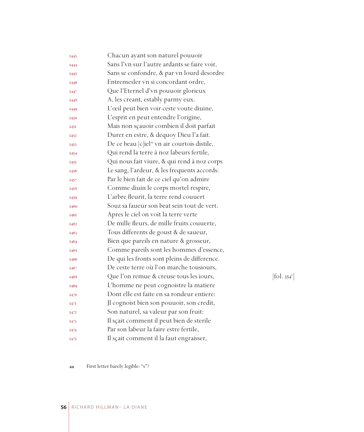| <b>I443</b> | Chacun ayant son naturel pouuoir                         |            |
|-------------|----------------------------------------------------------|------------|
| 1444        | Sans l'vn sur l'autre ardants se faire voir,             |            |
| <b>I445</b> | Sans se confondre, & par vn lourd desordre               |            |
| 1446        | Entremesler vn si concordant ordre,                      |            |
| 1447        | Que l'Eternel d'vn pouuoir glorieux                      |            |
| 1448        | A, les creant, estably parmy eux.                        |            |
| 1449        | L'œil peut bien voir ceste voute diuine,                 |            |
| 1450        | L'esprit en peut entendre l'origine,                     |            |
| 1451        | Mais non sçauoir combien il doit parfait                 |            |
| 1452        | Durer en estre, & dequoy Dieu l'a fait.                  |            |
| 1453        | De ce beau [c]iel <sup>44</sup> vn air courtois distile, |            |
| 1454        | Qui rend la terre à noz labeurs fertile,                 |            |
| 1455        | Qui nous fait viure, & qui rend à noz corps              |            |
| 1456        | Le sang, l'ardeur, & les frequents accords:              |            |
| 1457        | Par le bien fait de ce ciel qu'on admire                 |            |
| 1458        | Comme diuin le corps mortel respire,                     |            |
| 1459        | L'arbre fleurit, la terre rend couuert                   |            |
| 1460        | Souz sa faueur son beat sein tout de vert.               |            |
| 1461        | Apres le ciel on voit la terre verte                     |            |
| 1462        | De mille fleurs, de mille fruits couuerte,               |            |
| 1463        | Tous differents de goust & de saueur,                    |            |
| 1464        | Bien que pareils en nature & grosseur,                   |            |
| 1465        | Comme pareils sont les hommes d'essence,                 |            |
| 1466        | De qui les fronts sont pleins de difference.             |            |
| 1467        | De ceste terre où l'on marche tousiours,                 |            |
| 1468        | Que l'on remue & creuse tous les iours,                  | [fol. 354] |
| 1469        | L'homme ne peut cognoistre la matiere                    |            |
| 1470        | Dont elle est faite en sa rondeur entiere:               |            |
| 1471        | Il cognoist bien son pouuoir, son credit,                |            |
| 1472        | Son naturel, sa valeur par son fruit:                    |            |
| 1473        | Il sçait comment il peut bien de sterile                 |            |
| 1474        | Par son labeur la faire estre fertile,                   |            |
| 1475        | Il sçait comment il la faut engraisser,                  |            |

 $\left[\text{fol. } 354^{\text{r}}\right]$ 

First letter barely legible: "s"?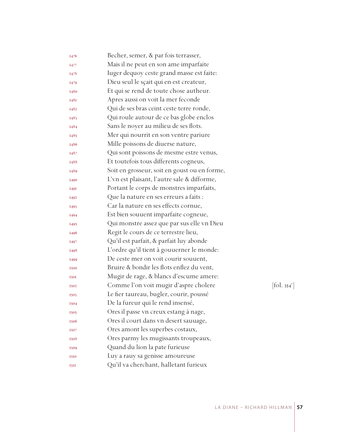| 1476        | Becher, semer, & par fois terrasser,         |            |
|-------------|----------------------------------------------|------------|
| 1477        | Mais il ne peut en son ame imparfaite        |            |
| 1478        | Iuger dequoy ceste grand masse est faite:    |            |
| 1479        | Dieu seul le sçait qui en est createur,      |            |
| 1480        | Et qui se rend de toute chose autheur.       |            |
| 148I        | Apres aussi on voit la mer feconde           |            |
| 1482        | Qui de ses bras ceint ceste terre ronde,     |            |
| 1483        | Qui roule autour de ce bas globe enclos      |            |
| 1484        | Sans le noyer au milieu de ses flots.        |            |
| 1485        | Mer qui nourrit en son ventre pariure        |            |
| 1486        | Mille poissons de diuerse nature,            |            |
| 1487        | Qui sont poissons de mesme estre venus,      |            |
| 1488        | Et toutefois tous differents cogneus,        |            |
| 1489        | Soit en grosseur, soit en goust ou en forme, |            |
| 1490        | L'vn est plaisant, l'autre sale & difforme,  |            |
| <b>1491</b> | Portant le corps de monstres imparfaits,     |            |
| 1492        | Que la nature en ses erreurs a faits :       |            |
| <b>I493</b> | Car la nature en ses effects cornue,         |            |
| 1494        | Est bien souuent imparfaite cogneue,         |            |
| 1495        | Qui monstre assez que par sus elle vn Dieu   |            |
| 1496        | Regit le cours de ce terrestre lieu,         |            |
| 1497        | Qu'il est parfait, & parfait luy abonde      |            |
| 1498        | L'ordre qu'il tient à gouuerner le monde:    |            |
| 1499        | De ceste mer on voit courir souuent,         |            |
| 1500        | Bruire & bondir les flots enflez du vent,    |            |
| <b>150I</b> | Mugir de rage, & blancs d'escume amere:      |            |
| 1502        | Comme l'on voit mugir d'aspre cholere        | [fol. 354] |
| 1503        | Le fier taureau, bugler, courir, poussé      |            |
| 1504        | De la fureur qui le rend insensé,            |            |
| 1505        | Ores il passe vn creux estang à nage,        |            |
| 1506        | Ores il court dans vn desert sauuage,        |            |
| 1507        | Ores amont les superbes costaux,             |            |
| 1508        | Ores parmy les mugissants troupeaux,         |            |
| 1509        | Quand du lion la pate furieuse               |            |
| 1510        | Luy a rauy sa genisse amoureuse              |            |
| <b>I5II</b> | Qu'il va cherchant, halletant furieux        |            |

v ]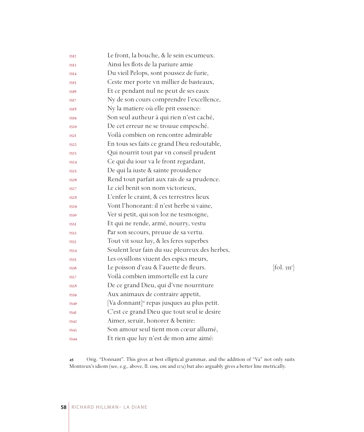| 1512        | Le front, la bouche, & le sein escumeux.                |                                 |
|-------------|---------------------------------------------------------|---------------------------------|
| 1513        | Ainsi les flots de la pariure amie                      |                                 |
| 1514        | Du vieil Pelops, sont poussez de furie,                 |                                 |
| 1515        | Ceste mer porte vn millier de basteaux,                 |                                 |
| 1516        | Et ce pendant nul ne peut de ses eaux                   |                                 |
| 1517        | Ny de son cours comprendre l'excellence,                |                                 |
| 1518        | Ny la matiere où elle prit esssence:                    |                                 |
| 1519        | Son seul autheur à qui rien n'est caché,                |                                 |
| 1520        | De cet erreur ne se trouue empesché.                    |                                 |
| 152I        | Voilà combien on rencontre admirable                    |                                 |
| 1522        | En tous ses faits ce grand Dieu redoutable,             |                                 |
| 1523        | Qui nourrit tout par vn conseil prudent                 |                                 |
| 1524        | Ce qui du iour va le front regardant,                   |                                 |
| 1525        | De qui la iuste & sainte prouidence                     |                                 |
| 1526        | Rend tout parfait aux rais de sa prudence.              |                                 |
| 1527        | Le ciel benit son nom victorieux,                       |                                 |
| 1528        | L'enfer le craint, & ces terrestres lieux               |                                 |
| 1529        | Vont l'honorant: il n'est herbe si vaine,               |                                 |
| 1530        | Ver si petit, qui son loz ne tesmoigne,                 |                                 |
| 153I        | Et qui ne rende, armé, nourry, vestu                    |                                 |
| 1532        | Par son secours, preuue de sa vertu.                    |                                 |
| 1533        | Tout vit souz luy, & les feres superbes                 |                                 |
| 1534        | Soulent leur fain du suc pleureux des herbes,           |                                 |
| 1535        | Les oysillons viuent des espics meurs,                  |                                 |
| 1536        | Le poisson d'eau & l'auette de fleurs.                  | $[\text{fol. } 355^{\text{r}}]$ |
| 1537        | Voilà combien immortelle est la cure                    |                                 |
| 1538        | De ce grand Dieu, qui d'vne nourriture                  |                                 |
| 1539        | Aux animaux de contraire appetit,                       |                                 |
| 1540        | [Va donnant] <sup>45</sup> repas jusques au plus petit. |                                 |
| <b>1541</b> | C'est ce grand Dieu que tout seul ie desire             |                                 |
| 1542        | Aimer, seruir, honorer & benire:                        |                                 |
| 1543        | Son amour seul tient mon cœur allumé,                   |                                 |
| 1544        | Et rien que luy n'est de mon ame aimé:                  |                                 |

 Orig. "Donnant". This gives at best elliptical grammar, and the addition of "Va" not only suits Montreux's idiom (see, e.g., above, ll. 1209, 1261 and 1274) but also arguably gives a better line metrically.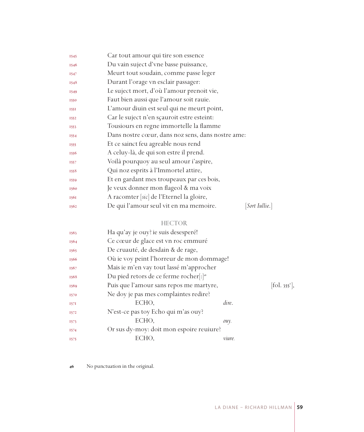| 1545 | Car tout amour qui tire son essence                     |
|------|---------------------------------------------------------|
| 1546 | Du vain suject d'vne basse puissance,                   |
| 1547 | Meurt tout soudain, comme passe leger                   |
| 1548 | Durant l'orage vn esclair passager:                     |
| 1549 | Le suject mort, d'où l'amour prenoit vie,               |
| 1550 | Faut bien aussi que l'amour soit rauie.                 |
| 1551 | L'amour diuin est seul qui ne meurt point,              |
| 1552 | Car le suject n'en sçauroit estre esteint:              |
| 1553 | Tousiours en regne immortelle la flamme                 |
| 1554 | Dans nostre cœur, dans noz sens, dans nostre ame:       |
| 1555 | Et ce sainct feu agreable nous rend                     |
| 1556 | A celuy-là, de qui son estre il prend.                  |
| 1557 | Voilà pourquoy au seul amour i'aspire,                  |
| 1558 | Qui noz esprits à l'Immortel attire,                    |
| 1559 | Et en gardant mes troupeaux par ces bois,               |
| 1560 | Je veux donner mon flageol & ma voix                    |
| 1561 | A racomter [sic] de l'Eternel la gloire,                |
| 1562 | De qui l'amour seul vit en ma memoire.<br> Sort Iullie. |

# HECTOR

| 1563 | Ha qu'ay je ouy? ie suis desesperé!                |        |                           |
|------|----------------------------------------------------|--------|---------------------------|
| 1564 | Ce cœur de glace est vn roc emmuré                 |        |                           |
| 1565 | De cruauté, de desdain & de rage,                  |        |                           |
| 1566 | Où ie voy peint l'horreur de mon dommage!          |        |                           |
| 1567 | Mais ie m'en vay tout lassé m'approcher            |        |                           |
| 1568 | Du pied retors de ce ferme rocher[:] <sup>46</sup> |        |                           |
| 1569 | Puis que l'amour sans repos me martyre,            |        | [fol. 355 <sup>v</sup> ], |
| 1570 | Ne doy je pas mes complaintes redire?              |        |                           |
| 157I | ECHO,                                              | dire.  |                           |
| 1572 | N'est-ce pas toy Echo qui m'as ouy?                |        |                           |
| 1573 | ECHO.                                              | ouy.   |                           |
| 1574 | Or sus dy-moy: doit mon espoire reuiure?           |        |                           |
| 1575 | ECHO.                                              | vuure. |                           |

No punctuation in the original.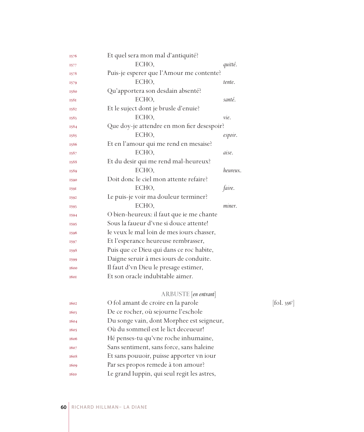| 1576        | Et quel sera mon mal d'antiquité?           |          |            |
|-------------|---------------------------------------------|----------|------------|
| <b>1577</b> | ECHO,                                       | quitté.  |            |
| 1578        | Puis-je esperer que l'Amour me contente?    |          |            |
| 1579        | ECHO,                                       | tente.   |            |
| 1580        | Qu'apportera son desdain absenté?           |          |            |
| 1581        | ECHO,                                       | santé.   |            |
| 1582        | Et le suject dont je brusle d'enuie?        |          |            |
| 1583        | ECHO,                                       | vie.     |            |
| 1584        | Que doy-je attendre en mon fier desespoir?  |          |            |
| 1585        | ECHO,                                       | espoir.  |            |
| 1586        | Et en l'amour qui me rend en mesaise?       |          |            |
| 1587        | ECHO,                                       | aise.    |            |
| 1588        | Et du desir qui me rend mal-heureux?        |          |            |
| 1589        | ECHO,                                       | heureux. |            |
| 1590        | Doit donc le ciel mon attente refaire?      |          |            |
| 1591        | ECHO,                                       | faire.   |            |
| 1592        | Le puis-je voir ma douleur terminer?        |          |            |
| 1593        | ECHO,                                       | miner.   |            |
| 1594        | O bien-heureux: il faut que ie me chante    |          |            |
| 1595        | Sous la faueur d'vne si douce attente!      |          |            |
| 1596        | Ie veux le mal loin de mes iours chasser,   |          |            |
| 1597        | Et l'esperance heureuse rembrasser,         |          |            |
| 1598        | Puis que ce Dieu qui dans ce roc habite,    |          |            |
| 1599        | Daigne seruir à mes iours de conduite.      |          |            |
| 1600        | Il faut d'vn Dieu le presage estimer,       |          |            |
| <b>1601</b> | Et son oracle indubitable aimer.            |          |            |
|             | ARBUSTE [en entrant]                        |          |            |
| 1602        | O fol amant de croire en la parole          |          | [fol. 356] |
| 1603        | De ce rocher, où sejourne l'eschole         |          |            |
| 1604        | Du songe vain, dont Morphee est seigneur,   |          |            |
| 1605        | Où du sommeil est le lict deceueur!         |          |            |
| 1606        | Hé penses-tu qu'vne roche inhumaine,        |          |            |
| 1607        | Sans sentiment, sans force, sans haleine    |          |            |
| 1608        | Et sans pouuoir, puisse apporter vn iour    |          |            |
| 1609        | Par ses propos remede à ton amour?          |          |            |
| 1610        | Le grand Iuppin, qui seul regit les astres, |          |            |

 $\left[ \text{fol. } 356^{\text{r}} \right]$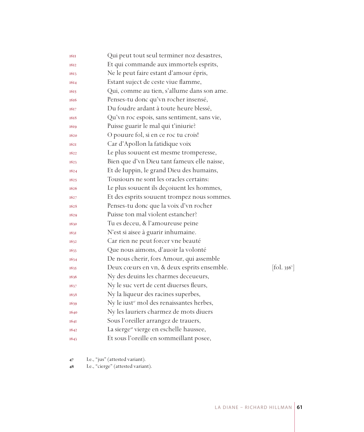| <b>16II</b> | Qui peut tout seul terminer noz desastres,                  |                              |
|-------------|-------------------------------------------------------------|------------------------------|
| 1612        | Et qui commande aux immortels esprits,                      |                              |
| 1613        | Ne le peut faire estant d'amour épris,                      |                              |
| 1614        | Estant suject de ceste viue flamme,                         |                              |
| 1615        | Qui, comme au tien, s'allume dans son ame.                  |                              |
| 1616        | Penses-tu donc qu'vn rocher insensé,                        |                              |
| 1617        | Du foudre ardant à toute heure blessé,                      |                              |
| 1618        | Qu'vn roc espois, sans sentiment, sans vie,                 |                              |
| 1619        | Puisse guarir le mal qui t'iniurie?                         |                              |
| 1620        | O pouure fol, si en ce roc tu crois!                        |                              |
| <b>1621</b> | Car d'Apollon la fatidique voix                             |                              |
| 1622        | Le plus souvent est mesme tromperesse,                      |                              |
| 1623        | Bien que d'vn Dieu tant fameux elle naisse,                 |                              |
| 1624        | Et de Iuppin, le grand Dieu des humains,                    |                              |
| 1625        | Tousiours ne sont les oracles certains:                     |                              |
| 1626        | Le plus souuent ils deçoiuent les hommes,                   |                              |
| 1627        | Et des esprits souuent trompez nous sommes.                 |                              |
| 1628        | Penses-tu donc que la voix d'vn rocher                      |                              |
| 1629        | Puisse ton mal violent estancher?                           |                              |
| 1630        | Tu es deceu, & l'amoureuse peine                            |                              |
| 163I        | N'est si aisee à guarir inhumaine.                          |                              |
| 1632        | Car rien ne peut forcer vne beauté                          |                              |
| 1633        | Que nous aimons, d'auoir la volonté                         |                              |
| 1634        | De nous cherir, fors Amour, qui assemble                    |                              |
| 1635        | Deux cœurs en vn, & deux esprits ensemble.                  | $[\text{fol. } 356^{\circ}]$ |
| 1636        | Ny des deuins les charmes deceueurs,                        |                              |
| 1637        | Ny le suc vert de cent diuerses fleurs,                     |                              |
| 1638        | Ny la liqueur des racines superbes,                         |                              |
| 1639        | Ny le iust <sup><i>r</i></sup> mol des renaissantes herbes, |                              |
| 1640        | Ny les lauriers charmez de mots diuers                      |                              |
| <b>1641</b> | Sous l'oreiller arrangez de trauers,                        |                              |
| 1642        | La sierge <sup>48</sup> vierge en eschelle haussee,         |                              |
| 1643        | Et sous l'oreille en sommeillant posee,                     |                              |

I.e., "jus" (attested variant).

48 I.e., "cierge" (attested variant).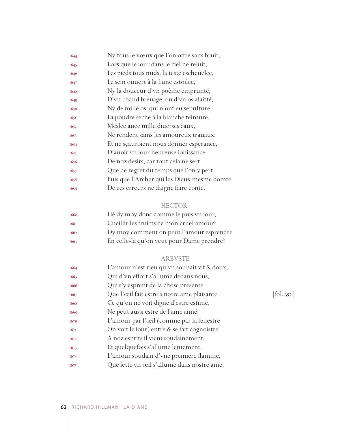| 1644 | Ny tous le vœux que l'on offre sans bruit,   |
|------|----------------------------------------------|
| 1645 | Lors que le iour dans le ciel ne reluit,     |
| 1646 | Les pieds tous nuds, la teste escheuelee,    |
| 1647 | Le sein ouuert à la Lune estoilee,           |
| 1648 | Ny la douceur d'vn poème emprunté,           |
| 1649 | D'vn chaud breuage, ou d'vn os alaitté,      |
| 1650 | Ny de mille os, qui n'ont eu sepulture,      |
| 1651 | La poudre seche à la blanche teinture,       |
| 1652 | Meslee auec mille diuerses eaux,             |
| 1653 | Ne rendent sains les amoureux trauaux:       |
| 1654 | Et ne sçauroient nous donner esperance,      |
| 1655 | D'auoir vn iour heureuse iouissance          |
| 1656 | De noz desirs; car tout cela ne sert         |
| 1657 | Que de regret du temps que l'on y pert,      |
| 1658 | Puis que l'Archer qui les Dieux mesme domte, |
| 1659 | De ces erreurs ne daigne faire conte.        |
|      |                                              |

# HECTOR

| 1660 | Hé dy moy donc comme ie puis vn iour,     |
|------|-------------------------------------------|
| 1661 | Cueillir les fruicts de mon cruel amour?  |
| 1662 | Dy moy comment on peut l'amour esprendre  |
| 1663 | En celle-là qu'on veut pour Dame prendre? |

### ARBVSTE

| 1664 | L'amour n'est rien qu'vn souhait vif & doux, |                                   |
|------|----------------------------------------------|-----------------------------------|
| 1665 | Qui d'vn effort s'allume dedans nous,        |                                   |
| 1666 | Qui s'y esprent de la chose presente         |                                   |
| 1667 | Que l'œil fait estre à notre ame plaisante.  | $\left  \text{fol. } 357 \right $ |
| 1668 | Ce qu'on ne voit digne d'estre estimé,       |                                   |
| 1669 | Ne peut aussi estre de l'ame aimé.           |                                   |
| 1670 | L'amour par l'œil (comme par la fenestre     |                                   |
| 167I | On voit le jour) entre & se fait cognoistre: |                                   |
| 1672 | A noz esprits il vient soudainement,         |                                   |
| 1673 | Et quelquefois s'allume lentement.           |                                   |
| 1674 | L'amour soudain d'vne premiere flamme,       |                                   |
| 1675 | Que iette vn œil s'allume dans nostre ame,   |                                   |
|      |                                              |                                   |

 $[\text{fol. }357^{\text{r}}]$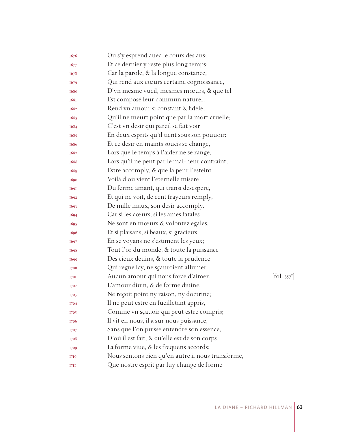| 1676        | Ou s'y esprend auec le cours des ans;             |                                 |
|-------------|---------------------------------------------------|---------------------------------|
| 1677        | Et ce dernier y reste plus long temps:            |                                 |
| 1678        | Car la parole, & la longue constance,             |                                 |
| 1679        | Qui rend aux cœurs certaine cognoissance,         |                                 |
| 1680        | D'vn mesme vueil, mesmes mœurs, & que tel         |                                 |
| <b>1681</b> | Est composé leur commun naturel,                  |                                 |
| 1682        | Rend vn amour si constant & fidele,               |                                 |
| 1683        | Qu'il ne meurt point que par la mort cruelle;     |                                 |
| 1684        | C'est vn desir qui pareil se fait voir            |                                 |
| 1685        | En deux esprits qu'il tient sous son pouuoir:     |                                 |
| 1686        | Et ce desir en maints soucis se change,           |                                 |
| 1687        | Lors que le temps à l'aider ne se range,          |                                 |
| 1688        | Lors qu'il ne peut par le mal-heur contraint,     |                                 |
| 1689        | Estre accomply, & que la peur l'esteint.          |                                 |
| 1690        | Voilà d'où vient l'eternelle misere               |                                 |
| 1691        | Du ferme amant, qui transi desespere,             |                                 |
| 1692        | Et qui ne voit, de cent frayeurs remply,          |                                 |
| 1693        | De mille maux, son desir accomply.                |                                 |
| 1694        | Car si les cœurs, si les ames fatales             |                                 |
| 1695        | Ne sont en mœurs & volontez egales,               |                                 |
| 1696        | Et si plaisans, si beaux, si gracieux             |                                 |
| 1697        | En se voyans ne s'estiment les yeux;              |                                 |
| 1698        | Tout l'or du monde, & toute la puissance          |                                 |
| 1699        | Des cieux deuins, & toute la prudence             |                                 |
| 1700        | Qui regne icy, ne sçauroient allumer              |                                 |
| 1701        | Aucun amour qui nous force d'aimer.               | $[\text{fol. } 357^{\text{v}}]$ |
| 1702        | L'amour diuin, & de forme diuine,                 |                                 |
| 1703        | Ne reçoit point ny raison, ny doctrine;           |                                 |
| 1704        | Il ne peut estre en fueilletant appris,           |                                 |
| 1705        | Comme vn sçauoir qui peut estre compris;          |                                 |
| 1706        | Il vit en nous, il a sur nous puissance,          |                                 |
| 1707        | Sans que l'on puisse entendre son essence,        |                                 |
| 1708        | D'où il est fait, & qu'elle est de son corps      |                                 |
| 1709        | La forme viue, & les frequens accords:            |                                 |
| 1710        | Nous sentons bien qu'en autre il nous transforme, |                                 |
| 1711        | Que nostre esprit par luy change de forme         |                                 |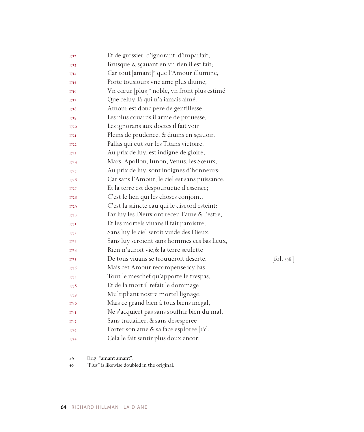| 1712 | Et de grossier, d'ignorant, d'imparfait,                 |                              |
|------|----------------------------------------------------------|------------------------------|
| 1713 | Brusque & sçauant en vn rien il est fait;                |                              |
| 1714 | Car tout [amant] <sup>49</sup> que l'Amour illumine,     |                              |
| 1715 | Porte tousiours vne ame plus diuine,                     |                              |
| 1716 | Vn cœur [plus] <sup>30</sup> noble, vn front plus estimé |                              |
| 1717 | Que celuy-là qui n'a iamais aimé.                        |                              |
| 1718 | Amour est donc pere de gentillesse,                      |                              |
| 1719 | Les plus couards il arme de prouesse,                    |                              |
| 1720 | Les ignorans aux doctes il fait voir                     |                              |
| 172I | Pleins de prudence, & diuins en sçauoir.                 |                              |
| 1722 | Pallas qui eut sur les Titans victoire,                  |                              |
| 1723 | Au prix de luy, est indigne de gloire,                   |                              |
| 1724 | Mars, Apollon, Iunon, Venus, les Sœurs,                  |                              |
| 1725 | Au prix de luy, sont indignes d'honneurs:                |                              |
| 1726 | Car sans l'Amour, le ciel est sans puissance,            |                              |
| 1727 | Et la terre est despourueüe d'essence;                   |                              |
| 1728 | C'est le lien qui les choses conjoint,                   |                              |
| 1729 | C'est la saincte eau qui le discord esteint:             |                              |
| 1730 | Par luy les Dieux ont receu l'ame & l'estre,             |                              |
| 1731 | Et les mortels viuans il fait paroistre,                 |                              |
| 1732 | Sans luy le ciel seroit vuide des Dieux,                 |                              |
| 1733 | Sans luy seroient sans hommes ces bas lieux,             |                              |
| 1734 | Rien n'auroit vie, & la terre seulette                   |                              |
| 1735 | De tous viuans se trouueroit deserte.                    | $[\text{fol. } 358^{\circ}]$ |
| 1736 | Mais cet Amour recompense icy bas                        |                              |
| 1737 | Tout le meschef qu'apporte le trespas,                   |                              |
| 1738 | Et de la mort il refait le dommage                       |                              |
| 1739 | Multipliant nostre mortel lignage:                       |                              |
| 1740 | Mais ce grand bien à tous biens inegal,                  |                              |
| 174I | Ne s'acquiert pas sans souffrir bien du mal,             |                              |
| 1742 | Sans trauailler, & sans desesperee                       |                              |
| 1743 | Porter son ame & sa face esploree [sic].                 |                              |
| 1744 | Cela le fait sentir plus doux encor:                     |                              |

Orig. "amant amant".

"Plus" is likewise doubled in the original.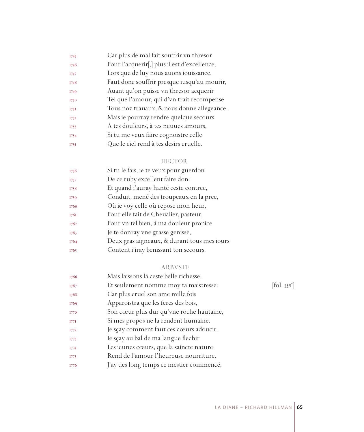| 1745 | Car plus de mal fait souffrir vn thresor     |
|------|----------------------------------------------|
| 1746 | Pour l'acquerir[,] plus il est d'excellence, |
| 1747 | Lors que de luy nous auons iouissance.       |
| 1748 | Faut donc souffrir presque iusqu'au mourir,  |
| 1749 | Auant qu'on puisse vn thresor acquerir       |
| 1750 | Tel que l'amour, qui d'vn trait recompense   |
| 175I | Tous noz trauaux, & nous donne allegeance.   |
| 1752 | Mais ie pourray rendre quelque secours       |
| 1753 | A tes douleurs, à tes neuues amours,         |
| 1754 | Si tu me veux faire cognoistre celle         |
| 1755 | Que le ciel rend à tes desirs cruelle.       |

# HECTOR

| 1756 | Si tu le fais, ie te veux pour guerdon      |
|------|---------------------------------------------|
| 1757 | De ce ruby excellent faire don:             |
| 1758 | Et quand i'auray hanté ceste contree,       |
| 1759 | Conduit, mené des troupeaux en la pree,     |
| 1760 | Où ie voy celle où repose mon heur,         |
| 1761 | Pour elle fait de Cheualier, pasteur,       |
| 1762 | Pour vn tel bien, à ma douleur propice      |
| 1763 | Je te donray vne grasse genisse,            |
| 1764 | Deux gras aigneaux, & durant tous mes iours |
| 1765 | Content i'iray benissant ton secours.       |
|      |                                             |

# ARBVSTE

| 1766        | Mais laissons là ceste belle richesse,   |                                           |
|-------------|------------------------------------------|-------------------------------------------|
| 1767        | Et seulement nomme moy ta maistresse:    | $\left[ \text{fol. } 358^{\circ} \right]$ |
| 1768        | Car plus cruel son ame mille fois        |                                           |
| 1769        | Apparoistra que les feres des bois,      |                                           |
| 1770        | Son cœur plus dur qu'vne roche hautaine, |                                           |
| 177I        | Si mes propos ne la rendent humaine.     |                                           |
| 1772        | Je sçay comment faut ces cœurs adoucir,  |                                           |
| 1773        | Ie sçay au bal de ma langue flechir      |                                           |
| 1774        | Les ieunes cœurs, que la saincte nature  |                                           |
| <b>I775</b> | Rend de l'amour l'heureuse nourriture.   |                                           |
| 1776        | J'ay des long temps ce mestier commencé, |                                           |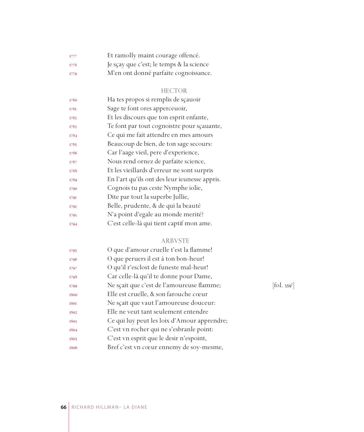| I777        | Et ramolly maint courage offencé.        |
|-------------|------------------------------------------|
| <b>I778</b> | Je sçay que c'est; le temps & la science |
| I779        | M'en ont donné parfaite cognoissance.    |

# HECTOR

| 1780 | Ha tes propos si remplis de sçauoir           |
|------|-----------------------------------------------|
| 1781 | Sage te font ores apperceuoir,                |
| 1782 | Et les discours que ton esprit enfante,       |
| 1783 | Te font par tout cognoistre pour scauante,    |
| 1784 | Ce qui me fait attendre en mes amours         |
| 1785 | Beaucoup de bien, de ton sage secours:        |
| 1786 | Car l'aage vieil, pere d'experience,          |
| 1787 | Nous rend ornez de parfaite science,          |
| 1788 | Et les vieillards d'erreur ne sont surpris    |
| 1789 | En l'art qu'ils ont des leur ieunesse appris. |
| 1790 | Cognois tu pas ceste Nymphe iolie,            |
| 1791 | Dite par tout la superbe Jullie,              |
| 1792 | Belle, prudente, & de qui la beauté           |
| 1793 | N'a point d'egale au monde merité?            |
| 1794 | C'est celle-là qui tient captif mon ame.      |
|      |                                               |

# ARBVSTE

| 1795 | O que d'amour cruelle t'est la flamme!      |            |
|------|---------------------------------------------|------------|
| 1796 | O que peruers il est à ton bon-heur!        |            |
| 1797 | O qu'il r'esclost de funeste mal-heur!      |            |
| 1798 | Car celle-là qu'il te donne pour Dame,      |            |
| 1799 | Ne sçait que c'est de l'amoureuse flamme;   | [fol. 359] |
| 1800 | Elle est cruelle, & son farouche cœur       |            |
| 1801 | Ne sçait que vaut l'amoureuse douceur:      |            |
| 1802 | Elle ne veut tant seulement entendre        |            |
| 1803 | Ce qui luy peut les loix d'Amour apprendre; |            |
| 1804 | C'est vn rocher qui ne s'esbranle point:    |            |
| 1805 | C'est vn esprit que le desir n'espoint,     |            |
| 1806 | Bref c'est vn cœur ennemy de soy-mesme,     |            |

 $[\text{fol. }359^{\text{r}}]$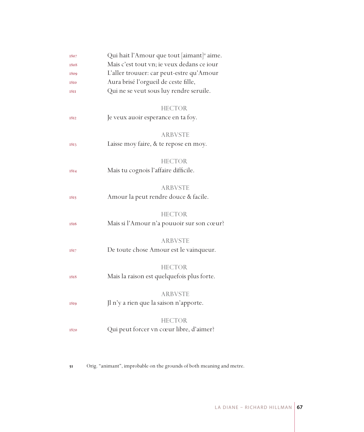| 1807        | Qui hait l'Amour que tout [aimant] <sup>31</sup> aime. |  |
|-------------|--------------------------------------------------------|--|
| 1808        | Mais c'est tout vn; ie veux dedans ce iour             |  |
| 1809        | L'aller trouuer: car peut-estre qu'Amour               |  |
| 1810        | Aura brisé l'orgueil de ceste fille,                   |  |
| <b>1811</b> | Qui ne se veut sous luy rendre seruile.                |  |
|             |                                                        |  |
|             | <b>HECTOR</b>                                          |  |
| 1812        | Je veux auoir esperance en ta foy.                     |  |
|             |                                                        |  |
|             | <b>ARBVSTE</b>                                         |  |
| 1813        | Laisse moy faire, & te repose en moy.                  |  |
|             |                                                        |  |
|             | <b>HECTOR</b>                                          |  |
| 1814        | Mais tu cognois l'affaire difficile.                   |  |
|             |                                                        |  |
|             | <b>ARBVSTE</b>                                         |  |
| 1815        | Amour la peut rendre douce & facile.                   |  |
|             | <b>HECTOR</b>                                          |  |
| 1816        | Mais si l'Amour n'a pouuoir sur son cœur?              |  |
|             |                                                        |  |
|             | <b>ARBVSTE</b>                                         |  |
| 1817        | De toute chose Amour est le vainqueur.                 |  |
|             |                                                        |  |
|             | <b>HECTOR</b>                                          |  |
| 1818        | Mais la raison est quelquefois plus forte.             |  |
|             |                                                        |  |
|             | <b>ARBVSTE</b>                                         |  |
| 1819        | Jl n'y a rien que la saison n'apporte.                 |  |
|             |                                                        |  |
|             | <b>HECTOR</b>                                          |  |
| 1820        | Qui peut forcer vn cœur libre, d'aimer?                |  |
|             |                                                        |  |

Orig. "animant", improbable on the grounds of both meaning and metre.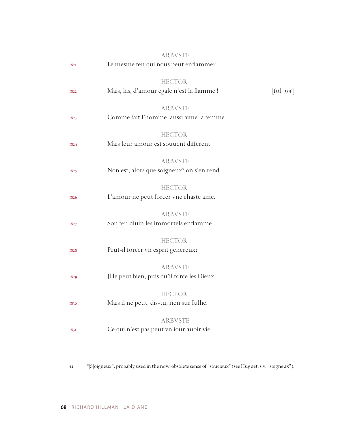|      | <b>ARBVSTE</b>                                                           |                              |
|------|--------------------------------------------------------------------------|------------------------------|
| 1821 | Le mesme feu qui nous peut enflammer.                                    |                              |
| 1822 | <b>HECTOR</b><br>Mais, las, d'amour egale n'est la flamme !              | $[\text{fol. } 359^{\circ}]$ |
| 1823 | <b>ARBVSTE</b><br>Comme fait l'homme, aussi aime la femme.               |                              |
| 1824 | <b>HECTOR</b><br>Mais leur amour est souuent different.                  |                              |
| 1825 | <b>ARBVSTE</b><br>Non est, alors que soigneux <sup>2</sup> on s'en rend. |                              |
| 1826 | <b>HECTOR</b><br>L'amour ne peut forcer vne chaste ame.                  |                              |
| 1827 | <b>ARBVSTE</b><br>Son feu diuin les immortels enflamme.                  |                              |
| 1828 | <b>HECTOR</b><br>Peut-il forcer vn esprit genereux?                      |                              |
| 1829 | <b>ARBVSTE</b><br>Jl le peut bien, puis qu'il force les Dieux.           |                              |
| 1830 | <b>HECTOR</b><br>Mais il ne peut, dis-tu, rien sur Iullie.               |                              |
| 1831 | <b>ARBVSTE</b><br>Ce qui n'est pas peut vn iour auoir vie.               |                              |
|      |                                                                          |                              |

"[S]oigneux": probably used in the now-obsolete sense of "soucieux" (see Huguet, s.v. "soigneux").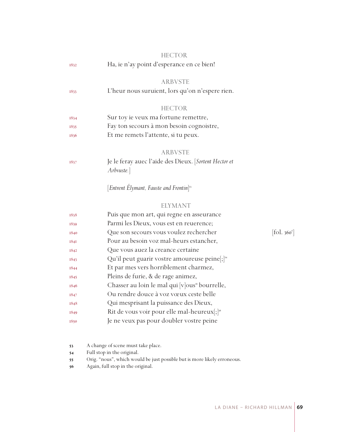|             | <b>HECTOR</b>                                                      |                                          |
|-------------|--------------------------------------------------------------------|------------------------------------------|
| 1832        | Ha, ie n'ay point d'esperance en ce bien!                          |                                          |
|             | <b>ARBVSTE</b>                                                     |                                          |
| 1833        | L'heur nous suruient, lors qu'on n'espere rien.                    |                                          |
|             | <b>HECTOR</b>                                                      |                                          |
| 1834        | Sur toy ie veux ma fortune remettre,                               |                                          |
| 1835        | Fay ton secours à mon besoin cognoistre,                           |                                          |
| 1836        | Et me remets l'attente, si tu peux.                                |                                          |
|             | <b>ARBVSTE</b>                                                     |                                          |
| 1837        | Je le feray auec l'aide des Dieux. [Sortent Hector et<br>Arbvuste. |                                          |
|             | [Entrent Elymant, Fauste and Frontin] <sup>55</sup>                |                                          |
|             | <b>ELYMANT</b>                                                     |                                          |
| 1838        | Puis que mon art, qui regne en asseurance                          |                                          |
| 1839        | Parmi les Dieux, vous est en reuerence;                            |                                          |
| 1840        | Que son secours vous voulez rechercher                             | $\left[$ fol. 360 <sup>r</sup> $\right]$ |
| <b>1841</b> | Pour au besoin voz mal-heurs estancher,                            |                                          |
| 1842        | Que vous auez la creance certaine                                  |                                          |
| 1843        | Qu'il peut guarir vostre amoureuse peine ; [54]                    |                                          |
| 1844        | Et par mes vers horriblement charmez,                              |                                          |
| 1845        | Pleins de furie, & de rage animez,                                 |                                          |
| 1846        | Chasser au loin le mal qui [v]ous <sup>55</sup> bourrelle,         |                                          |
| 1847        | Ou rendre douce à voz vœux ceste belle                             |                                          |
| 1848        | Qui mesprisant la puissance des Dieux,                             |                                          |
| 1849        | Rit de vous voir pour elle mal-heureux[;] <sup>56</sup>            |                                          |
| 1850        | Je ne veux pas pour doubler vostre peine                           |                                          |
|             |                                                                    |                                          |

- A change of scene must take place.
- Full stop in the original.
- Orig. "nous", which would be just possible but is more likely erroneous.
- Again, full stop in the original.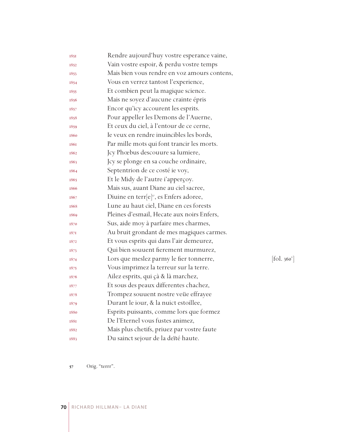| Vain vostre espoir, & perdu vostre temps<br>1852<br>Mais bien vous rendre en voz amours contens,<br>1853<br>Vous en verrez tantost l'experience,<br>1854<br>Et combien peut la magique science.<br>1855<br>Mais ne soyez d'aucune crainte épris<br>1856<br>Encor qu'icy accourent les esprits.<br>1857<br>Pour appeller les Demons de l'Auerne,<br>1858<br>Et ceux du ciel, à l'entour de ce cerne,<br>1859<br>Ie veux en rendre inuincibles les bords,<br>1860<br>Par mille mots qui font trancir les morts.<br>1861<br>Jcy Phœbus descouure sa lumiere,<br>1862<br>Jcy se plonge en sa couche ordinaire,<br>1863<br>Septentrion de ce costé ie voy,<br>1864<br>Et le Midy de l'autre i'apperçoy.<br>1865<br>Mais sus, auant Diane au ciel sacree,<br>1866<br>Diuine en terr[e] <sup>37</sup> , es Enfers adoree,<br>1867<br>Lune au haut ciel, Diane en ces forests<br>1868<br>Pleines d'esmail, Hecate aux noirs Enfers,<br>1869<br>Sus, aide moy à parfaire mes charmes,<br>1870<br>Au bruit grondant de mes magiques carmes.<br>1871<br>Et vous esprits qui dans l'air demeurez,<br>1872<br>Qui bien souuent fierement murmurez,<br>1873<br>Lors que meslez parmy le fier tonnerre,<br>1874<br>Vous imprimez la terreur sur la terre.<br>1875<br>Ailez esprits, qui çà & là marchez,<br>1876<br>Et sous des peaux differentes chachez,<br>1877<br>Trompez souuent nostre veüe effrayee<br>1878<br>Durant le iour, & la nuict estoillee,<br>1879<br>Esprits puissants, comme lors que formez<br>1880 |            |
|----------------------------------------------------------------------------------------------------------------------------------------------------------------------------------------------------------------------------------------------------------------------------------------------------------------------------------------------------------------------------------------------------------------------------------------------------------------------------------------------------------------------------------------------------------------------------------------------------------------------------------------------------------------------------------------------------------------------------------------------------------------------------------------------------------------------------------------------------------------------------------------------------------------------------------------------------------------------------------------------------------------------------------------------------------------------------------------------------------------------------------------------------------------------------------------------------------------------------------------------------------------------------------------------------------------------------------------------------------------------------------------------------------------------------------------------------------------------------------------------------------|------------|
|                                                                                                                                                                                                                                                                                                                                                                                                                                                                                                                                                                                                                                                                                                                                                                                                                                                                                                                                                                                                                                                                                                                                                                                                                                                                                                                                                                                                                                                                                                          |            |
|                                                                                                                                                                                                                                                                                                                                                                                                                                                                                                                                                                                                                                                                                                                                                                                                                                                                                                                                                                                                                                                                                                                                                                                                                                                                                                                                                                                                                                                                                                          |            |
|                                                                                                                                                                                                                                                                                                                                                                                                                                                                                                                                                                                                                                                                                                                                                                                                                                                                                                                                                                                                                                                                                                                                                                                                                                                                                                                                                                                                                                                                                                          |            |
|                                                                                                                                                                                                                                                                                                                                                                                                                                                                                                                                                                                                                                                                                                                                                                                                                                                                                                                                                                                                                                                                                                                                                                                                                                                                                                                                                                                                                                                                                                          |            |
|                                                                                                                                                                                                                                                                                                                                                                                                                                                                                                                                                                                                                                                                                                                                                                                                                                                                                                                                                                                                                                                                                                                                                                                                                                                                                                                                                                                                                                                                                                          |            |
|                                                                                                                                                                                                                                                                                                                                                                                                                                                                                                                                                                                                                                                                                                                                                                                                                                                                                                                                                                                                                                                                                                                                                                                                                                                                                                                                                                                                                                                                                                          |            |
|                                                                                                                                                                                                                                                                                                                                                                                                                                                                                                                                                                                                                                                                                                                                                                                                                                                                                                                                                                                                                                                                                                                                                                                                                                                                                                                                                                                                                                                                                                          |            |
|                                                                                                                                                                                                                                                                                                                                                                                                                                                                                                                                                                                                                                                                                                                                                                                                                                                                                                                                                                                                                                                                                                                                                                                                                                                                                                                                                                                                                                                                                                          |            |
|                                                                                                                                                                                                                                                                                                                                                                                                                                                                                                                                                                                                                                                                                                                                                                                                                                                                                                                                                                                                                                                                                                                                                                                                                                                                                                                                                                                                                                                                                                          |            |
|                                                                                                                                                                                                                                                                                                                                                                                                                                                                                                                                                                                                                                                                                                                                                                                                                                                                                                                                                                                                                                                                                                                                                                                                                                                                                                                                                                                                                                                                                                          |            |
|                                                                                                                                                                                                                                                                                                                                                                                                                                                                                                                                                                                                                                                                                                                                                                                                                                                                                                                                                                                                                                                                                                                                                                                                                                                                                                                                                                                                                                                                                                          |            |
|                                                                                                                                                                                                                                                                                                                                                                                                                                                                                                                                                                                                                                                                                                                                                                                                                                                                                                                                                                                                                                                                                                                                                                                                                                                                                                                                                                                                                                                                                                          |            |
|                                                                                                                                                                                                                                                                                                                                                                                                                                                                                                                                                                                                                                                                                                                                                                                                                                                                                                                                                                                                                                                                                                                                                                                                                                                                                                                                                                                                                                                                                                          |            |
|                                                                                                                                                                                                                                                                                                                                                                                                                                                                                                                                                                                                                                                                                                                                                                                                                                                                                                                                                                                                                                                                                                                                                                                                                                                                                                                                                                                                                                                                                                          |            |
|                                                                                                                                                                                                                                                                                                                                                                                                                                                                                                                                                                                                                                                                                                                                                                                                                                                                                                                                                                                                                                                                                                                                                                                                                                                                                                                                                                                                                                                                                                          |            |
|                                                                                                                                                                                                                                                                                                                                                                                                                                                                                                                                                                                                                                                                                                                                                                                                                                                                                                                                                                                                                                                                                                                                                                                                                                                                                                                                                                                                                                                                                                          |            |
|                                                                                                                                                                                                                                                                                                                                                                                                                                                                                                                                                                                                                                                                                                                                                                                                                                                                                                                                                                                                                                                                                                                                                                                                                                                                                                                                                                                                                                                                                                          |            |
|                                                                                                                                                                                                                                                                                                                                                                                                                                                                                                                                                                                                                                                                                                                                                                                                                                                                                                                                                                                                                                                                                                                                                                                                                                                                                                                                                                                                                                                                                                          |            |
|                                                                                                                                                                                                                                                                                                                                                                                                                                                                                                                                                                                                                                                                                                                                                                                                                                                                                                                                                                                                                                                                                                                                                                                                                                                                                                                                                                                                                                                                                                          |            |
|                                                                                                                                                                                                                                                                                                                                                                                                                                                                                                                                                                                                                                                                                                                                                                                                                                                                                                                                                                                                                                                                                                                                                                                                                                                                                                                                                                                                                                                                                                          |            |
|                                                                                                                                                                                                                                                                                                                                                                                                                                                                                                                                                                                                                                                                                                                                                                                                                                                                                                                                                                                                                                                                                                                                                                                                                                                                                                                                                                                                                                                                                                          |            |
|                                                                                                                                                                                                                                                                                                                                                                                                                                                                                                                                                                                                                                                                                                                                                                                                                                                                                                                                                                                                                                                                                                                                                                                                                                                                                                                                                                                                                                                                                                          |            |
|                                                                                                                                                                                                                                                                                                                                                                                                                                                                                                                                                                                                                                                                                                                                                                                                                                                                                                                                                                                                                                                                                                                                                                                                                                                                                                                                                                                                                                                                                                          | [fol. 360] |
|                                                                                                                                                                                                                                                                                                                                                                                                                                                                                                                                                                                                                                                                                                                                                                                                                                                                                                                                                                                                                                                                                                                                                                                                                                                                                                                                                                                                                                                                                                          |            |
|                                                                                                                                                                                                                                                                                                                                                                                                                                                                                                                                                                                                                                                                                                                                                                                                                                                                                                                                                                                                                                                                                                                                                                                                                                                                                                                                                                                                                                                                                                          |            |
|                                                                                                                                                                                                                                                                                                                                                                                                                                                                                                                                                                                                                                                                                                                                                                                                                                                                                                                                                                                                                                                                                                                                                                                                                                                                                                                                                                                                                                                                                                          |            |
|                                                                                                                                                                                                                                                                                                                                                                                                                                                                                                                                                                                                                                                                                                                                                                                                                                                                                                                                                                                                                                                                                                                                                                                                                                                                                                                                                                                                                                                                                                          |            |
|                                                                                                                                                                                                                                                                                                                                                                                                                                                                                                                                                                                                                                                                                                                                                                                                                                                                                                                                                                                                                                                                                                                                                                                                                                                                                                                                                                                                                                                                                                          |            |
|                                                                                                                                                                                                                                                                                                                                                                                                                                                                                                                                                                                                                                                                                                                                                                                                                                                                                                                                                                                                                                                                                                                                                                                                                                                                                                                                                                                                                                                                                                          |            |
| De l'Eternel vous fustes animez,<br><b>1881</b>                                                                                                                                                                                                                                                                                                                                                                                                                                                                                                                                                                                                                                                                                                                                                                                                                                                                                                                                                                                                                                                                                                                                                                                                                                                                                                                                                                                                                                                          |            |
| Mais plus chetifs, priuez par vostre faute<br>1882                                                                                                                                                                                                                                                                                                                                                                                                                                                                                                                                                                                                                                                                                                                                                                                                                                                                                                                                                                                                                                                                                                                                                                                                                                                                                                                                                                                                                                                       |            |
| Du sainct sejour de la deïté haute.<br>1883                                                                                                                                                                                                                                                                                                                                                                                                                                                                                                                                                                                                                                                                                                                                                                                                                                                                                                                                                                                                                                                                                                                                                                                                                                                                                                                                                                                                                                                              |            |

 $[fol. 360<sup>v</sup>]$ 

57 Orig. "terrr".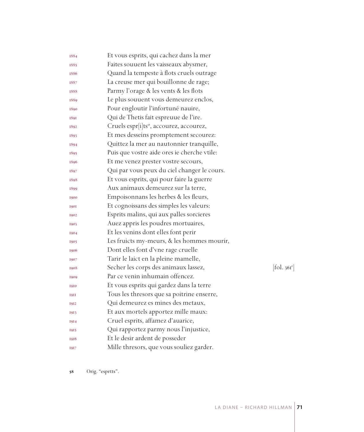| 1884        | Et vous esprits, qui cachez dans la mer              |                        |
|-------------|------------------------------------------------------|------------------------|
| 1885        | Faites souuent les vaisseaux abysmer,                |                        |
| 1886        | Quand la tempeste à flots cruels outrage             |                        |
| 1887        | La creuse mer qui bouillonne de rage;                |                        |
| 1888        | Parmy l'orage & les vents & les flots                |                        |
| 1889        | Le plus souuent vous demeurez enclos,                |                        |
| 1890        | Pour engloutir l'infortuné nauire,                   |                        |
| 1891        | Qui de Thetis fait espreuue de l'ire.                |                        |
| 1892        | Cruels espr[i]ts <sup>58</sup> , accourez, accourez, |                        |
| 1893        | Et mes desseins promptement secourez:                |                        |
| 1894        | Quittez la mer au nautonnier tranquille,             |                        |
| 1895        | Puis que vostre aide ores ie cherche vtile:          |                        |
| 1896        | Et me venez prester vostre secours,                  |                        |
| 1897        | Qui par vous peux du ciel changer le cours.          |                        |
| 1898        | Et vous esprits, qui pour faire la guerre            |                        |
| 1899        | Aux animaux demeurez sur la terre,                   |                        |
| 1900        | Empoisonnans les herbes & les fleurs,                |                        |
| <b>1901</b> | Et cognoissans des simples les valeurs:              |                        |
| 1902        | Esprits malins, qui aux palles sorcieres             |                        |
| 1903        | Auez appris les poudres mortuaires,                  |                        |
| 1904        | Et les venins dont elles font perir                  |                        |
| 1905        | Les fruicts my-meurs, & les hommes mourir,           |                        |
| 1906        | Dont elles font d'vne rage cruelle                   |                        |
| 1907        | Tarir le laict en la pleine mamelle,                 |                        |
| 1908        | Secher les corps des animaux lassez,                 | $[\text{fol. } 36I^r]$ |
| 1909        | Par ce venin inhumain offencez.                      |                        |
| 1910        | Et vous esprits qui gardez dans la terre             |                        |
| <b>1911</b> | Tous les thresors que sa poitrine enserre,           |                        |
| 1912        | Qui demeurez es mines des metaux,                    |                        |
| 1913        | Et aux mortels apportez mille maux:                  |                        |
| 1914        | Cruel esprits, affamez d'auarice,                    |                        |
| 1915        | Qui rapportez parmy nous l'injustice,                |                        |
| 1916        | Et le desir ardent de posseder                       |                        |
| 1917        | Mille thresors, que vous souliez garder.             |                        |

Orig. "esprtts".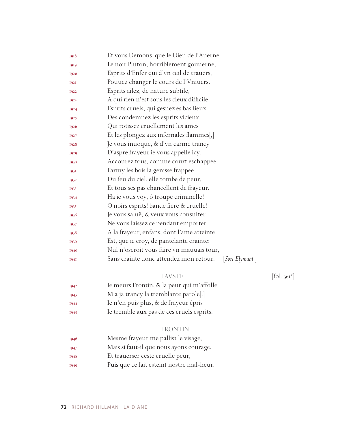| 1918        | Et vous Demons, que le Dieu de l'Auerne                   |
|-------------|-----------------------------------------------------------|
| 1919        | Le noir Pluton, horriblement gouuerne;                    |
| 1920        | Esprits d'Enfer qui d'vn œil de trauers,                  |
| 1921        | Pouuez changer le cours de l'Vniuers.                     |
| 1922        | Esprits ailez, de nature subtile,                         |
| 1923        | A qui rien n'est sous les cieux difficile.                |
| 1924        | Esprits cruels, qui gesnez es bas lieux                   |
| 1925        | Des condemnez les esprits vicieux                         |
| 1926        | Qui rotissez cruellement les ames                         |
| 1927        | Et les plongez aux infernales flammes[,]                  |
| 1928        | Je vous inuoque, & d'vn carme trancy                      |
| 1929        | D'aspre frayeur ie vous appelle icy.                      |
| 1930        | Accourez tous, comme court eschappee                      |
| <b>1931</b> | Parmy les bois la genisse frappee                         |
| 1932        | Du feu du ciel, elle tombe de peur,                       |
| 1933        | Et tous ses pas chancellent de frayeur.                   |
| 1934        | Ha ie vous voy, ô troupe criminelle!                      |
| 1935        | O noirs esprits! bande fiere & cruelle!                   |
| 1936        | Je vous saluë, & veux vous consulter.                     |
| 1937        | Ne vous laissez ce pendant emporter                       |
| 1938        | A la frayeur, enfans, dont l'ame atteinte                 |
| 1939        | Est, que ie croy, de pantelante crainte:                  |
| 1940        | Nul n'oseroit vous faire vn mauuais tour,                 |
| <b>1941</b> | Sans crainte donc attendez mon retour.<br>[Sort Elymant.] |
|             |                                                           |

FAVSTE [fol. 361<sup>V</sup>]

- Ie meurs Frontin, & la peur qui m'affolle
- M'a ja trancy la tremblante parole[.]
- Ie n'en puis plus, & de frayeur épris
- Ie tremble aux pas de ces cruels esprits.

### FRONTIN

- Mesme frayeur me pallist le visage,
- Mais si faut-il que nous ayons courage,
- Et trauerser ceste cruelle peur,
- Puis que ce fait esteint nostre mal-heur.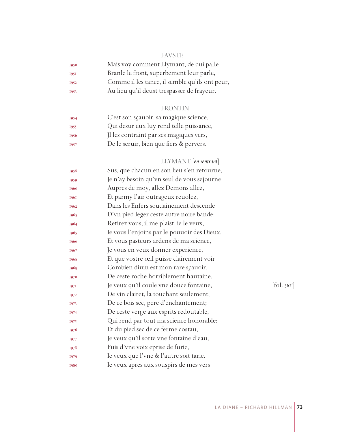## FAVSTE

| 1950        | Mais voy comment Elymant, de qui palle         |
|-------------|------------------------------------------------|
| <b>1951</b> | Branle le front, superbement leur parle,       |
| 1952        | Comme il les tance, il semble qu'ils ont peur, |
| 1953        | Au lieu qu'il deust trespasser de frayeur.     |
|             |                                                |

## FRONTIN

| 1954 | C'est son sçauoir, sa magique science,  |
|------|-----------------------------------------|
| 1955 | Qui desur eux luy rend telle puissance, |
| 1956 | Il les contraint par ses magiques vers, |
| 1957 | De le seruir, bien que fiers & pervers. |
|      |                                         |

# ELYMANT [*en rentrant*]

| 1958 | Sus, que chacun en son lieu s'en retourne,  |                                   |
|------|---------------------------------------------|-----------------------------------|
| 1959 | Je n'ay besoin qu'vn seul de vous sejourne  |                                   |
| 1960 | Aupres de moy, allez Demons allez,          |                                   |
| 1961 | Et parmy l'air outrageux reuolez,           |                                   |
| 1962 | Dans les Enfers soudainement descende       |                                   |
| 1963 | D'vn pied leger ceste autre noire bande:    |                                   |
| 1964 | Retirez vous, il me plaist, ie le veux,     |                                   |
| 1965 | Ie vous l'enjoins par le pouuoir des Dieux. |                                   |
| 1966 | Et vous pasteurs ardens de ma science,      |                                   |
| 1967 | Je vous en veux donner experience,          |                                   |
| 1968 | Et que vostre œil puisse clairement voir    |                                   |
| 1969 | Combien diuin est mon rare sçauoir.         |                                   |
| 1970 | De ceste roche horriblement hautaine,       |                                   |
| 1971 | Je veux qu'il coule vne douce fontaine,     | $\left[ \text{fol. } 362 \right]$ |
| 1972 | De vin clairet, la touchant seulement,      |                                   |
| 1973 | De ce bois sec, pere d'enchantement;        |                                   |
| 1974 | De ceste verge aux esprits redoutable,      |                                   |
| 1975 | Qui rend par tout ma science honorable:     |                                   |
| 1976 | Et du pied sec de ce ferme costau,          |                                   |
| 1977 | Je veux qu'il sorte vne fontaine d'eau,     |                                   |
| 1978 | Puis d'vne voix eprise de furie,            |                                   |
| 1979 | Ie veux que l'vne & l'autre soit tarie.     |                                   |
| 1980 | Ie veux apres aux souspirs de mes vers      |                                   |
|      |                                             |                                   |

 $[$ fol. 362<sup>r</sup> $]$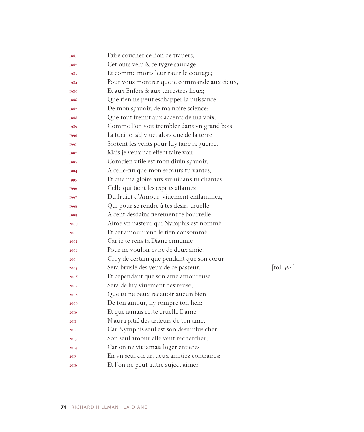| 1981        | Faire coucher ce lion de trauers,            |            |
|-------------|----------------------------------------------|------------|
| 1982        | Cet ours velu & ce tygre sauuage,            |            |
| 1983        | Et comme morts leur rauir le courage;        |            |
| 1984        | Pour vous montrer que ie commande aux cieux, |            |
| 1985        | Et aux Enfers & aux terrestres lieux;        |            |
| 1986        | Que rien ne peut eschapper la puissance      |            |
| 1987        | De mon sçauoir, de ma noire science:         |            |
| 1988        | Que tout fremit aux accents de ma voix.      |            |
| 1989        | Comme l'on voit trembler dans vn grand bois  |            |
| 1990        | La fueille [sic] viue, alors que de la terre |            |
| <b>1991</b> | Sortent les vents pour luy faire la guerre.  |            |
| 1992        | Mais je veux par effect faire voir           |            |
| 1993        | Combien vtile est mon diuin sçauoir,         |            |
| 1994        | A celle-fin que mon secours tu vantes,       |            |
| 1995        | Et que ma gloire aux suruiuans tu chantes.   |            |
| 1996        | Celle qui tient les esprits affamez          |            |
| 1997        | Du fruict d'Amour, viuement enflammez,       |            |
| 1998        | Qui pour se rendre à tes desirs cruelle      |            |
| 1999        | A cent desdains fierement te bourrelle,      |            |
| 2000        | Aime vn pasteur qui Nymphis est nommé        |            |
| <b>200I</b> | Et cet amour rend le tien consommé:          |            |
| 2002        | Car je te rens ta Diane ennemie              |            |
| 2003        | Pour ne vouloir estre de deux amie.          |            |
| 2004        | Croy de certain que pendant que son cœur     |            |
| 2005        | Sera bruslé des yeux de ce pasteur,          | [fol. 362] |
| 2006        | Et cependant que son ame amoureuse           |            |
| 2007        | Sera de luy viuement desireuse,              |            |
| 2008        | Que tu ne peux receuoir aucun bien           |            |
| 2009        | De ton amour, ny rompre ton lien:            |            |
| 2010        | Et que iamais ceste cruelle Dame             |            |
| <b>20II</b> | N'aura pitié des ardeurs de ton ame,         |            |
| 2012        | Car Nymphis seul est son desir plus cher,    |            |
| 2013        | Son seul amour elle veut rechercher,         |            |
| 2014        | Car on ne vit iamais loger entieres          |            |
| 2015        | En vn seul cœur, deux amitiez contraires:    |            |
| 2016        | Et l'on ne peut autre suject aimer           |            |

 $[\text{fol. }362^{\circ}]$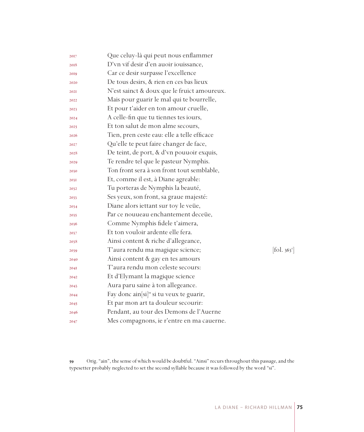| 2017 | Que celuy-là qui peut nous enflammer                 |                                 |
|------|------------------------------------------------------|---------------------------------|
| 2018 | D'vn vif desir d'en auoir iouissance,                |                                 |
| 2019 | Car ce desir surpasse l'excellence                   |                                 |
| 2020 | De tous desirs, & rien en ces bas lieux              |                                 |
| 202I | N'est sainct & doux que le fruict amoureux.          |                                 |
| 2022 | Mais pour guarir le mal qui te bourrelle,            |                                 |
| 2023 | Et pour t'aider en ton amour cruelle,                |                                 |
| 2024 | A celle-fin que tu tiennes tes iours,                |                                 |
| 2025 | Et ton salut de mon alme secours,                    |                                 |
| 2026 | Tien, pren ceste eau: elle a telle efficace          |                                 |
| 2027 | Qu'elle te peut faire changer de face,               |                                 |
| 2028 | De teint, de port, & d'vn pouuoir exquis,            |                                 |
| 2029 | Te rendre tel que le pasteur Nymphis.                |                                 |
| 2030 | Ton front sera à son front tout semblable,           |                                 |
| 203I | Et, comme il est, à Diane agreable:                  |                                 |
| 2032 | Tu porteras de Nymphis la beauté,                    |                                 |
| 2033 | Ses yeux, son front, sa graue majesté:               |                                 |
| 2034 | Diane alors iettant sur toy le veüe,                 |                                 |
| 2035 | Par ce nouueau enchantement deceüe,                  |                                 |
| 2036 | Comme Nymphis fidele t'aimera,                       |                                 |
| 2037 | Et ton vouloir ardente elle fera.                    |                                 |
| 2038 | Ainsi content & riche d'allegeance,                  |                                 |
| 2039 | T'aura rendu ma magique science;                     | $[\text{fol. } 363^{\text{r}}]$ |
| 2040 | Ainsi content & gay en tes amours                    |                                 |
| 2041 | T'aura rendu mon celeste secours:                    |                                 |
| 2042 | Et d'Elymant la magique science                      |                                 |
| 2043 | Aura paru saine à ton allegeance.                    |                                 |
| 2044 | Fay donc ain[si] <sup>59</sup> si tu veux te guarir, |                                 |
| 2045 | Et par mon art ta douleur secourir:                  |                                 |
| 2046 | Pendant, au tour des Demons de l'Auerne              |                                 |
| 2047 | Mes compagnons, ie r'entre en ma cauerne.            |                                 |

 Orig. "ain", the sense of which would be doubtful. "Ainsi" recurs throughout this passage, and the typesetter probably neglected to set the second syllable because it was followed by the word "si".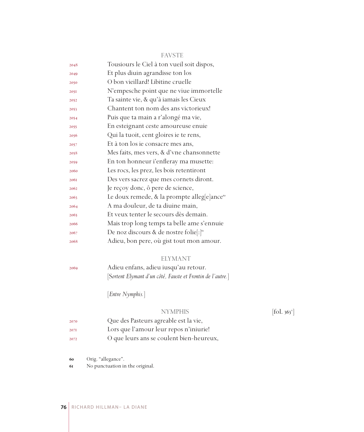|      | <b>FAVSTE</b>                                           |
|------|---------------------------------------------------------|
| 2048 | Tousiours le Ciel à ton vueil soit dispos,              |
| 2049 | Et plus diuin agrandisse ton los                        |
| 2050 | O bon vieillard! Libitine cruelle                       |
| 2051 | N'empesche point que ne viue immortelle                 |
| 2052 | Ta sainte vie, & qu'à iamais les Cieux                  |
| 2053 | Chantent ton nom des ans victorieux!                    |
| 2054 | Puis que ta main a r'alongé ma vie,                     |
| 2055 | En esteignant ceste amoureuse enuie                     |
| 2056 | Qui la tuoit, cent gloires ie te rens,                  |
| 2057 | Et à ton los ie consacre mes ans,                       |
| 2058 | Mes faits, mes vers, & d'vne chansonnette               |
| 2059 | En ton honneur i'enfleray ma musette:                   |
| 2060 | Les rocs, les prez, les bois retentiront                |
| 2061 | Des vers sacrez que mes cornets diront.                 |
| 2062 | Je reçoy donc, ô pere de science,                       |
| 2063 | Le doux remede, & la prompte alleg[e]ance <sup>60</sup> |
| 2064 | A ma douleur, de ta diuine main,                        |
| 2065 | Et veux tenter le secours dès demain.                   |
| 2066 | Mais trop long temps ta belle ame s'ennuie              |
| 2067 | De noz discours & de nostre folie[:] <sup>61</sup>      |
| 2068 | Adieu, bon pere, où gist tout mon amour.                |
|      |                                                         |

#### ELYMANT

 Adieu enfans, adieu iusqu'au retour. [S*ortent Elymant d'un côté, Fauste et Frontin de l'autre.*]

[*Entre Nymphis.*]

## NYMPHIS

 $[$ fol. 363 $^{\circ}$ ]

- Que des Pasteurs agreable est la vie,
- Lors que l'amour leur repos n'iniurie!
- O que leurs ans se coulent bien-heureux,

Orig. "allegance".

No punctuation in the original.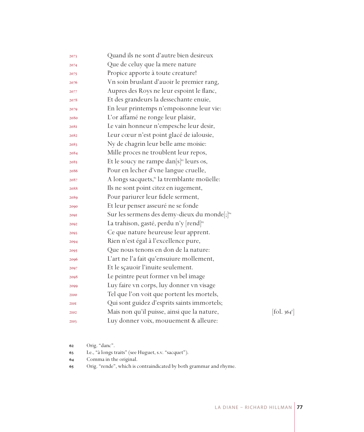| 2073 | Quand ils ne sont d'autre bien desireux                  |                             |
|------|----------------------------------------------------------|-----------------------------|
| 2074 | Que de celuy que la mere nature                          |                             |
| 2075 | Propice apporte à toute creature!                        |                             |
| 2076 | Vn soin bruslant d'auoir le premier rang,                |                             |
| 2077 | Aupres des Roys ne leur espoint le flanc,                |                             |
| 2078 | Et des grandeurs la dessechante enuie,                   |                             |
| 2079 | En leur printemps n'empoisonne leur vie:                 |                             |
| 2080 | L'or affamé ne ronge leur plaisir,                       |                             |
| 208I | Le vain honneur n'empesche leur desir,                   |                             |
| 2082 | Leur cœur n'est point glacé de ialousie,                 |                             |
| 2083 | Ny de chagrin leur belle ame moisie:                     |                             |
| 2084 | Mille proces ne troublent leur repos,                    |                             |
| 2085 | Et le soucy ne rampe dan $[s]^{\circ}$ leurs os,         |                             |
| 2086 | Pour en lecher d'vne langue cruelle,                     |                             |
| 2087 | A longs sacquets, <sup>63</sup> la tremblante moüelle:   |                             |
| 2088 | Ils ne sont point citez en iugement,                     |                             |
| 2089 | Pour pariurer leur fidele serment,                       |                             |
| 2090 | Et leur penser asseuré ne se fonde                       |                             |
| 2091 | Sur les sermens des demy-dieux du monde[;] <sup>64</sup> |                             |
| 2092 | La trahison, gasté, perdu n'y [rend] <sup>65</sup>       |                             |
| 2093 | Ce que nature heureuse leur apprent.                     |                             |
| 2094 | Rien n'est égal à l'excellence pure,                     |                             |
| 2095 | Que nous tenons en don de la nature:                     |                             |
| 2096 | L'art ne l'a fait qu'ensuiure mollement,                 |                             |
| 2097 | Et le sçauoir l'inuite seulement.                        |                             |
| 2098 | Le peintre peut former vn bel image                      |                             |
| 2099 | Luy faire vn corps, luy donner vn visage                 |                             |
| 2100 | Tel que l'on voit que portent les mortels,               |                             |
| 2101 | Qui sont guidez d'esprits saints immortels;              |                             |
| 2102 | Mais non qu'il puisse, ainsi que la nature,              | $\left[$ fol. 364 $\right]$ |
| 2103 | Luy donner voix, mouuement & alleure:                    |                             |
|      |                                                          |                             |

- Orig. "danc".
- I.e., "à longs traits" (see Huguet, s.v. "sacquet").
- Comma in the original.
- Orig. "rende", which is contraindicated by both grammar and rhyme.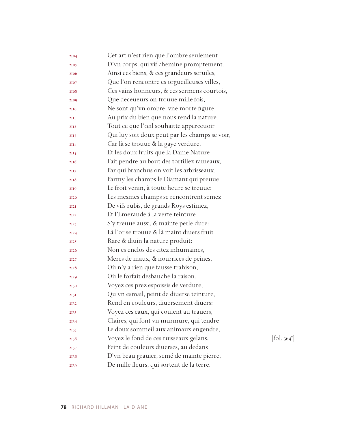| 2104 | Cet art n'est rien que l'ombre seulement       |                          |
|------|------------------------------------------------|--------------------------|
| 2105 | D'vn corps, qui vif chemine promptement.       |                          |
| 2106 | Ainsi ces biens, & ces grandeurs seruiles,     |                          |
| 2107 | Que l'on rencontre es orgueilleuses villes,    |                          |
| 2108 | Ces vains honneurs, & ces sermens courtois,    |                          |
| 2109 | Que deceueurs on trouue mille fois,            |                          |
| 2110 | Ne sont qu'vn ombre, vne morte figure,         |                          |
| 2III | Au prix du bien que nous rend la nature.       |                          |
| 2112 | Tout ce que l'œil souhaitte apperceuoir        |                          |
| 2113 | Qui luy soit doux peut par les champs se voir, |                          |
| 2II4 | Car là se trouue & la gaye verdure,            |                          |
| 2115 | Et les doux fruits que la Dame Nature          |                          |
| 2116 | Fait pendre au bout des tortillez rameaux,     |                          |
| 2117 | Par qui branchus on voit les arbrisseaux.      |                          |
| 2118 | Parmy les champs le Diamant qui preuue         |                          |
| 2119 | Le froit venin, à toute heure se treuue:       |                          |
| 2120 | Les mesmes champs se rencontrent semez         |                          |
| 2121 | De vifs rubis, de grands Roys estimez,         |                          |
| 2122 | Et l'Emeraude à la verte teinture              |                          |
| 2123 | S'y treuue aussi, & mainte perle dure:         |                          |
| 2124 | Là l'or se trouue & là maint diuers fruit      |                          |
| 2125 | Rare & diuin la nature produit:                |                          |
| 2126 | Non es enclos des citez inhumaines,            |                          |
| 2127 | Meres de maux, & nourrices de peines,          |                          |
| 2128 | Où n'y a rien que fausse trahison,             |                          |
| 2129 | Où le forfait desbauche la raison.             |                          |
| 2130 | Voyez ces prez espoissis de verdure,           |                          |
| 2131 | Qu'vn esmail, peint de diuerse teinture,       |                          |
| 2132 | Rend en couleurs, diuersement diuers:          |                          |
| 2133 | Voyez ces eaux, qui coulent au trauers,        |                          |
| 2134 | Claires, qui font vn murmure, qui tendre       |                          |
| 2135 | Le doux sommeil aux animaux engendre,          |                          |
| 2136 | Voyez le fond de ces ruisseaux gelans,         | [fol. 364 <sup>v</sup> ] |
| 2137 | Peint de couleurs diuerses, au dedans          |                          |
| 2138 | D'vn beau grauier, semé de mainte pierre,      |                          |
| 2139 | De mille fleurs, qui sortent de la terre.      |                          |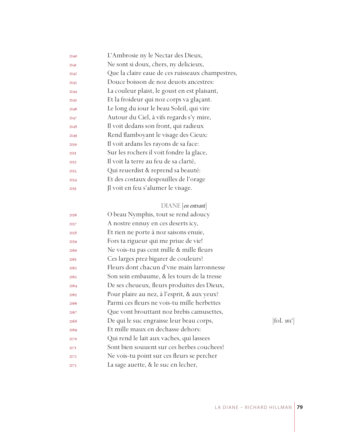| 2140 | L'Ambrosie ny le Nectar des Dieux,               |
|------|--------------------------------------------------|
| 2I4I | Ne sont si doux, chers, ny delicieux,            |
| 2142 | Que la claire eaue de ces ruisseaux champestres, |
| 2143 | Douce boisson de noz deuots ancestres:           |
| 2144 | La couleur plaist, le goust en est plaisant,     |
| 2145 | Et la froideur qui noz corps va glaçant.         |
| 2146 | Le long du iour le beau Soleil, qui vire         |
| 2147 | Autour du Ciel, à vifs regards s'y mire,         |
| 2148 | Il voit dedans son front, qui radieux            |
| 2149 | Rend flamboyant le visage des Cieux:             |
| 2150 | Il voit ardans les rayons de sa face:            |
| 2151 | Sur les rochers il voit fondre la glace,         |
| 2152 | Il voit la terre au feu de sa clarté,            |
| 2153 | Qui reuerdist & reprend sa beauté:               |
| 2154 | Et des costaux despouilles de l'orage            |
| 2155 | Jl voit en feu s'alumer le visage.               |
|      |                                                  |

## DIANE [*en entrant*]

| 2156 | O beau Nymphis, tout se rend adoucy         |                                   |
|------|---------------------------------------------|-----------------------------------|
| 2157 | A nostre ennuy en ces deserts icy,          |                                   |
| 2158 | Et rien ne porte à noz saisons enuie,       |                                   |
| 2159 | Fors ta rigueur qui me priue de vie!        |                                   |
| 2160 | Ne vois-tu pas cent mille & mille fleurs    |                                   |
| 2161 | Ces larges prez bigarer de couleurs?        |                                   |
| 2162 | Fleurs dont chacun d'vne main larronnesse   |                                   |
| 2163 | Son sein embaume, & les tours de la tresse  |                                   |
| 2164 | De ses cheueux, fleurs produites des Dieux, |                                   |
| 2165 | Pour plaire au nez, à l'esprit, & aux yeux? |                                   |
| 2166 | Parmi ces fleurs ne vois-tu mille herbettes |                                   |
| 2167 | Que vont brouttant noz brebis camusettes,   |                                   |
| 2168 | De qui le suc engraisse leur beau corps,    | $\left  \text{fol. } 365 \right $ |
| 2169 | Et mille maux en dechasse dehors:           |                                   |
| 2170 | Qui rend le lait aux vaches, qui lassees    |                                   |
| 2171 | Sont bien souuent sur ces herbes couchees?  |                                   |
| 2172 | Ne vois-tu point sur ces fleurs se percher  |                                   |
| 2173 | La sage auette, & le suc en lecher,         |                                   |
|      |                                             |                                   |

 $\left[ \text{fol. } 365^{\text{r}} \right]$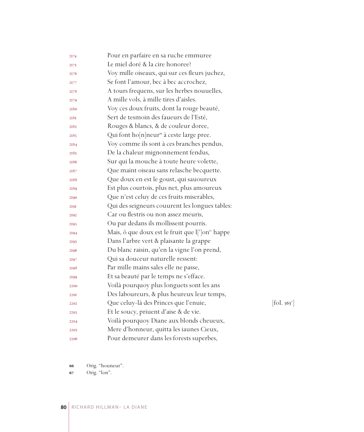| 2174        | Pour en parfaire en sa ruche emmuree                         |                                           |
|-------------|--------------------------------------------------------------|-------------------------------------------|
| 2175        | Le miel doré & la cire honoree?                              |                                           |
| 2176        | Voy mille oiseaux, qui sur ces fleurs juchez,                |                                           |
| 2177        | Se font l'amour, bec à bec accrochez,                        |                                           |
| 2178        | A tours frequens, sur les herbes nouuelles,                  |                                           |
| 2179        | A mille vols, à mille tires d'aisles.                        |                                           |
| 2180        | Voy ces doux fruits, dont la rouge beauté,                   |                                           |
| 2181        | Sert de tesmoin des faueurs de l'Esté,                       |                                           |
| 2182        | Rouges & blancs, & de couleur doree,                         |                                           |
| 2183        | Qui font ho[n]neur <sup>66</sup> à ceste large pree.         |                                           |
| 2184        | Voy comme ils sont à ces branches pendus,                    |                                           |
| 2185        | De la chaleur mignonnement fendus,                           |                                           |
| 2186        | Sur qui la mouche à toute heure volette,                     |                                           |
| 2187        | Que maint oiseau sans relasche becquette.                    |                                           |
| 2188        | Que doux en est le goust, qui sauoureux                      |                                           |
| 2189        | Est plus courtois, plus net, plus amoureux                   |                                           |
| 2190        | Que n'est celuy de ces fruits miserables,                    |                                           |
| 2191        | Qui des seigneurs couurent les longues tables:               |                                           |
| 2192        | Car ou flestris ou non assez meuris,                         |                                           |
| 2193        | Ou par dedans ils mollissent pourris.                        |                                           |
| 2194        | Mais, ô que doux est le fruit que l[']on <sup>67</sup> happe |                                           |
| 2195        | Dans l'arbre vert & plaisante la grappe                      |                                           |
| 2196        | Du blanc raisin, qu'en la vigne l'on prend,                  |                                           |
| 2197        | Qui sa douceur naturelle ressent:                            |                                           |
| 2198        | Par mille mains sales elle ne passe,                         |                                           |
| 2199        | Et sa beauté par le temps ne s'efface.                       |                                           |
| 2200        | Voilà pourquoy plus longuets sont les ans                    |                                           |
| <b>220I</b> | Des laboureurs, & plus heureux leur temps,                   |                                           |
| 2202        | Que celuy-là des Princes que l'enuie,                        | $\left[ \text{fol. } 365^{\circ} \right]$ |
| 2203        | Et le soucy, priuent d'aise & de vie.                        |                                           |
| 2204        | Voilà pourquoy Diane aux blonds cheueux,                     |                                           |
| 2205        | Mere d'honneur, quitta les iaunes Cieux,                     |                                           |
| 2206        | Pour demeurer dans les forests superbes,                     |                                           |

Orig. "houneur".

Orig. "lon".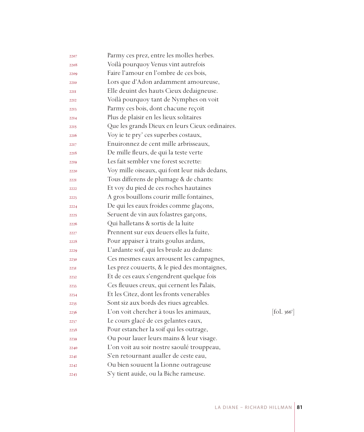| Voilà pourquoy Venus vint autrefois<br>2208<br>Faire l'amour en l'ombre de ces bois,<br>2209<br>Lors que d'Adon ardamment amoureuse,<br>2210<br>Elle deuint des hauts Cieux dedaigneuse.<br>22II<br>Voilà pourquoy tant de Nymphes on voit<br>2212<br>Parmy ces bois, dont chacune reçoit<br>2213<br>Plus de plaisir en les lieux solitaires<br>2214 |                                |
|------------------------------------------------------------------------------------------------------------------------------------------------------------------------------------------------------------------------------------------------------------------------------------------------------------------------------------------------------|--------------------------------|
|                                                                                                                                                                                                                                                                                                                                                      |                                |
|                                                                                                                                                                                                                                                                                                                                                      |                                |
|                                                                                                                                                                                                                                                                                                                                                      |                                |
|                                                                                                                                                                                                                                                                                                                                                      |                                |
|                                                                                                                                                                                                                                                                                                                                                      |                                |
|                                                                                                                                                                                                                                                                                                                                                      |                                |
|                                                                                                                                                                                                                                                                                                                                                      |                                |
| Que les grands Dieux en leurs Cieux ordinaires.<br>2215                                                                                                                                                                                                                                                                                              |                                |
| Voy ie te pry' ces superbes costaux,<br>2216                                                                                                                                                                                                                                                                                                         |                                |
| Enuironnez de cent mille arbrisseaux,<br>2217                                                                                                                                                                                                                                                                                                        |                                |
| De mille fleurs, de qui la teste verte<br>2218                                                                                                                                                                                                                                                                                                       |                                |
| Les fait sembler vne forest secrette:<br>2219                                                                                                                                                                                                                                                                                                        |                                |
| Voy mille oiseaux, qui font leur nids dedans,<br>2220                                                                                                                                                                                                                                                                                                |                                |
| Tous differens de plumage & de chants:<br>222I                                                                                                                                                                                                                                                                                                       |                                |
| Et voy du pied de ces roches hautaines<br>2222                                                                                                                                                                                                                                                                                                       |                                |
| A gros bouillons courir mille fontaines,<br>2223                                                                                                                                                                                                                                                                                                     |                                |
| De qui les eaux froides comme glaçons,<br>2224                                                                                                                                                                                                                                                                                                       |                                |
| Seruent de vin aux folastres garçons,<br>2225                                                                                                                                                                                                                                                                                                        |                                |
| Qui halletans & sortis de la luite<br>2226                                                                                                                                                                                                                                                                                                           |                                |
| Prennent sur eux deuers elles la fuite,<br>2227                                                                                                                                                                                                                                                                                                      |                                |
| Pour appaiser à traits goulus ardans,<br>2228                                                                                                                                                                                                                                                                                                        |                                |
| L'ardante soif, qui les brusle au dedans:<br>2229                                                                                                                                                                                                                                                                                                    |                                |
| Ces mesmes eaux arrousent les campagnes,<br>2230                                                                                                                                                                                                                                                                                                     |                                |
| Les prez couuerts, & le pied des montaignes,<br>223I                                                                                                                                                                                                                                                                                                 |                                |
| Et de ces eaux s'engendrent quelque fois<br>2232                                                                                                                                                                                                                                                                                                     |                                |
| Ces fleuues creux, qui cernent les Palais,<br>2233                                                                                                                                                                                                                                                                                                   |                                |
| Et les Citez, dont les fronts venerables<br>2234                                                                                                                                                                                                                                                                                                     |                                |
| Sont siz aux bords des riues agreables.<br>2235                                                                                                                                                                                                                                                                                                      |                                |
| L'on voit chercher à tous les animaux,<br>2236                                                                                                                                                                                                                                                                                                       | $\left[$ fol. 366 <sup>r</sup> |
| Le cours glacé de ces gelantes eaux,<br>2237                                                                                                                                                                                                                                                                                                         |                                |
| Pour estancher la soif qui les outrage,<br>2238                                                                                                                                                                                                                                                                                                      |                                |
| Ou pour lauer leurs mains & leur visage.<br>2239                                                                                                                                                                                                                                                                                                     |                                |
| L'on voit au soir nostre saoulé trouppeau,<br>2240                                                                                                                                                                                                                                                                                                   |                                |
| S'en retournant aualler de ceste eau,<br>224I                                                                                                                                                                                                                                                                                                        |                                |
| Ou bien souuent la Lionne outrageuse<br>2242                                                                                                                                                                                                                                                                                                         |                                |
| S'y tient auide, ou la Biche rameuse.<br>2243                                                                                                                                                                                                                                                                                                        |                                |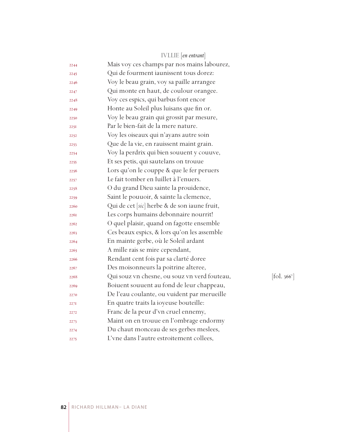|      | <b>IVLLIE</b> [en entrant]                   |                          |
|------|----------------------------------------------|--------------------------|
| 2244 | Mais voy ces champs par nos mains labourez,  |                          |
| 2245 | Qui de fourment iaunissent tous dorez:       |                          |
| 2246 | Voy le beau grain, voy sa paille arrangee    |                          |
| 2247 | Qui monte en haut, de coulour orangee.       |                          |
| 2248 | Voy ces espics, qui barbus font encor        |                          |
| 2249 | Honte au Soleil plus luisans que fin or.     |                          |
| 2250 | Voy le beau grain qui grossit par mesure,    |                          |
| 2251 | Par le bien-fait de la mere nature.          |                          |
| 2252 | Voy les oiseaux qui n'ayans autre soin       |                          |
| 2253 | Que de la vie, en rauissent maint grain.     |                          |
| 2254 | Voy la perdrix qui bien souuent y couuve,    |                          |
| 2255 | Et ses petis, qui sautelans on trouue        |                          |
| 2256 | Lors qu'on le couppe & que le fer peruers    |                          |
| 2257 | Le fait tomber en Iuillet à l'enuers.        |                          |
| 2258 | O du grand Dieu sainte la prouidence,        |                          |
| 2259 | Saint le pouuoir, & sainte la clemence,      |                          |
| 2260 | Qui de cet [sic] herbe & de son iaune fruit, |                          |
| 226I | Les corps humains debonnaire nourrit!        |                          |
| 2262 | O quel plaisir, quand on fagotte ensemble    |                          |
| 2263 | Ces beaux espics, & lors qu'on les assemble  |                          |
| 2264 | En mainte gerbe, où le Soleil ardant         |                          |
| 2265 | A mille rais se mire cependant,              |                          |
| 2266 | Rendant cent fois par sa clarté doree        |                          |
| 2267 | Des moisonneurs la poitrine alteree,         |                          |
| 2268 | Qui souz vn chesne, ou souz vn verd fouteau, | [fol. 366 <sup>v</sup> ] |
| 2269 | Boiuent souuent au fond de leur chappeau,    |                          |
| 2270 | De l'eau coulante, ou vuident par merueille  |                          |
| 2271 | En quatre traits la ioyeuse bouteille:       |                          |
| 2272 | Franc de la peur d'vn cruel ennemy,          |                          |
| 2273 | Maint on en trouue en l'ombrage endormy      |                          |
| 2274 | Du chaut monceau de ses gerbes meslees,      |                          |
| 2275 | L'vne dans l'autre estroitement collees,     |                          |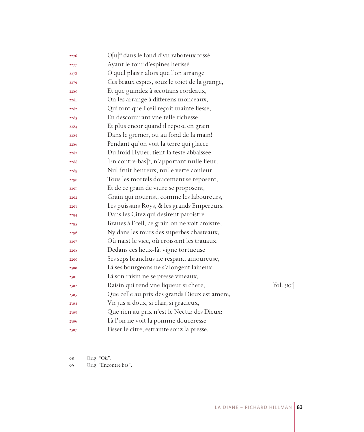| 2276 | O[u] <sup>68</sup> dans le fond d'vn raboteux fossé,     |                              |
|------|----------------------------------------------------------|------------------------------|
| 2277 | Ayant le tour d'espines herissé.                         |                              |
| 2278 | O quel plaisir alors que l'on arrange                    |                              |
| 2279 | Ces beaux espics, souz le toict de la grange,            |                              |
| 2280 | Et que guindez à secoüans cordeaux,                      |                              |
| 2281 | On les arrange à differens monceaux,                     |                              |
| 2282 | Qui font que l'œil reçoit mainte liesse,                 |                              |
| 2283 | En descouurant vne telle richesse:                       |                              |
| 2284 | Et plus encor quand il repose en grain                   |                              |
| 2285 | Dans le grenier, ou au fond de la main!                  |                              |
| 2286 | Pendant qu'on voit la terre qui glacee                   |                              |
| 2287 | Du froid Hyuer, tient la teste abbaissee                 |                              |
| 2288 | [En contre-bas] <sup>69</sup> , n'apportant nulle fleur, |                              |
| 2289 | Nul fruit heureux, nulle verte couleur:                  |                              |
| 2290 | Tous les mortels doucement se reposent,                  |                              |
| 2291 | Et de ce grain de viure se proposent,                    |                              |
| 2292 | Grain qui nourrist, comme les laboureurs,                |                              |
| 2293 | Les puissans Roys, & les grands Empereurs.               |                              |
| 2294 | Dans les Citez qui desirent paroistre                    |                              |
| 2295 | Braues à l'œil, ce grain on ne voit croistre,            |                              |
| 2296 | Ny dans les murs des superbes chasteaux,                 |                              |
| 2297 | Où naist le vice, où croissent les trauaux.              |                              |
| 2298 | Dedans ces lieux-là, vigne tortueuse                     |                              |
| 2299 | Ses seps branchus ne respand amoureuse,                  |                              |
| 2300 | Là ses bourgeons ne s'alongent laineux,                  |                              |
| 230I | Là son raisin ne se presse vineaux,                      |                              |
| 2302 | Raisin qui rend vne liqueur si chere,                    | $[\text{fol. } 367^{\circ}]$ |
| 2303 | Que celle au prix des grands Dieux est amere,            |                              |
| 2304 | Vn jus si doux, si clair, si gracieux,                   |                              |
| 2305 | Que rien au prix n'est le Nectar des Dieux:              |                              |
| 2306 | Là l'on ne voit la pomme douceresse                      |                              |
| 2307 | Pisser le citre, estrainte souz la presse,               |                              |

Orig. "Où".

Orig. "Encontre bas".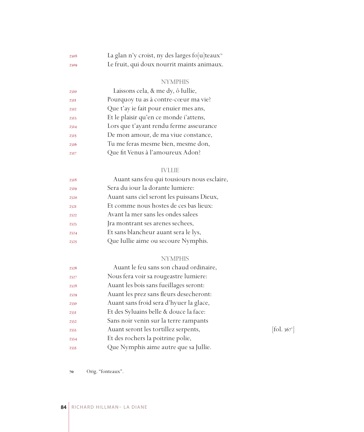| 2308 | La glan n'y croist, ny des larges fo[u]teaux <sup>70</sup> |
|------|------------------------------------------------------------|
| 2309 | Le fruit, qui doux nourrit maints animaux.                 |

## NYMPHIS

| 2310        | Laissons cela, & me dy, ô Iullie,       |
|-------------|-----------------------------------------|
| <b>23II</b> | Pourquoy tu as à contre-cœur ma vie?    |
| 2312        | Que t'ay ie fait pour enuier mes ans,   |
| 2313        | Et le plaisir qu'en ce monde i'attens,  |
| 2314        | Lors que t'ayant rendu ferme asseurance |
| 2315        | De mon amour, de ma viue constance,     |
| 2316        | Tu me feras mesme bien, mesme don,      |
| 2317        | Que fit Venus à l'amoureux Adon?        |
|             |                                         |

## IVLLIE

| 2318 | Auant sans feu qui tousiours nous esclaire, |
|------|---------------------------------------------|
| 2319 | Sera du jour la dorante lumiere:            |
| 2320 | Auant sans ciel seront les puissans Dieux,  |
| 2321 | Et comme nous hostes de ces bas lieux:      |
| 2322 | Avant la mer sans les ondes salees          |
| 2323 | Jra montrant ses arenes sechees,            |
| 2324 | Et sans blancheur auant sera le lys,        |
| 2325 | Que Iullie aime ou secoure Nymphis.         |
|      |                                             |

## NYMPHIS

| 2326 | Auant le feu sans son chaud ordinaire,  |            |
|------|-----------------------------------------|------------|
| 2327 | Nous fera voir sa rougeastre lumiere:   |            |
| 2328 | Auant les bois sans fueillages seront:  |            |
| 2329 | Auant les prez sans fleurs desecheront: |            |
| 2330 | Auant sans froid sera d'hyuer la glace, |            |
| 2331 | Et des Syluains belle & douce la face:  |            |
| 2332 | Sans noir venin sur la terre rampants   |            |
| 2333 | Auant seront les tortillez serpents,    | [fol. 367] |
| 2334 | Et des rochers la poitrine polie,       |            |
| 2335 | Que Nymphis aime autre que sa Jullie.   |            |
|      |                                         |            |

 $[$ fol. 367 $^{\mathrm{v}}$ ]

Orig. "fonteaux".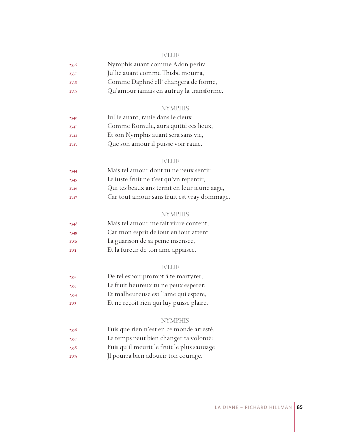#### IVLLIE

| 2336 | Nymphis auant comme Adon perira.         |
|------|------------------------------------------|
| 2337 | Jullie auant comme Thisbé mourra,        |
| 2338 | Comme Daphné ell' changera de forme,     |
| 2339 | Qu'amour iamais en autruy la transforme. |

#### NYMPHIS

| 2340 | Iullie auant, rauie dans le cieux    |
|------|--------------------------------------|
| 234I | Comme Romule, aura quitté ces lieux, |
| 2342 | Et son Nymphis auant sera sans vie,  |
| 2343 | Que son amour il puisse voir rauje.  |

#### IVLLIE

| 2344 | Mais tel amour dont tu ne peux sentir        |
|------|----------------------------------------------|
| 2345 | Le iuste fruit ne t'est qu'vn repentir,      |
| 2346 | Qui tes beaux ans ternit en leur ieune aage, |
| 2347 | Car tout amour sans fruit est vray dommage.  |

#### **NYMPHIS**

| 2348 | Mais tel amour me fait viure content, |
|------|---------------------------------------|
| 2349 | Car mon esprit de jour en jour attent |
| 2350 | La guarison de sa peine insensee,     |
| 2351 | Et la fureur de ton ame appaisee.     |

### IVLLIE

- De tel espoir prompt à te martyrer,
- Le fruit heureux tu ne peux esperer:
- Et malheureuse est l'ame qui espere,
- Et ne reçoit rien qui luy puisse plaire.

#### NYMPHIS

- Puis que rien n'est en ce monde arresté,
- Le temps peut bien changer ta volonté:
- Puis qu'il meurit le fruit le plus sauuage
- Jl pourra bien adoucir ton courage.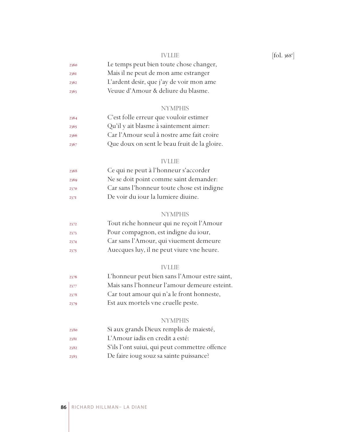| 2360 | Le temps peut bien toute chose changer, |
|------|-----------------------------------------|
| 2361 | Mais il ne peut de mon ame estranger    |

- L'ardent desir, que j'ay de voir mon ame
- Veuue d'Amour & deliure du blasme.

#### **NYMPHIS**

| 2364 | C'est folle erreur que vouloir estimer       |
|------|----------------------------------------------|
| 2365 | Qu'il y ait blasme à saintement aimer:       |
| 2366 | Car l'Amour seul à nostre ame fait croire    |
| 2367 | Que doux on sent le beau fruit de la gloire. |

#### IVLLIE

| 2368 | Ce qui ne peut à l'honneur s'accorder      |
|------|--------------------------------------------|
| 2369 | Ne se doit point comme saint demander:     |
| 2370 | Car sans l'honneur toute chose est indigne |
| 237I | De voir du jour la lumiere diuine.         |

#### **NYMPHIS**

| 2372 | Tout riche honneur qui ne reçoit l'Amour  |
|------|-------------------------------------------|
| 2373 | Pour compagnon, est indigne du iour,      |
| 2374 | Car sans l'Amour, qui viuement demeure    |
| 2375 | Auecques luy, il ne peut viure vne heure. |

### IVLLIE

- L'honneur peut bien sans l'Amour estre saint,
- Mais sans l'honneur l'amour demeure esteint.
- Car tout amour qui n'a le front honneste,
- Est aux mortels vne cruelle peste.

#### NYMPHIS

- Si aux grands Dieux remplis de maiesté,
- L'Amour iadis en credit a esté:
- S'ils l'ont suiui, qui peut commettre offence
- De faire ioug souz sa sainte puissance?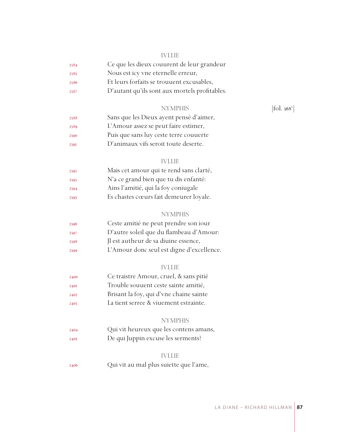#### IVLLIE

| 2384 | Ce que les dieux couurent de leur grandeur |
|------|--------------------------------------------|
| 2385 | Nous est icy vne eternelle erreur,         |
| 2386 | Et leurs forfaits se trouuent excusables,  |

- 
- D'autant qu'ils sont aux mortels profitables.

## NYMPHIS

| 2388 | Sans que les Dieux ayent pensé d'aimer, |
|------|-----------------------------------------|
| 2389 | L'Amour assez se peut faire estimer,    |
| 2390 | Puis que sans luy ceste terre couuerte  |
| 239I | D'animaux vifs seroit toute deserte.    |

#### IVLLIE

| 2392 | Mais cet amour qui te rend sans clarté, |
|------|-----------------------------------------|
| 2393 | N'a ce grand bien que tu dis enfanté:   |
| 2394 | Ains l'amitié, qui la foy coniugale     |
| 2395 | Es chastes cœurs fait demeurer loyale.  |

#### **NYMPHIS**

| 2396 | Ceste amitié ne peut prendre son iour     |
|------|-------------------------------------------|
| 2397 | D'autre soleil que du flambeau d'Amour:   |
| 2398 | Il est autheur de sa diuine essence,      |
| 2399 | L'Amour donc seul est digne d'excellence. |

## IVLLIE

| Ce traistre Amour, cruel, & sans pitié<br>2400 |  |
|------------------------------------------------|--|
|------------------------------------------------|--|

- Trouble souuent ceste sainte amitié,
- Brisant la foy, qui d'vne chaine sainte
- La tient serree & viuement estrainte.

## NYMPHIS

 Qui vit heureux que les contens amans, De qui Juppin excuse les serments?

#### IVLLIE

Qui vit au mal plus suiette que l'ame,

 $[$ fol. 368 $^{\mathrm{v}}$ ]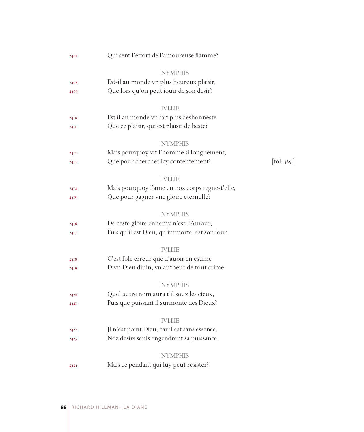| 2407 | Qui sent l'effort de l'amoureuse flamme?       |                        |
|------|------------------------------------------------|------------------------|
|      | <b>NYMPHIS</b>                                 |                        |
| 2408 | Est-il au monde vn plus heureux plaisir,       |                        |
| 2409 | Que lors qu'on peut iouir de son desir?        |                        |
|      | <b>IVLLIE</b>                                  |                        |
| 2410 | Est il au monde vn fait plus deshonneste       |                        |
| 24II | Que ce plaisir, qui est plaisir de beste?      |                        |
|      | <b>NYMPHIS</b>                                 |                        |
| 24I2 | Mais pourquoy vit l'homme si longuement,       |                        |
| 2413 | Que pour chercher icy contentement?            | $[\text{fol. } 369^r]$ |
|      | <b>IVLLIE</b>                                  |                        |
| 24I4 | Mais pourquoy l'ame en noz corps regne-t'elle, |                        |
| 2415 | Que pour gagner vne gloire eternelle?          |                        |
|      | <b>NYMPHIS</b>                                 |                        |
| 2416 | De ceste gloire ennemy n'est l'Amour,          |                        |
| 2417 | Puis qu'il est Dieu, qu'immortel est son iour. |                        |
|      | <b>IVLLIE</b>                                  |                        |
| 2418 | C'est fole erreur que d'auoir en estime        |                        |
| 2419 | D'vn Dieu diuin, vn autheur de tout crime.     |                        |
|      | <b>NYMPHIS</b>                                 |                        |
| 2420 | Quel autre nom aura t'il souz les cieux,       |                        |
| 242I | Puis que puissant il surmonte des Dieux?       |                        |
|      | <b>IVLLIE</b>                                  |                        |
| 2422 | Jl n'est point Dieu, car il est sans essence,  |                        |
| 2423 | Noz desirs seuls engendrent sa puissance.      |                        |
|      | <b>NYMPHIS</b>                                 |                        |
| 2424 | Mais ce pendant qui luy peut resister?         |                        |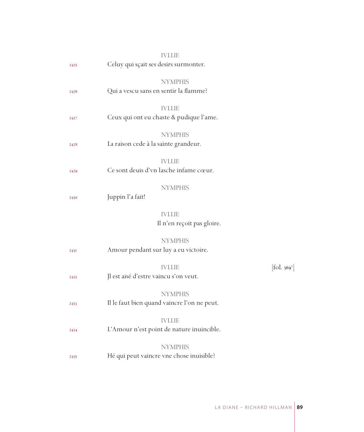|      |                                       | <b>IVLLIE</b>                                                 |                          |
|------|---------------------------------------|---------------------------------------------------------------|--------------------------|
| 2425 | Celuy qui sçait ses desirs surmonter. |                                                               |                          |
| 2426 | Qui a vescu sans en sentir la flamme? | <b>NYMPHIS</b>                                                |                          |
|      |                                       |                                                               |                          |
| 2427 |                                       | <b>IVLLIE</b><br>Ceux qui ont eu chaste & pudique l'ame.      |                          |
|      |                                       | <b>NYMPHIS</b>                                                |                          |
| 2428 | La raison cede à la sainte grandeur.  |                                                               |                          |
| 2429 |                                       | <b>IVLLIE</b><br>Ce sont deuis d'vn lasche infame cœur.       |                          |
| 2430 | Juppin l'a fait!                      | <b>NYMPHIS</b>                                                |                          |
|      |                                       | <b>IVLLIE</b><br>Il n'en reçoit pas gloire.                   |                          |
| 243I |                                       | <b>NYMPHIS</b><br>Amour pendant sur luy a eu victoire.        |                          |
| 2432 | Jl est aisé d'estre vaincu s'on veut. | <b>IVLLIE</b>                                                 | [fol. 369 <sup>v</sup> ] |
| 2433 |                                       | <b>NYMPHIS</b><br>Il le faut bien quand vaincre l'on ne peut. |                          |
| 2434 |                                       | <b>IVLLIE</b><br>L'Amour n'est point de nature inuincible.    |                          |
| 2435 |                                       | <b>NYMPHIS</b><br>Hé qui peut vaincre vne chose inuisible?    |                          |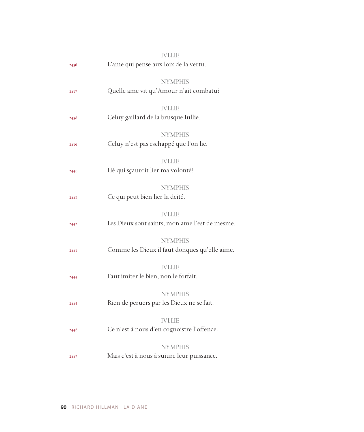|             | <b>IVLLIE</b>                                  |
|-------------|------------------------------------------------|
| 2436        | L'ame qui pense aux loix de la vertu.          |
|             |                                                |
|             | <b>NYMPHIS</b>                                 |
| 2437        | Quelle ame vit qu'Amour n'ait combatu?         |
|             | <b>IVLLIE</b>                                  |
| 2438        | Celuy gaillard de la brusque Iullie.           |
|             |                                                |
|             | <b>NYMPHIS</b>                                 |
| 2439        | Celuy n'est pas eschappé que l'on lie.         |
|             | <b>IVLLIE</b>                                  |
| 2440        | Hé qui sçauroit lier ma volonté?               |
|             |                                                |
|             | <b>NYMPHIS</b>                                 |
| <b>244I</b> | Ce qui peut bien lier la deité.                |
|             |                                                |
|             | <b>IVLLIE</b>                                  |
| 2442        | Les Dieux sont saints, mon ame l'est de mesme. |
|             | <b>NYMPHIS</b>                                 |
| 2443        | Comme les Dieux il faut donques qu'elle aime.  |
|             |                                                |
|             | <b>IVLLIE</b>                                  |
| 2444        | Faut imiter le bien, non le forfait.           |
|             | <b>NYMPHIS</b>                                 |
| 2445        | Rien de peruers par les Dieux ne se fait.      |
|             |                                                |
|             | <b>IVLLIE</b>                                  |
| 2446        | Ce n'est à nous d'en cognoistre l'offence.     |
|             | <b>NYMPHIS</b>                                 |
|             | Mais c'est à nous à suiure leur puissance.     |
| 2447        |                                                |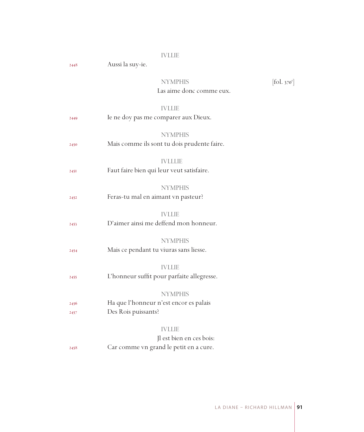## IVLLIE

2448 Aussi la suy-ie.

#### NYMPHIS  $[\mbox{fol.}\,{}_{370^{\rm r}}]$ Las aime donc comme eux.

## IVLLIE

| 2449         | Ie ne doy pas me comparer aux Dieux.                                                |
|--------------|-------------------------------------------------------------------------------------|
| 2450         | <b>NYMPHIS</b><br>Mais comme ils sont tu dois prudente faire.                       |
| 245I         | <b>IVLLLIE</b><br>Faut faire bien qui leur veut satisfaire.                         |
| 2452         | <b>NYMPHIS</b><br>Feras-tu mal en aimant vn pasteur?                                |
| 2453         | <b>IVLLIE</b><br>D'aimer ainsi me deffend mon honneur.                              |
| 2454         | <b>NYMPHIS</b><br>Mais ce pendant tu viuras sans liesse.                            |
| 2455         | <b>IVLLIE</b><br>L'honneur suffit pour parfaite allegresse.                         |
| 2456<br>2457 | <b>NYMPHIS</b><br>Ha que l'honneur n'est encor es palais<br>Des Rois puissants?     |
| 2458         | <b>IVLLIE</b><br>Jl est bien en ces bois:<br>Car comme vn grand le petit en a cure. |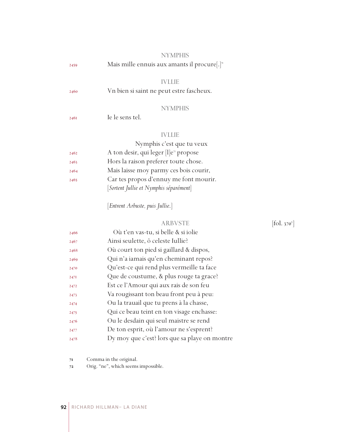|      | <b>NYMPHIS</b>                                                         |                              |
|------|------------------------------------------------------------------------|------------------------------|
| 2459 | Mais mille ennuis aux amants il procure[.] <sup><math>\pi</math></sup> |                              |
|      | <b>IVLLIE</b>                                                          |                              |
| 2460 | Vn bien si saint ne peut estre fascheux.                               |                              |
|      | <b>NYMPHIS</b>                                                         |                              |
| 2461 | Ie le sens tel.                                                        |                              |
|      | <b>IVLLIE</b>                                                          |                              |
|      | Nymphis c'est que tu veux                                              |                              |
| 2462 | A ton desir, qui leger [l]e <sup>2</sup> propose                       |                              |
| 2463 | Hors la raison preferer toute chose.                                   |                              |
| 2464 | Mais laisse moy parmy ces bois courir,                                 |                              |
| 2465 | Car tes propos d'ennuy me font mourir.                                 |                              |
|      | [Sortent Jullie et Nymphis séparément]                                 |                              |
|      | [Entrent Arbuste, puis Jullie.]                                        |                              |
|      | <b>ARBVSTE</b>                                                         | $[\text{fol. } 370^{\circ}]$ |
| 2466 | Où t'en vas-tu, si belle & si iolie                                    |                              |
| 2467 | Ainsi seulette, ô celeste Iullie?                                      |                              |
| 2468 | Où court ton pied si gaillard & dispos,                                |                              |
| 2469 | Qui n'a iamais qu'en cheminant repos?                                  |                              |
| 2470 | Qu'est-ce qui rend plus vermeille ta face                              |                              |
| 2471 | Que de coustume, & plus rouge ta grace?                                |                              |
| 2472 | Est ce l'Amour qui aux rais de son feu                                 |                              |
| 2473 | Va rougissant ton beau front peu à peu:                                |                              |
| 2474 | Ou la trauail que tu prens à la chasse,                                |                              |
| 2475 | Qui ce beau teint en ton visage enchasse:                              |                              |

- Ou le desdain qui seul maistre se rend
- De ton esprit, où l'amour ne s'esprent?
- Dy moy que c'est? lors que sa playe on montre

Comma in the original.

Orig. "ne", which seems impossible.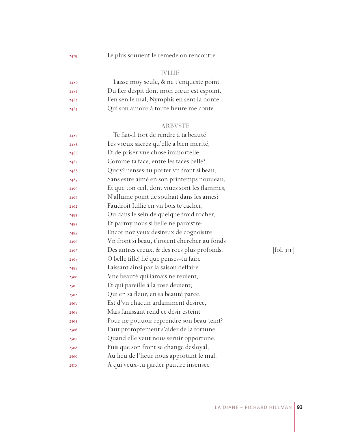Le plus souuent le remede on rencontre.

## IVLLIE

| 2480 | Laisse moy seule, & ne t'enqueste point   |
|------|-------------------------------------------|
| 2481 | Du fier despit dont mon cœur est espoint. |
| 2482 | I'en sen le mal, Nymphis en sent la honte |
| 2483 | Qui son amour à toute heure me conte.     |

## ARBVSTE

| 2484 | Te fait-il tort de rendre à ta beauté         |                         |
|------|-----------------------------------------------|-------------------------|
| 2485 | Les vœux sacrez qu'elle a bien merité,        |                         |
| 2486 | Et de priser vne chose immortelle             |                         |
| 2487 | Comme ta face, entre les faces belle?         |                         |
| 2488 | Quoy? penses-tu porter vn front si beau,      |                         |
| 2489 | Sans estre aimé en son printemps nouueau,     |                         |
| 2490 | Et que ton œil, dont viues sont les flammes,  |                         |
| 2491 | N'allume point de souhait dans les ames?      |                         |
| 2492 | Faudroit Iullie en vn bois te cacher,         |                         |
| 2493 | Ou dans le sein de quelque froid rocher,      |                         |
| 2494 | Et parmy nous si belle ne paroistre:          |                         |
| 2495 | Encor noz yeux desireux de cognoistre         |                         |
| 2496 | Vn front si beau, t'iroient chercher au fonds |                         |
| 2497 | Des antres creux, & des rocs plus profonds.   | [fol. 37 <sup>r</sup> ] |
| 2498 | O belle fille! hé que penses-tu faire         |                         |
| 2499 | Laissant ainsi par la saison deffaire         |                         |
| 2500 | Vne beauté qui iamais ne reuient,             |                         |
| 2501 | Et qui pareille à la rose deuient;            |                         |
| 2502 | Qui en sa fleur, en sa beauté paree,          |                         |
| 2503 | Est d'vn chacun ardamment desiree,            |                         |
| 2504 | Mais fanissant rend ce desir esteint          |                         |
| 2505 | Pour ne pouuoir reprendre son beau teint?     |                         |
| 2506 | Faut promptement s'aider de la fortune        |                         |
| 2507 | Quand elle veut nous seruir opportune,        |                         |
| 2508 | Puis que son front se change desloyal,        |                         |
| 2509 | Au lieu de l'heur nous apportant le mal.      |                         |
| 2510 | A qui veux-tu garder pauure insensee          |                         |
|      |                                               |                         |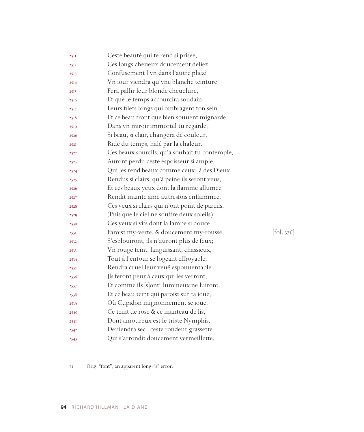| 25II | Ceste beauté qui te rend si prisee,                   |            |
|------|-------------------------------------------------------|------------|
| 2512 | Ces longs cheueux doucement deliez,                   |            |
| 2513 | Confusement l'vn dans l'autre pliez?                  |            |
| 2514 | Vn iour viendra qu'vne blanche teinture               |            |
| 2515 | Fera pallir leur blonde cheuelure,                    |            |
| 2516 | Et que le temps accourcira soudain                    |            |
| 2517 | Leurs filets longs qui ombragent ton sein.            |            |
| 2518 | Et ce beau front que bien souuent mignarde            |            |
| 2519 | Dans vn miroir immortel tu regarde,                   |            |
| 2520 | Si beau, si clair, changera de couleur,               |            |
| 2521 | Ridé du temps, halé par la chaleur.                   |            |
| 2522 | Ces beaux sourcils, qu'à souhait tu contemple,        |            |
| 2523 | Auront perdu ceste espoisseur si ample,               |            |
| 2524 | Qui les rend beaux comme ceux-là des Dieux,           |            |
| 2525 | Rendus si clairs, qu'à peine ils seront veus,         |            |
| 2526 | Et ces beaux yeux dont la flamme allumee              |            |
| 2527 | Rendit mainte ame autresfois enflammee,               |            |
| 2528 | Ces yeux si clairs qui n'ont point de pareils,        |            |
| 2529 | (Puis que le ciel ne souffre deux soleils)            |            |
| 2530 | Ces yeux si vifs dont la lampe si douce               |            |
| 253I | Paroist my-verte, & doucement my-rousse,              | [fol. 371] |
| 2532 | S'esblouiront, ils n'auront plus de feux;             |            |
| 2533 | Vn rouge teint, languissant, chassieux,               |            |
| 2534 | Tout à l'entour se logeant effroyable,                |            |
| 2535 | Rendra cruel leur veuë espouuentable:                 |            |
| 2536 | Jls feront peur à ceux qui les verront,               |            |
| 2537 | Et comme ils [s]ont <sup>3</sup> lumineux ne luiront. |            |
| 2538 | Et ce beau teint qui paroist sur ta ioue,             |            |
| 2539 | Où Cupidon mignonnement se ioue,                      |            |
| 2540 | Ce teint de rose & ce manteau de lis,                 |            |
| 254I | Dont amoureux est le triste Nymphis,                  |            |
| 2542 | Deuiendra sec : ceste rondeur grassette               |            |
| 2543 | Qui s'arrondit doucement vermeillette,                |            |

 $[$ fol. 371 $^{\mathrm{v}}$ ]

Orig. "font", an apparent long-"s" error.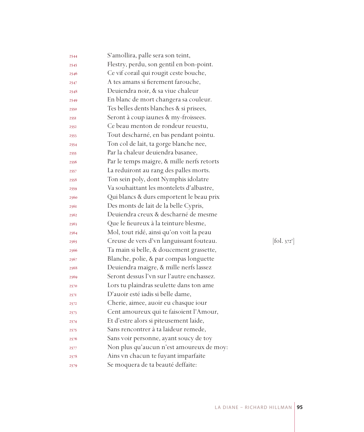| 2544 | S'amollira, palle sera son teint,          |            |
|------|--------------------------------------------|------------|
| 2545 | Flestry, perdu, son gentil en bon-point.   |            |
| 2546 | Ce vif corail qui rougit ceste bouche,     |            |
| 2547 | A tes amans si fierement farouche,         |            |
| 2548 | Deuiendra noir, & sa viue chaleur          |            |
| 2549 | En blanc de mort changera sa couleur.      |            |
| 2550 | Tes belles dents blanches & si prisees,    |            |
| 2551 | Seront à coup iaunes & my-froissees.       |            |
| 2552 | Ce beau menton de rondeur reuestu,         |            |
| 2553 | Tout descharné, en bas pendant pointu.     |            |
| 2554 | Ton col de lait, ta gorge blanche nee,     |            |
| 2555 | Par la chaleur deuiendra basanee,          |            |
| 2556 | Par le temps maigre, & mille nerfs retorts |            |
| 2557 | La reduiront au rang des palles morts.     |            |
| 2558 | Ton sein poly, dont Nymphis idolatre       |            |
| 2559 | Va souhaittant les montelets d'albastre,   |            |
| 2560 | Qui blancs & durs emportent le beau prix   |            |
| 2561 | Des monts de lait de la belle Cypris,      |            |
| 2562 | Deuiendra creux & descharné de mesme       |            |
| 2563 | Que le fieureux à la teinture blesme,      |            |
| 2564 | Mol, tout ridé, ainsi qu'on voit la peau   |            |
| 2565 | Creuse de vers d'vn languissant fouteau.   | [fol. 372] |
| 2566 | Ta main si belle, & doucement grassette,   |            |
| 2567 | Blanche, polie, & par compas longuette     |            |
| 2568 | Deuiendra maigre, & mille nerfs lassez     |            |
| 2569 | Seront dessus l'vn sur l'autre enchassez.  |            |
| 2570 | Lors tu plaindras seulette dans ton ame    |            |
| 2571 | D'auoir esté iadis si belle dame,          |            |
| 2572 | Cherie, aimee, auoir eu chasque iour       |            |
| 2573 | Cent amoureux qui te faisoient l'Amour,    |            |
| 2574 | Et d'estre alors si piteusement laide,     |            |
| 2575 | Sans rencontrer à ta laideur remede,       |            |
| 2576 | Sans voir personne, ayant soucy de toy     |            |
| 2577 | Non plus qu'aucun n'est amoureux de moy:   |            |
| 2578 | Ains vn chacun te fuyant imparfaite        |            |
| 2579 | Se moquera de ta beauté deffaite:          |            |
|      |                                            |            |

 $1.372^{r}]$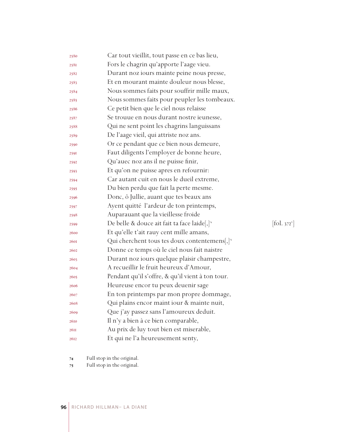| 2580        | Car tout vieillit, tout passe en ce bas lieu,              |                                 |
|-------------|------------------------------------------------------------|---------------------------------|
| 2581        | Fors le chagrin qu'apporte l'aage vieu.                    |                                 |
| 2582        | Durant noz iours mainte peine nous presse,                 |                                 |
| 2583        | Et en mourant mainte douleur nous blesse,                  |                                 |
| 2584        | Nous sommes faits pour souffrir mille maux,                |                                 |
| 2585        | Nous sommes faits pour peupler les tombeaux.               |                                 |
| 2586        | Ce petit bien que le ciel nous relaisse                    |                                 |
| 2587        | Se trouue en nous durant nostre ieunesse,                  |                                 |
| 2588        | Qui ne sent point les chagrins languissans                 |                                 |
| 2589        | De l'aage vieil, qui attriste noz ans.                     |                                 |
| 2590        | Or ce pendant que ce bien nous demeure,                    |                                 |
| 2591        | Faut diligents l'employer de bonne heure,                  |                                 |
| 2592        | Qu'auec noz ans il ne puisse finir,                        |                                 |
| 2593        | Et qu'on ne puisse apres en refournir:                     |                                 |
| 2594        | Car autant cuit en nous le dueil extreme,                  |                                 |
| 2595        | Du bien perdu que fait la perte mesme.                     |                                 |
| 2596        | Donc, ô Jullie, auant que tes beaux ans                    |                                 |
| 2597        | Ayent quitté l'ardeur de ton printemps,                    |                                 |
| 2598        | Auparauant que la vieillesse froide                        |                                 |
| 2599        | De belle & douce ait fait ta face laide[,] <sup>74</sup>   | $\left[\text{fol. } 372\right]$ |
| 2600        | Et qu'elle t'ait rauy cent mille amans,                    |                                 |
| <b>260I</b> | Qui cherchent tous tes doux contentemens, $]$ <sup>3</sup> |                                 |
| 2602        | Donne ce temps où le ciel nous fait naistre                |                                 |
| 2603        | Durant noz iours quelque plaisir champestre,               |                                 |
| 2604        | A recueillir le fruit heureux d'Amour,                     |                                 |
| 2605        | Pendant qu'il s'offre, & qu'il vient à ton tour.           |                                 |
| 2606        | Heureuse encor tu peux deuenir sage                        |                                 |
| 2607        | En ton printemps par mon propre dommage,                   |                                 |
| 2608        | Qui plains encor maint iour & mainte nuit,                 |                                 |
| 2609        | Que j'ay passez sans l'amoureux deduit.                    |                                 |
| 2610        | Il n'y a bien à ce bien comparable,                        |                                 |
| 26II        | Au prix de luy tout bien est miserable,                    |                                 |
| 2612        | Et qui ne l'a heureusement senty,                          |                                 |

Full stop in the original.

Full stop in the original.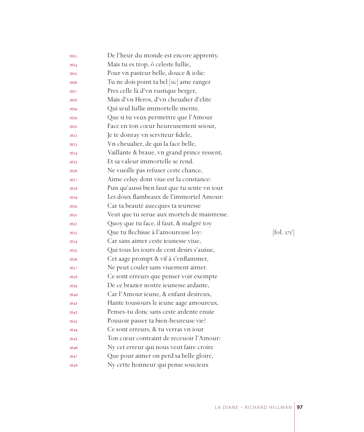| 2613 | De l'heur du monde est encore apprenty.      |                      |
|------|----------------------------------------------|----------------------|
| 2614 | Mais tu es trop, ô celeste Iullie,           |                      |
| 2615 | Pour vn pasteur belle, douce & iolie:        |                      |
| 2616 | Tu ne dois point ta bel [sic] ame ranger     |                      |
| 2617 | Pres celle là d'vn rustique berger,          |                      |
| 2618 | Mais d'vn Heros, d'vn cheualier d'elite      |                      |
| 2619 | Qui seul Iullie immortelle merite.           |                      |
| 2620 | Que si tu veux permettre que l'Amour         |                      |
| 262I | Face en ton cœur heureusement seiour,        |                      |
| 2622 | Je te donray vn serviteur fidele,            |                      |
| 2623 | Vn cheualier, de qui la face belle,          |                      |
| 2624 | Vaillante & braue, vn grand prince ressent,  |                      |
| 2625 | Et sa valeur immortelle se rend.             |                      |
| 2626 | Ne vueille pas refuser ceste chance,         |                      |
| 2627 | Aime celuy dont viue est la constance:       |                      |
| 2628 | Puis qu'aussi bien faut que tu sente vn iour |                      |
| 2629 | Les doux flambeaux de l'immortel Amour:      |                      |
| 2630 | Car ta beauté auecques ta ieunesse           |                      |
| 263I | Veut que tu serue aux mortels de maistresse. |                      |
| 2632 | Quoy que tu face, il faut, & malgré toy      |                      |
| 2633 | Que tu flechisse à l'amoureuse loy:          | $[\text{fol. } 373]$ |
| 2634 | Car sans aimer ceste ieunesse viue,          |                      |
| 2635 | Qui tous les iours de cent desirs s'auiue,   |                      |
| 2636 | Cet aage prompt & vif à s'enflammer,         |                      |
| 2637 | Ne peut couler sans viuement aimer.          |                      |
| 2638 | Ce sont erreurs que penser voir exempte      |                      |
| 2639 | De ce brazier nostre ieunesse ardante,       |                      |
| 2640 | Car l'Amour ieune, & enfant desireux,        |                      |
| 264I | Hante tousiours le ieune aage amoureux.      |                      |
| 2642 | Penses-tu donc sans ceste ardente enuie      |                      |
| 2643 | Pouuoir passer ta bien-heureuse vie?         |                      |
| 2644 | Ce sont erreurs, & tu verras vn iour         |                      |
| 2645 | Ton cœur contraint de receuoir l'Amour:      |                      |
| 2646 | Ny cet erreur qui nous veut faire croire     |                      |
| 2647 | Que pour aimer on perd sa belle gloire,      |                      |
| 2648 | Ny cette honneur qui pense soucieux          |                      |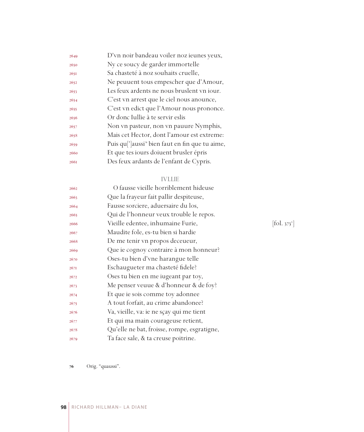| 2649 | D'vn noir bandeau voiler noz ieunes yeux,                               |
|------|-------------------------------------------------------------------------|
| 2650 | Ny ce soucy de garder immortelle                                        |
| 265I | Sa chasteté à noz souhaits cruelle,                                     |
| 2652 | Ne peuuent tous empescher que d'Amour,                                  |
| 2653 | Les feux ardents ne nous bruslent vn iour.                              |
| 2654 | C'est vn arrest que le ciel nous anounce,                               |
| 2655 | C'est vn edict que l'Amour nous prononce.                               |
| 2656 | Or donc Iullie à te servir eslis                                        |
| 2657 | Non vn pasteur, non vn pauure Nymphis,                                  |
| 2658 | Mais cet Hector, dont l'amour est extreme:                              |
| 2659 | Puis qu <sup>['</sup> ]aussi <sup>*</sup> bien faut en fin que tu aime, |
| 2660 | Et que tes iours doiuent brusler épris                                  |
| 2661 | Des feux ardants de l'enfant de Cypris.                                 |

## IVLLIE

| 2662 | O fausse vieille horriblement hideuse       |                                         |
|------|---------------------------------------------|-----------------------------------------|
| 2663 | Que la frayeur fait pallir despiteuse,      |                                         |
| 2664 | Fausse sorciere, aduersaire du los,         |                                         |
| 2665 | Qui de l'honneur veux trouble le repos.     |                                         |
| 2666 | Vieille edentee, inhumaine Furie,           | $\left  \text{fol. } 373 \right\rangle$ |
| 2667 | Maudite fole, es-tu bien si hardie          |                                         |
| 2668 | De me tenir vn propos deceueur,             |                                         |
| 2669 | Que ie cognoy contraire à mon honneur?      |                                         |
| 2670 | Oses-tu bien d'vne harangue telle           |                                         |
| 267I | Eschaugueter ma chasteté fidele?            |                                         |
| 2672 | Oses tu bien en me iugeant par toy,         |                                         |
| 2673 | Me penser veuue & d'honneur & de foy?       |                                         |
| 2674 | Et que ie sois comme toy adonnee            |                                         |
| 2675 | A tout forfait, au crime abandonee?         |                                         |
| 2676 | Va, vieille, va: ie ne sçay qui me tient    |                                         |
| 2677 | Et qui ma main courageuse retient,          |                                         |
| 2678 | Qu'elle ne bat, froisse, rompe, esgratigne, |                                         |
| 2679 | Ta face sale, & ta creuse poitrine.         |                                         |

 $[$ fol. 373 $^{\mathrm{v}}$ ]

Orig. "quaussi".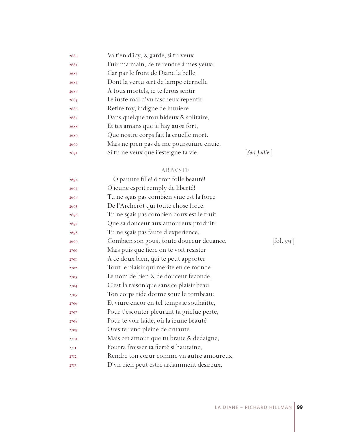| 2680 | Va t'en d'icy, & garde, si tu veux       |                       |
|------|------------------------------------------|-----------------------|
| 2681 | Fuir ma main, de te rendre à mes yeux:   |                       |
| 2682 | Car par le front de Diane la belle,      |                       |
| 2683 | Dont la vertu sert de lampe eternelle    |                       |
| 2684 | A tous mortels, ie te ferois sentir      |                       |
| 2685 | Le iuste mal d'vn fascheux repentir.     |                       |
| 2686 | Retire toy, indigne de lumiere           |                       |
| 2687 | Dans quelque trou hideux & solitaire,    |                       |
| 2688 | Et tes amans que ie hay aussi fort,      |                       |
| 2689 | Que nostre corps fait la cruelle mort.   |                       |
| 2690 | Mais ne pren pas de me poursuiure enuie, |                       |
| 2691 | Si tu ne veux que i'esteigne ta vie.     | <i>Sort Jullie.</i> ] |
|      |                                          |                       |

## ARBVSTE

| 2692 | O pauure fille! ô trop folle beauté!       |                        |
|------|--------------------------------------------|------------------------|
| 2693 | O ieune esprit remply de liberté!          |                        |
| 2694 | Tu ne sçais pas combien viue est la force  |                        |
| 2695 | De l'Archerot qui toute chose force.       |                        |
| 2696 | Tu ne sçais pas combien doux est le fruit  |                        |
| 2697 | Que sa douceur aux amoureux produit:       |                        |
| 2698 | Tu ne sçais pas faute d'experience,        |                        |
| 2699 | Combien son goust toute douceur deuance.   | $[\text{fol. } 374^r]$ |
| 2700 | Mais puis que fiere on te voit resister    |                        |
| 2701 | A ce doux bien, qui te peut apporter       |                        |
| 2702 | Tout le plaisir qui merite en ce monde     |                        |
| 2703 | Le nom de bien & de douceur feconde,       |                        |
| 2704 | C'est la raison que sans ce plaisir beau   |                        |
| 2705 | Ton corps ridé dorme souz le tombeau:      |                        |
| 2706 | Et viure encor en tel temps ie souhaitte,  |                        |
| 2707 | Pour t'escouter pleurant ta griefue perte, |                        |
| 2708 | Pour te voir laide, où la ieune beauté     |                        |
| 2709 | Ores te rend pleine de cruauté.            |                        |
| 2710 | Mais cet amour que tu braue & dedaigne,    |                        |
| 27II | Pourra froisser ta fierté si hautaine,     |                        |
| 2712 | Rendre ton cœur comme vn autre amoureux,   |                        |
| 2713 | D'vn bien peut estre ardamment desireux,   |                        |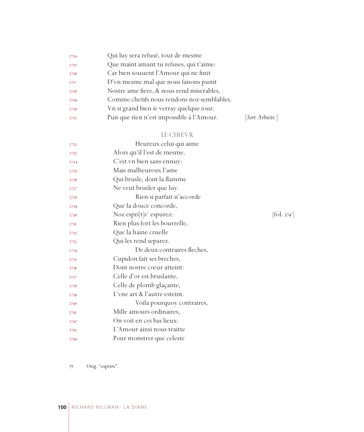| 2714 | Qui luy sera refusé, tout de mesme         |                 |
|------|--------------------------------------------|-----------------|
| 2715 | Que maint amant tu refuses, qui t'aime:    |                 |
| 2716 | Car bien souuent l'Amour qui ne finit      |                 |
| 2717 | D'vn mesme mal que nous faisons punit      |                 |
| 2718 | Nostre ame fiere, & nous rend miserables,  |                 |
| 2719 | Comme chetifs nous rendons noz semblables. |                 |
| 2720 | Vn si grand bien ie verray quelque iour,   |                 |
| 2721 | Puis que rien n'est impossible à l'Amour.  | [Sort Arbuste.] |

## LE CHŒVR

| 2722 | Heureux celui qui aime                 |                                           |
|------|----------------------------------------|-------------------------------------------|
| 2723 | Alors qu'il l'est de mesme,            |                                           |
| 2724 | C'est vn bien sans ennuy:              |                                           |
| 2725 | Mais malheureux l'ame                  |                                           |
| 2726 | Qui brusle, dont la flamme             |                                           |
| 2727 | Ne veut brusler que luy.               |                                           |
| 2728 | Rien si parfait n'accorde              |                                           |
| 2729 | Que la douce concorde,                 |                                           |
| 2730 | Noz espri $[t]s$ <sup>7</sup> espurez: | $\left  \text{fol. } 374^{\circ} \right $ |
| 2731 | Rien plus fort les bourrelle,          |                                           |
| 2732 | Que la haine cruelle                   |                                           |
| 2733 | Qui les rend separez.                  |                                           |
| 2734 | De deux contraires fleches,            |                                           |
| 2735 | Cupidon fait ses breches,              |                                           |
| 2736 | Dont nostre cœur atteint:              |                                           |
| 2737 | Celle d'or est bruslante,              |                                           |
| 2738 | Celle de plomb glaçante,               |                                           |
| 2739 | L'vne art & l'autre esteint.           |                                           |
| 2740 | Voila pourquoy contraires,             |                                           |
| 274I | Mille amours ordinaires,               |                                           |
| 2742 | On voit en ces bas lieux:              |                                           |
| 2743 | L'Amour ainsi nous traitte             |                                           |
| 2744 | Pour monstrer que celeste              |                                           |

Orig. "esprirs".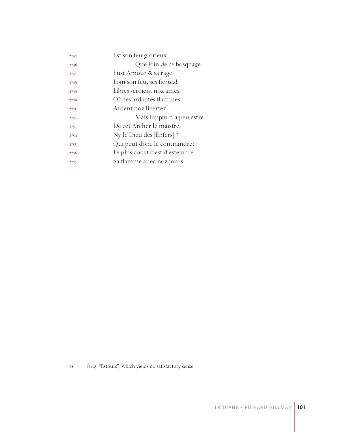| 2745 | Est son feu glorieux.                  |
|------|----------------------------------------|
| 2746 | Que loin de ce bosquage                |
| 2747 | Fust Amour & sa rage,                  |
| 2748 | Loin son feu, ses fiertez!             |
| 2749 | Libres seroient noz ames,              |
| 2750 | Où ses ardantes flammes                |
| 275I | Ardent noz libertez.                   |
| 2752 | Mais Iuppin n'a peu estre              |
| 2753 | De cet Archer le maistre,              |
| 2754 | Ny le Dieu des [Enfers]: <sup>28</sup> |
| 2755 | Qui peut donc le contraindre?          |
| 2756 | Le plus court c'est d'esteindre        |
| 2757 | Sa flamme auec noz jours.              |

Orig. "Estours", which yields no satisfactory sense.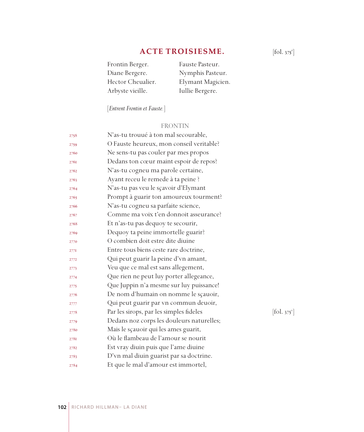# **ACTE TROISIESME.**

| Frontin Berger.   | Fauste Pasteur.   |
|-------------------|-------------------|
| Diane Bergere.    | Nymphis Pasteur.  |
| Hector Cheualier. | Elymant Magicien. |
| Arbyste vieille.  | Iullie Bergere.   |

[*Entrent Frontin et Fauste.*]

## FRONTIN

| 2758 | N'as-tu trouué à ton mal secourable,      |            |
|------|-------------------------------------------|------------|
| 2759 | O Fauste heureux, mon conseil veritable?  |            |
| 2760 | Ne sens-tu pas couler par mes propos      |            |
| 2761 | Dedans ton cœur maint espoir de repos?    |            |
| 2762 | N'as-tu cogneu ma parole certaine,        |            |
| 2763 | Ayant receu le remede à ta peine ?        |            |
| 2764 | N'as-tu pas veu le sçavoir d'Elymant      |            |
| 2765 | Prompt à guarir ton amoureux tourment?    |            |
| 2766 | N'as-tu cogneu sa parfaite science,       |            |
| 2767 | Comme ma voix t'en donnoit asseurance?    |            |
| 2768 | Et n'as-tu pas dequoy te secourir,        |            |
| 2769 | Dequoy ta peine immortelle guarir?        |            |
| 2770 | O combien doit estre dite diuine          |            |
| 277I | Entre tous biens ceste rare doctrine,     |            |
| 2772 | Qui peut guarir la peine d'vn amant,      |            |
| 2773 | Veu que ce mal est sans allegement,       |            |
| 2774 | Que rien ne peut luy porter allegeance,   |            |
| 2775 | Que Juppin n'a mesme sur luy puissance!   |            |
| 2776 | De nom d'humain on nomme le sçauoir,      |            |
| 2777 | Qui peut guarir par vn commun deuoir,     |            |
| 2778 | Par les sirops, par les simples fideles   | [fol. 375] |
| 2779 | Dedans noz corps les douleurs naturelles; |            |
| 2780 | Mais le sçauoir qui les ames guarit,      |            |
| 2781 | Où le flambeau de l'amour se nourit       |            |
| 2782 | Est vray diuin puis que l'ame diuine      |            |
| 2783 | D'vn mal diuin guarist par sa doctrine.   |            |
| 2784 | Et que le mal d'amour est immortel,       |            |

 $[$ fol. 375 $^r$ ]

 $[$ fol. 375 $^{\circ}$ ]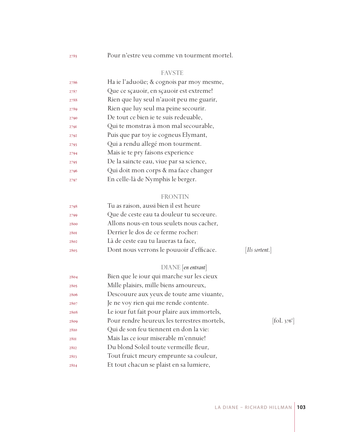Pour n'estre veu comme vn tourment mortel.

## FAVSTE

| 2786 | Ha ie l'aduoüe; & cognois par moy mesme, |
|------|------------------------------------------|
| 2787 | Que ce sçauoir, en sçauoir est extreme!  |
| 2788 | Rien que luy seul n'auoit peu me guarir, |
| 2789 | Rien que luy seul ma peine secourir.     |
| 2790 | De tout ce bien ie te suis redeuable,    |
| 2791 | Qui te monstras à mon mal secourable,    |
| 2792 | Puis que par toy ie cogneus Elymant,     |
| 2793 | Qui a rendu allegé mon tourment.         |
| 2794 | Mais ie te pry faisons experience        |
| 2795 | De la saincte eau, viue par sa science,  |
| 2796 | Qui doit mon corps & ma face changer     |
| 2797 | En celle-là de Nymphis le berger.        |

## FRONTIN

| 2798 | Tu as raison, aussi bien il est heure    |                |
|------|------------------------------------------|----------------|
| 2799 | Que de ceste eau ta douleur tu secœure.  |                |
| 2800 | Allons nous-en tous seulets nous cacher, |                |
| 2801 | Derrier le dos de ce ferme rocher:       |                |
| 2802 | Là de ceste eau tu laueras ta face,      |                |
| 2803 | Dont nous verrons le pouuoir d'efficace. | [Ils sortent.] |
|      |                                          |                |

## DIANE [*en entrant*]

| 2804 | Bien que le iour qui marche sur les cieux   |                              |
|------|---------------------------------------------|------------------------------|
| 2805 | Mille plaisirs, mille biens amoureux,       |                              |
| 2806 | Descouure aux yeux de toute ame viuante,    |                              |
| 2807 | Je ne voy rien qui me rende contente.       |                              |
| 2808 | Le iour fut fait pour plaire aux immortels, |                              |
| 2809 | Pour rendre heureux les terrestres mortels, | $[\text{fol. } 376^{\circ}]$ |
| 2810 | Qui de son feu tiennent en don la vie:      |                              |
| 28II | Mais las ce iour miserable m'ennuie!        |                              |
| 2812 | Du blond Soleil toute vermeille fleur,      |                              |
| 2813 | Tout fruict meury emprunte sa couleur,      |                              |
| 2814 | Et tout chacun se plaist en sa lumiere,     |                              |
|      |                                             |                              |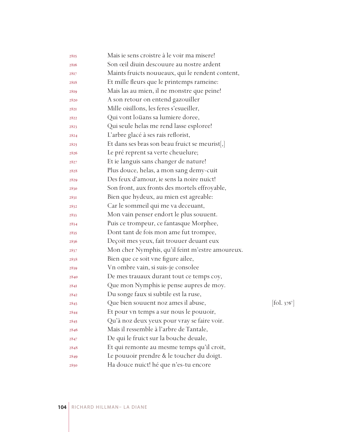| 2815 | Mais ie sens croistre à le voir ma misere!       |                                           |
|------|--------------------------------------------------|-------------------------------------------|
| 2816 | Son œil diuin descouure au nostre ardent         |                                           |
| 2817 | Maints fruicts nouueaux, qui le rendent content, |                                           |
| 2818 | Et mille fleurs que le printemps rameine:        |                                           |
| 2819 | Mais las au mien, il ne monstre que peine!       |                                           |
| 2820 | A son retour on entend gazouiller                |                                           |
| 2821 | Mille oisillons, les feres s'esueiller,          |                                           |
| 2822 | Qui vont loüans sa lumiere doree,                |                                           |
| 2823 | Qui seule helas me rend lasse esploree!          |                                           |
| 2824 | L'arbre glacé à ses rais reflorist,              |                                           |
| 2825 | Et dans ses bras son beau fruict se meurist[,]   |                                           |
| 2826 | Le pré reprent sa verte cheuelure;               |                                           |
| 2827 | Et ie languis sans changer de nature!            |                                           |
| 2828 | Plus douce, helas, a mon sang demy-cuit          |                                           |
| 2829 | Des feux d'amour, ie sens la noire nuict!        |                                           |
| 2830 | Son front, aux fronts des mortels effroyable,    |                                           |
| 2831 | Bien que hydeux, au mien est agreable:           |                                           |
| 2832 | Car le sommeil qui me va deceuant,               |                                           |
| 2833 | Mon vain penser endort le plus souuent.          |                                           |
| 2834 | Puis ce trompeur, ce fantasque Morphee,          |                                           |
| 2835 | Dont tant de fois mon ame fut trompee,           |                                           |
| 2836 | Deçoit mes yeux, fait trouuer deuant eux         |                                           |
| 2837 | Mon cher Nymphis, qu'il feint m'estre amoureux.  |                                           |
| 2838 | Bien que ce soit vne figure ailee,               |                                           |
| 2839 | Vn ombre vain, si suis-je consolee               |                                           |
| 2840 | De mes trauaux durant tout ce temps coy,         |                                           |
| 284I | Que mon Nymphis ie pense aupres de moy.          |                                           |
| 2842 | Du songe faux si subtile est la ruse,            |                                           |
| 2843 | Que bien souuent noz ames il abuse,              | $\left[ \text{fol. } 376^{\circ} \right]$ |
| 2844 | Et pour vn temps a sur nous le pouuoir,          |                                           |
| 2845 | Qu'à noz deux yeux pour vray se faire voir.      |                                           |
| 2846 | Mais il ressemble à l'arbre de Tantale,          |                                           |
| 2847 | De qui le fruict sur la bouche deuale,           |                                           |
| 2848 | Et qui remonte au mesme temps qu'il croit,       |                                           |
| 2849 | Le pouuoir prendre & le toucher du doigt.        |                                           |
| 2850 | Ha douce nuict! hé que n'es-tu encore            |                                           |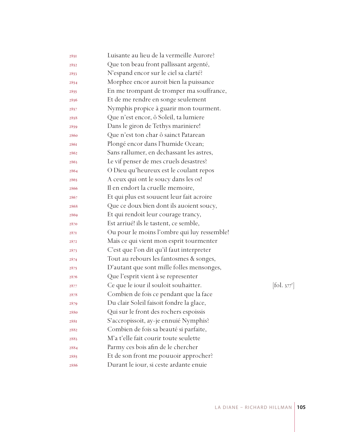| 2851 | Luisante au lieu de la vermeille Aurore?    |            |
|------|---------------------------------------------|------------|
| 2852 | Que ton beau front pallissant argenté,      |            |
| 2853 | N'espand encor sur le ciel sa clarté?       |            |
| 2854 | Morphee encor auroit bien la puissance      |            |
| 2855 | En me trompant de tromper ma souffrance,    |            |
| 2856 | Et de me rendre en songe seulement          |            |
| 2857 | Nymphis propice à guarir mon tourment.      |            |
| 2858 | Que n'est encor, ô Soleil, ta lumiere       |            |
| 2859 | Dans le giron de Tethys mariniere!          |            |
| 2860 | Que n'est ton char ô sainct Patarean        |            |
| 2861 | Plongé encor dans l'humide Ocean;           |            |
| 2862 | Sans rallumer, en dechassant les astres,    |            |
| 2863 | Le vif penser de mes cruels desastres?      |            |
| 2864 | O Dieu qu'heureux est le coulant repos      |            |
| 2865 | A ceux qui ont le soucy dans les os!        |            |
| 2866 | Il en endort la cruelle memoire,            |            |
| 2867 | Et qui plus est souuent leur fait acroire   |            |
| 2868 | Que ce doux bien dont ils auoient soucy,    |            |
| 2869 | Et qui rendoit leur courage trancy,         |            |
| 2870 | Est arriué! ils le tastent, ce semble,      |            |
| 2871 | Ou pour le moins l'ombre qui luy ressemble! |            |
| 2872 | Mais ce qui vient mon esprit tourmenter     |            |
| 2873 | C'est que l'on dit qu'il faut interpreter   |            |
| 2874 | Tout au rebours les fantosmes & songes,     |            |
| 2875 | D'autant que sont mille folles mensonges,   |            |
| 2876 | Que l'esprit vient à se representer         |            |
| 2877 | Ce que le iour il souloit souhaitter.       | [fol. 377] |
| 2878 | Combien de fois ce pendant que la face      |            |
| 2879 | Du clair Soleil faisoit fondre la glace,    |            |
| 2880 | Qui sur le front des rochers espoissis      |            |
| 288I | S'accropissoit, ay-je ennuié Nymphis?       |            |
| 2882 | Combien de fois sa beauté si parfaite,      |            |
| 2883 | M'a t'elle fait courir toute seulette       |            |
| 2884 | Parmy ces bois afin de le chercher          |            |
| 2885 | Et de son front me pouuoir approcher?       |            |
| 2886 | Durant le iour, si ceste ardante enuie      |            |

 $.377^{r}]$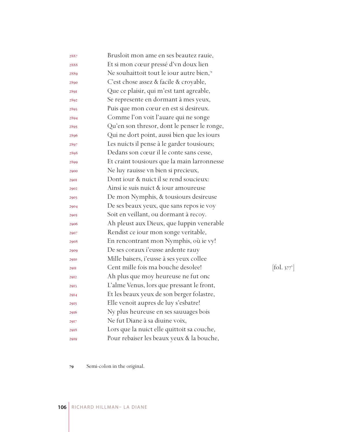| 2887        | Brusloit mon ame en ses beautez rauie,      |                                         |
|-------------|---------------------------------------------|-----------------------------------------|
| 2888        | Et si mon cœur pressé d'vn doux lien        |                                         |
| 2889        | Ne souhaittoit tout le iour autre bien,"    |                                         |
| 2890        | C'est chose assez & facile & croyable,      |                                         |
| 2891        | Que ce plaisir, qui m'est tant agreable,    |                                         |
| 2892        | Se represente en dormant à mes yeux,        |                                         |
| 2893        | Puis que mon cœur en est si desireux.       |                                         |
| 2894        | Comme l'on voit l'auare qui ne songe        |                                         |
| 2895        | Qu'en son thresor, dont le penser le ronge, |                                         |
| 2896        | Qui ne dort point, aussi bien que les iours |                                         |
| 2897        | Les nuicts il pense à le garder tousiours;  |                                         |
| 2898        | Dedans son cœur il le conte sans cesse,     |                                         |
| 2899        | Et craint tousiours que la main larronnesse |                                         |
| 2900        | Ne luy rauisse vn bien si precieux,         |                                         |
| <b>290I</b> | Dont jour & nuict il se rend soucieux:      |                                         |
| 2902        | Ainsi ie suis nuict & iour amoureuse        |                                         |
| 2903        | De mon Nymphis, & tousiours desireuse       |                                         |
| 2904        | De ses beaux yeux, que sans repos ie voy    |                                         |
| 2905        | Soit en veillant, ou dormant à recoy.       |                                         |
| 2906        | Ah pleust aux Dieux, que Iuppin venerable   |                                         |
| 2907        | Rendist ce iour mon songe veritable,        |                                         |
| 2908        | En rencontrant mon Nymphis, où ie vy!       |                                         |
| 2909        | De ses coraux i'eusse ardente rauy          |                                         |
| 2910        | Mille baisers, i'eusse à ses yeux collee    |                                         |
| <b>29II</b> | Cent mille fois ma bouche desolee!          | $\left  \text{fol. } 377 \right\rangle$ |
| 2912        | Ah plus que moy heureuse ne fut onc         |                                         |
| 2913        | L'alme Venus, lors que pressant le front,   |                                         |
| 2914        | Et les beaux yeux de son berger folastre,   |                                         |
| 2915        | Elle venoit aupres de luy s'esbatre!        |                                         |
| 2916        | Ny plus heureuse en ses sauuages bois       |                                         |
| 2917        | Ne fut Diane à sa diuine voix,              |                                         |
| 2918        | Lors que la nuict elle quittoit sa couche,  |                                         |
| 2919        | Pour rebaiser les beaux yeux & la bouche,   |                                         |

 $\left[\text{fol. } 377^{\text{v}}\right]$ 

Semi-colon in the original.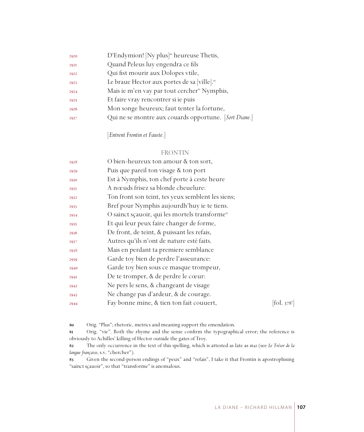| 2920 | D'Endymion! [Ny plus] <sup>80</sup> heureuse Thetis,     |
|------|----------------------------------------------------------|
| 2921 | Quand Peleus luy engendra ce fils                        |
| 2922 | Qui fist mourir aux Dolopes vtile,                       |
| 2923 | Le braue Hector aux portes de sa [ville]. <sup>81</sup>  |
| 2924 | Mais ie m'en vay par tout cercher <sup>82</sup> Nymphis, |
| 2925 | Et faire vray rencontrer si ie puis                      |
| 2926 | Mon songe heureux; faut tenter la fortune,               |
| 2927 | Qui ne se montre aux couards opportune. [Sort Diane.]    |

[*Entrent Frontin et Fauste.*]

#### FRONTIN

| 2928 | O bien-heureux ton amour & ton sort,                       |                                           |
|------|------------------------------------------------------------|-------------------------------------------|
| 2929 | Puis que pareil ton visage & ton port                      |                                           |
| 2930 | Est à Nymphis, ton chef porte à ceste heure                |                                           |
| 293I | A nœuds frisez sa blonde cheuelure:                        |                                           |
| 2932 | Ton front son teint, tes yeux semblent les siens;          |                                           |
| 2933 | Bref pour Nymphis aujourdh'huy ie te tiens.                |                                           |
| 2934 | O sainct sçauoir, qui les mortels transforme <sup>83</sup> |                                           |
| 2935 | Et qui leur peux faire changer de forme,                   |                                           |
| 2936 | De front, de teint, & puissant les refais,                 |                                           |
| 2937 | Autres qu'ils n'ont de nature esté faits.                  |                                           |
| 2938 | Mais en perdant ta premiere semblance                      |                                           |
| 2939 | Garde toy bien de perdre l'asseurance:                     |                                           |
| 2940 | Garde toy bien sous ce masque trompeur,                    |                                           |
| 294I | De te tromper, & de perdre le cœur:                        |                                           |
| 2942 | Ne pers le sens, & changeant de visage                     |                                           |
| 2943 | Ne change pas d'ardeur, & de courage.                      |                                           |
| 2944 | Fay bonne mine, & tien ton fait couuert,                   | $\left  \text{fol. } 378^{\circ} \right $ |
|      |                                                            |                                           |

Orig. "Plus"; rhetoric, metrics and meaning support the emendation.

 Orig. "vie". Both the rhyme and the sense confirm the typographical error; the reference is obviously to Achilles' killing of Hector outside the gates of Troy.

 The only occurrence in the text of this spelling, which is attested as late as 1642 (see *Le Trésor de la langue française*, s.v. "chercher").

 Given the second-person endings of "peux" and "refais", I take it that Frontin is apostrophising "sainct sçauoir", so that "transforme" is anomalous.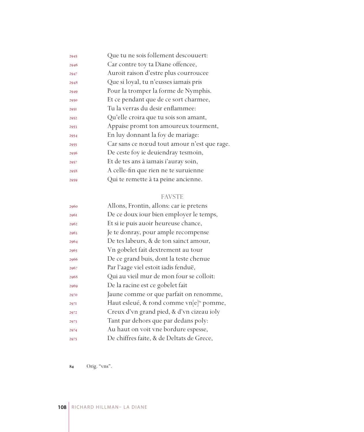| 2945 | Que tu ne sois follement descouuert:        |
|------|---------------------------------------------|
| 2946 | Car contre toy ta Diane offencee,           |
| 2947 | Auroit raison d'estre plus courroucee       |
| 2948 | Que si loyal, tu n'eusses iamais pris       |
| 2949 | Pour la tromper la forme de Nymphis.        |
| 2950 | Et ce pendant que de ce sort charmee,       |
| 2951 | Tu la verras du desir enflammee:            |
| 2952 | Qu'elle croira que tu sois son amant,       |
| 2953 | Appaise promt ton amoureux tourment,        |
| 2954 | En luy donnant la foy de mariage:           |
| 2955 | Car sans ce nœud tout amour n'est que rage. |
| 2956 | De ceste foy ie deuiendray tesmoin,         |
| 2957 | Et de tes ans à iamais i'auray soin,        |
| 2958 | A celle-fin que rien ne te suruienne        |
| 2959 | Qui te remette à ta peine ancienne.         |

# FAVSTE

| Allons, Frontin, allons: car ie pretens              |
|------------------------------------------------------|
| De ce doux iour bien employer le temps,              |
| Et si ie puis auoir heureuse chance,                 |
| Je te donray, pour ample recompense                  |
| De tes labeurs, & de ton sainct amour,               |
| Vn gobelet fait dextrement au tour                   |
| De ce grand buis, dont la teste chenue               |
| Par l'aage viel estoit iadis fenduë,                 |
| Qui au vieil mur de mon four se colloit:             |
| De la racine est ce gobelet fait                     |
| Jaune comme or que parfait on renomme,               |
| Haut esleué, & rond comme vn[e] <sup>84</sup> pomme, |
| Creux d'vn grand pied, & d'vn cizeau ioly            |
| Tant par dehors que par dedans poly:                 |
| Au haut on voit vne bordure espesse,                 |
| De chiffres faite, & de Deltats de Grece,            |
|                                                      |

Orig. "vns".

RICHARD HILLMAN– LA DIANE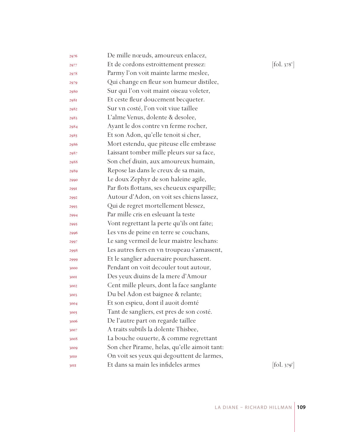| 2976 | De mille nœuds, amoureux enlacez,            |            |
|------|----------------------------------------------|------------|
| 2977 | Et de cordons estroittement pressez:         | [fol. 378] |
| 2978 | Parmy l'on voit mainte larme meslee,         |            |
| 2979 | Qui change en fleur son humeur distilee,     |            |
| 2980 | Sur qui l'on voit maint oiseau voleter,      |            |
| 2981 | Et ceste fleur doucement becqueter.          |            |
| 2982 | Sur vn costé, l'on voit viue taillee         |            |
| 2983 | L'alme Venus, dolente & desolee,             |            |
| 2984 | Ayant le dos contre vn ferme rocher,         |            |
| 2985 | Et son Adon, qu'elle tenoit si cher,         |            |
| 2986 | Mort estendu, que piteuse elle embrasse      |            |
| 2987 | Laissant tomber mille pleurs sur sa face,    |            |
| 2988 | Son chef diuin, aux amoureux humain,         |            |
| 2989 | Repose las dans le creux de sa main,         |            |
| 2990 | Le doux Zephyr de son haleine agile,         |            |
| 2991 | Par flots flottans, ses cheueux esparpille;  |            |
| 2992 | Autour d'Adon, on voit ses chiens lassez,    |            |
| 2993 | Qui de regret mortellement blessez,          |            |
| 2994 | Par mille cris en esleuant la teste          |            |
| 2995 | Vont regrettant la perte qu'ils ont faite;   |            |
| 2996 | Les vns de peine en terre se couchans,       |            |
| 2997 | Le sang vermeil de leur maistre leschans:    |            |
| 2998 | Les autres fiers en vn troupeau s'amassent,  |            |
| 2999 | Et le sanglier aduersaire pourchassent.      |            |
| 3000 | Pendant on voit decouler tout autour,        |            |
| 3001 | Des yeux diuins de la mere d'Amour           |            |
| 3002 | Cent mille pleurs, dont la face sanglante    |            |
| 3003 | Du bel Adon est baignee & relante;           |            |
| 3004 | Et son espieu, dont il auoit domté           |            |
| 3005 | Tant de sangliers, est pres de son costé.    |            |
| 3006 | De l'autre part on regarde taillee           |            |
| 3007 | A traits subtils la dolente Thisbee,         |            |
| 3008 | La bouche ouuerte, & comme regrettant        |            |
| 3009 | Son cher Pirame, helas, qu'elle aimoit tant: |            |
| 3010 | On voit ses yeux qui degouttent de larmes,   |            |
| 30II | Et dans sa main les infideles armes          | [fol. 379  |

v ]

r ]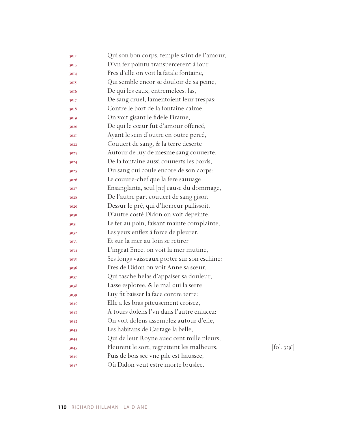| 3012 | Qui son bon corps, temple saint de l'amour, |                                |
|------|---------------------------------------------|--------------------------------|
| 3013 | D'vn fer pointu transpercerent à iour.      |                                |
| 3014 | Pres d'elle on voit la fatale fontaine,     |                                |
| 3015 | Qui semble encor se douloir de sa peine,    |                                |
| 3016 | De qui les eaux, entremelees, las,          |                                |
| 3017 | De sang cruel, lamentoient leur trespas:    |                                |
| 3018 | Contre le bort de la fontaine calme,        |                                |
| 3019 | On voit gisant le fidele Pirame,            |                                |
| 3020 | De qui le cœur fut d'amour offencé,         |                                |
| 302I | Ayant le sein d'outre en outre percé,       |                                |
| 3022 | Couuert de sang, & la terre deserte         |                                |
| 3023 | Autour de luy de mesme sang couuerte,       |                                |
| 3024 | De la fontaine aussi couuerts les bords,    |                                |
| 3025 | Du sang qui coule encore de son corps:      |                                |
| 3026 | Le couure-chef que la fere sauuage          |                                |
| 3027 | Ensanglanta, seul [sic] cause du dommage,   |                                |
| 3028 | De l'autre part couuert de sang gisoit      |                                |
| 3029 | Dessur le pré, qui d'horreur pallissoit.    |                                |
| 3030 | D'autre costé Didon on voit depeinte,       |                                |
| 3031 | Le fer au poin, faisant mainte complainte,  |                                |
| 3032 | Les yeux enflez à force de pleurer,         |                                |
| 3033 | Et sur la mer au loin se retirer            |                                |
| 3034 | L'ingrat Enee, on voit la mer mutine,       |                                |
| 3035 | Ses longs vaisseaux porter sur son eschine: |                                |
| 3036 | Pres de Didon on voit Anne sa sœur,         |                                |
| 3037 | Qui tasche helas d'appaiser sa douleur,     |                                |
| 3038 | Lasse esploree, & le mal qui la serre       |                                |
| 3039 | Luy fit baisser la face contre terre:       |                                |
| 3040 | Elle a les bras piteusement croisez,        |                                |
| 304I | A tours dolens l'vn dans l'autre enlacez:   |                                |
| 3042 | On voit dolens assemblez autour d'elle,     |                                |
| 3043 | Les habitans de Cartage la belle,           |                                |
| 3044 | Qui de leur Royne auec cent mille pleurs,   |                                |
| 3045 | Pleurent le sort, regrettent les malheurs,  | $\left[$ fol. 379 $\mathrm{v}$ |
| 3046 | Puis de bois sec vne pile est haussee,      |                                |
| 3047 | Où Didon veut estre morte bruslee.          |                                |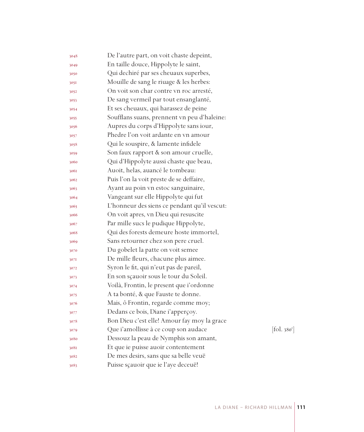| 3048 | De l'autre part, on voit chaste depeint,     |           |
|------|----------------------------------------------|-----------|
| 3049 | En taille douce, Hippolyte le saint,         |           |
| 3050 | Qui dechiré par ses cheuaux superbes,        |           |
| 305I | Mouille de sang le riuage & les herbes:      |           |
| 3052 | On voit son char contre vn roc arresté,      |           |
| 3053 | De sang vermeil par tout ensanglanté,        |           |
| 3054 | Et ses cheuaux, qui harassez de peine        |           |
| 3055 | Soufflans suans, prennent vn peu d'haleine:  |           |
| 3056 | Aupres du corps d'Hippolyte sans iour,       |           |
| 3057 | Phedre l'on voit ardante en vn amour         |           |
| 3058 | Qui le souspire, & lamente infidele          |           |
| 3059 | Son faux rapport & son amour cruelle,        |           |
| 3060 | Qui d'Hippolyte aussi chaste que beau,       |           |
| 3061 | Auoit, helas, auancé le tombeau:             |           |
| 3062 | Puis l'on la voit preste de se deffaire,     |           |
| 3063 | Ayant au poin vn estoc sanguinaire,          |           |
| 3064 | Vangeant sur elle Hippolyte qui fut          |           |
| 3065 | L'honneur des siens ce pendant qu'il vescut: |           |
| 3066 | On voit apres, vn Dieu qui resuscite         |           |
| 3067 | Par mille sucs le pudique Hippolyte,         |           |
| 3068 | Qui des forests demeure hoste immortel,      |           |
| 3069 | Sans retourner chez son pere cruel.          |           |
| 3070 | Du gobelet la patte on voit semee            |           |
| 3071 | De mille fleurs, chacune plus aimee.         |           |
| 3072 | Syron le fit, qui n'eut pas de pareil,       |           |
| 3073 | En son sçauoir sous le tour du Soleil.       |           |
| 3074 | Voilà, Frontin, le present que i'ordonne     |           |
| 3075 | A ta bonté, & que Fauste te donne.           |           |
| 3076 | Mais, ô Frontin, regarde comme moy;          |           |
| 3077 | Dedans ce bois, Diane i'apperçoy.            |           |
| 3078 | Bon Dieu c'est elle! Amour fay moy la grace  |           |
| 3079 | Que i'amollisse à ce coup son audace         | [fol.380] |
| 3080 | Dessouz la peau de Nymphis son amant,        |           |
| 308I | Et que ie puisse auoir contentement          |           |
| 3082 | De mes desirs, sans que sa belle veuë        |           |
| 3083 | Puisse sçauoir que ie l'aye deceuë!          |           |

r ]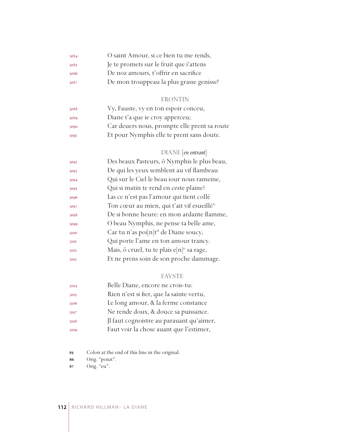| 3084 | O saint Amour, si ce bien tu me rends,   |
|------|------------------------------------------|
| 3085 | Je te promets sur le fruit que i'attens  |
| 3086 | De noz amours, t'offrir en sacrifice     |
| 3087 | De mon trouppeau la plus grasse genisse! |

# FRONTIN

| 3088 | Vy, Fauste, vy en ton espoir conceu,         |
|------|----------------------------------------------|
| 3089 | Diane t'a que ie croy apperceu;              |
| 3090 | Car deuers nous, prompte elle prent sa route |
| 3091 | Et pour Nymphis elle te prent sans doute.    |

# DIANE [*en entrant*]

| 3092 | Des beaux Pasteurs, ô Nymphis le plus beau,               |
|------|-----------------------------------------------------------|
| 3093 | De qui les yeux semblent au vif flambeau                  |
| 3094 | Qui sur le Ciel le beau iour nous rameine,                |
| 3095 | Qui si matin te rend en ceste plaine?                     |
| 3096 | Las ce n'est pas l'amour qui tient collé                  |
| 3097 | Ton cœur au mien, qui t'ait vif esueillé <sup>85</sup>    |
| 3098 | De si bonne heure: en mon ardante flamme,                 |
| 3099 | O beau Nymphis, ne pense ta belle ame,                    |
| 3100 | Car tu n'as poi[n]t <sup>56</sup> de Diane soucy,         |
| 3101 | Qui porte l'ame en ton amour trancy.                      |
| 3102 | Mais, ô cruel, tu te plais e $[n]$ <sup>87</sup> sa rage, |
| 3103 | Et ne prens soin de son proche dammage.                   |
|      |                                                           |

# FAVSTE

| 3104 | Belle Diane, encore ne crois-tu:         |
|------|------------------------------------------|
| 3105 | Rien n'est si fier, que la sainte vertu, |
| 3106 | Le long amour, & la ferme constance      |
| 3107 | Ne rende doux, & douce sa puissance.     |
| 3108 | Jl faut cognoistre au parauant qu'aimer, |
| 3109 | Faut voir la chose auant que l'estimer,  |

Colon at the end of this line in the original.

Orig. "poiut".

Orig. "eu".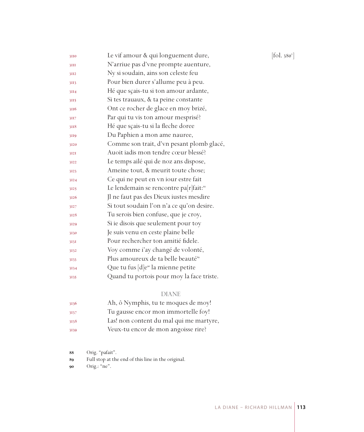| 3110 | Le vif amour & qui longuement dure,                | [fol. 380 $^{\rm v}$ ] |
|------|----------------------------------------------------|------------------------|
| 3III | N'arriue pas d'vne prompte auenture,               |                        |
| 3II2 | Ny si soudain, ains son celeste feu                |                        |
| 3II3 | Pour bien durer s'allume peu à peu.                |                        |
| 3II4 | Hé que sçais-tu si ton amour ardante,              |                        |
| 3II5 | Si tes trauaux, & ta peine constante               |                        |
| 3116 | Ont ce rocher de glace en moy brizé,               |                        |
| 3II7 | Par qui tu vis ton amour mesprisé?                 |                        |
| 3118 | Hé que sçais-tu si la fleche doree                 |                        |
| 3119 | Du Paphien a mon ame nauree,                       |                        |
| 3120 | Comme son trait, d'vn pesant plomb glacé,          |                        |
| 3121 | Auoit iadis mon tendre cœur blessé?                |                        |
| 3122 | Le temps ailé qui de noz ans dispose,              |                        |
| 3123 | Ameine tout, & meurit toute chose;                 |                        |
| 3124 | Ce qui ne peut en vn iour estre fait               |                        |
| 3125 | Le lendemain se rencontre pa[r]fait: <sup>88</sup> |                        |
| 3126 | Jl ne faut pas des Dieux iustes mesdire            |                        |
| 3127 | Si tout soudain l'on n'a ce qu'on desire.          |                        |
| 3128 | Tu serois bien confuse, que je croy,               |                        |
| 3129 | Si ie disois que seulement pour toy                |                        |
| 3130 | Je suis venu en ceste plaine belle                 |                        |
| 313I | Pour rechercher ton amitié fidele.                 |                        |
| 3132 | Voy comme i'ay changé de volonté,                  |                        |
| 3133 | Plus amoureux de ta belle beauté <sup>89</sup>     |                        |
| 3134 | Que tu fus [d]e <sup>90</sup> la mienne petite     |                        |
| 3135 | Quand tu portois pour moy la face triste.          |                        |
|      |                                                    |                        |

#### DIANE

| 3136 | Ah, ô Nymphis, tu te moques de moy!     |
|------|-----------------------------------------|
| 3137 | Tu gausse encor mon immortelle foy!     |
| 3138 | Las! non content du mal qui me martyre, |
| 3139 | Veux-tu encor de mon angoisse rire?     |

Orig. "pafait".

Full stop at the end of this line in the original.

Orig.: "ne".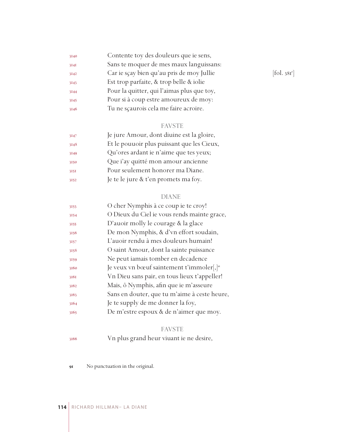| 3140 | Contente toy des douleurs que ie sens,     |            |
|------|--------------------------------------------|------------|
| 3141 | Sans te moquer de mes maux languissans:    |            |
| 3142 | Car ie sçay bien qu'au pris de moy Jullie  | [fol. 381] |
| 3143 | Est trop parfaite, & trop belle & iolie    |            |
| 3144 | Pour la quitter, qui l'aimas plus que toy, |            |
| 3145 | Pour si à coup estre amoureux de moy:      |            |
| 3146 | Tu ne scaurois cela me faire acroire.      |            |

# FAVSTE

| 3147 | Je jure Amour, dont diuine est la gloire,  |
|------|--------------------------------------------|
| 3148 | Et le pouuoir plus puissant que les Cieux, |
| 3149 | Qu'ores ardant ie n'aime que tes yeux;     |
| 3150 | Que i'ay quitté mon amour ancienne         |
| 3151 | Pour seulement honorer ma Diane.           |
| 3152 | Je te le jure & t'en promets ma foy.       |

#### DIANE

| 3153 | O cher Nymphis à ce coup ie te croy!                     |
|------|----------------------------------------------------------|
| 3154 | O Dieux du Ciel ie vous rends mainte grace,              |
| 3155 | D'auoir molly le courage & la glace                      |
| 3156 | De mon Nymphis, & d'vn effort soudain,                   |
| 3157 | L'auoir rendu à mes douleurs humain!                     |
| 3158 | O saint Amour, dont la sainte puissance                  |
| 3159 | Ne peut iamais tomber en decadence                       |
| 3160 | Je veux vn bœuf saintement t'immoler[, $]$ <sup>91</sup> |
| 3161 | Vn Dieu sans pair, en tous lieux t'appeller!             |
| 3162 | Mais, ô Nymphis, afin que ie m'asseure                   |
| 3163 | Sans en douter, que tu m'aime à ceste heure,             |
| 3164 | Je te supply de me donner la foy,                        |
| 3165 | De m'estre espoux & de n'aimer que moy.                  |

# FAVSTE

Vn plus grand heur viuant ie ne desire,

No punctuation in the original.

 $[$ fol. 381 $^r$ ]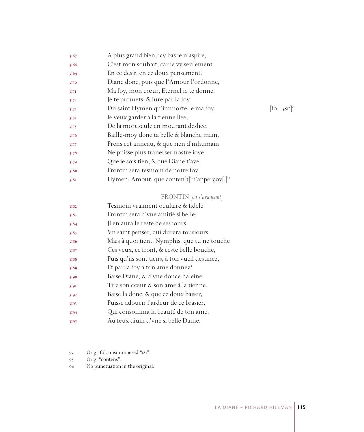| C'est mon souhait, car ie vy seulement<br>3168<br>En ce desir, en ce doux pensement.<br>3169<br>Diane donc, puis que l'Amour l'ordonne,<br>3170<br>Ma foy, mon cœur, Eternel ie te donne,<br>3171<br>Je te promets, & iure par la loy<br>3172<br>Du saint Hymen qu'immortelle ma foy<br>3173<br>Ie veux garder à la tienne liee,<br>3174<br>De la mort seule en mourant desliee.<br>3175<br>Baille-moy donc ta belle & blanche main,<br>3176<br>Prens cet anneau, & que rien d'inhumain<br>3177<br>Ne puisse plus trauerser nostre ioye, |                                         |
|------------------------------------------------------------------------------------------------------------------------------------------------------------------------------------------------------------------------------------------------------------------------------------------------------------------------------------------------------------------------------------------------------------------------------------------------------------------------------------------------------------------------------------------|-----------------------------------------|
|                                                                                                                                                                                                                                                                                                                                                                                                                                                                                                                                          |                                         |
|                                                                                                                                                                                                                                                                                                                                                                                                                                                                                                                                          |                                         |
|                                                                                                                                                                                                                                                                                                                                                                                                                                                                                                                                          |                                         |
|                                                                                                                                                                                                                                                                                                                                                                                                                                                                                                                                          |                                         |
|                                                                                                                                                                                                                                                                                                                                                                                                                                                                                                                                          |                                         |
|                                                                                                                                                                                                                                                                                                                                                                                                                                                                                                                                          | $\left  \text{fol. } 381 \right\rangle$ |
|                                                                                                                                                                                                                                                                                                                                                                                                                                                                                                                                          |                                         |
|                                                                                                                                                                                                                                                                                                                                                                                                                                                                                                                                          |                                         |
|                                                                                                                                                                                                                                                                                                                                                                                                                                                                                                                                          |                                         |
|                                                                                                                                                                                                                                                                                                                                                                                                                                                                                                                                          |                                         |
| 3178                                                                                                                                                                                                                                                                                                                                                                                                                                                                                                                                     |                                         |
| Que ie sois tien, & que Diane t'aye,<br>3179                                                                                                                                                                                                                                                                                                                                                                                                                                                                                             |                                         |
| Frontin sera tesmoin de notre foy,<br>3180                                                                                                                                                                                                                                                                                                                                                                                                                                                                                               |                                         |
| Hymen, Amour, que conten $[t]$ <sup>93</sup> i'apperçoy $[.]^{94}$<br>3181                                                                                                                                                                                                                                                                                                                                                                                                                                                               |                                         |

#### FRONTIN [*en s'avançant*]

| 3182 | Tesmoin vraiment oculaire & fidele            |
|------|-----------------------------------------------|
| 3183 | Frontin sera d'vne amitié si belle;           |
| 3184 | Il en aura le reste de ses iours,             |
| 3185 | Vn saint penser, qui durera tousiours.        |
| 3186 | Mais à quoi tient, Nymphis, que tu ne touche  |
| 3187 | Ces yeux, ce front, & ceste belle bouche,     |
| 3188 | Puis qu'ils sont tiens, à ton vueil destinez, |
| 3189 | Et par la foy à ton ame donnez?               |
| 3190 | Baise Diane, & d'vne douce haleine            |
| 3191 | Tire son cœur & son ame à la tienne.          |
| 3192 | Baise la donc, & que ce doux baiser,          |
| 3193 | Puisse adoucir l'ardeur de ce brasier,        |
| 3194 | Qui consomma la beauté de ton ame,            |
| 3195 | Au feux diuin d'vne si belle Dame.            |

Orig.: fol. misnumbered "181".

- 93 Orig. "contens".
- No punctuation in the original.

]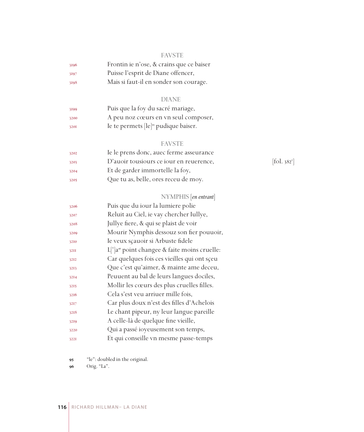#### FAVSTE

| 3196 | Frontin ie n'ose, & crains que ce baiser |
|------|------------------------------------------|
| 3197 | Puisse l'esprit de Diane offencer,       |
| 3198 | Mais si faut-il en sonder son courage.   |

# DIANE

| 3199 | Puis que la foy du sacré mariage,                |
|------|--------------------------------------------------|
| 3200 | A peu noz cœurs en vn seul composer,             |
| 3201 | Ie te permets [le] <sup>95</sup> pudique baiser. |

#### FAVSTE

| 3202 | Ie le prens donc, auec ferme asseurance |                                |
|------|-----------------------------------------|--------------------------------|
| 3203 | D'auoir tousiours ce iour en reuerence, | $\left[$ fol. 382 <sup>1</sup> |
| 3204 | Et de garder immortelle la foy,         |                                |
| 3205 | Que tu as, belle, ores receu de moy.    |                                |

#### NYMPHIS [*en entrant*]

| 3206        | Puis que du iour la lumiere polie                        |
|-------------|----------------------------------------------------------|
| 3207        | Reluit au Ciel, ie vay chercher Iullye,                  |
| 3208        | Jullye fiere, & qui se plaist de voir                    |
| 3209        | Mourir Nymphis dessouz son fier pouuoir,                 |
| 3210        | Ie veux sçauoir si Arbuste fidele                        |
| <b>32II</b> | L ' a <sup>96</sup> point changee & faite moins cruelle: |
| 3212        | Car quelques fois ces vieilles qui ont sçeu              |
| 3213        | Que c'est qu'aimer, & mainte ame deceu,                  |
| 3214        | Peuuent au bal de leurs langues dociles,                 |
| 3215        | Mollir les cœurs des plus cruelles filles.               |
| 3216        | Cela s'est veu arriuer mille fois,                       |
| 3217        | Car plus doux n'est des filles d'Achelois                |
| 3218        | Le chant pipeur, ny leur langue pareille                 |
| 3219        | A celle-là de quelque fine vieille,                      |
| 3220        | Qui a passé ioyeusement son temps,                       |
| 3221        | Et qui conseille vn mesme passe-temps                    |

"le": doubled in the original.

Orig. "La".

 $[\text{fol. }382^\text{r}]$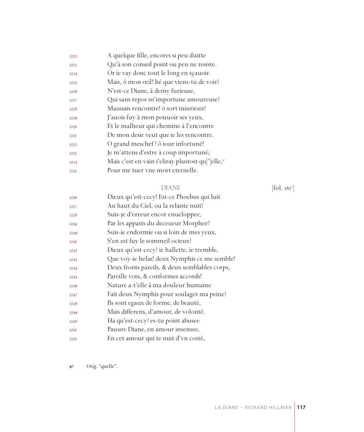| 3222 | A quelque fille, encores si peu duitte                                     |
|------|----------------------------------------------------------------------------|
| 3223 | Qu'à son conseil point ou peu ne resiste.                                  |
| 3224 | Or ie vay donc tout le long en sçauoir.                                    |
| 3225 | Mais, ô mon œil! hé que viens-tu de voir?                                  |
| 3226 | N'est-ce Diane, à demy furieuse,                                           |
| 3227 | Qui sans repos m'importune amoureuse?                                      |
| 3228 | Mauuais rencontre! ô sort iniurieux!                                       |
| 3229 | J'auois fuy à mon pouuoir ses yeux,                                        |
| 3230 | Et le malheur qui chemine à l'encontre                                     |
| 3231 | De mon desir veut que ie les rencontre.                                    |
| 3232 | O grand meschef! ô iour infortuné!                                         |
| 3233 | Je m'attens d'estre à coup importuné;                                      |
| 3234 | Mais c'est en vain i'eliray plustost qu <sup>['</sup> ]elle, <sup>97</sup> |
| 3235 | Pour me tuer vne mort eternelle.                                           |
|      |                                                                            |

#### DIANE [fol. 382<sup>v</sup>]

| 3236 | Dieux qu'est-cecy! Est-ce Phoebus qui luit    |
|------|-----------------------------------------------|
| 3237 | Au haut du Ciel, ou la relante nuit?          |
| 3238 | Suis-je d'erreur encor enueloppee,            |
| 3239 | Par les appasts du deceueur Morphee?          |
| 3240 | Suis-ie endormie ou si loin de mes yeux,      |
| 324I | S'en est fuy le sommeil ocieux?               |
| 3242 | Dieux qu'est-cecy? ie hallette, ie tremble,   |
| 3243 | Que voy-ie helas! deux Nymphis ce me semble!  |
| 3244 | Deux fronts pareils, & deux semblables corps, |
| 3245 | Pareille voix, & conformes accords!           |
| 3246 | Nature a-t'elle à ma douleur humaine          |
| 3247 | Fait deux Nymphis pour soulager ma peine?     |
| 3248 | Ils sont egaux de forme, de beauté,           |
| 3249 | Mais differens, d'amour, de volonté.          |
| 3250 | Ha qu'est-cecy? es-tu point abusee            |
| 3251 | Pauure Diane, en amour insensee,              |
| 3252 | En cet amour qui te nuit d'vn costé,          |

Orig. "quelle".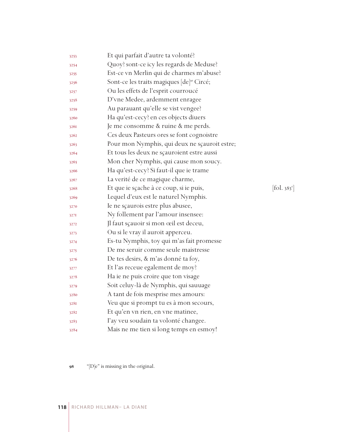| 3253 | Et qui parfait d'autre ta volonté?                    |            |
|------|-------------------------------------------------------|------------|
| 3254 | Quoy? sont-ce icy les regards de Meduse?              |            |
| 3255 | Est-ce vn Merlin qui de charmes m'abuse?              |            |
| 3256 | Sont-ce les traits magiques [de] <sup>98</sup> Circé; |            |
| 3257 | Ou les effets de l'esprit courroucé                   |            |
| 3258 | D'vne Medee, ardemment enragee                        |            |
| 3259 | Au parauant qu'elle se vist vengee?                   |            |
| 3260 | Ha qu'est-cecy? en ces objects diuers                 |            |
| 3261 | Je me consomme & ruine & me perds.                    |            |
| 3262 | Ces deux Pasteurs ores se font cognoistre             |            |
| 3263 | Pour mon Nymphis, qui deux ne sçauroit estre;         |            |
| 3264 | Et tous les deux ne sçauroient estre aussi            |            |
| 3265 | Mon cher Nymphis, qui cause mon soucy.                |            |
| 3266 | Ha qu'est-cecy? Si faut-il que ie trame               |            |
| 3267 | La verité de ce magique charme,                       |            |
| 3268 | Et que ie sçache à ce coup, si ie puis,               | [fol. 383] |
| 3269 | Lequel d'eux est le naturel Nymphis.                  |            |
| 3270 | Ie ne sçaurois estre plus abusee,                     |            |
| 327I | Ny follement par l'amour insensee:                    |            |
| 3272 | Jl faut sçauoir si mon œil est deceu,                 |            |
| 3273 | Ou si le vray il auroit apperceu.                     |            |
| 3274 | Es-tu Nymphis, toy qui m'as fait promesse             |            |
| 3275 | De me seruir comme seule maistresse                   |            |
| 3276 | De tes desirs, & m'as donné ta foy,                   |            |
| 3277 | Et l'as receue egalement de moy?                      |            |
| 3278 | Ha ie ne puis croire que ton visage                   |            |
| 3279 | Soit celuy-là de Nymphis, qui sauuage                 |            |
| 3280 | A tant de fois mesprise mes amours:                   |            |
| 328I | Veu que si prompt tu es à mon secours,                |            |
| 3282 | Et qu'en vn rien, en vne matinee,                     |            |
| 3283 | l'ay veu soudain ta volonté changee.                  |            |
| 3284 | Mais ne me tien si long temps en esmoy!               |            |

98 "[D]e" is missing in the original.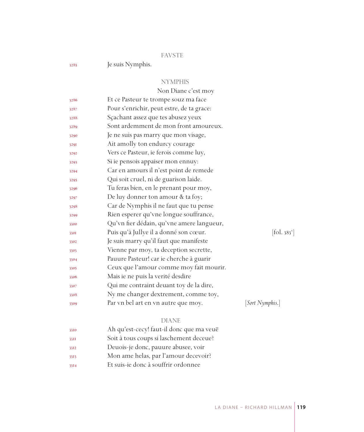#### FAVSTE

Je suis Nymphis.

#### NYMPHIS

|              | Non Diane c'est moy                       |                              |
|--------------|-------------------------------------------|------------------------------|
| 3286         | Et ce Pasteur te trompe souz ma face      |                              |
| 3287         | Pour s'enrichir, peut estre, de ta grace: |                              |
| 3288         | Sçachant assez que tes abusez yeux        |                              |
| 3289         | Sont ardemment de mon front amoureux.     |                              |
| 3290         | Je ne suis pas marry que mon visage,      |                              |
| 3291         | Ait amolly ton endurcy courage            |                              |
| 3292         | Vers ce Pasteur, ie ferois comme luy,     |                              |
| 3293         | Si ie pensois appaiser mon ennuy:         |                              |
| 3294         | Car en amours il n'est point de remede    |                              |
| 3295         | Qui soit cruel, ni de guarison laide.     |                              |
| 3296         | Tu feras bien, en le prenant pour moy,    |                              |
| 3297         | De luy donner ton amour & ta foy;         |                              |
| 3298         | Car de Nymphis il ne faut que tu pense    |                              |
| 3299         | Rien esperer qu'vne longue souffrance,    |                              |
| 3300         | Qu'vn fier dédain, qu'vne amere langueur, |                              |
| 330I         | Puis qu'à Jullye il a donné son cœur.     | $[\text{fol. } 383^{\circ}]$ |
| 3302         | Je suis marry qu'il faut que manifeste    |                              |
| 3303         | Vienne par moy, ta deception secrette,    |                              |
| 3304         | Pauure Pasteur! car ie cherche à guarir   |                              |
| 3305         | Ceux que l'amour comme moy fait mourir.   |                              |
| 3306         | Mais ie ne puis la verité desdire         |                              |
| 3307         | Qui me contraint deuant toy de la dire,   |                              |
| 3308         | Ny me changer dextrement, comme toy,      |                              |
| 3309         | Par vn bel art en vn autre que moy.       | [Sort Nymphis.]              |
|              | <b>DIANE</b>                              |                              |
|              | Ah qu'est-cecy! faut-il donc que ma veuë  |                              |
| 3310         | Soit à tous coups si laschement deceue?   |                              |
| 33II<br>3312 | Deuois-je donc, pauure abusee, voir       |                              |
|              | Mon ame helas, par l'amour decevoir?      |                              |
| 3313         |                                           |                              |

Et suis-ie donc à souffrir ordonnee

LA DIANE – RICHARD HILLMAN **119**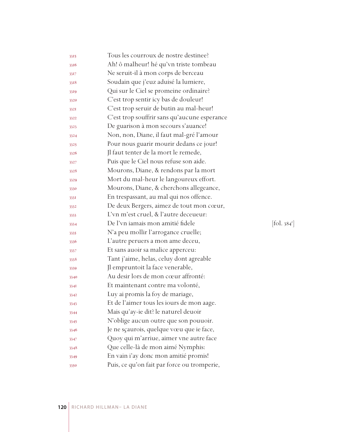| 3315 | Tous les courroux de nostre destinee?        |                                 |
|------|----------------------------------------------|---------------------------------|
| 3316 | Ah! ô malheur! hé qu'vn triste tombeau       |                                 |
| 3317 | Ne seruit-il à mon corps de berceau          |                                 |
| 3318 | Soudain que j'euz aduisé la lumiere,         |                                 |
| 3319 | Qui sur le Ciel se promeine ordinaire?       |                                 |
| 3320 | C'est trop sentir icy bas de douleur!        |                                 |
| 3321 | C'est trop seruir de butin au mal-heur!      |                                 |
| 3322 | C'est trop souffrir sans qu'aucune esperance |                                 |
| 3323 | De guarison à mon secours s'auance!          |                                 |
| 3324 | Non, non, Diane, il faut mal-gré l'amour     |                                 |
| 3325 | Pour nous guarir mourir dedans ce jour!      |                                 |
| 3326 | Jl faut tenter de la mort le remede,         |                                 |
| 3327 | Puis que le Ciel nous refuse son aide.       |                                 |
| 3328 | Mourons, Diane, & rendons par la mort        |                                 |
| 3329 | Mort du mal-heur le langoureux effort.       |                                 |
| 3330 | Mourons, Diane, & cherchons allegeance,      |                                 |
| 3331 | En trespassant, au mal qui nos offence.      |                                 |
| 3332 | De deux Bergers, aimez de tout mon cœur,     |                                 |
| 3333 | L'vn m'est cruel, & l'autre deceueur:        |                                 |
| 3334 | De l'vn iamais mon amitié fidele             | $[\text{fol. } 384^{\text{r}}]$ |
| 3335 | N'a peu mollir l'arrogance cruelle;          |                                 |
| 3336 | L'autre peruers a mon ame deceu,             |                                 |
| 3337 | Et sans auoir sa malice apperceu:            |                                 |
| 3338 | Tant j'aime, helas, celuy dont agreable      |                                 |
| 3339 | Jl empruntoit la face venerable,             |                                 |
| 3340 | Au desir lors de mon cœur affronté:          |                                 |
| 3341 | Et maintenant contre ma volonté,             |                                 |
| 3342 | Luy ai promis la foy de mariage,             |                                 |
| 3343 | Et de l'aimer tous les iours de mon aage.    |                                 |
| 3344 | Mais qu'ay-ie dit? le naturel deuoir         |                                 |
| 3345 | N'oblige aucun outre que son pouuoir.        |                                 |
| 3346 | Je ne sçaurois, quelque vœu que ie face,     |                                 |
| 3347 | Quoy qui m'arriue, aimer vne autre face      |                                 |
| 3348 | Que celle-là de mon aimé Nymphis:            |                                 |
| 3349 | En vain i'ay donc mon amitié promis!         |                                 |
| 3350 | Puis, ce qu'on fait par force ou tromperie,  |                                 |
|      |                                              |                                 |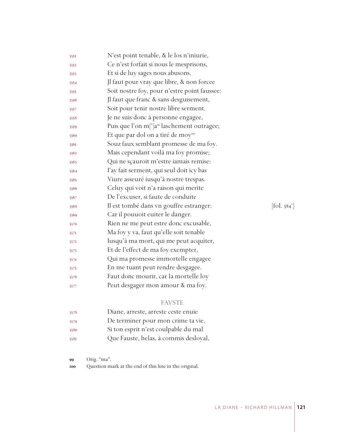| 3351 | N'est point tenable, & le los n'iniurie,               |                                       |
|------|--------------------------------------------------------|---------------------------------------|
| 3352 | Ce n'est forfait si nous le mesprisons,                |                                       |
| 3353 | Et si de luy sages nous abusons.                       |                                       |
| 3354 | Jl faut pour vray que libre, & non forcee              |                                       |
| 3355 | Soit nostre foy, pour n'estre point faussee:           |                                       |
| 3356 | Jl faut que franc & sans desguisement,                 |                                       |
| 3357 | Soit pour tenir nostre libre serment.                  |                                       |
| 3358 | Je ne suis donc à personne engagee,                    |                                       |
| 3359 | Puis que l'on m[']a <sup>99</sup> laschement outragee; |                                       |
| 3360 | Et que par dol on a tiré de moy <sup>100</sup>         |                                       |
| 3361 | Souz faux semblant promesse de ma foy.                 |                                       |
| 3362 | Mais cependant voilà ma foy promise;                   |                                       |
| 3363 | Qui ne sçauroit m'estre iamais remise:                 |                                       |
| 3364 | l'ay fait serment, qui seul doit icy bas               |                                       |
| 3365 | Viure asseuré iusqu'à nostre trespas.                  |                                       |
| 3366 | Celuy qui voit n'a raison qui merite                   |                                       |
| 3367 | De l'excuser, si faute de conduite                     |                                       |
| 3368 | Il est tombé dans vn gouffre estranger:                | $\left[$ fol. 384 $\mathrm{v}\right]$ |
| 3369 | Car il pouuoit euiter le danger.                       |                                       |
| 3370 | Rien ne me peut estre donc excusable,                  |                                       |
| 3371 | Ma foy y va, faut qu'elle soit tenable                 |                                       |
| 3372 | Iusqu'à ma mort, qui me peut acquiter,                 |                                       |
| 3373 | Et de l'effect de ma foy exempter,                     |                                       |
| 3374 | Qui ma promesse immortelle engagee                     |                                       |
| 3375 | En me tuant peut rendre desgagee.                      |                                       |
| 3376 | Faut donc mourir, car la mortelle loy                  |                                       |
| 3377 | Peut desgager mon amour & ma foy.                      |                                       |

# FAVSTE

| 3378 | Diane, arreste, arreste ceste enuie   |
|------|---------------------------------------|
| 3379 | De terminer pour mon crime ta vie.    |
| 3380 | Si ton esprit n'est coulpable du mal  |
| 3381 | Que Fauste, helas, à commis desloyal, |

Orig. "ma".

Question mark at the end of this line in the original.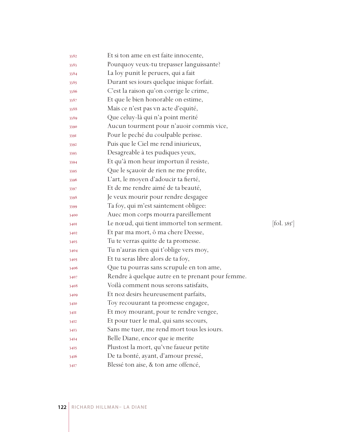| 3382 | Et si ton ame en est faite innocente,            |                                 |
|------|--------------------------------------------------|---------------------------------|
| 3383 | Pourquoy veux-tu trepasser languissante?         |                                 |
| 3384 | La loy punit le peruers, qui a fait              |                                 |
| 3385 | Durant ses iours quelque inique forfait.         |                                 |
| 3386 | C'est la raison qu'on corrige le crime,          |                                 |
| 3387 | Et que le bien honorable on estime,              |                                 |
| 3388 | Mais ce n'est pas vn acte d'equité,              |                                 |
| 3389 | Que celuy-là qui n'a point merité                |                                 |
| 3390 | Aucun tourment pour n'auoir commis vice,         |                                 |
| 339I | Pour le peché du coulpable perisse.              |                                 |
| 3392 | Puis que le Ciel me rend iniurieux,              |                                 |
| 3393 | Desagreable à tes pudiques yeux,                 |                                 |
| 3394 | Et qu'à mon heur importun il resiste,            |                                 |
| 3395 | Que le sçauoir de rien ne me profite,            |                                 |
| 3396 | L'art, le moyen d'adoucir ta fierté,             |                                 |
| 3397 | Et de me rendre aimé de ta beauté,               |                                 |
| 3398 | Je veux mourir pour rendre desgagee              |                                 |
| 3399 | Ta foy, qui m'est saintement obligee:            |                                 |
| 3400 | Auec mon corps mourra pareillement               |                                 |
| 3401 | Le nœud, qui tient immortel ton serment.         | $[\text{fol. } 385^{\text{r}}]$ |
| 3402 | Et par ma mort, ô ma chere Deesse,               |                                 |
| 3403 | Tu te verras quitte de ta promesse.              |                                 |
| 3404 | Tu n'auras rien qui t'oblige vers moy,           |                                 |
| 3405 | Et tu seras libre alors de ta foy,               |                                 |
| 3406 | Que tu pourras sans scrupule en ton ame,         |                                 |
| 3407 | Rendre à quelque autre en te prenant pour femme. |                                 |
| 3408 | Voilà comment nous serons satisfaits,            |                                 |
| 3409 | Et noz desirs heureusement parfaits,             |                                 |
| 3410 | Toy recouurant ta promesse engagee,              |                                 |
| 34II | Et moy mourant, pour te rendre vengee,           |                                 |
| 3412 | Et pour tuer le mal, qui sans secours,           |                                 |
| 3413 | Sans me tuer, me rend mort tous les iours.       |                                 |
| 3414 | Belle Diane, encor que ie merite                 |                                 |
| 3415 | Plustost la mort, qu'vne faueur petite           |                                 |
| 3416 | De ta bonté, ayant, d'amour pressé,              |                                 |
| 3417 | Blessé ton aise, & ton ame offencé,              |                                 |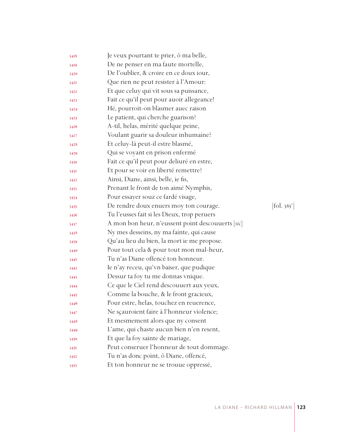| 3418 | Je veux pourtant te prier, ô ma belle,            |                          |
|------|---------------------------------------------------|--------------------------|
| 3419 | De ne penser en ma faute mortelle,                |                          |
| 3420 | De l'oublier, & croire en ce doux iour,           |                          |
| 3421 | Que rien ne peut resister à l'Amour:              |                          |
| 3422 | Et que celuy qui vit sous sa puissance,           |                          |
| 3423 | Fait ce qu'il peut pour auoir allegeance!         |                          |
| 3424 | Hé, pourroit-on blasmer auec raison               |                          |
| 3425 | Le patient, qui cherche guarison?                 |                          |
| 3426 | A-til, helas, mérité quelque peine,               |                          |
| 3427 | Voulant guarir sa douleur inhumaine?              |                          |
| 3428 | Et celuy-là peut-il estre blasmé,                 |                          |
| 3429 | Qui se voyant en prison enfermé                   |                          |
| 3430 | Fait ce qu'il peut pour deliuré en estre,         |                          |
| 343I | Et pour se voir en liberté remettre?              |                          |
| 3432 | Ainsi, Diane, ainsi, belle, ie fis,               |                          |
| 3433 | Prenant le front de ton aimé Nymphis,             |                          |
| 3434 | Pour essayer souz ce fardé visage,                |                          |
| 3435 | De rendre doux enuers moy ton courage.            | [fol. 385 <sup>v</sup> ] |
| 3436 | Tu l'eusses fait si les Dieux, trop peruers       |                          |
| 3437 | A mon bon heur, n'eussent point descouuerts [sic] |                          |
| 3438 | Ny mes desseins, ny ma fainte, qui cause          |                          |
| 3439 | Qu'au lieu du bien, la mort ie me propose.        |                          |
| 3440 | Pour tout cela & pour tout mon mal-heur,          |                          |
| 344I | Tu n'as Diane offencé ton honneur.                |                          |
| 3442 | Ie n'ay receu, qu'vn baiser, que pudique          |                          |
| 3443 | Dessur ta foy tu me donnas vnique.                |                          |
| 3444 | Ce que le Ciel rend descouuert aux yeux,          |                          |
| 3445 | Comme la bouche, & le front gracieux,             |                          |
| 3446 | Pour estre, helas, touchez en reuerence,          |                          |
| 3447 | Ne sçauroient faire à l'honneur violence;         |                          |
| 3448 | Et mesmement alors que ny consent                 |                          |
| 3449 | L'ame, qui chaste aucun bien n'en resent,         |                          |
| 3450 | Et que la foy sainte de mariage,                  |                          |
| 3451 | Peut conseruer l'honneur de tout dommage.         |                          |
| 3452 | Tu n'as donc point, ô Diane, offencé,             |                          |
| 3453 | Et ton honneur ne se trouue oppressé,             |                          |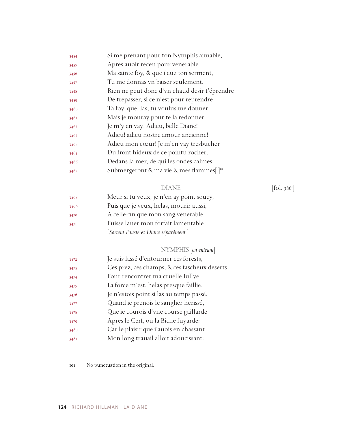| 3454 | Si me prenant pour ton Nymphis aimable,               |
|------|-------------------------------------------------------|
| 3455 | Apres auoir receu pour venerable                      |
| 3456 | Ma sainte foy, & que i'euz ton serment,               |
| 3457 | Tu me donnas vn baiser seulement.                     |
| 3458 | Rien ne peut donc d'vn chaud desir t'éprendre         |
| 3459 | De trepasser, si ce n'est pour reprendre              |
| 3460 | Ta foy, que, las, tu voulus me donner:                |
| 3461 | Mais je mouray pour te la redonner.                   |
| 3462 | Je m'y en vay: Adieu, belle Diane!                    |
| 3463 | Adieu! adieu nostre amour ancienne!                   |
| 3464 | Adieu mon cœur! Je m'en vay tresbucher                |
| 3465 | Du front hideux de ce pointu rocher,                  |
| 3466 | Dedans la mer, de qui les ondes calmes                |
| 3467 | Submergeront & ma vie & mes flammes[.] <sup>101</sup> |

#### DIANE [fol. 386<sup>r</sup>]

| 3468 | Meur si tu veux, je n'en ay point soucy, |
|------|------------------------------------------|
| 3469 | Puis que je veux, helas, mourir aussi,   |
| 3470 | A celle-fin que mon sang venerable       |
| 3471 | Puisse lauer mon forfait lamentable.     |
|      | [Sortent Fauste et Diane séparément.]    |

# NYMPHIS [*en entrant*]

| 3472 | Je suis lassé d'entourner ces forests,        |
|------|-----------------------------------------------|
| 3473 | Ces prez, ces champs, & ces fascheux deserts, |
| 3474 | Pour rencontrer ma cruelle Iullye:            |
| 3475 | La force m'est, helas presque faillie.        |
| 3476 | Je n'estois point si las au temps passé,      |
| 3477 | Quand ie prenois le sanglier herissé,         |
| 3478 | Que ie courois d'vne course gaillarde         |
| 3479 | Apres le Cerf, ou la Biche fuyarde:           |
| 3480 | Car le plaisir que i'auois en chassant        |
| 3481 | Mon long trauail alloit adoucissant:          |
|      |                                               |

No punctuation in the original.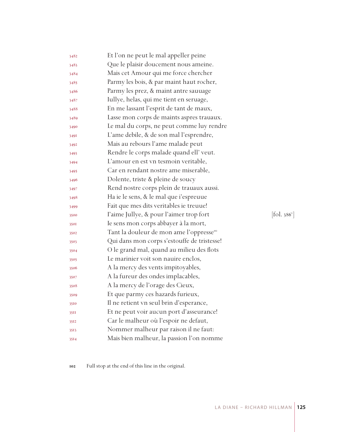| 3482 | Et l'on ne peut le mal appeller peine                |            |
|------|------------------------------------------------------|------------|
| 3483 | Que le plaisir doucement nous ameine.                |            |
| 3484 | Mais cet Amour qui me force chercher                 |            |
| 3485 | Parmy les bois, & par maint haut rocher,             |            |
| 3486 | Parmy les prez, & maint antre sauuage                |            |
| 3487 | Iullye, helas, qui me tient en seruage,              |            |
| 3488 | En me lassant l'esprit de tant de maux,              |            |
| 3489 | Lasse mon corps de maints aspres trauaux.            |            |
| 3490 | Le mal du corps, ne peut comme luy rendre            |            |
| 3491 | L'ame debile, & de son mal l'esprendre,              |            |
| 3492 | Mais au rebours l'ame malade peut                    |            |
| 3493 | Rendre le corps malade quand ell' veut.              |            |
| 3494 | L'amour en est vn tesmoin veritable,                 |            |
| 3495 | Car en rendant nostre ame miserable,                 |            |
| 3496 | Dolente, triste & pleine de soucy                    |            |
| 3497 | Rend nostre corps plein de trauaux aussi.            |            |
| 3498 | Ha ie le sens, & le mal que i'espreuue               |            |
| 3499 | Fait que mes dits veritables ie treuue!              |            |
| 3500 | l'aime Jullye, & pour l'aimer trop fort              | [fol. 386] |
| 3501 | Ie sens mon corps abbayer à la mort,                 |            |
| 3502 | Tant la douleur de mon ame l'oppresse <sup>102</sup> |            |
| 3503 | Qui dans mon corps s'estouffe de tristesse!          |            |
| 3504 | O le grand mal, quand au milieu des flots            |            |
| 3505 | Le marinier voit son nauire enclos,                  |            |
| 3506 | A la mercy des vents impitoyables,                   |            |
| 3507 | A la fureur des ondes implacables,                   |            |
| 3508 | A la mercy de l'orage des Cieux,                     |            |
| 3509 | Et que parmy ces hazards furieux,                    |            |
| 3510 | Il ne retient vn seul brin d'esperance,              |            |
| 35II | Et ne peut voir aucun port d'asseurance!             |            |
| 3512 | Car le malheur où l'espoir ne defaut,                |            |
| 3513 | Nommer malheur par raison il ne faut:                |            |
| 3514 | Mais bien malheur, la passion l'on nomme             |            |

Full stop at the end of this line in the original.

 $\left[$ ol. 386 $^{\circ}$ ]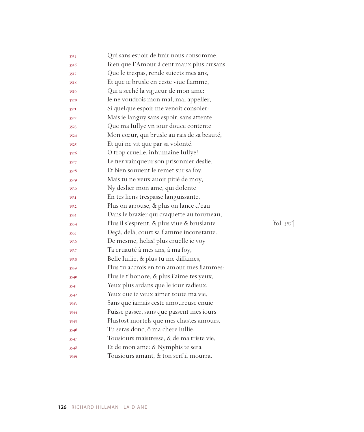| 3515 | Qui sans espoir de finir nous consomme.    |           |
|------|--------------------------------------------|-----------|
| 3516 | Bien que l'Amour à cent maux plus cuisans  |           |
| 3517 | Que le trespas, rende suiects mes ans,     |           |
| 3518 | Et que ie brusle en ceste viue flamme,     |           |
| 3519 | Qui a seché la vigueur de mon ame:         |           |
| 3520 | Ie ne voudrois mon mal, mal appeller,      |           |
| 352I | Si quelque espoir me venoit consoler:      |           |
| 3522 | Mais ie languy sans espoir, sans attente   |           |
| 3523 | Que ma Iullye vn iour douce contente       |           |
| 3524 | Mon cœur, qui brusle au rais de sa beauté, |           |
| 3525 | Et qui ne vit que par sa volonté.          |           |
| 3526 | O trop cruelle, inhumaine Iullye!          |           |
| 3527 | Le fier vainqueur son prisonnier deslie,   |           |
| 3528 | Et bien souuent le remet sur sa foy,       |           |
| 3529 | Mais tu ne veux auoir pitié de moy,        |           |
| 3530 | Ny deslier mon ame, qui dolente            |           |
| 353I | En tes liens trespasse languissante.       |           |
| 3532 | Plus on arrouse, & plus on lance d'eau     |           |
| 3533 | Dans le brazier qui craquette au fourneau, |           |
| 3534 | Plus il s'esprent, & plus viue & bruslante | [fol. 387 |
| 3535 | Deçà, delà, court sa flamme inconstante.   |           |
| 3536 | De mesme, helas! plus cruelle ie voy       |           |
| 3537 | Ta cruauté à mes ans, à ma foy,            |           |
| 3538 | Belle Iullie, & plus tu me diffames,       |           |
| 3539 | Plus tu accrois en ton amour mes flammes:  |           |
| 3540 | Plus ie t'honore, & plus i'aime tes yeux,  |           |
| 354I | Yeux plus ardans que le iour radieux,      |           |
| 3542 | Yeux que ie veux aimer toute ma vie,       |           |
| 3543 | Sans que iamais ceste amoureuse enuie      |           |
| 3544 | Puisse passer, sans que passent mes iours  |           |
| 3545 | Plustost mortels que mes chastes amours.   |           |
| 3546 | Tu seras donc, ô ma chere Iullie,          |           |
| 3547 | Tousiours maistresse, & de ma triste vie,  |           |
| 3548 | Et de mon ame: & Nymphis te sera           |           |
| 3549 | Tousiours amant, & ton serf il mourra.     |           |

r ]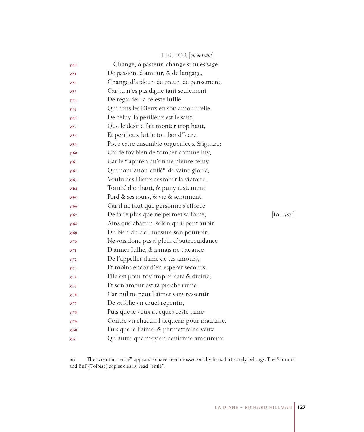|      | HECTOR [en entrant]                                  |           |
|------|------------------------------------------------------|-----------|
| 3550 | Change, ô pasteur, change si tu es sage              |           |
| 355I | De passion, d'amour, & de langage,                   |           |
| 3552 | Change d'ardeur, de cœur, de pensement,              |           |
| 3553 | Car tu n'es pas digne tant seulement                 |           |
| 3554 | De regarder la celeste Iullie,                       |           |
| 3555 | Qui tous les Dieux en son amour relie.               |           |
| 3556 | De celuy-là perilleux est le saut,                   |           |
| 3557 | Que le desir a fait monter trop haut,                |           |
| 3558 | Et perilleux fut le tomber d'Icare,                  |           |
| 3559 | Pour estre ensemble orgueilleux & ignare:            |           |
| 3560 | Garde toy bien de tomber comme luy,                  |           |
| 3561 | Car ie t'appren qu'on ne pleure celuy                |           |
| 3562 | Qui pour auoir enflé <sup>105</sup> de vaine gloire, |           |
| 3563 | Voulu des Dieux desrober la victoire,                |           |
| 3564 | Tombé d'enhaut, & puny iustement                     |           |
| 3565 | Perd & ses iours, & vie & sentiment.                 |           |
| 3566 | Car il ne faut que personne s'efforce                |           |
| 3567 | De faire plus que ne permet sa force,                | [fol. 387 |
| 3568 | Ains que chacun, selon qu'il peut auoir              |           |
| 3569 | Du bien du ciel, mesure son pouuoir.                 |           |
| 3570 | Ne sois donc pas si plein d'outrecuidance            |           |
| 3571 | D'aimer Iullie, & iamais ne t'auance                 |           |
| 3572 | De l'appeller dame de tes amours,                    |           |
| 3573 | Et moins encor d'en esperer secours.                 |           |
| 3574 | Elle est pour toy trop celeste & diuine;             |           |
| 3575 | Et son amour est ta proche ruine.                    |           |
| 3576 | Car nul ne peut l'aimer sans ressentir               |           |
| 3577 | De sa folie vn cruel repentir,                       |           |
| 3578 | Puis que ie veux aueques ceste lame                  |           |
| 3579 | Contre vn chacun l'acquerir pour madame,             |           |
| 3580 | Puis que ie l'aime, & permettre ne veux              |           |
| 3581 | Qu'autre que moy en deuienne amoureux.               |           |

 The accent in "enflé" appears to have been crossed out by hand but surely belongs. The Saumur and BnF (Tolbiac) copies clearly read "enflè".

 $87^{\circ}$ ]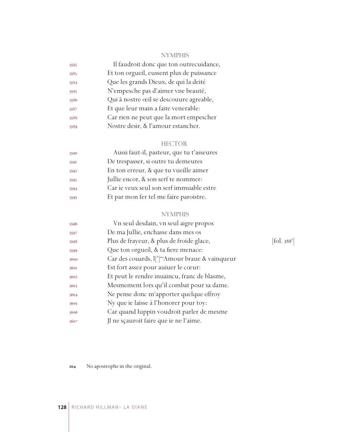# NYMPHIS

| 3582 | Il faudroit donc que ton outrecuidance,   |
|------|-------------------------------------------|
| 3583 | Et ton orgueil, eussent plus de puissance |
| 3584 | Que les grands Dieux, de qui la deité     |
| 3585 | N'empesche pas d'aimer vne beauté,        |
| 3586 | Qui à nostre œil se descouure agreable,   |
| 3587 | Et que leur main a faite venerable:       |
| 3588 | Car rien ne peut que la mort empescher    |
| 3589 | Nostre desir, & l'amour estancher.        |
|      |                                           |

# HECTOR

| 3590 | Aussi faut-il, pasteur, que tu t'asseures |
|------|-------------------------------------------|
| 3591 | De trespasser, si outre tu demeures       |
| 3592 | En ton erreur, & que tu vueille aimer     |
| 3593 | Jullie encor, & son serf te nommer:       |
| 3594 | Car ie veux seul son serf immuable estre  |
| 3595 | Et par mon fer tel me faire paroistre.    |

# NYMPHIS

| 3596 | Vn seul desdain, vn seul aigre propos                                   |                       |
|------|-------------------------------------------------------------------------|-----------------------|
| 3597 | De ma Jullie, enchasse dans mes os                                      |                       |
| 3598 | Plus de frayeur, & plus de froide glace,                                | fol. 388 <sup>1</sup> |
| 3599 | Que ton orgueil, & ta fiere menace:                                     |                       |
| 3600 | Car des couards, $\lfloor \cdot \rfloor^{\log}$ Amour braue & vainqueur |                       |
| 3601 | Est fort assez pour auiuer le cœur:                                     |                       |
| 3602 | Et peut le rendre inuaincu, franc de blasme,                            |                       |
| 3603 | Mesmement lors qu'il combat pour sa dame.                               |                       |
| 3604 | Ne pense donc m'apporter quelque effroy                                 |                       |
| 3605 | Ny que ie laisse à l'honorer pour toy:                                  |                       |
| 3606 | Car quand Iuppin voudroit parler de mesme                               |                       |
| 3607 | Jl ne sçauroit faire que ie ne l'aime.                                  |                       |
|      |                                                                         |                       |

 $[\mbox{fol. } 388^{\mbox{r}}]$ 

No apostrophe in the original.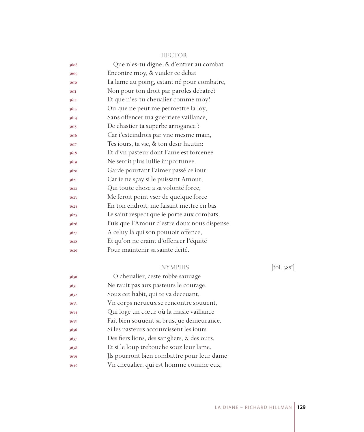| 3608 | Que n'es-tu digne, & d'entrer au combat     |
|------|---------------------------------------------|
| 3609 | Encontre moy, & vuider ce debat             |
| 3610 | La lame au poing, estant né pour combatre,  |
| 36II | Non pour ton droit par paroles debatre?     |
| 3612 | Et que n'es-tu cheualier comme moy?         |
| 3613 | Ou que ne peut me permettre la loy,         |
| 3614 | Sans offencer ma guerriere vaillance,       |
| 3615 | De chastier ta superbe arrogance ?          |
| 3616 | Car i'esteindrois par vne mesme main,       |
| 3617 | Tes iours, ta vie, & ton desir hautin:      |
| 3618 | Et d'vn pasteur dont l'ame est forcenee     |
| 3619 | Ne seroit plus Iullie importunee.           |
| 3620 | Garde pourtant l'aimer passé ce iour:       |
| 3621 | Car ie ne sçay si le puissant Amour,        |
| 3622 | Qui toute chose a sa volonté force,         |
| 3623 | Me feroit point vser de quelque force       |
| 3624 | En ton endroit, me faisant mettre en bas    |
| 3625 | Le saint respect que ie porte aux combats,  |
| 3626 | Puis que l'Amour d'estre doux nous dispense |
| 3627 | A celuy là qui son pouuoir offence,         |
| 3628 | Et qu'on ne craint d'offencer l'équité      |
| 3629 | Pour maintenir sa sainte deité.             |
|      |                                             |

# HECTOR

# NYMPHIS

 $[\text{fol. }388^{\circ}]$ 

| 3630 | O cheualier, ceste robbe sauuage            |
|------|---------------------------------------------|
| 3631 | Ne rauit pas aux pasteurs le courage.       |
| 3632 | Souz cet habit, qui te va deceuant,         |
| 3633 | Vn corps nerueux se rencontre souvent,      |
| 3634 | Qui loge un cœur où la masle vaillance      |
| 3635 | Fait bien souuent sa brusque demeurance.    |
| 3636 | Si les pasteurs accourcissent les iours     |
| 3637 | Des fiers lions, des sangliers, & des ours, |
| 3638 | Et si le loup trebouche souz leur lame,     |
| 3639 | Ils pourront bien combattre pour leur dame  |
| 3640 | Vn cheualier, qui est homme comme eux,      |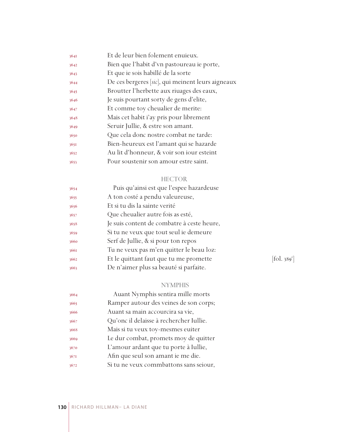| 3641 | Et de leur bien folement enuieux.                 |
|------|---------------------------------------------------|
| 3642 | Bien que l'habit d'vn pastoureau ie porte,        |
| 3643 | Et que ie sois habillé de la sorte                |
| 3644 | De ces bergeres [sic], qui meinent leurs aigneaux |
| 3645 | Broutter l'herbette aux riuages des eaux,         |
| 3646 | Je suis pourtant sorty de gens d'elite,           |
| 3647 | Et comme toy cheualier de merite:                 |
| 3648 | Mais cet habit i'ay pris pour librement           |
| 3649 | Seruir Jullie, & estre son amant.                 |
| 3650 | Que cela donc nostre combat ne tarde:             |
| 3651 | Bien-heureux est l'amant qui se hazarde           |
| 3652 | Au lit d'honneur, & voir son iour esteint         |
| 3653 | Pour soustenir son amour estre saint.             |
|      |                                                   |

# HECTOR

| 3654 | Puis qu'ainsi est que l'espee hazardeuse   |            |
|------|--------------------------------------------|------------|
| 3655 | A ton costé a pendu valeureuse,            |            |
| 3656 | Et si tu dis la sainte verité              |            |
| 3657 | Que cheualier autre fois as esté,          |            |
| 3658 | Je suis content de combatre à ceste heure, |            |
| 3659 | Si tu ne veux que tout seul ie demeure     |            |
| 3660 | Serf de Jullie, & si pour ton repos        |            |
| 3661 | Tu ne veux pas m'en quitter le beau loz:   |            |
| 3662 | Et le quittant faut que tu me promette     | [fol. 389] |
| 3663 | De n'aimer plus sa beauté si parfaite.     |            |
|      |                                            |            |

# NYMPHIS

| 3664 | Auant Nymphis sentira mille morts       |
|------|-----------------------------------------|
| 3665 | Ramper autour des veines de son corps;  |
| 3666 | Auant sa main accourcira sa vie,        |
| 3667 | Qu'onc il delaisse à rechercher Iullie. |
| 3668 | Mais si tu veux toy-mesmes euiter       |
| 3669 | Le dur combat, promets moy de quitter   |
| 3670 | L'amour ardant que tu porte à Iullie,   |
| 3671 | Afin que seul son amant ie me die.      |
| 3672 | Si tu ne veux commbattons sans seiour,  |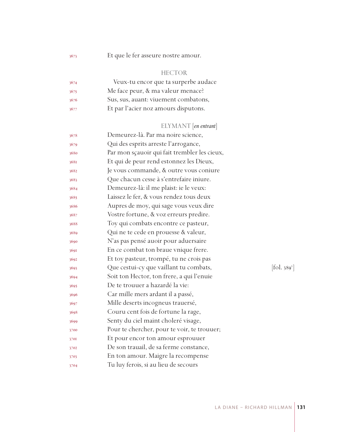Et que le fer asseure nostre amour.

#### HECTOR

| 3674 | Veux-tu encor que ta surperbe audace |
|------|--------------------------------------|
| 3675 | Me face peur, & ma valeur menace?    |
| 3676 | Sus, sus, auant: viuement combatons, |
| 3677 | Et par l'acier noz amours disputons. |

# ELYMANT [*en entrant*]

| 3678 | Demeurez-là. Par ma noire science,           |                          |
|------|----------------------------------------------|--------------------------|
| 3679 | Qui des esprits arreste l'arrogance,         |                          |
| 3680 | Par mon sçauoir qui fait trembler les cieux, |                          |
| 3681 | Et qui de peur rend estonnez les Dieux,      |                          |
| 3682 | Je vous commande, & outre vous coniure       |                          |
| 3683 | Que chacun cesse à s'entrefaire iniure.      |                          |
| 3684 | Demeurez-là: il me plaist: ie le veux:       |                          |
| 3685 | Laissez le fer, & vous rendez tous deux      |                          |
| 3686 | Aupres de moy, qui sage vous veux dire       |                          |
| 3687 | Vostre fortune, & voz erreurs predire.       |                          |
| 3688 | Toy qui combats encontre ce pasteur,         |                          |
| 3689 | Qui ne te cede en prouesse & valeur,         |                          |
| 3690 | N'as pas pensé auoir pour aduersaire         |                          |
| 3691 | En ce combat ton braue vnique frere.         |                          |
| 3692 | Et toy pasteur, trompé, tu ne crois pas      |                          |
| 3693 | Que cestui-cy que vaillant tu combats,       | [fol. 389 <sup>v</sup> ] |
| 3694 | Soit ton Hector, ton frere, a qui l'enuie    |                          |
| 3695 | De te trouuer a hazardé la vie:              |                          |
| 3696 | Car mille mers ardant il a passé,            |                          |
| 3697 | Mille deserts incogneus trauersé,            |                          |
| 3698 | Couru cent fois de fortune la rage,          |                          |
| 3699 | Senty du ciel maint choleré visage,          |                          |
| 3700 | Pour te chercher, pour te voir, te trouuer;  |                          |
| 3701 | Et pour encor ton amour esprouuer            |                          |
| 3702 | De son trauail, de sa ferme constance,       |                          |
| 3703 | En ton amour. Maigre la recompense           |                          |
| 3704 | Tu luy ferois, si au lieu de secours         |                          |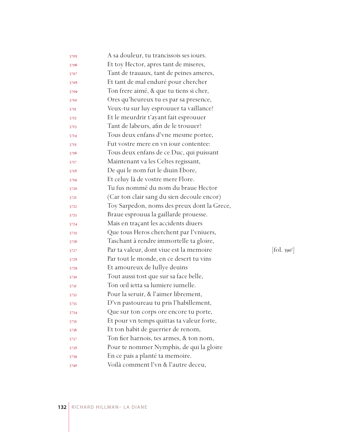| 3705 | A sa douleur, tu trancissois ses iours.     |            |
|------|---------------------------------------------|------------|
| 3706 | Et toy Hector, apres tant de miseres,       |            |
| 3707 | Tant de trauaux, tant de peines ameres,     |            |
| 3708 | Et tant de mal enduré pour chercher         |            |
| 3709 | Ton frere aimé, & que tu tiens si cher,     |            |
| 3710 | Ores qu'heureux tu es par sa presence,      |            |
| 37II | Veux-tu sur luy esprouuer ta vaillance?     |            |
| 3712 | Et le meurdrir t'ayant fait esprouuer       |            |
| 3713 | Tant de labeurs, afin de le trouuer?        |            |
| 3714 | Tous deux enfans d'vne mesme portee,        |            |
| 3715 | Fut vostre mere en vn jour contentee:       |            |
| 3716 | Tous deux enfans de ce Duc, qui puissant    |            |
| 3717 | Maintenant va les Celtes regissant,         |            |
| 3718 | De qui le nom fut le diuin Ebore,           |            |
| 3719 | Et celuy là de vostre mere Flore.           |            |
| 3720 | Tu fus nommé du nom du braue Hector         |            |
| 3721 | (Car ton clair sang du sien decoule encor)  |            |
| 3722 | Toy Sarpedon, noms des preux dont la Grece, |            |
| 3723 | Braue esprouua la gaillarde prouesse.       |            |
| 3724 | Mais en traçant les accidents diuers        |            |
| 3725 | Que tous Heros cherchent par l'vniuers,     |            |
| 3726 | Taschant à rendre immortelle ta gloire,     |            |
| 3727 | Par ta valeur, dont viue est la memoire     | [fol. 390] |
| 3728 | Par tout le monde, en ce desert tu vins     |            |
| 3729 | Et amoureux de Iullye deuins                |            |
| 3730 | Tout aussi tost que sur sa face belle,      |            |
| 3731 | Ton œil ietta sa lumiere iumelle.           |            |
| 3732 | Pour la seruir, & l'aimer librement,        |            |
| 3733 | D'vn pastoureau tu pris l'habillement,      |            |
| 3734 | Que sur ton corps ore encore tu porte,      |            |
| 3735 | Et pour vn temps quittas ta valeur forte,   |            |
| 3736 | Et ton habit de guerrier de renom,          |            |
| 3737 | Ton fier harnois, tes armes, & ton nom,     |            |
| 3738 | Pour te nommer Nymphis, de qui la gloire    |            |
| 3739 | En ce pais a planté ta memoire.             |            |
| 3740 | Voilà comment l'vn & l'autre deceu,         |            |

 $\mathbf{y}^r$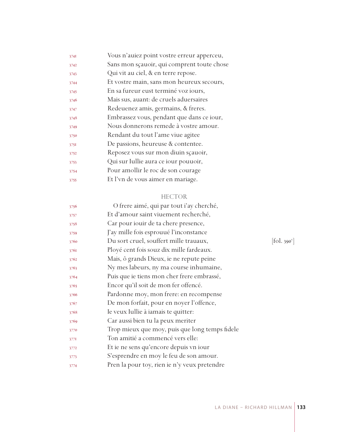| 3741 | Vous n'auiez point vostre erreur apperceu, |
|------|--------------------------------------------|
| 3742 | Sans mon sçauoir, qui comprent toute chose |
| 3743 | Qui vit au ciel, & en terre repose.        |
| 3744 | Et vostre main, sans mon heureux secours,  |
| 3745 | En sa fureur eust terminé voz iours,       |
| 3746 | Mais sus, auant: de cruels aduersaires     |
| 3747 | Redeuenez amis, germains, & freres.        |
| 3748 | Embrassez vous, pendant que dans ce iour,  |
| 3749 | Nous donnerons remede à vostre amour.      |
| 3750 | Rendant du tout l'ame viue agitee          |
| 3751 | De passions, heureuse & contentee.         |
| 3752 | Reposez vous sur mon diuin scauoir,        |
| 3753 | Qui sur Iullie aura ce iour pouuoir,       |
| 3754 | Pour amollir le roc de son courage         |
| 3755 | Et l'vn de vous aimer en mariage.          |
|      |                                            |

#### HECTOR

| 3756 | O frere aimé, qui par tout i'ay cherché,       |                    |
|------|------------------------------------------------|--------------------|
| 3757 | Et d'amour saint viuement recherché,           |                    |
| 3758 | Car pour iouir de ta chere presence,           |                    |
| 3759 | J'ay mille fois esprouué l'inconstance         |                    |
| 3760 | Du sort cruel, souffert mille trauaux,         | $ 60.390^{\circ} $ |
| 3761 | Ployé cent fois souz dix mille fardeaux.       |                    |
| 3762 | Mais, ô grands Dieux, ie ne repute peine       |                    |
| 3763 | Ny mes labeurs, ny ma course inhumaine,        |                    |
| 3764 | Puis que ie tiens mon cher frere embrassé,     |                    |
| 3765 | Encor qu'il soit de mon fer offencé.           |                    |
| 3766 | Pardonne moy, mon frere: en recompense         |                    |
| 3767 | De mon forfait, pour en noyer l'offence,       |                    |
| 3768 | Ie veux Iullie à iamais te quitter:            |                    |
| 3769 | Car aussi bien tu la peux meriter              |                    |
| 3770 | Trop mieux que moy, puis que long temps fidele |                    |
| 3771 | Ton amitié a commencé vers elle:               |                    |
| 3772 | Et ie ne sens qu'encore depuis vn iour         |                    |
| 3773 | S'esprendre en moy le feu de son amour.        |                    |
| 3774 | Pren la pour toy, rien ie n'y veux pretendre   |                    |
|      |                                                |                    |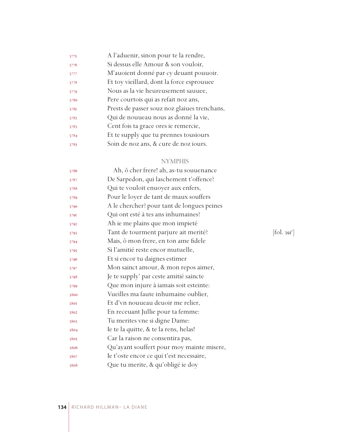| 3775 | A l'aduenir, sinon pour te la rendre,        |
|------|----------------------------------------------|
| 3776 | Si dessus elle Amour & son vouloir,          |
| 3777 | M'auoient donné par cy deuant pouuoir.       |
| 3778 | Et toy vieillard, dont la force esprouuee    |
| 3779 | Nous as la vie heureusement sauuee,          |
| 3780 | Pere courtois qui as refait noz ans,         |
| 3781 | Prests de passer souz noz glaiues trenchans, |
| 3782 | Qui de nouueau nous as donné la vie,         |
| 3783 | Cent fois ta grace ores ie remercie,         |
| 3784 | Et te supply que tu prennes tousiours        |
| 3785 | Soin de noz ans, & cure de noz iours.        |

# NYMPHIS

| 3786 | Ah, ô cher frere! ah, as-tu souuenance     |                       |
|------|--------------------------------------------|-----------------------|
| 3787 | De Sarpedon, qui laschement t'offence?     |                       |
| 3788 | Qui te vouloit enuoyer aux enfers,         |                       |
| 3789 | Pour le loyer de tant de maux souffers     |                       |
| 3790 | A le chercher? pour tant de longues peines |                       |
| 3791 | Qui ont esté à tes ans inhumaines?         |                       |
| 3792 | Ah ie me plains que mon impieté            |                       |
| 3793 | Tant de tourment parjure ait merité?       | fol. 39I <sup>1</sup> |
| 3794 | Mais, ô mon frere, en ton ame fidele       |                       |
| 3795 | Si l'amitié reste encor mutuelle,          |                       |
| 3796 | Et si encor tu daignes estimer             |                       |
| 3797 | Mon sainct amour, & mon repos aimer,       |                       |
| 3798 | Je te supply' par ceste amitié saincte     |                       |
| 3799 | Que mon injure à iamais soit esteinte:     |                       |
| 3800 | Vueilles ma faute inhumaine oublier,       |                       |
| 3801 | Et d'vn nouueau deuoir me relier,          |                       |
| 3802 | En receuant Jullie pour ta femme:          |                       |
| 3803 | Tu merites vne si digne Dame:              |                       |
| 3804 | Ie te la quitte, & te la rens, helas!      |                       |
| 3805 | Car la raison ne consentira pas,           |                       |
| 3806 | Qu'ayant souffert pour moy mainte misere,  |                       |
| 3807 | le t'oste encor ce qui t'est necessaire,   |                       |
| 3808 | Que tu merite, & qu'obligé ie doy          |                       |
|      |                                            |                       |

 $[$ fol. 391 $^r$ ]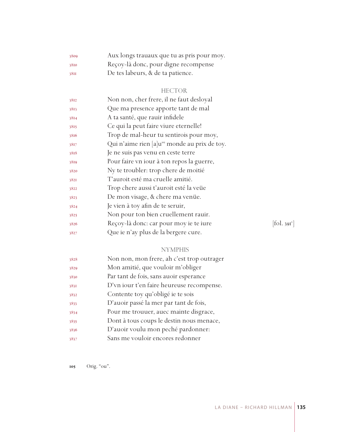| 3809 | Aux longs trauaux que tu as pris pour moy. |
|------|--------------------------------------------|
| 3810 | Reçoy-là donc, pour digne recompense       |
| 38II | De tes labeurs, & de ta patience.          |

# HECTOR

| 3812 | Non non, cher frere, il ne faut desloyal                  |            |
|------|-----------------------------------------------------------|------------|
| 3813 | Que ma presence apporte tant de mal                       |            |
| 3814 | A ta santé, que rauir infidele                            |            |
| 3815 | Ce qui la peut faire viure eternelle!                     |            |
| 3816 | Trop de mal-heur tu sentirois pour moy,                   |            |
| 3817 | Qui n'aime rien [a]u <sup>105</sup> monde au prix de toy. |            |
| 3818 | Je ne suis pas venu en ceste terre                        |            |
| 3819 | Pour faire vn iour à ton repos la guerre,                 |            |
| 3820 | Ny te troubler: trop chere de moitié                      |            |
| 3821 | T'auroit esté ma cruelle amitié.                          |            |
| 3822 | Trop chere aussi t'auroit esté la veüe                    |            |
| 3823 | De mon visage, & chere ma venüe.                          |            |
| 3824 | Je vien à toy afin de te seruir,                          |            |
| 3825 | Non pour ton bien cruellement rauir.                      |            |
| 3826 | Reçoy-là donc: car pour moy ie te iure                    | [fol. 391] |
| 3827 | Que ie n'ay plus de la bergere cure.                      |            |

 $[$ fol. 391 $^{\circ}$ ]

# NYMPHIS

| 3828 | Non non, mon frere, ah c'est trop outrager |
|------|--------------------------------------------|
| 3829 | Mon amitié, que vouloir m'obliger          |
| 3830 | Par tant de fois, sans auoir esperance     |
| 3831 | D'vn iour t'en faire heureuse recompense.  |
| 3832 | Contente toy qu'obligé ie te sois          |
| 3833 | D'auoir passé la mer par tant de fois,     |
| 3834 | Pour me trouuer, auec mainte disgrace,     |
| 3835 | Dont à tous coups le destin nous menace,   |
| 3836 | D'auoir voulu mon peché pardonner:         |
| 3837 | Sans me vouloir encores redonner           |

105 Orig. "ou".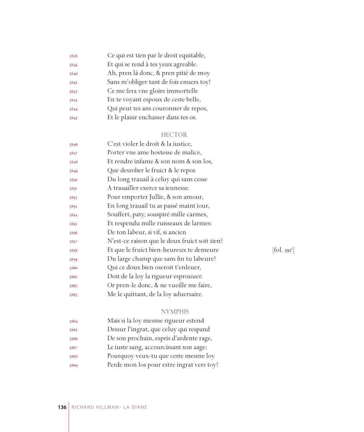| 3838 | Ce qui est tien par le droit equitable, |
|------|-----------------------------------------|
| 3839 | Et qui se rend à tes yeux agreable.     |
| 3840 | Ah, pren là donc, & pren pitié de moy   |
| 3841 | Sans m'obliger tant de fois enuers toy! |
| 3842 | Ce me fera vne gloire immortelle        |
| 3843 | En te voyant espoux de ceste belle,     |
| 3844 | Qui peut tes ans couronner de repos,    |
| 3845 | Et le plaisir enchasser dans tes os.    |
|      |                                         |

# HECTOR

| 3846 | C'est violer le droit & la iustice,           |            |
|------|-----------------------------------------------|------------|
| 3847 | Porter vne ame hostesse de malice,            |            |
| 3848 | Et rendre infame & son nom & son los,         |            |
| 3849 | Que desrober le fruict & le repos             |            |
| 3850 | Du long trauail à celuy qui sans cesse        |            |
| 3851 | A trauailler exerce sa ieunesse.              |            |
| 3852 | Pour emporter Jullie, & son amour,            |            |
| 3853 | En long trauail tu as passé maint iour,       |            |
| 3854 | Souffert, paty, souspiré mille carmes,        |            |
| 3855 | Et respendu mille ruisseaux de larmes:        |            |
| 3856 | De ton labeur, si vif, si ancien              |            |
| 3857 | N'est-ce raison que le doux fruict soit tien? |            |
| 3858 | Et que le fruict bien-heureux te demeure      | [fol. 392] |
| 3859 | Du large champ que sans fin tu labeure?       |            |
| 3860 | Qui ce doux bien oseroit t'enleuer,           |            |
| 3861 | Doit de la loy la rigueur esprouuer.          |            |
| 3862 | Or pren-le donc, & ne vueille me faire,       |            |
| 3863 | Me le quittant, de la loy aduersaire.         |            |
|      |                                               |            |

 $[$ fol. 392<sup>r</sup> $]$ 

# NYMPHIS

| 3864 | Mais si la loy mesme rigueur estend       |
|------|-------------------------------------------|
| 3865 | Dessur l'ingrat, que celuy qui respand    |
| 3866 | De son prochain, espris d'ardente rage,   |
| 3867 | Le iuste sang, accourcissant son aage:    |
| 3868 | Pourquoy veux-tu que ceste mesme loy      |
| 3869 | Perde mon los pour estre ingrat vers toy? |
|      |                                           |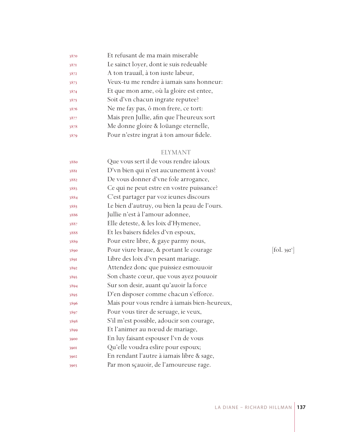| 3870 | Et refusant de ma main miserable          |
|------|-------------------------------------------|
| 3871 | Le sainct loyer, dont ie suis redeuable   |
| 3872 | A ton trauail, à ton iuste labeur,        |
| 3873 | Veux-tu me rendre à iamais sans honneur:  |
| 3874 | Et que mon ame, où la gloire est entee,   |
| 3875 | Soit d'vn chacun ingrate reputee?         |
| 3876 | Ne me fay pas, ô mon frere, ce tort:      |
| 3877 | Mais pren Jullie, afin que l'heureux sort |
| 3878 | Me donne gloire & loüange eternelle,      |
| 3879 | Pour n'estre ingrat à ton amour fidele.   |
|      |                                           |

# ELYMANT

| 3880 | Que vous sert il de vous rendre ialoux       |            |
|------|----------------------------------------------|------------|
| 3881 | D'vn bien qui n'est aucunement à vous?       |            |
| 3882 | De vous donner d'vne fole arrogance,         |            |
| 3883 | Ce qui ne peut estre en vostre puissance?    |            |
| 3884 | C'est partager par voz ieunes discours       |            |
| 3885 | Le bien d'autruy, ou bien la peau de l'ours. |            |
| 3886 | Jullie n'est à l'amour adonnee,              |            |
| 3887 | Elle deteste, & les loix d'Hymenee,          |            |
| 3888 | Et les baisers fideles d'vn espoux,          |            |
| 3889 | Pour estre libre, & gaye parmy nous,         |            |
| 3890 | Pour viure braue, & portant le courage       | [fol. 392] |
| 3891 | Libre des loix d'vn pesant mariage.          |            |
| 3892 | Attendez donc que puissiez esmouuoir         |            |
| 3893 | Son chaste cœur, que vous ayez pouuoir       |            |
| 3894 | Sur son desir, auant qu'auoir la force       |            |
| 3895 | D'en disposer comme chacun s'efforce.        |            |
| 3896 | Mais pour vous rendre à iamais bien-heureux, |            |
| 3897 | Pour vous tirer de seruage, ie veux,         |            |
| 3898 | S'il m'est possible, adoucir son courage,    |            |
| 3899 | Et l'animer au nœud de mariage,              |            |
| 3900 | En luy faisant espouser l'vn de vous         |            |
| 3901 | Qu'elle voudra eslire pour espoux;           |            |
| 3902 | En rendant l'autre à iamais libre & sage,    |            |
| 3903 | Par mon sçauoir, de l'amoureuse rage.        |            |
|      |                                              |            |

 $[\text{fol. }392^{\circ}]$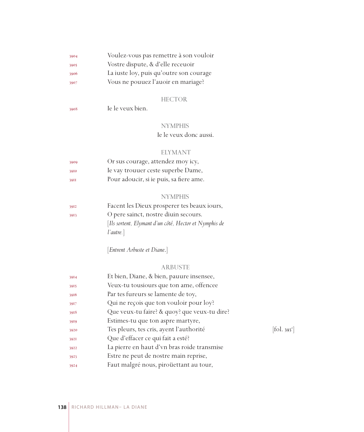| 3904 | Voulez-vous pas remettre à son vouloir  |
|------|-----------------------------------------|
| 3905 | Vostre dispute, & d'elle receuoir       |
| 3906 | La iuste loy, puis qu'outre son courage |
| 3907 | Vous ne pouuez l'auoir en mariage?      |

# HECTOR

| 3908 | Ie le veux bien. |
|------|------------------|
|      |                  |

# NYMPHIS

Ie le veux donc aussi.

#### ELYMANT

| 3909 | Or sus courage, attendez moy icy,       |
|------|-----------------------------------------|
| 3910 | Ie vay trouuer ceste superbe Dame,      |
| 39II | Pour adoucir, si ie puis, sa fiere ame. |

# NYMPHIS

| [Ils sortent, Elymant d'un côté, Hector et Nymphis de |
|-------------------------------------------------------|
|                                                       |
|                                                       |

[*Entrent Arbuste et Diane*.]

#### ARBUSTE

| 3914 | Et bien, Diane, & bien, pauure insensee,     |                                   |
|------|----------------------------------------------|-----------------------------------|
| 3915 | Veux-tu tousiours que ton ame, offencee      |                                   |
| 3916 | Par tes fureurs se lamente de toy,           |                                   |
| 3917 | Qui ne reçois que ton vouloir pour loy?      |                                   |
| 3918 | Que veux-tu faire? & quoy? que veux-tu dire? |                                   |
| 3919 | Estimes-tu que ton aspre martyre,            |                                   |
| 3920 | Tes pleurs, tes cris, ayent l'authorité      | $\left[ \text{fol. } 393 \right]$ |
| 3921 | Que d'effacer ce qui fait a esté?            |                                   |
| 3922 | La pierre en haut d'vn bras roide transmise  |                                   |
| 3923 | Estre ne peut de nostre main reprise,        |                                   |
| 3924 | Faut malgré nous, piroüettant au tour,       |                                   |
|      |                                              |                                   |

 $[$ fol. 393 $^r$ ]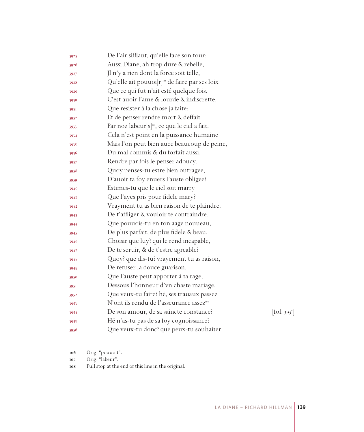| 3925 | De l'air sifflant, qu'elle face son tour:                  |                                 |
|------|------------------------------------------------------------|---------------------------------|
| 3926 | Aussi Diane, ah trop dure & rebelle,                       |                                 |
| 3927 | Jl n'y a rien dont la force soit telle,                    |                                 |
| 3928 | Qu'elle ait pouuoi[r] <sup>106</sup> de faire par ses loix |                                 |
| 3929 | Que ce qui fut n'ait esté quelque fois.                    |                                 |
| 3930 | C'est auoir l'ame & lourde & indiscrette,                  |                                 |
| 393I | Que resister à la chose ja faite:                          |                                 |
| 3932 | Et de penser rendre mort & deffait                         |                                 |
| 3933 | Par noz labeur[s] <sup>107</sup> , ce que le ciel a fait.  |                                 |
| 3934 | Cela n'est point en la puissance humaine                   |                                 |
| 3935 | Mais l'on peut bien auec beaucoup de peine,                |                                 |
| 3936 | Du mal commis & du forfait aussi,                          |                                 |
| 3937 | Rendre par fois le penser adoucy.                          |                                 |
| 3938 | Quoy penses-tu estre bien outragee,                        |                                 |
| 3939 | D'auoir ta foy enuers Fauste obligee?                      |                                 |
| 3940 | Estimes-tu que le ciel soit marry                          |                                 |
| 394I | Que l'ayes pris pour fidele mary?                          |                                 |
| 3942 | Vrayment tu as bien raison de te plaindre,                 |                                 |
| 3943 | De t'affliger & vouloir te contraindre.                    |                                 |
| 3944 | Que pouuois-tu en ton aage nouueau,                        |                                 |
| 3945 | De plus parfait, de plus fidele & beau,                    |                                 |
| 3946 | Choisir que luy? qui le rend incapable,                    |                                 |
| 3947 | De te seruir, & de t'estre agreable?                       |                                 |
| 3948 | Quoy? que dis-tu? vrayement tu as raison,                  |                                 |
| 3949 | De refuser la douce guarison,                              |                                 |
| 3950 | Que Fauste peut apporter à ta rage,                        |                                 |
| 395I | Dessous l'honneur d'vn chaste mariage.                     |                                 |
| 3952 | Que veux-tu faire? hé, ses trauaux passez                  |                                 |
| 3953 | N'ont ils rendu de l'asseurance assez <sup>108</sup>       |                                 |
| 3954 | De son amour, de sa saincte constance?                     | $[\text{fol. } 393^{\text{v}}]$ |
| 3955 | Hé n'as-tu pas de sa foy cognoissance?                     |                                 |
| 3956 | Que veux-tu donc? que peux-tu souhaiter                    |                                 |

Orig. "pouuoit".

Orig. "labeur".

Full stop at the end of this line in the original.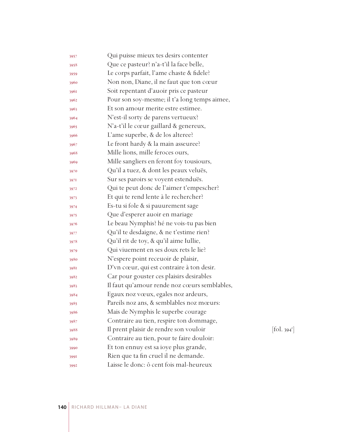| 3957 | Qui puisse mieux tes desirs contenter        |            |
|------|----------------------------------------------|------------|
| 3958 | Que ce pasteur? n'a-t'il la face belle,      |            |
| 3959 | Le corps parfait, l'ame chaste & fidele?     |            |
| 3960 | Non non, Diane, il ne faut que ton cœur      |            |
| 3961 | Soit repentant d'auoir pris ce pasteur       |            |
| 3962 | Pour son soy-mesme; il t'a long temps aimee, |            |
| 3963 | Et son amour merite estre estimee.           |            |
| 3964 | N'est-il sorty de parens vertueux?           |            |
| 3965 | N'a-t'il le cœur gaillard & genereux,        |            |
| 3966 | L'ame superbe, & de los alteree?             |            |
| 3967 | Le front hardy & la main asseuree?           |            |
| 3968 | Mille lions, mille feroces ours,             |            |
| 3969 | Mille sangliers en feront foy tousiours,     |            |
| 3970 | Qu'il a tuez, & dont les peaux veluës,       |            |
| 3971 | Sur ses paroirs se voyent estenduës.         |            |
| 3972 | Qui te peut donc de l'aimer t'empescher?     |            |
| 3973 | Et qui te rend lente à le rechercher?        |            |
| 3974 | Es-tu si fole & si pauurement sage           |            |
| 3975 | Que d'esperer auoir en mariage               |            |
| 3976 | Le beau Nymphis? hé ne vois-tu pas bien      |            |
| 3977 | Qu'il te desdaigne, & ne t'estime rien?      |            |
| 3978 | Qu'il rit de toy, & qu'il aime Iullie,       |            |
| 3979 | Qui viuement en ses doux rets le lie?        |            |
| 3980 | N'espere point receuoir de plaisir,          |            |
| 3981 | D'vn cœur, qui est contraire à ton desir.    |            |
| 3982 | Car pour gouster ces plaisirs desirables     |            |
| 3983 | Il faut qu'amour rende noz cœurs semblables, |            |
| 3984 | Egaux noz vœux, egales noz ardeurs,          |            |
| 3985 | Pareils noz ans, & semblables noz mœurs:     |            |
| 3986 | Mais de Nymphis le superbe courage           |            |
| 3987 | Contraire au tien, respire ton dommage,      |            |
| 3988 | Il prent plaisir de rendre son vouloir       | [fol. 394] |
| 3989 | Contraire au tien, pour te faire douloir:    |            |
| 3990 | Et ton ennuy est sa ioye plus grande,        |            |
| 3991 | Rien que ta fin cruel il ne demande.         |            |
| 3992 | Laisse le donc: ô cent fois mal-heureux      |            |

 $\left[\text{fol. } 394^{\text{r}}\right]$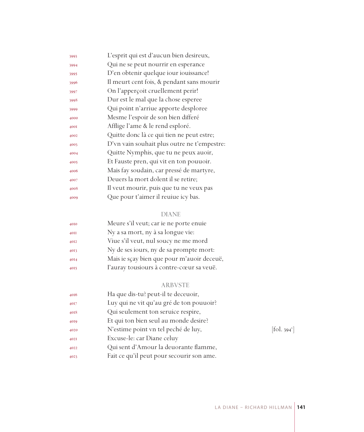| 3993 | L'esprit qui est d'aucun bien desireux,     |
|------|---------------------------------------------|
| 3994 | Qui ne se peut nourrir en esperance         |
| 3995 | D'en obtenir quelque iour iouissance!       |
| 3996 | Il meurt cent fois, & pendant sans mourir   |
| 3997 | On l'apperçoit cruellement perir!           |
| 3998 | Dur est le mal que la chose esperee         |
| 3999 | Qui point n'arriue apporte desploree        |
| 4000 | Mesme l'espoir de son bien differé          |
| 400I | Afflige l'ame & le rend esploré.            |
| 4002 | Quitte donc là ce qui tien ne peut estre;   |
| 4003 | D'vn vain souhait plus outre ne t'empestre: |
| 4004 | Quitte Nymphis, que tu ne peux auoir,       |
| 4005 | Et Fauste pren, qui vit en ton pouuoir.     |
| 4006 | Mais fay soudain, car pressé de martyre,    |
| 4007 | Deuers la mort dolent il se retire;         |
| 4008 | Il veut mourir, puis que tu ne veux pas     |
| 4009 | Que pour t'aimer il reuiue icy bas.         |
|      |                                             |

# DIANE

| 4010 | Meure s'il veut; car ie ne porte enuie     |
|------|--------------------------------------------|
| 40II | Ny a sa mort, ny à sa longue vie:          |
| 4012 | Viue s'il veut, nul soucy ne me mord       |
| 4013 | Ny de ses iours, ny de sa prompte mort:    |
| 4014 | Mais ie sçay bien que pour m'auoir deceuë, |
| 4015 | l'auray tousiours à contre-cœur sa veuë.   |

# ARBVSTE

| 4016 | Ha que dis-tu? peut-il te deceuoir,       |                          |
|------|-------------------------------------------|--------------------------|
| 4017 | Luy qui ne vit qu'au gré de ton pouuoir?  |                          |
| 4018 | Qui seulement ton seruice respire,        |                          |
| 4019 | Et qui ton bien seul au monde desire?     |                          |
| 4020 | N'estime point vn tel peché de luy,       | [fol. 394 <sup>v</sup> ] |
| 402I | Excuse-le: car Diane celuy                |                          |
| 4022 | Qui sent d'Amour la deuorante flamme,     |                          |
| 4023 | Fait ce qu'il peut pour secourir son ame. |                          |
|      |                                           |                          |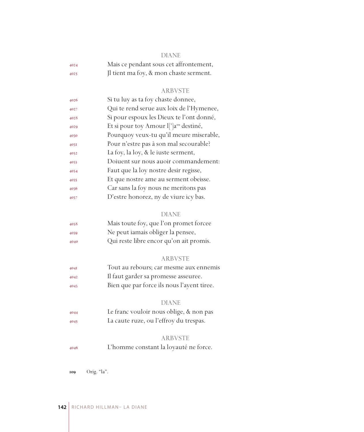| -- |
|----|
|    |

| 4024 | Mais ce pendant sous cet affrontement, |
|------|----------------------------------------|
| 4025 | Il tient ma foy, & mon chaste serment. |

#### ARBVSTE

| 4026 | Si tu luy as ta foy chaste donnee,                 |
|------|----------------------------------------------------|
| 4027 | Qui te rend serue aux loix de l'Hymenee,           |
| 4028 | Si pour espoux les Dieux te l'ont donné,           |
| 4029 | Et si pour toy Amour l[']a <sup>109</sup> destiné, |
| 4030 | Pourquoy veux-tu qu'il meure miserable,            |
| 403I | Pour n'estre pas à son mal secourable?             |
| 4032 | La foy, la loy, & le iuste serment,                |
| 4033 | Doiuent sur nous auoir commandement:               |
| 4034 | Faut que la loy nostre desir regisse,              |
| 4035 | Et que nostre ame au serment obeisse.              |
| 4036 | Car sans la foy nous ne meritons pas               |
| 4037 | D'estre honorez, ny de viure icy bas.              |

#### DIANE

| 4038 | Mais toute foy, que l'on promet forcee  |
|------|-----------------------------------------|
| 4039 | Ne peut iamais obliger la pensee,       |
| 4040 | Qui reste libre encor qu'on ait promis. |

#### ARBVSTE

 Tout au rebours; car mesme aux ennemis Il faut garder sa promesse asseuree. Bien que par force ils nous l'ayent tiree.

#### DIANE

 Le franc vouloir nous oblige, & non pas La caute ruze, ou l'effroy du trespas.

#### ARBVSTE

L'homme constant la loyauté ne force.

Orig. "la".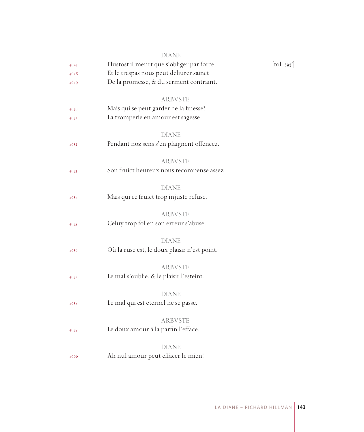|      | <b>DIANE</b>                                              |                                 |
|------|-----------------------------------------------------------|---------------------------------|
| 4047 | Plustost il meurt que s'obliger par force;                | $[\text{fol. } 395^{\text{r}}]$ |
| 4048 | Et le trespas nous peut deliurer sainct                   |                                 |
| 4049 | De la promesse, & du serment contraint.                   |                                 |
|      | <b>ARBVSTE</b>                                            |                                 |
| 4050 | Mais qui se peut garder de la finesse?                    |                                 |
| 4051 | La tromperie en amour est sagesse.                        |                                 |
|      |                                                           |                                 |
|      | <b>DIANE</b><br>Pendant noz sens s'en plaignent offencez. |                                 |
| 4052 |                                                           |                                 |
|      | ARBVSTE                                                   |                                 |
| 4053 | Son fruict heureux nous recompense assez.                 |                                 |
|      | <b>DIANE</b>                                              |                                 |
| 4054 | Mais qui ce fruict trop injuste refuse.                   |                                 |
|      |                                                           |                                 |
|      | <b>ARBVSTE</b>                                            |                                 |
| 4055 | Celuy trop fol en son erreur s'abuse.                     |                                 |
|      | <b>DIANE</b>                                              |                                 |
| 4056 | Où la ruse est, le doux plaisir n'est point.              |                                 |
|      |                                                           |                                 |
|      | <b>ARBVSTE</b>                                            |                                 |
| 4057 | Le mal s'oublie, & le plaisir l'esteint.                  |                                 |
|      | <b>DIANE</b>                                              |                                 |
| 4058 | Le mal qui est eternel ne se passe.                       |                                 |
|      | ARBVSTE                                                   |                                 |
| 4059 | Le doux amour à la parfin l'efface.                       |                                 |
|      |                                                           |                                 |
|      | <b>DIANE</b>                                              |                                 |
| 4060 | Ah nul amour peut effacer le mien!                        |                                 |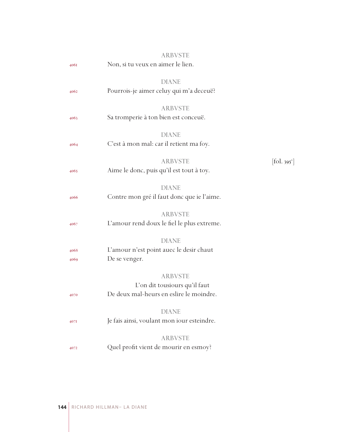|      | <b>ARBVSTE</b>                                          |                               |
|------|---------------------------------------------------------|-------------------------------|
| 4061 | Non, si tu veux en aimer le lien.                       |                               |
|      | <b>DIANE</b>                                            |                               |
| 4062 | Pourrois-je aimer celuy qui m'a deceuë?                 |                               |
|      |                                                         |                               |
|      | <b>ARBVSTE</b>                                          |                               |
| 4063 | Sa tromperie à ton bien est conceuë.                    |                               |
|      |                                                         |                               |
|      | <b>DIANE</b><br>C'est à mon mal: car il retient ma foy. |                               |
| 4064 |                                                         |                               |
|      | <b>ARBVSTE</b>                                          | $[\text{fol. } 395^\text{v}]$ |
| 4065 | Aime le donc, puis qu'il est tout à toy.                |                               |
|      |                                                         |                               |
|      | <b>DIANE</b>                                            |                               |
| 4066 | Contre mon gré il faut donc que ie l'aime.              |                               |
|      | <b>ARBVSTE</b>                                          |                               |
| 4067 | L'amour rend doux le fiel le plus extreme.              |                               |
|      |                                                         |                               |
|      | <b>DIANE</b>                                            |                               |
| 4068 | L'amour n'est point auec le desir chaut                 |                               |
| 4069 | De se venger.                                           |                               |
|      | <b>ARBVSTE</b>                                          |                               |
|      | L'on dit tousiours qu'il faut                           |                               |
| 4070 | De deux mal-heurs en eslire le moindre.                 |                               |
|      |                                                         |                               |
|      | <b>DIANE</b>                                            |                               |
| 407I | Je fais ainsi, voulant mon iour esteindre.              |                               |
|      | <b>ARBVSTE</b>                                          |                               |
| 4072 | Quel profit vient de mourir en esmoy?                   |                               |
|      |                                                         |                               |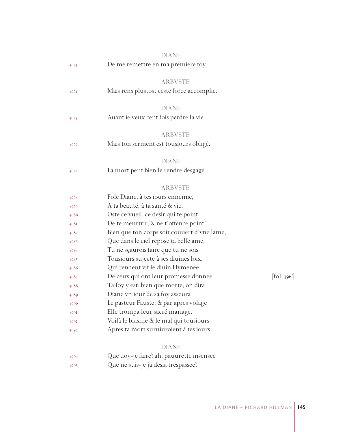|      | DIANE                                       |                                          |
|------|---------------------------------------------|------------------------------------------|
| 4073 | De me remettre en ma premiere foy.          |                                          |
|      | <b>ARBVSTE</b>                              |                                          |
| 4074 | Mais rens plustost ceste force accomplie.   |                                          |
|      | <b>DIANE</b>                                |                                          |
| 4075 | Auant ie veux cent fois perdre la vie.      |                                          |
|      | ARBVSTE                                     |                                          |
| 4076 | Mais ton serment est tousiours obligé.      |                                          |
|      | DIANE                                       |                                          |
| 4077 | La mort peut bien le rendre desgagé.        |                                          |
|      | <b>ARBVSTE</b>                              |                                          |
| 4078 | Fole Diane, à tes iours ennemie,            |                                          |
| 4079 | A ta beauté, à ta santé & vie,              |                                          |
| 4080 | Oste ce vueil, ce desir qui te point        |                                          |
| 408I | De te meurtrir, & ne t'offence point!       |                                          |
| 4082 | Bien que ton corps soit couuert d'vne lame, |                                          |
| 4083 | Que dans le ciel repose ta belle ame,       |                                          |
| 4084 | Tu ne sçaurois faire que tu ne sois         |                                          |
| 4085 | Tousiours sujecte à ses diuines loix,       |                                          |
| 4086 | Qui rendent vif le diuin Hymenee            |                                          |
| 4087 | De ceux qui ont leur promesse donnee.       | $\left[$ fol. 396 <sup>r</sup> $\right]$ |
| 4088 | Ta foy y est: bien que morte, on dira       |                                          |
| 4089 | Diane vn iour de sa foy asseura             |                                          |
| 4090 | Le pasteur Fauste, & par apres volage       |                                          |
| 409I | Elle trompa leur sacré mariage.             |                                          |
| 4092 | Voilà le blasme & le mal qui tousiours      |                                          |
| 4093 | Apres ta mort suruiuroient à tes iours.     |                                          |
|      | <b>DIANE</b>                                |                                          |
| 4094 | Que doy-je faire? ah, pauurette insensee    |                                          |
| 4095 | Que ne suis-je ja desia trespassee?         |                                          |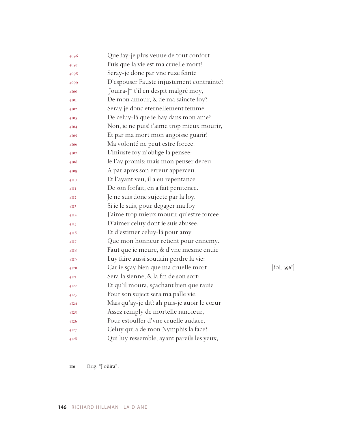| 4096            | Que fay-je plus veuue de tout confort             |            |
|-----------------|---------------------------------------------------|------------|
| 4097            | Puis que la vie est ma cruelle mort?              |            |
| 4098            | Seray-je donc par vne ruze feinte                 |            |
| 4099            | D'espouser Fauste injustement contrainte?         |            |
| 4100            | Jouira- <sup>l10</sup> t'il en despit malgré moy, |            |
| 4I0I            | De mon amour, & de ma saincte foy?                |            |
| 4102            | Seray je donc eternellement femme                 |            |
| 4103            | De celuy-là que ie hay dans mon ame?              |            |
| 4104            | Non, ie ne puis! i'aime trop mieux mourir,        |            |
| 4105            | Et par ma mort mon angoisse guarir!               |            |
| 4106            | Ma volonté ne peut estre forcee.                  |            |
| 4107            | L'iniuste foy n'oblige la pensee:                 |            |
| 4108            | Ie l'ay promis; mais mon penser deceu             |            |
| 4109            | A par apres son erreur apperceu.                  |            |
| 4110            | Et l'ayant veu, il a eu repentance                |            |
| 4III            | De son forfait, en a fait penitence.              |            |
| 4II2            | Je ne suis donc sujecte par la loy.               |            |
| 4II3            | Si ie le suis, pour degager ma foy                |            |
| 4II4            | J'aime trop mieux mourir qu'estre forcee          |            |
| 4II5            | D'aimer celuy dont ie suis abusee,                |            |
| 4116            | Et d'estimer celuy-là pour amy                    |            |
| 4H <sub>7</sub> | Que mon honneur retient pour ennemy.              |            |
| 4118            | Faut que ie meure, & d'vne mesme enuie            |            |
| 4II9            | Luy faire aussi soudain perdre la vie:            |            |
| 4120            | Car ie sçay bien que ma cruelle mort              | [fol. 396' |
| 4I2I            | Sera la sienne, & la fin de son sort:             |            |
| 4122            | Et qu'il moura, sçachant bien que rauie           |            |
| 4123            | Pour son suject sera ma palle vie.                |            |
| 4124            | Mais qu'ay-je dit? ah puis-je auoir le cœur       |            |
| 4125            | Assez remply de mortelle rancœur,                 |            |
| 4126            | Pour estouffer d'vne cruelle audace,              |            |
| 4127            | Celuy qui a de mon Nymphis la face?               |            |
| 4128            | Qui luy ressemble, ayant pareils les yeux,        |            |

 $\left[ \text{fol. } 396^{\circ} \right]$ 

Orig. "J'oüira".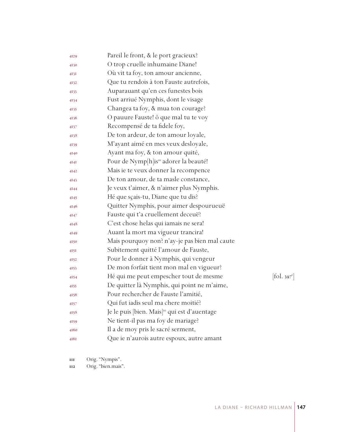| 4129 | Pareil le front, & le port gracieux?                      |                        |
|------|-----------------------------------------------------------|------------------------|
| 4130 | O trop cruelle inhumaine Diane!                           |                        |
| 413I | Où vit ta foy, ton amour ancienne,                        |                        |
| 4132 | Que tu rendois à ton Fauste autrefois,                    |                        |
| 4133 | Auparauant qu'en ces funestes bois                        |                        |
| 4134 | Fust arriué Nymphis, dont le visage                       |                        |
| 4135 | Changea ta foy, & mua ton courage?                        |                        |
| 4136 | O pauure Fauste! ô que mal tu te voy                      |                        |
| 4137 | Recompensé de ta fidele foy,                              |                        |
| 4138 | De ton ardeur, de ton amour loyale,                       |                        |
| 4139 | M'ayant aimé en mes veux desloyale,                       |                        |
| 4140 | Ayant ma foy, & ton amour quité,                          |                        |
| 4I4I | Pour de Nymp[h]is <sup>m</sup> adorer la beauté!          |                        |
| 4142 | Mais ie te veux donner la recompence                      |                        |
| 4143 | De ton amour, de ta masle constance,                      |                        |
| 4144 | Je veux t'aimer, & n'aimer plus Nymphis.                  |                        |
| 4145 | Hé que sçais-tu, Diane que tu dis?                        |                        |
| 4146 | Quitter Nymphis, pour aimer despourueuë                   |                        |
| 4147 | Fauste qui t'a cruellement deceuë?                        |                        |
| 4148 | C'est chose helas qui iamais ne sera!                     |                        |
| 4149 | Auant la mort ma vigueur trancira!                        |                        |
| 4150 | Mais pourquoy non? n'ay-je pas bien mal caute             |                        |
| 415I | Subitement quitté l'amour de Fauste,                      |                        |
| 4152 | Pour le donner à Nymphis, qui vengeur                     |                        |
| 4153 | De mon forfait tient mon mal en vigueur?                  |                        |
| 4154 | Hé qui me peut empescher tout de mesme                    | $[\text{fol. } 397^r]$ |
| 4155 | De quitter là Nymphis, qui point ne m'aime,               |                        |
| 4156 | Pour rechercher de Fauste l'amitié,                       |                        |
| 4157 | Qui fut iadis seul ma chere moitié?                       |                        |
| 4158 | Je le puis [bien. Mais] <sup>112</sup> qui est d'auentage |                        |
| 4159 | Ne tient-il pas ma foy de mariage?                        |                        |
| 4160 | Il a de moy pris le sacré serment,                        |                        |
| 416I | Que ie n'aurois autre espoux, autre amant                 |                        |

Orig. "Nympis".

Orig. "bien.mais".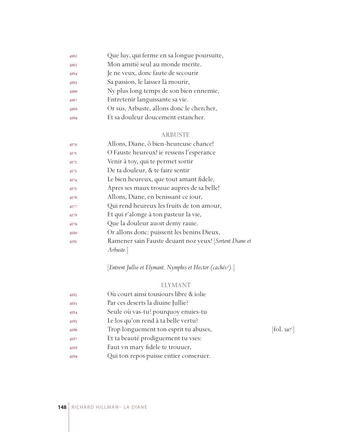| 4162 | Que luy, qui ferme en sa longue poursuite, |
|------|--------------------------------------------|
| 4163 | Mon amitié seul au monde merite.           |
| 4164 | Je ne veux, donc faute de secourir         |
| 4165 | Sa passion, le laisser là mourir,          |
| 4166 | Ny plus long temps de son bien ennemie,    |
| 4167 | Entretenir languissante sa vie.            |
| 4168 | Or sus, Arbuste, allons donc le chercher,  |
| 4169 | Et sa douleur doucement estancher.         |
|      |                                            |

## ARBUSTE

| 4170    | Allons, Diane, ô bien-heureuse chance!                 |
|---------|--------------------------------------------------------|
| $4I$ 7I | O Fauste heureux! ie ressens l'esperance               |
| 4172    | Venir à toy, qui te permet sortir                      |
| 4173    | De ta douleur, & te faire sentir                       |
| 4174    | Le bien heureux, que tout amant fidele,                |
| 4175    | Apres ses maux trouue aupres de sa belle!              |
| 4176    | Allons, Diane, en benissant ce iour,                   |
| 4177    | Qui rend heureux les fruits de ton amour,              |
| 4178    | Et qui r'alonge à ton pasteur la vie,                  |
| 4179    | Que la douleur auoit demy rauie.                       |
| 4180    | Or allons donc: puissent les benins Dieux,             |
| 4181    | Ramener sain Fauste deuant noz yeux! [Sortent Diane et |
|         | Arbuste.                                               |
|         |                                                        |

[*Entrent Jullie et Elymant, Nymphis et Hector (cachés?).*]

## ELYMANT

| 4182 | Où court ainsi tousiours libre & iolie |                          |
|------|----------------------------------------|--------------------------|
| 4183 | Par ces deserts la diuine Jullie?      |                          |
| 4184 | Seule où vas-tu? pourquoy enuies-tu    |                          |
| 4185 | Le los qu'on rend à ta belle vertu?    |                          |
| 4186 | Trop longuement ton esprit tu abuses,  | [fol. 397 <sup>v</sup> ] |
| 4187 | Et ta beauté prodiguement tu vses:     |                          |
| 4188 | Faut vn mary fidele te trouuer,        |                          |
| 4189 | Qui ton repos puisse entier conseruer. |                          |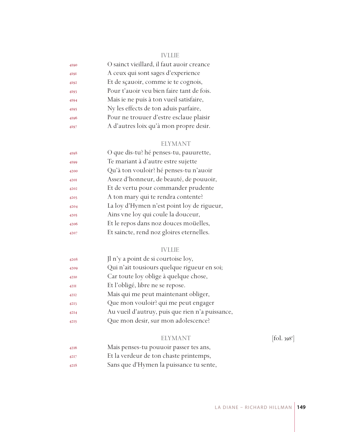#### IVLLIE

| 4190 | O sainct vieillard, il faut auoir creance |
|------|-------------------------------------------|
| 4191 | A ceux qui sont sages d'experience        |
| 4192 | Et de sçauoir, comme ie te cognois,       |
| 4193 | Pour t'auoir veu bien faire tant de fois. |
| 4194 | Mais ie ne puis à ton vueil satisfaire,   |
| 4195 | Ny les effects de ton aduis parfaire,     |
| 4196 | Pour ne trouuer d'estre esclaue plaisir   |
| 4197 | A d'autres loix qu'à mon propre desir.    |

#### ELYMANT

| 4198 | O que dis-tu? hé penses-tu, pauurette,     |
|------|--------------------------------------------|
| 4199 | Te mariant à d'autre estre sujette         |
| 4200 | Qu'à ton vouloir? hé penses-tu n'auoir     |
| 420I | Assez d'honneur, de beauté, de pouuoir,    |
| 4202 | Et de vertu pour commander prudente        |
| 4203 | A ton mary qui te rendra contente?         |
| 4204 | La loy d'Hymen n'est point loy de rigueur, |
| 4205 | Ains vne loy qui coule la douceur,         |
| 4206 | Et le repos dans noz douces moüelles,      |
| 4207 | Et saincte, rend noz gloires eternelles.   |

#### IVLLIE

| 4208 | Jl n'y a point de si courtoise loy,             |
|------|-------------------------------------------------|
| 4209 | Qui n'ait tousiours quelque rigueur en soi;     |
| 4210 | Car toute loy oblige à quelque chose,           |
| 42II | Et l'obligé, libre ne se repose.                |
| 4212 | Mais qui me peut maintenant obliger,            |
| 4213 | Que mon vouloir? qui me peut engager            |
| 4214 | Au vueil d'autruy, puis que rien n'a puissance, |
| 4215 | Que mon desir, sur mon adolescence?             |

#### ELYMANT

 $[$ fol. 398 $^r$ ]

- Mais penses-tu pouuoir passer tes ans,
- Et la verdeur de ton chaste printemps,
- Sans que d'Hymen la puissance tu sente,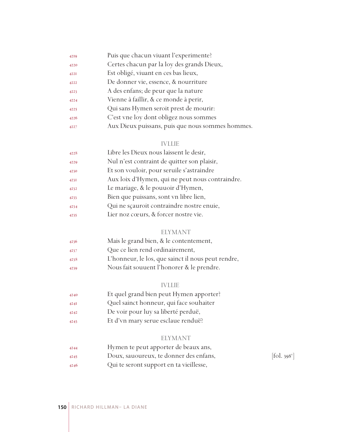| 4219        | Puis que chacun viuant l'experimente?            |
|-------------|--------------------------------------------------|
| 4220        | Certes chacun par la loy des grands Dieux,       |
| <b>422I</b> | Est obligé, viuant en ces bas lieux,             |
| 4222        | De donner vie, essence, & nourriture             |
| 4223        | A des enfans; de peur que la nature              |
| 4224        | Vienne à faillir, & ce monde à perir,            |
| 4225        | Qui sans Hymen seroit prest de mourir:           |
| 4226        | C'est vne loy dont obligez nous sommes           |
| 4227        | Aux Dieux puissans, puis que nous sommes hommes. |

#### IVLLIE

| 4228 | Libre les Dieux nous laissent le desir,         |
|------|-------------------------------------------------|
| 4229 | Nul n'est contraint de quitter son plaisir,     |
| 4230 | Et son vouloir, pour seruile s'astraindre       |
| 4231 | Aux loix d'Hymen, qui ne peut nous contraindre. |
| 4232 | Le mariage, & le pouuoir d'Hymen,               |
| 4233 | Bien que puissans, sont vn libre lien,          |
| 4234 | Qui ne scauroit contraindre nostre enuie,       |
| 4235 | Lier noz cœurs, & forcer nostre vie.            |

#### ELYMANT

| 4236 | Mais le grand bien, & le contentement, |
|------|----------------------------------------|
| 4237 | Que ce lien rend ordinairement,        |

- L'honneur, le los, que sainct il nous peut rendre,
- Nous fait souuent l'honorer & le prendre.

### IVLLIE

- Et quel grand bien peut Hymen apporter?
- Quel sainct honneur, qui face souhaiter
- De voir pour luy sa liberté perduë,
- Et d'vn mary serue esclaue renduë?

#### ELYMANT

| 4244 | Hymen te peut apporter de beaux ans,    |                                           |
|------|-----------------------------------------|-------------------------------------------|
| 4245 | Doux, sauoureux, te donner des enfans,  | $\left[ \text{fol. } 398^{\circ} \right]$ |
| 4246 | Qui te seront support en ta vieillesse, |                                           |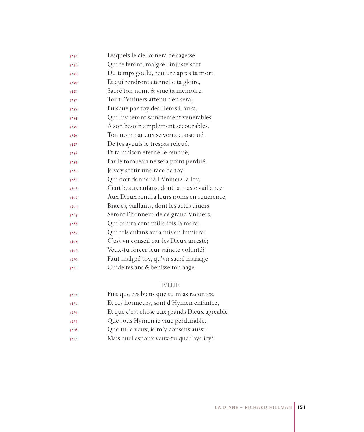| 4247 | Lesquels le ciel ornera de sagesse,        |
|------|--------------------------------------------|
| 4248 | Qui te feront, malgré l'injuste sort       |
| 4249 | Du temps goulu, reuiure apres ta mort;     |
| 4250 | Et qui rendront eternelle ta gloire,       |
| 4251 | Sacré ton nom, & viue ta memoire.          |
| 4252 | Tout l'Vniuers attenu t'en sera,           |
| 4253 | Puisque par toy des Heros il aura,         |
| 4254 | Qui luy seront sainctement venerables,     |
| 4255 | A son besoin amplement secourables.        |
| 4256 | Ton nom par eux se verra conserué,         |
| 4257 | De tes ayeuls le trespas releué,           |
| 4258 | Et ta maison eternelle renduë,             |
| 4259 | Par le tombeau ne sera point perduë.       |
| 4260 | Je voy sortir une race de toy,             |
| 4261 | Qui doit donner à l'Vniuers la loy,        |
| 4262 | Cent beaux enfans, dont la masle vaillance |
| 4263 | Aux Dieux rendra leurs noms en reuerence,  |
| 4264 | Braues, vaillants, dont les actes diuers   |
| 4265 | Seront l'honneur de ce grand Vniuers,      |
| 4266 | Qui benira cent mille fois la mere,        |
| 4267 | Qui tels enfans aura mis en lumiere.       |
| 4268 | C'est vn conseil par les Dieux arresté;    |
| 4269 | Veux-tu forcer leur saincte volonté?       |
| 4270 | Faut malgré toy, qu'vn sacré mariage       |
| 427I | Guide tes ans & benisse ton aage.          |
|      |                                            |

### IVLLIE

| 4272 | Puis que ces biens que tu m'as racontez,     |
|------|----------------------------------------------|
| 4273 | Et ces honneurs, sont d'Hymen enfantez,      |
| 4274 | Et que c'est chose aux grands Dieux agreable |
| 4275 | Que sous Hymen ie viue perdurable,           |
| 4276 | Que tu le veux, ie m'y consens aussi:        |
| 4277 | Mais quel espoux veux-tu que i'aye icy?      |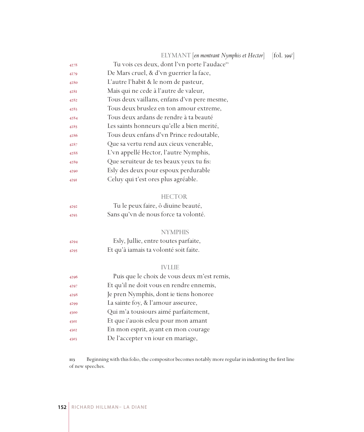|      | ELYMANT [en montrant Nymphis et Hector]                   | [fol. 399 <sup>r</sup> ] |
|------|-----------------------------------------------------------|--------------------------|
| 4278 | Tu vois ces deux, dont l'vn porte l'audace <sup>113</sup> |                          |
| 4279 | De Mars cruel, & d'vn guerrier la face,                   |                          |
| 4280 | L'autre l'habit & le nom de pasteur,                      |                          |
| 428I | Mais qui ne cede à l'autre de valeur,                     |                          |
| 4282 | Tous deux vaillans, enfans d'vn pere mesme,               |                          |
| 4283 | Tous deux bruslez en ton amour extreme,                   |                          |
| 4284 | Tous deux ardans de rendre à ta beauté                    |                          |
| 4285 | Les saints honneurs qu'elle a bien merité,                |                          |
| 4286 | Tous deux enfans d'vn Prince redoutable,                  |                          |
| 4287 | Que sa vertu rend aux cieux venerable,                    |                          |
| 4288 | L'vn appellé Hector, l'autre Nymphis,                     |                          |
| 4289 | Que seruiteur de tes beaux yeux tu fis:                   |                          |
| 4290 | Esly des deux pour espoux perdurable                      |                          |
| 429I | Celuy qui t'est ores plus agréable.                       |                          |
|      |                                                           |                          |
|      | <b>HECTOR</b>                                             |                          |
| 4292 | Tu le peux faire, ô diuine beauté,                        |                          |
| 4293 | Sans qu'vn de nous force ta volonté.                      |                          |
|      |                                                           |                          |
|      | <b>NYMPHIS</b>                                            |                          |
| 4294 | Esly, Jullie, entre toutes parfaite,                      |                          |
| 4295 | Et qu'à iamais ta volonté soit faite.                     |                          |
|      |                                                           |                          |
|      | <b>IVLLIE</b>                                             |                          |
| 4296 | Puis que le choix de vous deux m'est remis,               |                          |
| 4297 | Et qu'il ne doit vous en rendre ennemis,                  |                          |
| 4298 | Je pren Nymphis, dont ie tiens honoree                    |                          |
| 4299 | La sainte foy, & l'amour asseuree,                        |                          |
| 4300 | Qui m'a tousiours aimé parfaitement,                      |                          |
| 430I | Et que i'auois esleu pour mon amant                       |                          |
| 4302 | En mon esprit, ayant en mon courage                       |                          |
| 4303 | De l'accepter vn iour en mariage,                         |                          |
|      |                                                           |                          |

 Beginning with this folio, the compositor becomes notably more regular in indenting the first line of new speeches.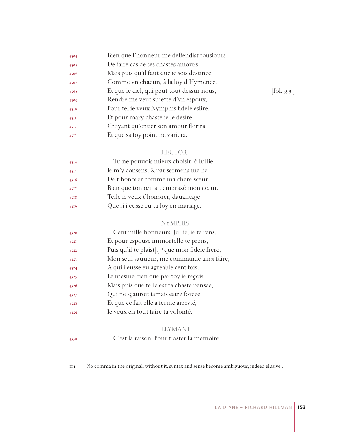| 4304 | Bien que l'honneur me deffendist tousiours |            |
|------|--------------------------------------------|------------|
| 4305 | De faire cas de ses chastes amours.        |            |
| 4306 | Mais puis qu'il faut que ie sois destinee, |            |
| 4307 | Comme vn chacun, à la loy d'Hymenee,       |            |
| 4308 | Et que le ciel, qui peut tout dessur nous, | [fol. 399] |
| 4309 | Rendre me veut sujette d'vn espoux,        |            |
| 4310 | Pour tel ie veux Nymphis fidele eslire,    |            |
| 43II | Et pour mary chaste ie le desire,          |            |
| 4312 | Croyant qu'entier son amour florira,       |            |
| 4313 | Et que sa foy point ne variera.            |            |
|      |                                            |            |

### HECTOR

| 4314 | Tu ne pouuois mieux choisir, ô Iullie, |
|------|----------------------------------------|
| 4315 | Ie m'y consens, & par sermens me lie   |
| 4316 | De t'honorer comme ma chere sœur,      |
| 4317 | Bien que ton œil ait embrazé mon cœur. |
| 4318 | Telle ie veux t'honorer, dauantage     |
| 4319 | Que si i'eusse eu ta foy en mariage.   |

### NYMPHIS

| 4320 | Cent mille honneurs, Jullie, ie te rens,                      |
|------|---------------------------------------------------------------|
| 432I | Et pour espouse immortelle te prens,                          |
| 4322 | Puis qu'il te plaist[, ] <sup>114</sup> que mon fidele frere, |
| 4323 | Mon seul sauueur, me commande ainsi faire,                    |
| 4324 | A qui i'eusse eu agreable cent fois,                          |
| 4325 | Le mesme bien que par toy ie reçois.                          |
| 4326 | Mais puis que telle est ta chaste pensee,                     |
| 4327 | Qui ne scauroit iamais estre forcee,                          |
| 4328 | Et que ce fait elle a ferme arresté,                          |
| 4329 | Ie veux en tout faire ta volonté.                             |

## ELYMANT

## C'est la raison. Pour t'oster la memoire

No comma in the original; without it, syntax and sense become ambiguous, indeed elusive..

 $[$ fol. 399 $^{\circ}$ ]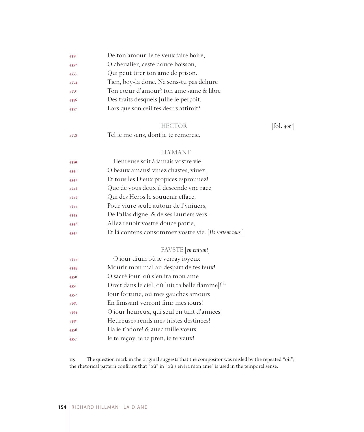| 433I | De ton amour, ie te veux faire boire,     |
|------|-------------------------------------------|
| 4332 | O cheualier, ceste douce boisson,         |
| 4333 | Qui peut tirer ton ame de prison.         |
| 4334 | Tien, boy-la donc. Ne sens-tu pas deliure |
| 4335 | Ton cœur d'amour? ton ame saine & libre   |
| 4336 | Des traits desquels Jullie le perçoit,    |
| 4337 | Lors que son œil tes desirs attiroit?     |
|      |                                           |

### HECTOR [fol. 400<sup>r</sup>]

Tel ie me sens, dont ie te remercie.

### ELYMANT

| 4339 | Heureuse soit à iamais vostre vie,                      |
|------|---------------------------------------------------------|
| 4340 | O beaux amans! viuez chastes, viuez,                    |
| 434I | Et tous les Dieux propices esprouuez!                   |
| 4342 | Que de vous deux il descende vne race                   |
| 4343 | Qui des Heros le souuenir efface,                       |
| 4344 | Pour viure seule autour de l'vniuers,                   |
| 4345 | De Pallas digne, & de ses lauriers vers.                |
| 4346 | Allez reuoir vostre douce patrie,                       |
| 4347 | Et là contens consommez vostre vie. [Ils sortent tous.] |

## FAVSTE [*en entrant*]

| 4348 | O iour diuin où ie verray ioyeux                             |
|------|--------------------------------------------------------------|
| 4349 | Mourir mon mal au despart de tes feux!                       |
| 4350 | O sacré iour, où s'en ira mon ame                            |
| 4351 | Droit dans le ciel, où luit ta belle flamme[!] <sup>11</sup> |
| 4352 | Iour fortuné, où mes gauches amours                          |
| 4353 | En finissant verront finir mes jours!                        |
| 4354 | O iour heureux, qui seul en tant d'annees                    |
| 4355 | Heureuses rends mes tristes destinees!                       |
| 4356 | Ha ie t'adore! & auec mille vœux                             |
| 4357 | Ie te reçoy, ie te pren, ie te veux!                         |
|      |                                                              |

 The question mark in the original suggests that the compositor was misled by the repeated "où"; the rhetorical pattern confirms that "où" in "où s'en ira mon ame" is used in the temporal sense.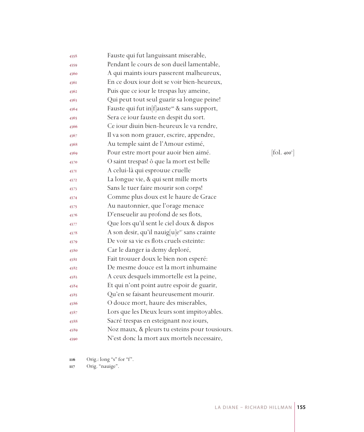| 4358 | Fauste qui fut languissant miserable,                    |                                             |
|------|----------------------------------------------------------|---------------------------------------------|
| 4359 | Pendant le cours de son dueil lamentable,                |                                             |
| 4360 | A qui maints iours passerent malheureux,                 |                                             |
| 4361 | En ce doux iour doit se voir bien-heureux,               |                                             |
| 4362 | Puis que ce iour le trespas luy ameine,                  |                                             |
| 4363 | Qui peut tout seul guarir sa longue peine!               |                                             |
| 4364 | Fauste qui fut in flauste <sup>16</sup> & sans support,  |                                             |
| 4365 | Sera ce iour fauste en despit du sort.                   |                                             |
| 4366 | Ce iour diuin bien-heureux le va rendre,                 |                                             |
| 4367 | Il va son nom grauer, escrire, appendre,                 |                                             |
| 4368 | Au temple saint de l'Amour estimé,                       |                                             |
| 4369 | Pour estre mort pour auoir bien aimé.                    | $\left[ \text{fol. 400}^{\text{v}} \right]$ |
| 4370 | O saint trespas! ô que la mort est belle                 |                                             |
| 4371 | A celui-là qui esprouue cruelle                          |                                             |
| 4372 | La longue vie, & qui sent mille morts                    |                                             |
| 4373 | Sans le tuer faire mourir son corps!                     |                                             |
| 4374 | Comme plus doux est le haure de Grace                    |                                             |
| 4375 | Au nautonnier, que l'orage menace                        |                                             |
| 4376 | D'enseuelir au profond de ses flots,                     |                                             |
| 4377 | Que lors qu'il sent le ciel doux & dispos                |                                             |
| 4378 | A son desir, qu'il nauig[u]e <sup>117</sup> sans crainte |                                             |
| 4379 | De voir sa vie es flots cruels esteinte:                 |                                             |
| 4380 | Car le danger ia demy deploré,                           |                                             |
| 438I | Fait trouuer doux le bien non esperé:                    |                                             |
| 4382 | De mesme douce est la mort inhumaine                     |                                             |
| 4383 | A ceux desquels immortelle est la peine,                 |                                             |
| 4384 | Et qui n'ont point autre espoir de guarir,               |                                             |
| 4385 | Qu'en se faisant heureusement mourir.                    |                                             |
| 4386 | O douce mort, haure des miserables,                      |                                             |
| 4387 | Lors que les Dieux leurs sont impitoyables.              |                                             |
| 4388 | Sacré trespas en esteignant noz iours,                   |                                             |
| 4389 | Noz maux, & pleurs tu esteins pour tousiours.            |                                             |
| 4390 | N'est donc la mort aux mortels necessaire,               |                                             |

Orig.: long "s" for "f".

Orig. "nauige".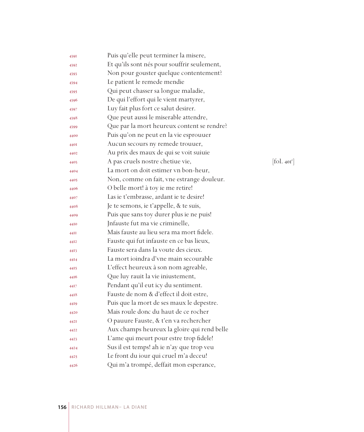| 4391 | Puis qu'elle peut terminer la misere,       |            |
|------|---------------------------------------------|------------|
| 4392 | Et qu'ils sont nés pour souffrir seulement, |            |
| 4393 | Non pour gouster quelque contentement?      |            |
| 4394 | Le patient le remede mendie                 |            |
| 4395 | Qui peut chasser sa longue maladie,         |            |
| 4396 | De qui l'effort qui le vient martyrer,      |            |
| 4397 | Luy fait plus fort ce salut desirer.        |            |
| 4398 | Que peut aussi le miserable attendre,       |            |
| 4399 | Que par la mort heureux content se rendre?  |            |
| 4400 | Puis qu'on ne peut en la vie esprouuer      |            |
| 440I | Aucun secours ny remede trouuer,            |            |
| 4402 | Au prix des maux de qui se voit suiuie      |            |
| 4403 | A pas cruels nostre chetiue vie,            | [fol. 401] |
| 4404 | La mort on doit estimer vn bon-heur,        |            |
| 4405 | Non, comme on fait, vne estrange douleur.   |            |
| 4406 | O belle mort! à toy ie me retire!           |            |
| 4407 | Las ie t'embrasse, ardant ie te desire!     |            |
| 4408 | Je te semons, ie t'appelle, & te suis,      |            |
| 4409 | Puis que sans toy durer plus ie ne puis!    |            |
| 4410 | Infauste fut ma vie criminelle,             |            |
| 44II | Mais fauste au lieu sera ma mort fidele.    |            |
| 4412 | Fauste qui fut infauste en ce bas lieux,    |            |
| 4413 | Fauste sera dans la voute des cieux.        |            |
| 4414 | La mort ioindra d'vne main secourable       |            |
| 4415 | L'effect heureux à son nom agreable,        |            |
| 4416 | Que luy rauit la vie iniustement,           |            |
| 44I7 | Pendant qu'il eut icy du sentiment.         |            |
| 4418 | Fauste de nom & d'effect il doit estre,     |            |
| 4419 | Puis que la mort de ses maux le depestre.   |            |
| 4420 | Mais roule donc du haut de ce rocher        |            |
| 442I | O pauure Fauste, & t'en va rechercher       |            |
| 4422 | Aux champs heureux la gloire qui rend belle |            |
| 4423 | L'ame qui meurt pour estre trop fidele!     |            |
| 4424 | Sus il est temps! ah ie n'ay que trop veu   |            |
| 4425 | Le front du iour qui cruel m'a deceu!       |            |
| 4426 | Qui m'a trompé, deffait mon esperance,      |            |

 $\left[\text{fol. } 40\text{I}^\text{r}\right]$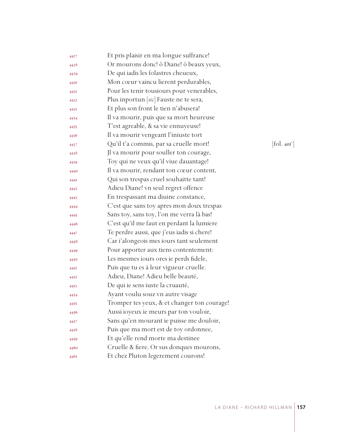| 4427 | Et pris plaisir en ma longue suffrance!     |                                             |
|------|---------------------------------------------|---------------------------------------------|
| 4428 | Or mourons donc! ô Diane! ô beaux yeux,     |                                             |
| 4429 | De qui iadis les folastres cheueux,         |                                             |
| 4430 | Mon cœur vaincu lierent perdurables,        |                                             |
| 443I | Pour les tenir tousiours pour venerables,   |                                             |
| 4432 | Plus inportun [sic] Fauste ne te sera,      |                                             |
| 4433 | Et plus son front le tien n'abusera!        |                                             |
| 4434 | Il va mourir, puis que sa mort heureuse     |                                             |
| 4435 | T'est agreable, & sa vie ennuyeuse!         |                                             |
| 4436 | Il va mourir vengeant l'iniuste tort        |                                             |
| 4437 | Qu'il t'a commis, par sa cruelle mort!      | $\left[ \text{fol. 40I}^{\text{v}} \right]$ |
| 4438 | Jl va mourir pour souller ton courage,      |                                             |
| 4439 | Toy qui ne veux qu'il viue dauantage!       |                                             |
| 4440 | Il va mourir, rendant ton cœur content,     |                                             |
| 444I | Qui son trespas cruel souhaitte tant!       |                                             |
| 4442 | Adieu Diane! vn seul regret offence         |                                             |
| 4443 | En trespassant ma diuine constance,         |                                             |
| 4444 | C'est que sans toy apres mon doux trespas   |                                             |
| 4445 | Sans toy, sans toy, l'on me verra là bas!   |                                             |
| 4446 | C'est qu'il me faut en perdant la lumiere   |                                             |
| 4447 | Te perdre aussi, que j'eus iadis si chere!  |                                             |
| 4448 | Car i'alongeois mes iours tant seulement    |                                             |
| 4449 | Pour apporter aux tiens contentement:       |                                             |
| 4450 | Les mesmes iours ores ie perds fidele,      |                                             |
| 445I | Puis que tu es à leur vigueur cruelle.      |                                             |
| 4452 | Adieu, Diane! Adieu belle beauté,           |                                             |
| 4453 | De qui ie sens iuste la cruauté,            |                                             |
| 4454 | Ayant voulu souz vn autre visage            |                                             |
| 4455 | Tromper tes yeux, & et changer ton courage! |                                             |
| 4456 | Aussi ioyeux ie meurs par ton vouloir,      |                                             |
| 4457 | Sans qu'en mourant ie puisse me douloir,    |                                             |
| 4458 | Puis que ma mort est de toy ordonnee,       |                                             |
| 4459 | Et qu'elle rend morte ma destinee           |                                             |
| 4460 | Cruelle & fiere. Or sus donques mourons,    |                                             |
| 446I | Et chez Pluton legerement courons!          |                                             |